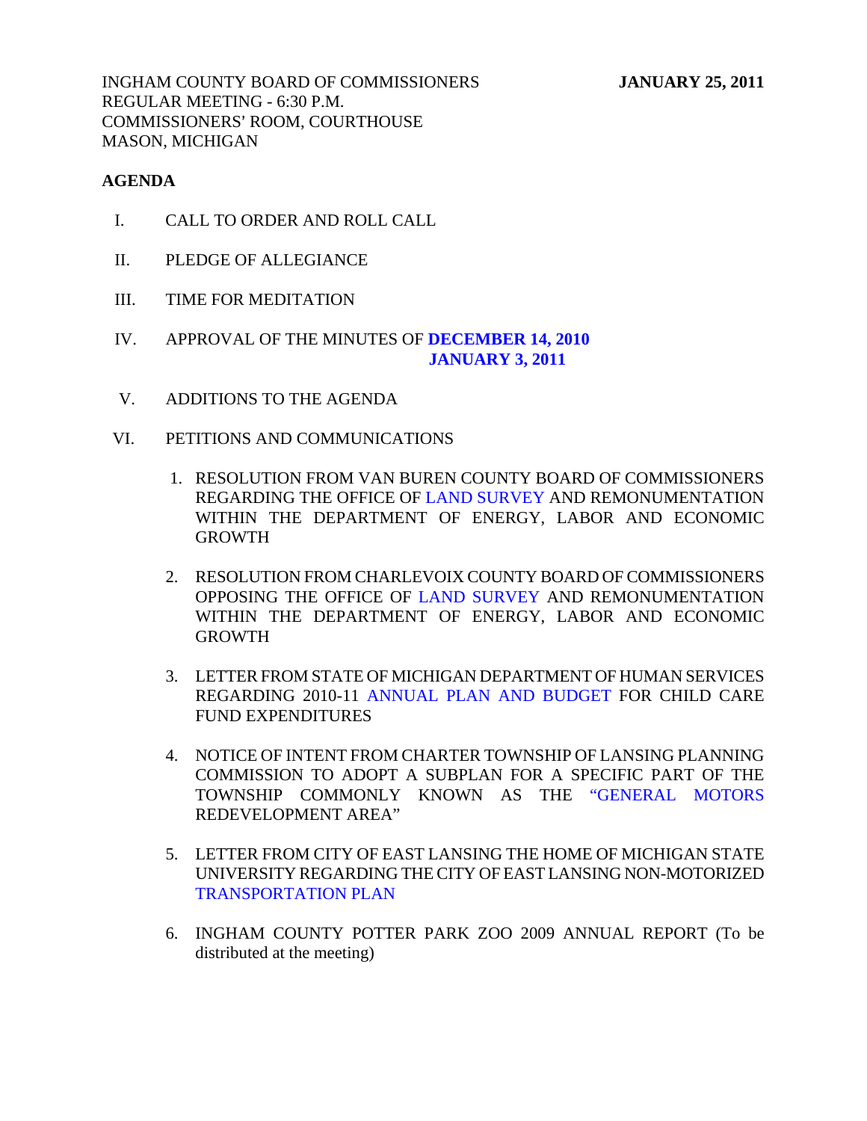INGHAM COUNTY BOARD OF COMMISSIONERS **JANUARY 25, 2011**  REGULAR MEETING - 6:30 P.M. COMMISSIONERS' ROOM, COURTHOUSE MASON, MICHIGAN

### **AGENDA**

- I. CALL TO ORDER AND ROLL CALL
- II. PLEDGE OF ALLEGIANCE
- III. TIME FOR MEDITATION
- IV. APPROVAL OF THE MINUTES OF **[DECEMBER 14, 2010](#page-5-0)  [JANUARY 3, 2011](#page-37-0)**
- V. ADDITIONS TO THE AGENDA
- VI. PETITIONS AND COMMUNICATIONS
	- 1. RESOLUTION FROM VAN BUREN COUNTY BOARD OF COMMISSIONERS REGARDING THE OFFICE [OF LAND SURVEY A](#page-40-0)ND REMONUMENTATION WITHIN THE DEPARTMENT OF ENERGY, LABOR AND ECONOMIC GROWTH
	- 2. RESOLUTION FROM CHARLEVOIX COUNTY BOARD OF COMMISSIONERS OPPOSING THE OFFICE O[F LAND SURVEY AND](#page-41-0) REMONUMENTATION WITHIN THE DEPARTMENT OF ENERGY, LABOR AND ECONOMIC GROWTH
	- 3. LETTER FROM STATE OF MICHIGAN DEPARTMENT OF HUMAN SERVICES REGARDING 2010-[11 ANNUAL PLAN AND BUDGET FO](#page-42-0)R CHILD CARE FUND EXPENDITURES
	- 4. NOTICE OF INTENT FROM CHARTER TOWNSHIP OF LANSING PLANNING COMMISSION TO ADOPT A SUBPLAN FOR A SPECIFIC PART OF THE TOWNSHIP COMMONLY KNOWN AS TH[E "GENERAL MOTORS](#page-44-0)  REDEVELOPMENT AREA"
	- 5. LETTER FROM CITY OF EAST LANSING THE HOME OF MICHIGAN STATE [UNIVERSITY REGARDING THE C](#page-45-0)ITY OF EAST LANSING NON-MOTORIZED TRANSPORTATION PLAN
	- 6. INGHAM COUNTY POTTER PARK ZOO 2009 ANNUAL REPORT (To be distributed at the meeting)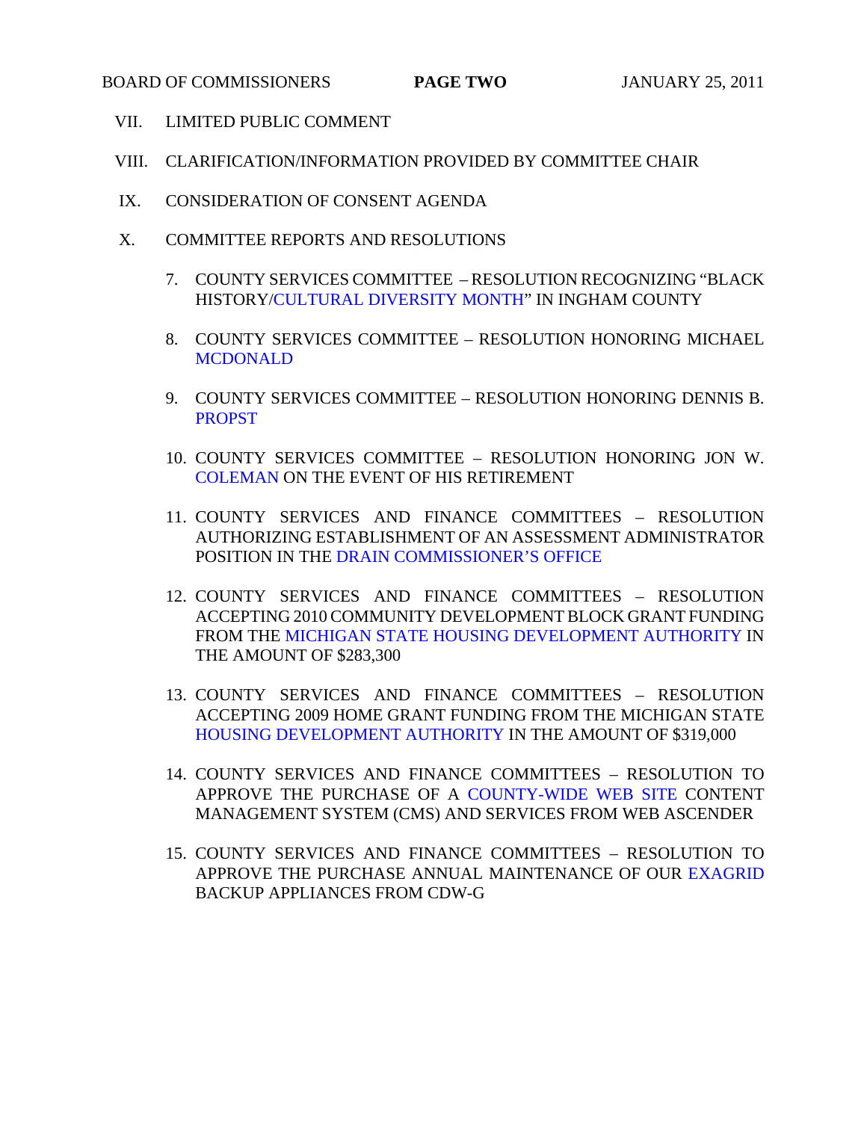- VII. LIMITED PUBLIC COMMENT
- VIII. CLARIFICATION/INFORMATION PROVIDED BY COMMITTEE CHAIR
- IX. CONSIDERATION OF CONSENT AGENDA
- X. COMMITTEE REPORTS AND RESOLUTIONS
	- 7. COUNTY SERVICES COMMITTEE RESOLUTION RECOGNIZING "BLACK HISTOR[Y/CULTURAL DIVERSITY MONTH" IN](#page-46-0) INGHAM COUNTY
	- 8. [COUNTY SERVICES](#page-47-0) COMMITTEE RESOLUTION HONORING MICHAEL **MCDONALD**
	- 9. [COUNTY S](#page-48-0)ERVICES COMMITTEE RESOLUTION HONORING DENNIS B. **PROPST**
	- 10. COUNTY SERVICES COMMITTEE RESOLUTION HONORING JON W. [COLEMAN ON THE](#page-50-0) EVENT OF HIS RETIREMENT
	- 11. COUNTY SERVICES AND FINANCE COMMITTEES RESOLUTION AUTHORIZING ESTABLISHMENT OF AN ASSESSMENT ADMINISTRATOR POSITION IN TH[E DRAIN COMMISSIONER'S OFFICE](#page-51-0)
	- 12. COUNTY SERVICES AND FINANCE COMMITTEES RESOLUTION ACCEPTING 2010 COMMUNITY DEVELOPMENT BLOCK GRANT FUNDING FROM TH[E MICHIGAN STATE HOUSING DEVELOPMENT AUTHORITY IN](#page-52-0)  THE AMOUNT OF \$283,300
	- 13. COUNTY SERVICES AND FINANCE COMMITTEES RESOLUTION ACCEPTING 2009 HOME GRANT FUNDING FROM THE MICHIGAN STATE [HOUSING DEVELOPMENT AUTHORITY IN TH](#page-53-0)E AMOUNT OF \$319,000
	- 14. COUNTY SERVICES AND FINANCE COMMITTEES RESOLUTION TO APPROVE THE PURCHASE OF [A COUNTY-WIDE WEB SITE CO](#page-54-0)NTENT MANAGEMENT SYSTEM (CMS) AND SERVICES FROM WEB ASCENDER
	- 15. COUNTY SERVICES AND FINANCE COMMITTEES RESOLUTION TO APPROVE THE PURCHASE ANNUAL MAINTENANCE OF OU[R EXAGRID](#page-55-0)  BACKUP APPLIANCES FROM CDW-G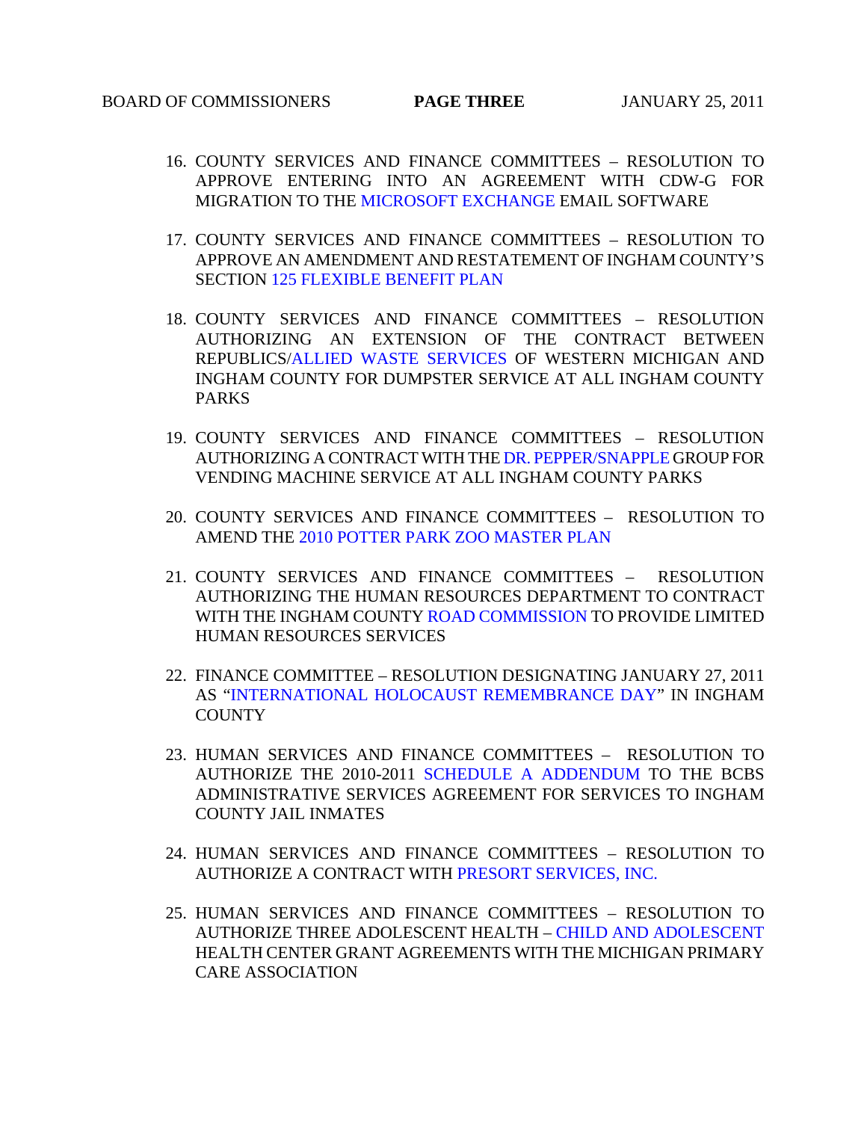- 16. COUNTY SERVICES AND FINANCE COMMITTEES RESOLUTION TO APPROVE ENTERING INTO AN AGREEMENT WITH CDW-G FOR MIGRATION TO TH[E MICROSOFT EXCHANGE EMAIL](#page-56-0) SOFTWARE
- 17. COUNTY SERVICES AND FINANCE COMMITTEES RESOLUTION TO APPROVE AN AMENDMENT AND RESTATEMENT OF INGHAM COUNTY'S SECTIO[N 125 FLEXIBLE BENEFIT PLAN](#page-57-0)
- 18. COUNTY SERVICES AND FINANCE COMMITTEES RESOLUTION AUTHORIZING AN EXTENSION OF THE CONTRACT BETWEEN REPUBLICS[/ALLIED WASTE SERVICES OF WEST](#page-61-0)ERN MICHIGAN AND INGHAM COUNTY FOR DUMPSTER SERVICE AT ALL INGHAM COUNTY PARKS
- 19. COUNTY SERVICES AND FINANCE COMMITTEES RESOLUTION AUTHORIZING A CONTRACT WITH T[HE DR. PEPPER/SNAPPLE GROU](#page-62-0)P FOR VENDING MACHINE SERVICE AT ALL INGHAM COUNTY PARKS
- 20. COUNTY SERVICES AND FINANCE COMMITTEES RESOLUTION TO AMEND TH[E 2010 POTTER PARK ZOO MASTER PLAN](#page-63-0)
- 21. COUNTY SERVICES AND FINANCE COMMITTEES RESOLUTION AUTHORIZING THE HUMAN RESOURCES DEPARTMENT TO CONTRACT WITH THE INGHAM COU[NTY ROAD COMMISSION TO P](#page-65-0)ROVIDE LIMITED HUMAN RESOURCES SERVICES
- 22. FINANCE COMMITTEE RESOLUTION DESIGNATING JANUARY 27, 2011 A[S "INTERNATIONAL HOLOCAUST REMEMBRANCE DAY"](#page-66-0) IN INGHAM **COUNTY**
- 23. HUMAN SERVICES AND [FINANCE COMMITTEES RESO](#page-67-0)LUTION TO AUTHORIZE THE 2010-2011 SCHEDULE A ADDENDUM TO THE BCBS ADMINISTRATIVE SERVICES AGREEMENT FOR SERVICES TO INGHAM COUNTY JAIL INMATES
- 24. HUMAN SERVICES AND FINANCE COMMITTEES RESOLUTION TO AUTHORIZE A CONTRACT WIT[H PRESORT SERVICES, INC.](#page-70-0)
- 25. HUMAN SERVICES AND FINANCE COMMITTEES RESOLUTION TO AUTHORIZE THREE ADOLESCENT HEAL[TH – CHILD AND ADOLESCENT](#page-71-0)  HEALTH CENTER GRANT AGREEMENTS WITH THE MICHIGAN PRIMARY CARE ASSOCIATION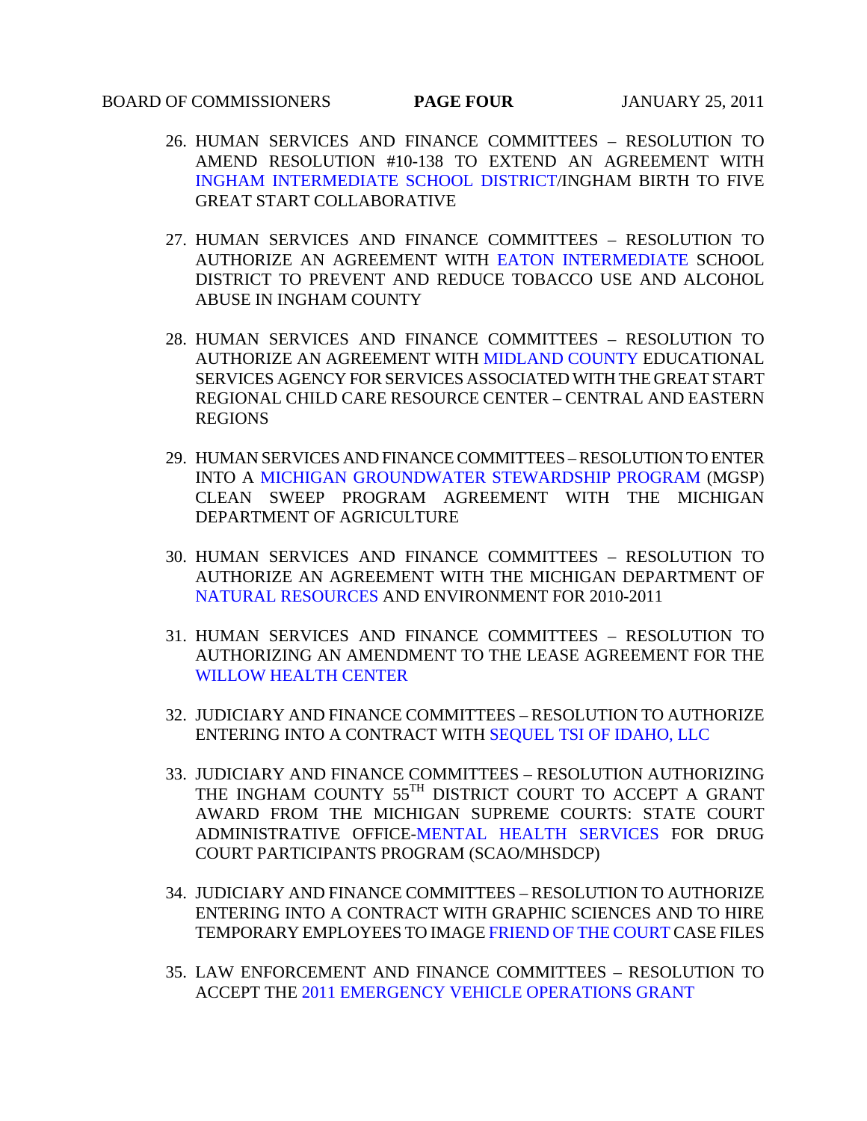#### BOARD OF COMMISSIONERS **PAGE FOUR** JANUARY 25, 2011

- 26. HUMAN SERVICES AND FINANCE COMMITTEES RESOLUTION TO AMEND RESOLUTION #10-138 TO EXTEND AN AGREEMENT WITH [INGHAM INTERMEDIATE SCHOOL DISTRICT/ING](#page-72-0)HAM BIRTH TO FIVE GREAT START COLLABORATIVE
- 27. HUMAN SERVICES AND FINANC[E COMMITTEES RESOLUTION](#page-73-0) TO AUTHORIZE AN AGREEMENT WITH EATON INTERMEDIATE SCHOOL DISTRICT TO PREVENT AND REDUCE TOBACCO USE AND ALCOHOL ABUSE IN INGHAM COUNTY
- 28. HUMAN SERVICES AND FIN[ANCE COMMITTEES RESOLU](#page-74-0)TION TO AUTHORIZE AN AGREEMENT WITH MIDLAND COUNTY EDUCATIONAL SERVICES AGENCY FOR SERVICES ASSOCIATED WITH THE GREAT START REGIONAL CHILD CARE RESOURCE CENTER – CENTRAL AND EASTERN REGIONS
- 29. HUMAN SERVICES AND FINANCE COMMITTEES RESOLUTION TO ENTER INTO [A MICHIGAN GROUNDWATER STEWARDSHIP PROGRAM \(M](#page-76-0)GSP) CLEAN SWEEP PROGRAM AGREEMENT WITH THE MICHIGAN DEPARTMENT OF AGRICULTURE
- 30. HUMAN SERVICES AND FINANCE COMMITTEES RESOLUTION TO AUTHORIZE AN AGREEMENT WITH THE MICHIGAN DEPARTMENT OF [NATURAL RESOURCES AND E](#page-78-0)NVIRONMENT FOR 2010-2011
- 31. HUMAN SERVICES AND FINANCE COMMITTEES RESOLUTION TO AUTHORIZING AN AMENDMENT TO THE LEASE AGREEMENT FOR THE [WILLOW HEALTH CENTER](#page-79-0)
- 32. JUDICIARY AND FINANCE COMMITTEES RESOLUTION TO AUTHORIZE ENTERING INTO A CONTRACT WITH [SEQUEL TSI OF IDAHO, LLC](#page-80-0)
- 33. JUDICIARY AND FINANCE COMMITTEES RESOLUTION AUTHORIZING THE INGHAM COUNTY 55TH DISTRICT COURT TO ACCEPT A GRANT AWARD FROM THE MICHIGAN SUPREME COURTS: STATE COURT ADMINISTRATIVE OFFI[CE-MENTAL HEALTH SERVICES FO](#page-81-0)R DRUG COURT PARTICIPANTS PROGRAM (SCAO/MHSDCP)
- 34. JUDICIARY AND FINANCE COMMITTEES RESOLUTION TO AUTHORIZE ENTERING INTO A CONTRACT WITH GRAPHIC SCIENCES AND TO HIRE TEMPORARY EMPLOYEES TO IMAG[E FRIEND OF THE COURT CA](#page-82-0)SE FILES
- 35. LAW ENFORCEMENT AND FINANCE COMMITTEES RESOLUTION TO ACCEPT TH[E 2011 EMERGENCY VEHICLE OPERATIONS GRANT](#page-84-0)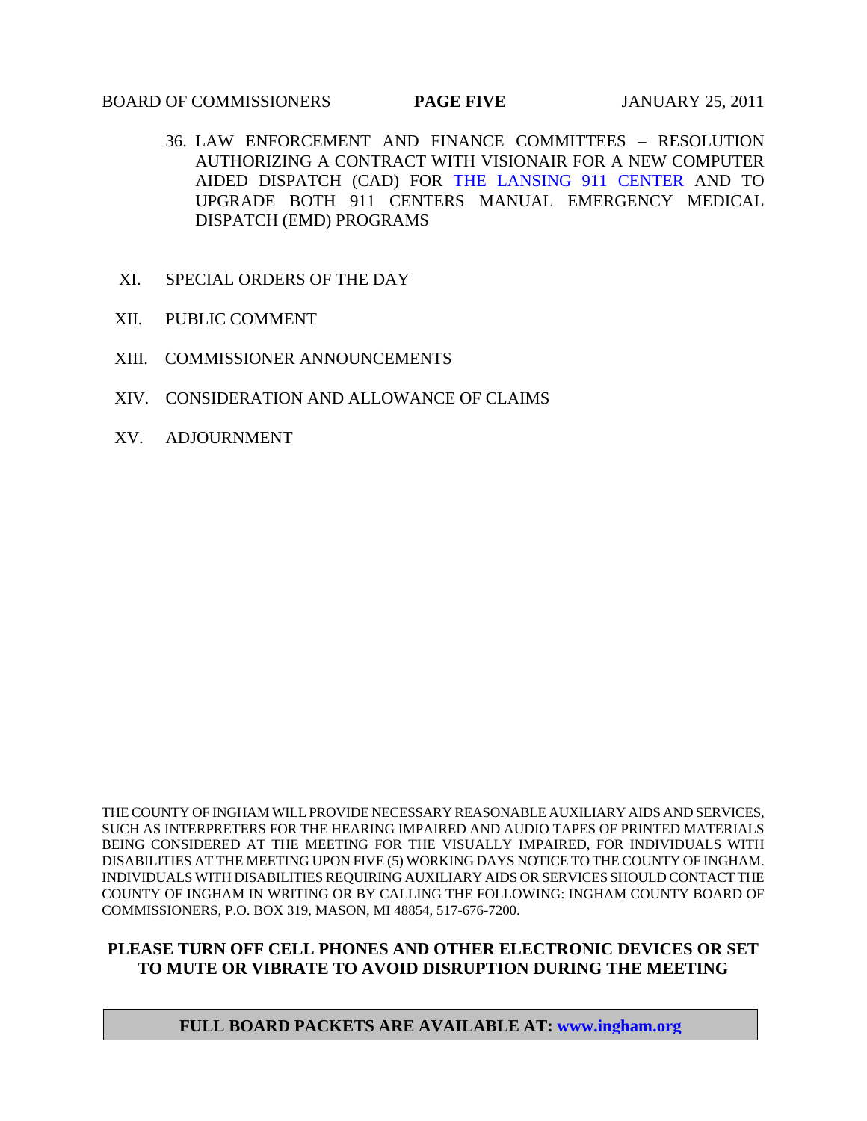#### BOARD OF COMMISSIONERS **PAGE FIVE** JANUARY 25, 2011

- 36. LAW ENFORCEMENT AND FINANCE COMMITTEES RESOLUTION AUTHORIZING A CONTRACT WITH VISIONAIR FOR A NEW COMPUTER AIDED DISPATCH (CAD) F[OR THE LANSING 911 CENTER AND](#page-85-0) TO UPGRADE BOTH 911 CENTERS MANUAL EMERGENCY MEDICAL DISPATCH (EMD) PROGRAMS
- XI. SPECIAL ORDERS OF THE DAY
- XII. PUBLIC COMMENT
- XIII. COMMISSIONER ANNOUNCEMENTS
- XIV. CONSIDERATION AND ALLOWANCE OF CLAIMS
- XV. ADJOURNMENT

THE COUNTY OF INGHAM WILL PROVIDE NECESSARY REASONABLE AUXILIARY AIDS AND SERVICES, SUCH AS INTERPRETERS FOR THE HEARING IMPAIRED AND AUDIO TAPES OF PRINTED MATERIALS BEING CONSIDERED AT THE MEETING FOR THE VISUALLY IMPAIRED, FOR INDIVIDUALS WITH DISABILITIES AT THE MEETING UPON FIVE (5) WORKING DAYS NOTICE TO THE COUNTY OF INGHAM. INDIVIDUALS WITH DISABILITIES REQUIRING AUXILIARY AIDS OR SERVICES SHOULD CONTACT THE COUNTY OF INGHAM IN WRITING OR BY CALLING THE FOLLOWING: INGHAM COUNTY BOARD OF COMMISSIONERS, P.O. BOX 319, MASON, MI 48854, 517-676-7200.

## **PLEASE TURN OFF CELL PHONES AND OTHER ELECTRONIC DEVICES OR SET TO MUTE OR VIBRATE TO AVOID DISRUPTION DURING THE MEETING**

### **FULL BOARD PACKETS ARE AVAILABLE AT: www.ingham.org**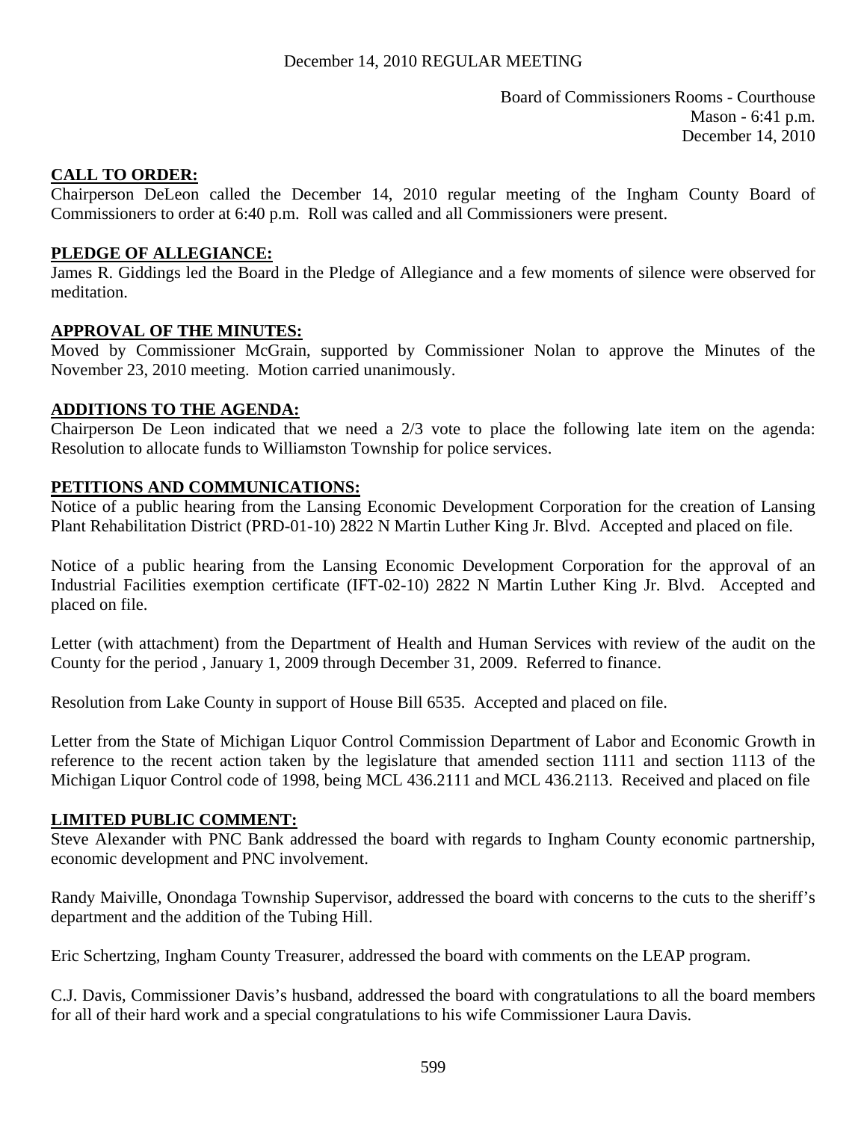Board of Commissioners Rooms - Courthouse Mason - 6:41 p.m. December 14, 2010

### <span id="page-5-0"></span>**CALL TO ORDER:**

Chairperson DeLeon called the December 14, 2010 regular meeting of the Ingham County Board of Commissioners to order at 6:40 p.m. Roll was called and all Commissioners were present.

### **PLEDGE OF ALLEGIANCE:**

James R. Giddings led the Board in the Pledge of Allegiance and a few moments of silence were observed for meditation.

## **APPROVAL OF THE MINUTES:**

Moved by Commissioner McGrain, supported by Commissioner Nolan to approve the Minutes of the November 23, 2010 meeting. Motion carried unanimously.

### **ADDITIONS TO THE AGENDA:**

Chairperson De Leon indicated that we need a 2/3 vote to place the following late item on the agenda: Resolution to allocate funds to Williamston Township for police services.

### **PETITIONS AND COMMUNICATIONS:**

Notice of a public hearing from the Lansing Economic Development Corporation for the creation of Lansing Plant Rehabilitation District (PRD-01-10) 2822 N Martin Luther King Jr. Blvd. Accepted and placed on file.

Notice of a public hearing from the Lansing Economic Development Corporation for the approval of an Industrial Facilities exemption certificate (IFT-02-10) 2822 N Martin Luther King Jr. Blvd. Accepted and placed on file.

Letter (with attachment) from the Department of Health and Human Services with review of the audit on the County for the period , January 1, 2009 through December 31, 2009. Referred to finance.

Resolution from Lake County in support of House Bill 6535. Accepted and placed on file.

Letter from the State of Michigan Liquor Control Commission Department of Labor and Economic Growth in reference to the recent action taken by the legislature that amended section 1111 and section 1113 of the Michigan Liquor Control code of 1998, being MCL 436.2111 and MCL 436.2113. Received and placed on file

### **LIMITED PUBLIC COMMENT:**

Steve Alexander with PNC Bank addressed the board with regards to Ingham County economic partnership, economic development and PNC involvement.

Randy Maiville, Onondaga Township Supervisor, addressed the board with concerns to the cuts to the sheriff's department and the addition of the Tubing Hill.

Eric Schertzing, Ingham County Treasurer, addressed the board with comments on the LEAP program.

C.J. Davis, Commissioner Davis's husband, addressed the board with congratulations to all the board members for all of their hard work and a special congratulations to his wife Commissioner Laura Davis.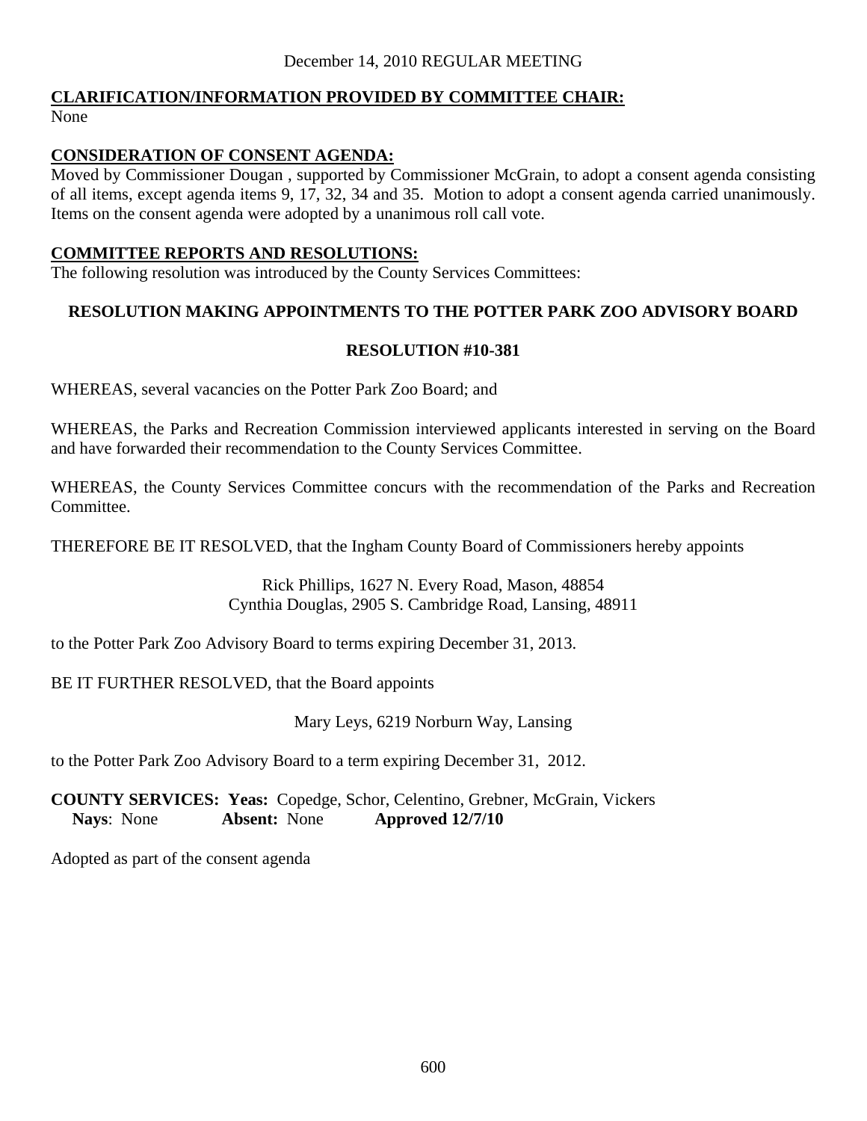#### **CLARIFICATION/INFORMATION PROVIDED BY COMMITTEE CHAIR:** None

# **CONSIDERATION OF CONSENT AGENDA:**

Moved by Commissioner Dougan , supported by Commissioner McGrain, to adopt a consent agenda consisting of all items, except agenda items 9, 17, 32, 34 and 35. Motion to adopt a consent agenda carried unanimously. Items on the consent agenda were adopted by a unanimous roll call vote.

## **COMMITTEE REPORTS AND RESOLUTIONS:**

The following resolution was introduced by the County Services Committees:

# **RESOLUTION MAKING APPOINTMENTS TO THE POTTER PARK ZOO ADVISORY BOARD**

## **RESOLUTION #10-381**

WHEREAS, several vacancies on the Potter Park Zoo Board; and

WHEREAS, the Parks and Recreation Commission interviewed applicants interested in serving on the Board and have forwarded their recommendation to the County Services Committee.

WHEREAS, the County Services Committee concurs with the recommendation of the Parks and Recreation Committee.

THEREFORE BE IT RESOLVED, that the Ingham County Board of Commissioners hereby appoints

Rick Phillips, 1627 N. Every Road, Mason, 48854 Cynthia Douglas, 2905 S. Cambridge Road, Lansing, 48911

to the Potter Park Zoo Advisory Board to terms expiring December 31, 2013.

BE IT FURTHER RESOLVED, that the Board appoints

Mary Leys, 6219 Norburn Way, Lansing

to the Potter Park Zoo Advisory Board to a term expiring December 31, 2012.

**COUNTY SERVICES: Yeas:** Copedge, Schor, Celentino, Grebner, McGrain, Vickers **Nays**: None **Absent:** None **Approved 12/7/10** 

Adopted as part of the consent agenda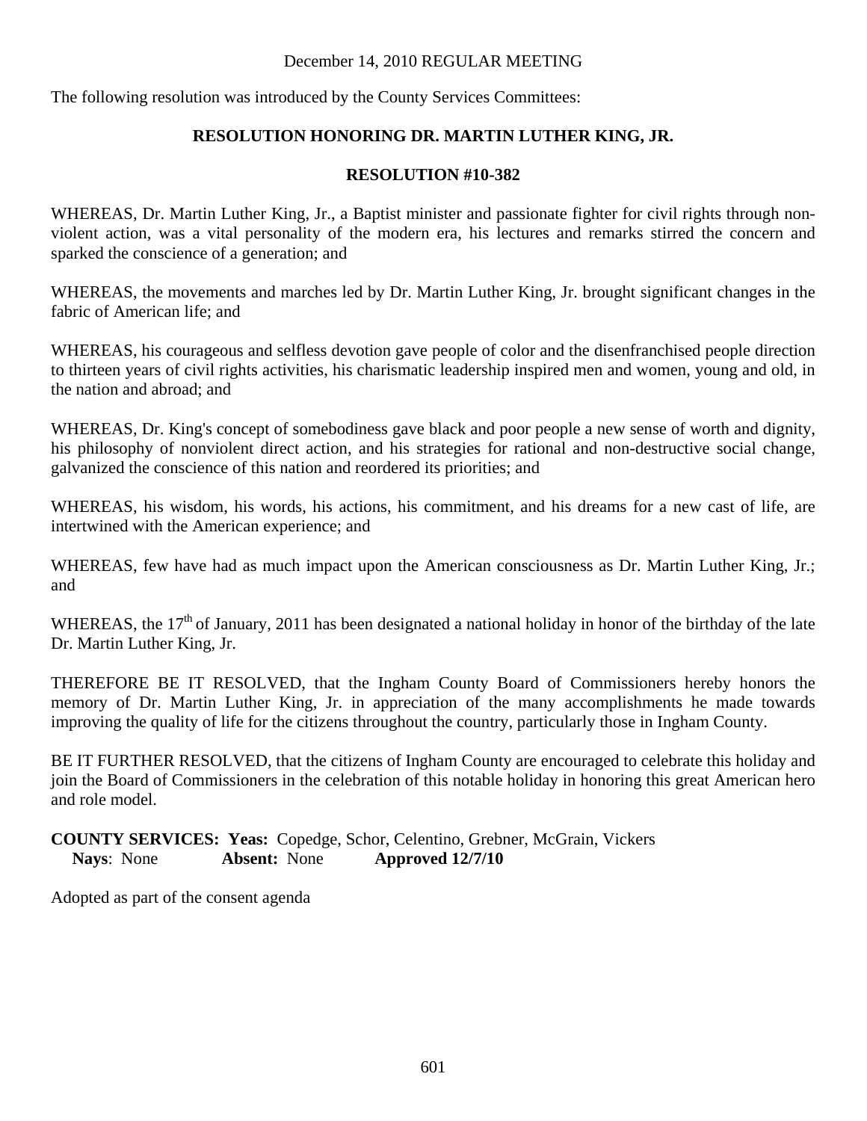The following resolution was introduced by the County Services Committees:

# **RESOLUTION HONORING DR. MARTIN LUTHER KING, JR.**

# **RESOLUTION #10-382**

WHEREAS, Dr. Martin Luther King, Jr., a Baptist minister and passionate fighter for civil rights through nonviolent action, was a vital personality of the modern era, his lectures and remarks stirred the concern and sparked the conscience of a generation; and

WHEREAS, the movements and marches led by Dr. Martin Luther King, Jr. brought significant changes in the fabric of American life; and

WHEREAS, his courageous and selfless devotion gave people of color and the disenfranchised people direction to thirteen years of civil rights activities, his charismatic leadership inspired men and women, young and old, in the nation and abroad; and

WHEREAS, Dr. King's concept of somebodiness gave black and poor people a new sense of worth and dignity, his philosophy of nonviolent direct action, and his strategies for rational and non-destructive social change, galvanized the conscience of this nation and reordered its priorities; and

WHEREAS, his wisdom, his words, his actions, his commitment, and his dreams for a new cast of life, are intertwined with the American experience; and

WHEREAS, few have had as much impact upon the American consciousness as Dr. Martin Luther King, Jr.; and

WHEREAS, the  $17<sup>th</sup>$  of January, 2011 has been designated a national holiday in honor of the birthday of the late Dr. Martin Luther King, Jr.

THEREFORE BE IT RESOLVED, that the Ingham County Board of Commissioners hereby honors the memory of Dr. Martin Luther King, Jr. in appreciation of the many accomplishments he made towards improving the quality of life for the citizens throughout the country, particularly those in Ingham County.

BE IT FURTHER RESOLVED, that the citizens of Ingham County are encouraged to celebrate this holiday and join the Board of Commissioners in the celebration of this notable holiday in honoring this great American hero and role model.

## **COUNTY SERVICES: Yeas:** Copedge, Schor, Celentino, Grebner, McGrain, Vickers **Nays**: None **Absent:** None **Approved 12/7/10**

Adopted as part of the consent agenda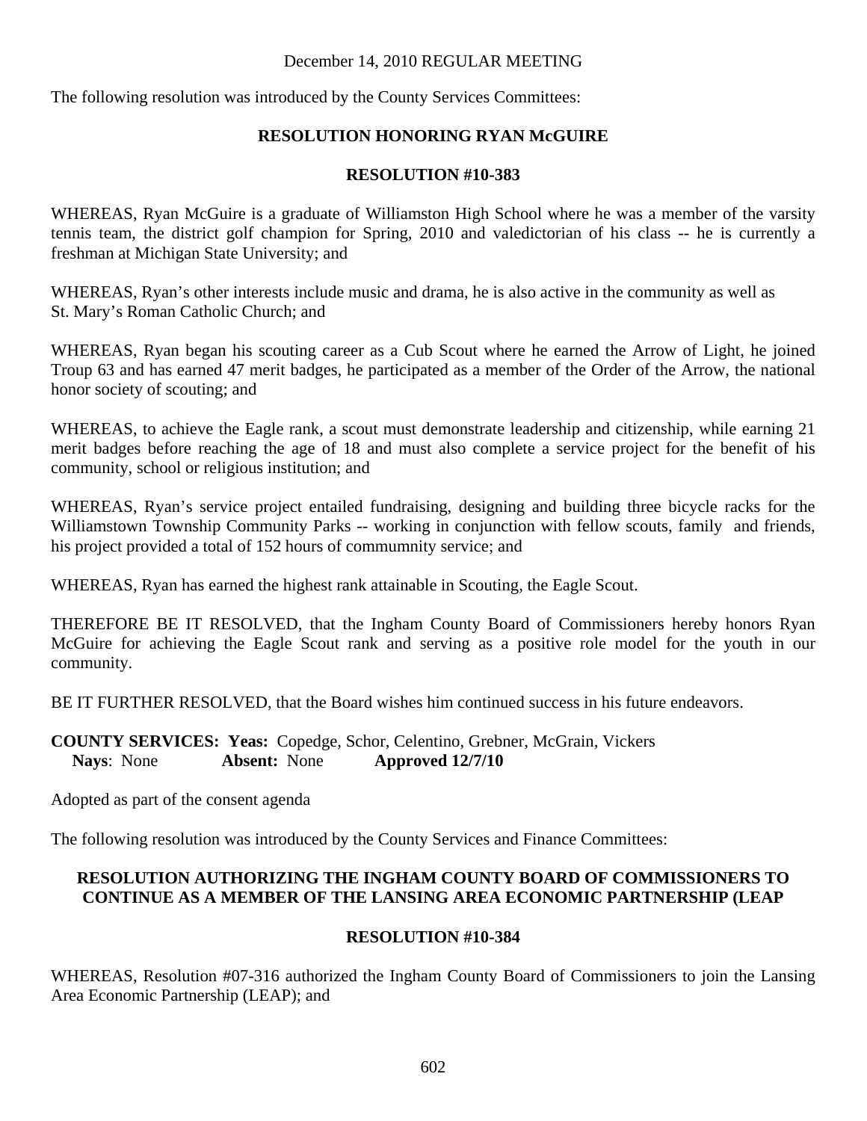The following resolution was introduced by the County Services Committees:

# **RESOLUTION HONORING RYAN McGUIRE**

# **RESOLUTION #10-383**

WHEREAS, Ryan McGuire is a graduate of Williamston High School where he was a member of the varsity tennis team, the district golf champion for Spring, 2010 and valedictorian of his class -- he is currently a freshman at Michigan State University; and

WHEREAS, Ryan's other interests include music and drama, he is also active in the community as well as St. Mary's Roman Catholic Church; and

WHEREAS, Ryan began his scouting career as a Cub Scout where he earned the Arrow of Light, he joined Troup 63 and has earned 47 merit badges, he participated as a member of the Order of the Arrow, the national honor society of scouting; and

WHEREAS, to achieve the Eagle rank, a scout must demonstrate leadership and citizenship, while earning 21 merit badges before reaching the age of 18 and must also complete a service project for the benefit of his community, school or religious institution; and

WHEREAS, Ryan's service project entailed fundraising, designing and building three bicycle racks for the Williamstown Township Community Parks -- working in conjunction with fellow scouts, family and friends, his project provided a total of 152 hours of commumnity service; and

WHEREAS, Ryan has earned the highest rank attainable in Scouting, the Eagle Scout.

THEREFORE BE IT RESOLVED, that the Ingham County Board of Commissioners hereby honors Ryan McGuire for achieving the Eagle Scout rank and serving as a positive role model for the youth in our community.

BE IT FURTHER RESOLVED, that the Board wishes him continued success in his future endeavors.

**COUNTY SERVICES: Yeas:** Copedge, Schor, Celentino, Grebner, McGrain, Vickers **Nays**: None **Absent:** None **Approved 12/7/10** 

Adopted as part of the consent agenda

The following resolution was introduced by the County Services and Finance Committees:

# **RESOLUTION AUTHORIZING THE INGHAM COUNTY BOARD OF COMMISSIONERS TO CONTINUE AS A MEMBER OF THE LANSING AREA ECONOMIC PARTNERSHIP (LEAP**

# **RESOLUTION #10-384**

WHEREAS, Resolution #07-316 authorized the Ingham County Board of Commissioners to join the Lansing Area Economic Partnership (LEAP); and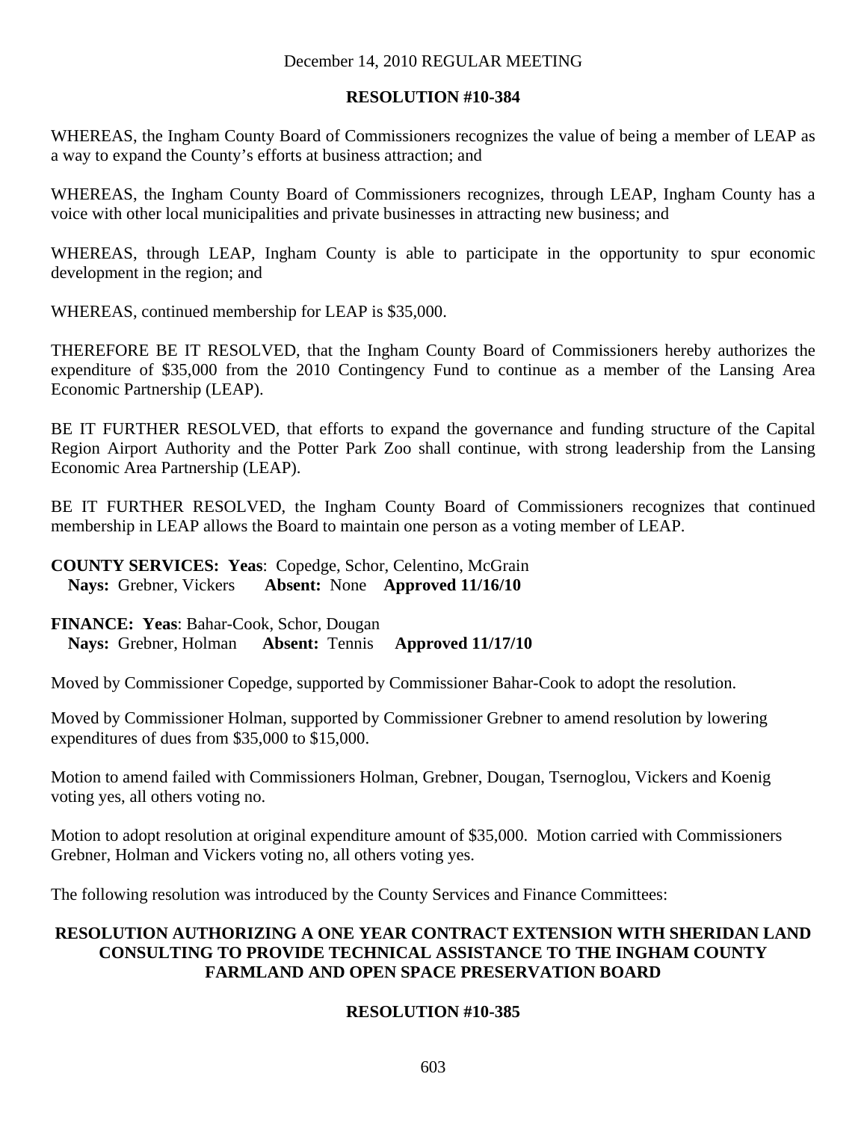### **RESOLUTION #10-384**

WHEREAS, the Ingham County Board of Commissioners recognizes the value of being a member of LEAP as a way to expand the County's efforts at business attraction; and

WHEREAS, the Ingham County Board of Commissioners recognizes, through LEAP, Ingham County has a voice with other local municipalities and private businesses in attracting new business; and

WHEREAS, through LEAP, Ingham County is able to participate in the opportunity to spur economic development in the region; and

WHEREAS, continued membership for LEAP is \$35,000.

THEREFORE BE IT RESOLVED, that the Ingham County Board of Commissioners hereby authorizes the expenditure of \$35,000 from the 2010 Contingency Fund to continue as a member of the Lansing Area Economic Partnership (LEAP).

BE IT FURTHER RESOLVED, that efforts to expand the governance and funding structure of the Capital Region Airport Authority and the Potter Park Zoo shall continue, with strong leadership from the Lansing Economic Area Partnership (LEAP).

BE IT FURTHER RESOLVED, the Ingham County Board of Commissioners recognizes that continued membership in LEAP allows the Board to maintain one person as a voting member of LEAP.

## **COUNTY SERVICES: Yeas**: Copedge, Schor, Celentino, McGrain **Nays:** Grebner, Vickers **Absent:** None **Approved 11/16/10**

**FINANCE: Yeas**: Bahar-Cook, Schor, Dougan **Nays:** Grebner, Holman **Absent:** Tennis **Approved 11/17/10** 

Moved by Commissioner Copedge, supported by Commissioner Bahar-Cook to adopt the resolution.

Moved by Commissioner Holman, supported by Commissioner Grebner to amend resolution by lowering expenditures of dues from \$35,000 to \$15,000.

Motion to amend failed with Commissioners Holman, Grebner, Dougan, Tsernoglou, Vickers and Koenig voting yes, all others voting no.

Motion to adopt resolution at original expenditure amount of \$35,000. Motion carried with Commissioners Grebner, Holman and Vickers voting no, all others voting yes.

The following resolution was introduced by the County Services and Finance Committees:

# **RESOLUTION AUTHORIZING A ONE YEAR CONTRACT EXTENSION WITH SHERIDAN LAND CONSULTING TO PROVIDE TECHNICAL ASSISTANCE TO THE INGHAM COUNTY FARMLAND AND OPEN SPACE PRESERVATION BOARD**

# **RESOLUTION #10-385**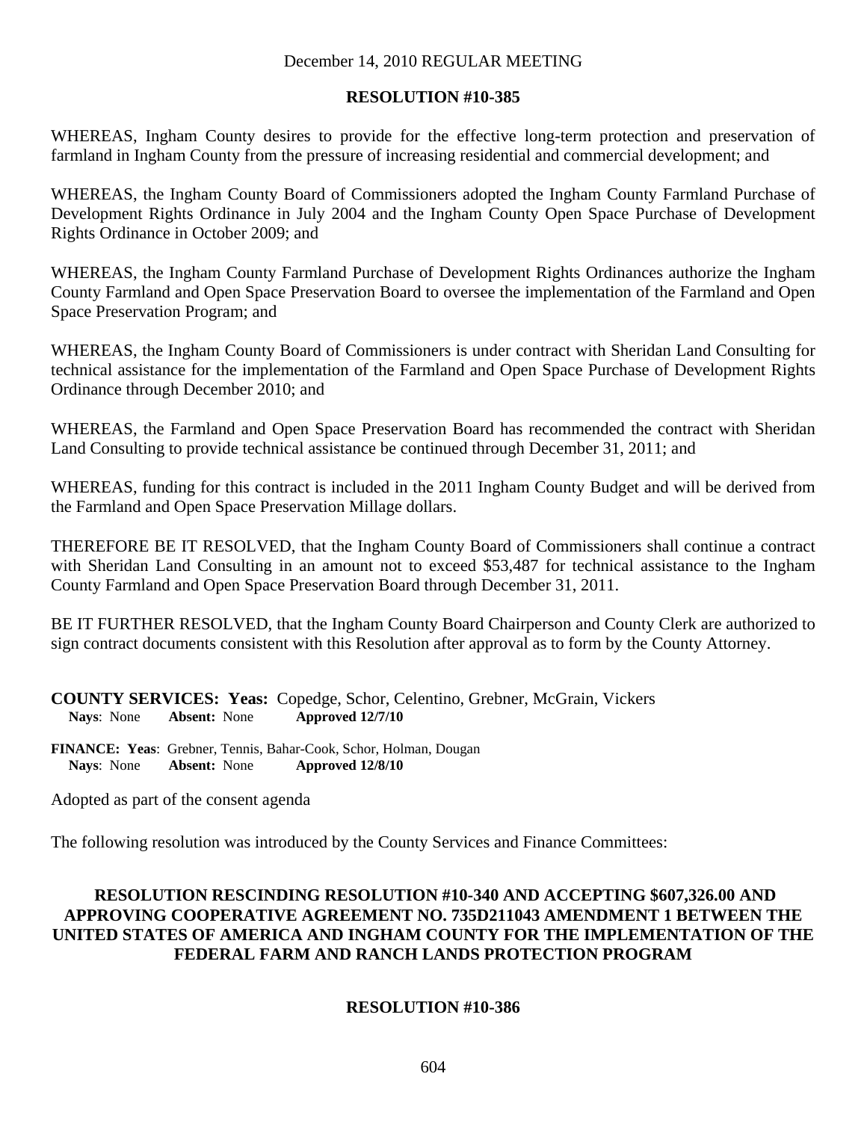### **RESOLUTION #10-385**

WHEREAS, Ingham County desires to provide for the effective long-term protection and preservation of farmland in Ingham County from the pressure of increasing residential and commercial development; and

WHEREAS, the Ingham County Board of Commissioners adopted the Ingham County Farmland Purchase of Development Rights Ordinance in July 2004 and the Ingham County Open Space Purchase of Development Rights Ordinance in October 2009; and

WHEREAS, the Ingham County Farmland Purchase of Development Rights Ordinances authorize the Ingham County Farmland and Open Space Preservation Board to oversee the implementation of the Farmland and Open Space Preservation Program; and

WHEREAS, the Ingham County Board of Commissioners is under contract with Sheridan Land Consulting for technical assistance for the implementation of the Farmland and Open Space Purchase of Development Rights Ordinance through December 2010; and

WHEREAS, the Farmland and Open Space Preservation Board has recommended the contract with Sheridan Land Consulting to provide technical assistance be continued through December 31, 2011; and

WHEREAS, funding for this contract is included in the 2011 Ingham County Budget and will be derived from the Farmland and Open Space Preservation Millage dollars.

THEREFORE BE IT RESOLVED, that the Ingham County Board of Commissioners shall continue a contract with Sheridan Land Consulting in an amount not to exceed \$53,487 for technical assistance to the Ingham County Farmland and Open Space Preservation Board through December 31, 2011.

BE IT FURTHER RESOLVED, that the Ingham County Board Chairperson and County Clerk are authorized to sign contract documents consistent with this Resolution after approval as to form by the County Attorney.

**COUNTY SERVICES: Yeas:** Copedge, Schor, Celentino, Grebner, McGrain, Vickers<br>Navs: None **Absent:** None **Approved 12/7/10 Nays**: None **Absent:** None **Approved 12/7/10** 

**FINANCE: Yeas**: Grebner, Tennis, Bahar-Cook, Schor, Holman, Dougan  **Nays**: None **Absent:** None **Approved 12/8/10** 

Adopted as part of the consent agenda

The following resolution was introduced by the County Services and Finance Committees:

# **RESOLUTION RESCINDING RESOLUTION #10-340 AND ACCEPTING \$607,326.00 AND APPROVING COOPERATIVE AGREEMENT NO. 735D211043 AMENDMENT 1 BETWEEN THE UNITED STATES OF AMERICA AND INGHAM COUNTY FOR THE IMPLEMENTATION OF THE FEDERAL FARM AND RANCH LANDS PROTECTION PROGRAM**

# **RESOLUTION #10-386**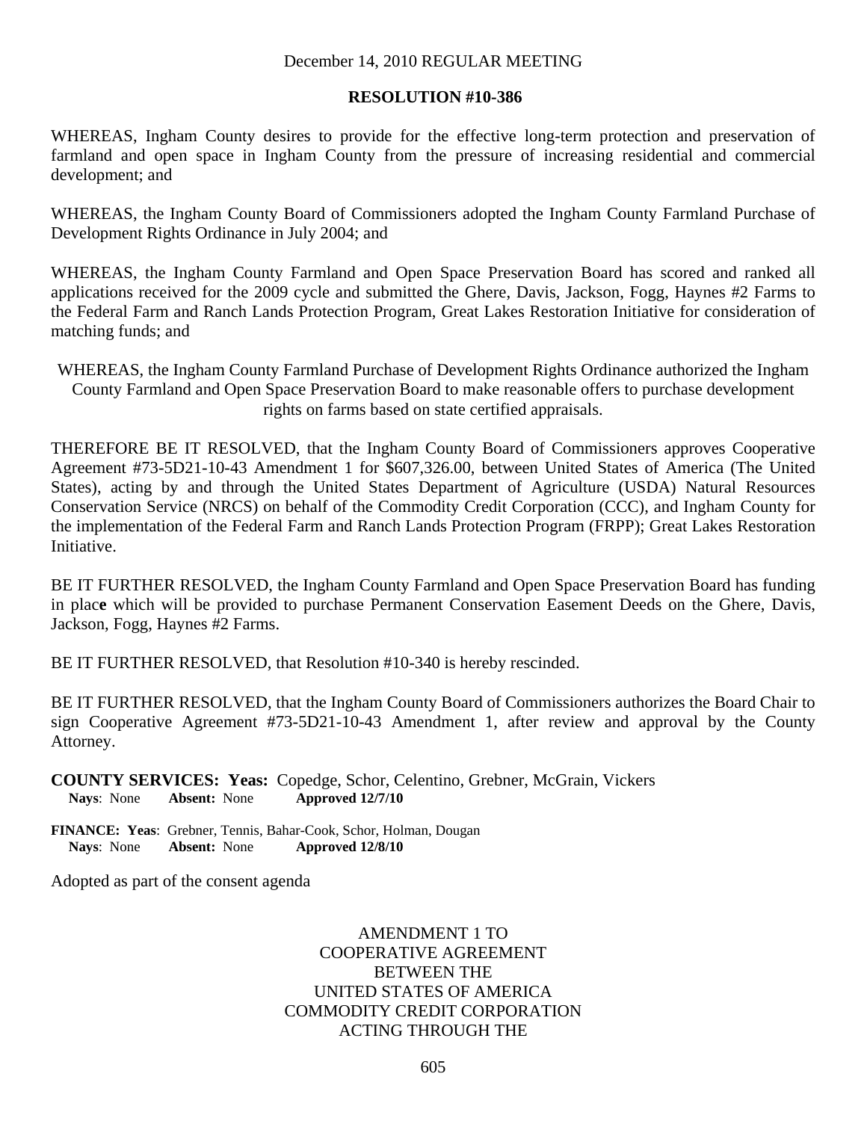#### **RESOLUTION #10-386**

WHEREAS, Ingham County desires to provide for the effective long-term protection and preservation of farmland and open space in Ingham County from the pressure of increasing residential and commercial development; and

WHEREAS, the Ingham County Board of Commissioners adopted the Ingham County Farmland Purchase of Development Rights Ordinance in July 2004; and

WHEREAS, the Ingham County Farmland and Open Space Preservation Board has scored and ranked all applications received for the 2009 cycle and submitted the Ghere, Davis, Jackson, Fogg, Haynes #2 Farms to the Federal Farm and Ranch Lands Protection Program, Great Lakes Restoration Initiative for consideration of matching funds; and

WHEREAS, the Ingham County Farmland Purchase of Development Rights Ordinance authorized the Ingham County Farmland and Open Space Preservation Board to make reasonable offers to purchase development rights on farms based on state certified appraisals.

THEREFORE BE IT RESOLVED, that the Ingham County Board of Commissioners approves Cooperative Agreement #73-5D21-10-43 Amendment 1 for \$607,326.00, between United States of America (The United States), acting by and through the United States Department of Agriculture (USDA) Natural Resources Conservation Service (NRCS) on behalf of the Commodity Credit Corporation (CCC), and Ingham County for the implementation of the Federal Farm and Ranch Lands Protection Program (FRPP); Great Lakes Restoration Initiative.

BE IT FURTHER RESOLVED, the Ingham County Farmland and Open Space Preservation Board has funding in plac**e** which will be provided to purchase Permanent Conservation Easement Deeds on the Ghere, Davis, Jackson, Fogg, Haynes #2 Farms.

BE IT FURTHER RESOLVED, that Resolution #10-340 is hereby rescinded.

BE IT FURTHER RESOLVED, that the Ingham County Board of Commissioners authorizes the Board Chair to sign Cooperative Agreement #73-5D21-10-43 Amendment 1, after review and approval by the County Attorney.

**COUNTY SERVICES: Yeas:** Copedge, Schor, Celentino, Grebner, McGrain, Vickers **Nays**: None **Absent:** None **Approved 12/7/10** 

**FINANCE: Yeas**: Grebner, Tennis, Bahar-Cook, Schor, Holman, Dougan  **Nays**: None **Absent:** None **Approved 12/8/10** 

Adopted as part of the consent agenda

# AMENDMENT 1 TO COOPERATIVE AGREEMENT BETWEEN THE UNITED STATES OF AMERICA COMMODITY CREDIT CORPORATION ACTING THROUGH THE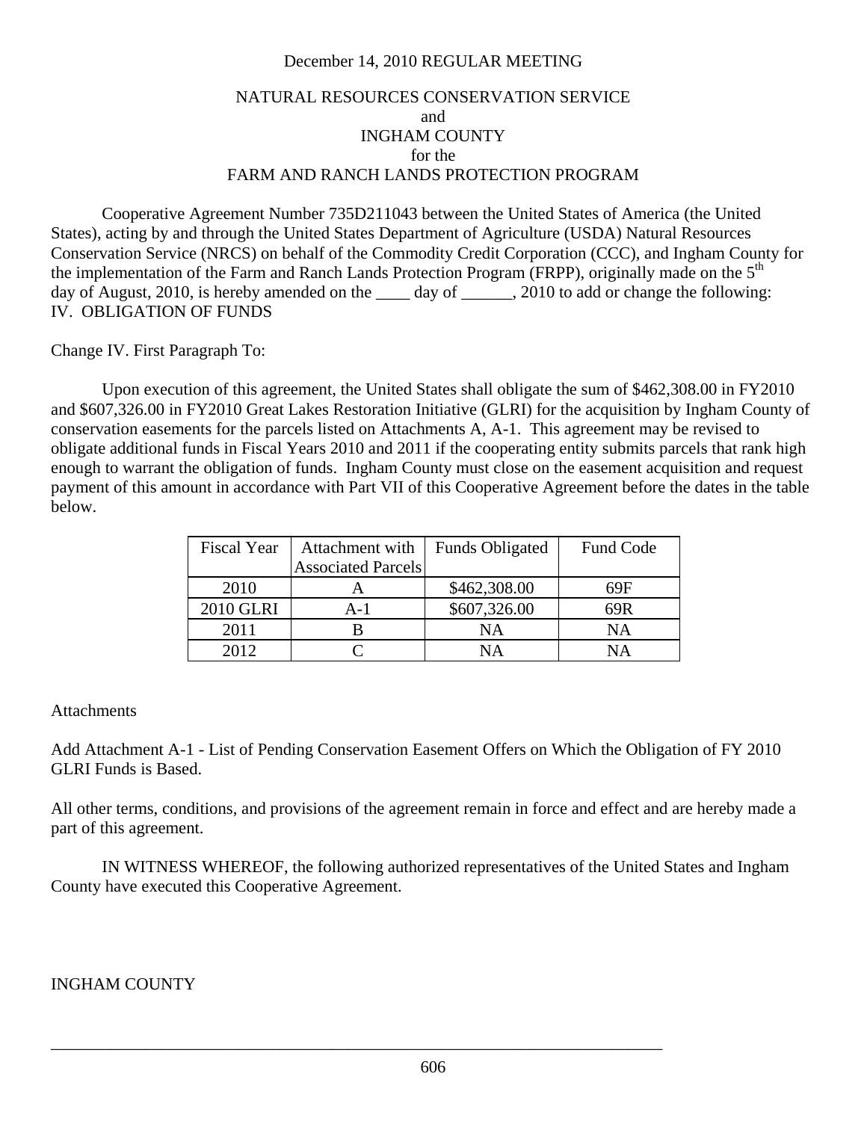# NATURAL RESOURCES CONSERVATION SERVICE and INGHAM COUNTY for the FARM AND RANCH LANDS PROTECTION PROGRAM

 Cooperative Agreement Number 735D211043 between the United States of America (the United States), acting by and through the United States Department of Agriculture (USDA) Natural Resources Conservation Service (NRCS) on behalf of the Commodity Credit Corporation (CCC), and Ingham County for the implementation of the Farm and Ranch Lands Protection Program (FRPP), originally made on the 5<sup>th</sup> day of August, 2010, is hereby amended on the \_\_\_\_ day of \_\_\_\_\_, 2010 to add or change the following: IV. OBLIGATION OF FUNDS

Change IV. First Paragraph To:

Upon execution of this agreement, the United States shall obligate the sum of \$462,308.00 in FY2010 and \$607,326.00 in FY2010 Great Lakes Restoration Initiative (GLRI) for the acquisition by Ingham County of conservation easements for the parcels listed on Attachments A, A-1. This agreement may be revised to obligate additional funds in Fiscal Years 2010 and 2011 if the cooperating entity submits parcels that rank high enough to warrant the obligation of funds. Ingham County must close on the easement acquisition and request payment of this amount in accordance with Part VII of this Cooperative Agreement before the dates in the table below.

| <b>Fiscal Year</b> | Attachment with           | <b>Funds Obligated</b> | Fund Code |
|--------------------|---------------------------|------------------------|-----------|
|                    | <b>Associated Parcels</b> |                        |           |
| 2010               |                           | \$462,308.00           | 69F       |
| <b>2010 GLRI</b>   | $A-1$                     | \$607,326.00           | 69R       |
| 2011               |                           | NA                     | NA        |
| 2012               |                           | NΑ                     | NΑ        |

### **Attachments**

Add Attachment A-1 - List of Pending Conservation Easement Offers on Which the Obligation of FY 2010 GLRI Funds is Based.

All other terms, conditions, and provisions of the agreement remain in force and effect and are hereby made a part of this agreement.

 IN WITNESS WHEREOF, the following authorized representatives of the United States and Ingham County have executed this Cooperative Agreement.

### INGHAM COUNTY

\_\_\_\_\_\_\_\_\_\_\_\_\_\_\_\_\_\_\_\_\_\_\_\_\_\_\_\_\_\_\_\_\_\_\_\_\_\_\_\_\_\_\_\_\_\_\_\_\_\_\_\_\_\_\_\_\_\_\_\_\_\_\_\_\_\_\_\_\_\_\_\_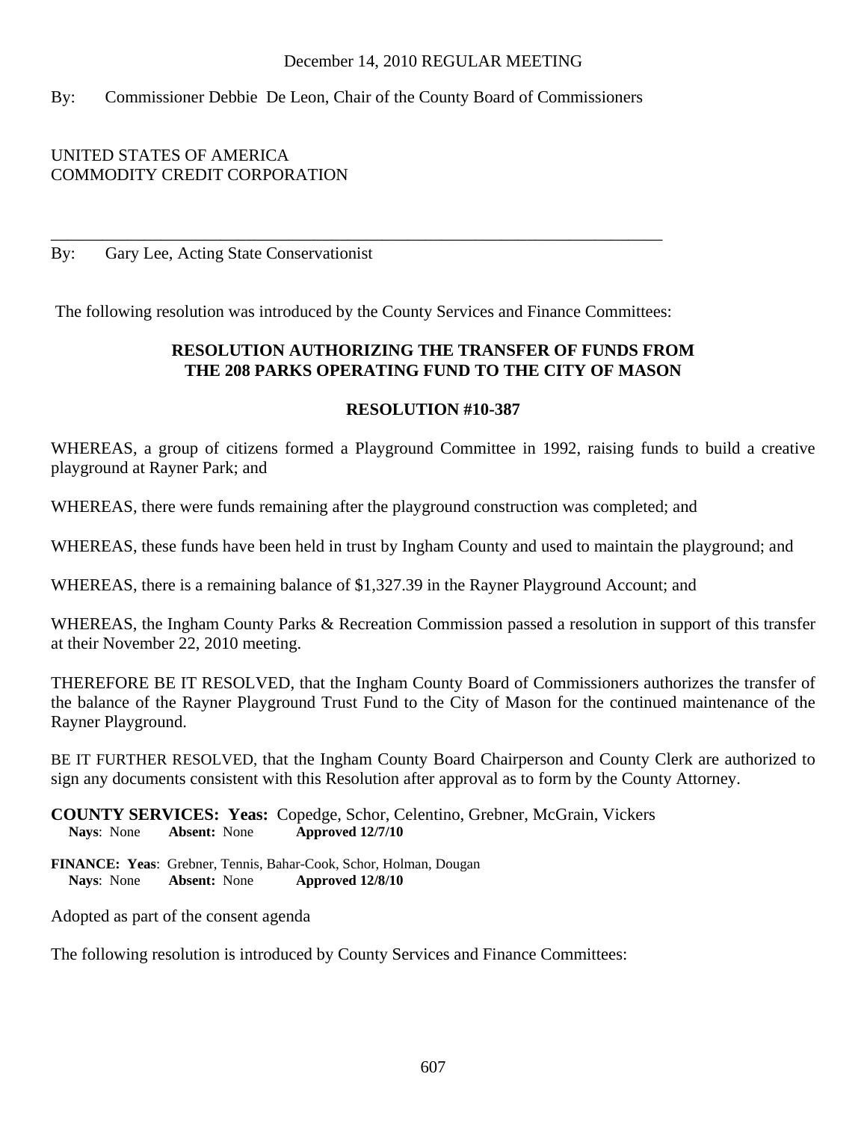# By: Commissioner Debbie De Leon, Chair of the County Board of Commissioners

# UNITED STATES OF AMERICA COMMODITY CREDIT CORPORATION

By: Gary Lee, Acting State Conservationist

The following resolution was introduced by the County Services and Finance Committees:

\_\_\_\_\_\_\_\_\_\_\_\_\_\_\_\_\_\_\_\_\_\_\_\_\_\_\_\_\_\_\_\_\_\_\_\_\_\_\_\_\_\_\_\_\_\_\_\_\_\_\_\_\_\_\_\_\_\_\_\_\_\_\_\_\_\_\_\_\_\_\_\_

# **RESOLUTION AUTHORIZING THE TRANSFER OF FUNDS FROM THE 208 PARKS OPERATING FUND TO THE CITY OF MASON**

### **RESOLUTION #10-387**

WHEREAS, a group of citizens formed a Playground Committee in 1992, raising funds to build a creative playground at Rayner Park; and

WHEREAS, there were funds remaining after the playground construction was completed; and

WHEREAS, these funds have been held in trust by Ingham County and used to maintain the playground; and

WHEREAS, there is a remaining balance of \$1,327.39 in the Rayner Playground Account; and

WHEREAS, the Ingham County Parks & Recreation Commission passed a resolution in support of this transfer at their November 22, 2010 meeting.

THEREFORE BE IT RESOLVED, that the Ingham County Board of Commissioners authorizes the transfer of the balance of the Rayner Playground Trust Fund to the City of Mason for the continued maintenance of the Rayner Playground.

BE IT FURTHER RESOLVED, that the Ingham County Board Chairperson and County Clerk are authorized to sign any documents consistent with this Resolution after approval as to form by the County Attorney.

**COUNTY SERVICES: Yeas:** Copedge, Schor, Celentino, Grebner, McGrain, Vickers **Nays**: None **Absent:** None **Approved 12/7/10** 

**FINANCE: Yeas**: Grebner, Tennis, Bahar-Cook, Schor, Holman, Dougan  **Nays**: None **Absent:** None **Approved 12/8/10** 

Adopted as part of the consent agenda

The following resolution is introduced by County Services and Finance Committees: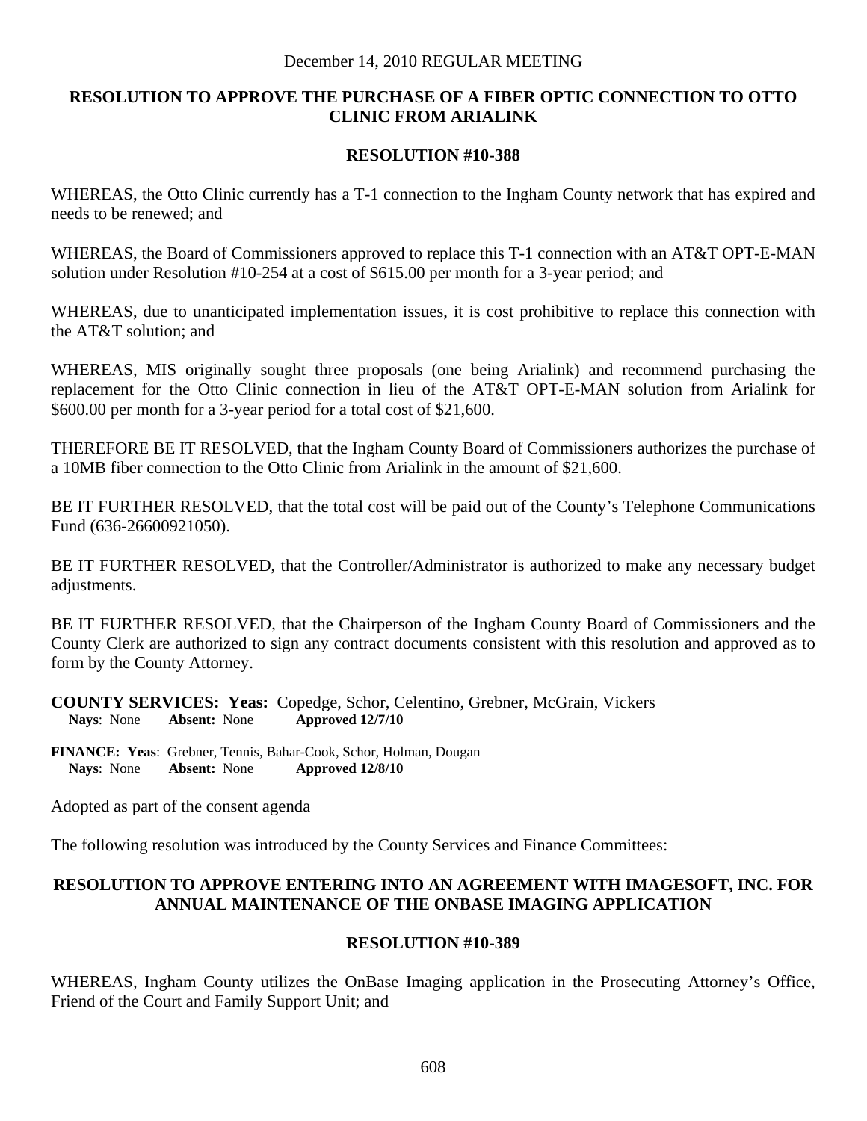# **RESOLUTION TO APPROVE THE PURCHASE OF A FIBER OPTIC CONNECTION TO OTTO CLINIC FROM ARIALINK**

### **RESOLUTION #10-388**

WHEREAS, the Otto Clinic currently has a T-1 connection to the Ingham County network that has expired and needs to be renewed; and

WHEREAS, the Board of Commissioners approved to replace this T-1 connection with an AT&T OPT-E-MAN solution under Resolution #10-254 at a cost of \$615.00 per month for a 3-year period; and

WHEREAS, due to unanticipated implementation issues, it is cost prohibitive to replace this connection with the AT&T solution; and

WHEREAS, MIS originally sought three proposals (one being Arialink) and recommend purchasing the replacement for the Otto Clinic connection in lieu of the AT&T OPT-E-MAN solution from Arialink for \$600.00 per month for a 3-year period for a total cost of \$21,600.

THEREFORE BE IT RESOLVED, that the Ingham County Board of Commissioners authorizes the purchase of a 10MB fiber connection to the Otto Clinic from Arialink in the amount of \$21,600.

BE IT FURTHER RESOLVED, that the total cost will be paid out of the County's Telephone Communications Fund (636-26600921050).

BE IT FURTHER RESOLVED, that the Controller/Administrator is authorized to make any necessary budget adjustments.

BE IT FURTHER RESOLVED, that the Chairperson of the Ingham County Board of Commissioners and the County Clerk are authorized to sign any contract documents consistent with this resolution and approved as to form by the County Attorney.

**COUNTY SERVICES: Yeas:** Copedge, Schor, Celentino, Grebner, McGrain, Vickers **Nays**: None **Absent:** None **Approved 12/7/10** 

**FINANCE: Yeas**: Grebner, Tennis, Bahar-Cook, Schor, Holman, Dougan  **Nays**: None **Absent:** None **Approved 12/8/10** 

Adopted as part of the consent agenda

The following resolution was introduced by the County Services and Finance Committees:

# **RESOLUTION TO APPROVE ENTERING INTO AN AGREEMENT WITH IMAGESOFT, INC. FOR ANNUAL MAINTENANCE OF THE ONBASE IMAGING APPLICATION**

# **RESOLUTION #10-389**

WHEREAS, Ingham County utilizes the OnBase Imaging application in the Prosecuting Attorney's Office, Friend of the Court and Family Support Unit; and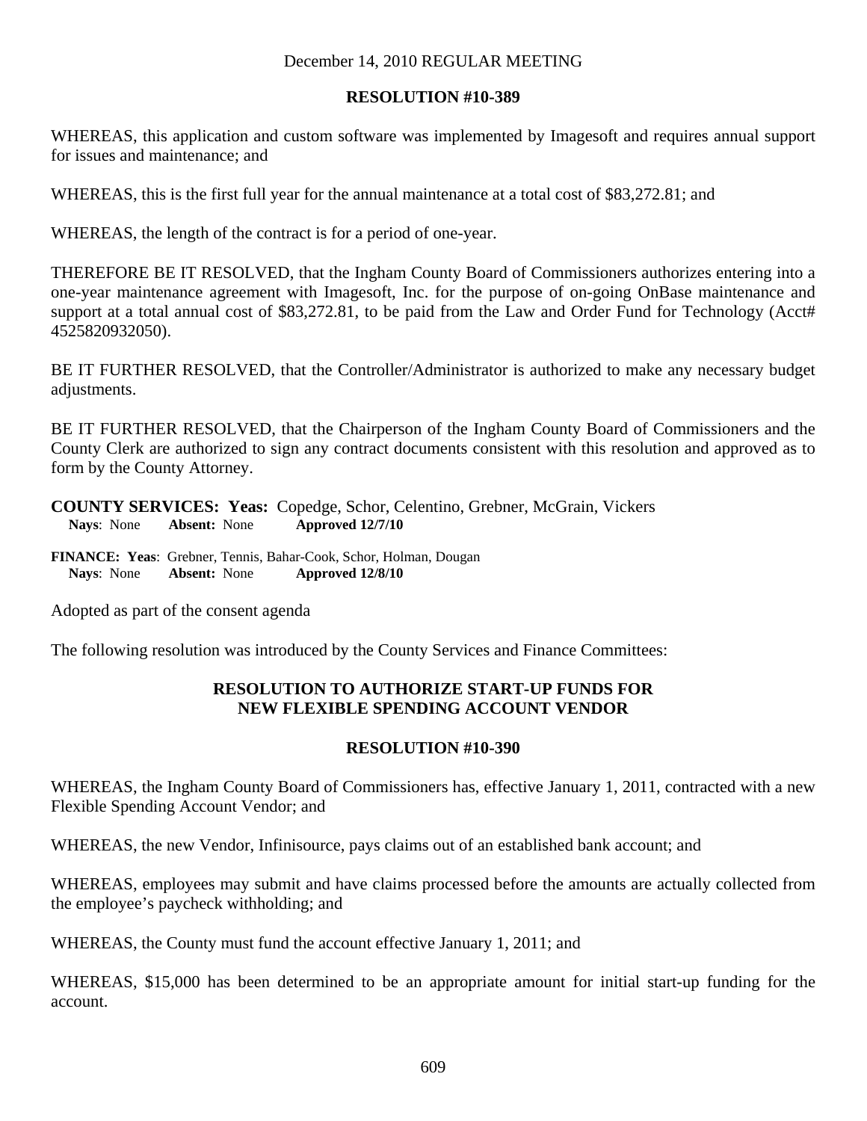### **RESOLUTION #10-389**

WHEREAS, this application and custom software was implemented by Imagesoft and requires annual support for issues and maintenance; and

WHEREAS, this is the first full year for the annual maintenance at a total cost of \$83,272.81; and

WHEREAS, the length of the contract is for a period of one-year.

THEREFORE BE IT RESOLVED, that the Ingham County Board of Commissioners authorizes entering into a one-year maintenance agreement with Imagesoft, Inc. for the purpose of on-going OnBase maintenance and support at a total annual cost of \$83,272.81, to be paid from the Law and Order Fund for Technology (Acct# 4525820932050).

BE IT FURTHER RESOLVED, that the Controller/Administrator is authorized to make any necessary budget adjustments.

BE IT FURTHER RESOLVED, that the Chairperson of the Ingham County Board of Commissioners and the County Clerk are authorized to sign any contract documents consistent with this resolution and approved as to form by the County Attorney.

**COUNTY SERVICES: Yeas:** Copedge, Schor, Celentino, Grebner, McGrain, Vickers **Nays**: None **Absent:** None **Approved 12/7/10** 

**FINANCE: Yeas**: Grebner, Tennis, Bahar-Cook, Schor, Holman, Dougan  **Nays**: None **Absent:** None **Approved 12/8/10** 

Adopted as part of the consent agenda

The following resolution was introduced by the County Services and Finance Committees:

# **RESOLUTION TO AUTHORIZE START-UP FUNDS FOR NEW FLEXIBLE SPENDING ACCOUNT VENDOR**

### **RESOLUTION #10-390**

WHEREAS, the Ingham County Board of Commissioners has, effective January 1, 2011, contracted with a new Flexible Spending Account Vendor; and

WHEREAS, the new Vendor, Infinisource, pays claims out of an established bank account; and

WHEREAS, employees may submit and have claims processed before the amounts are actually collected from the employee's paycheck withholding; and

WHEREAS, the County must fund the account effective January 1, 2011; and

WHEREAS, \$15,000 has been determined to be an appropriate amount for initial start-up funding for the account.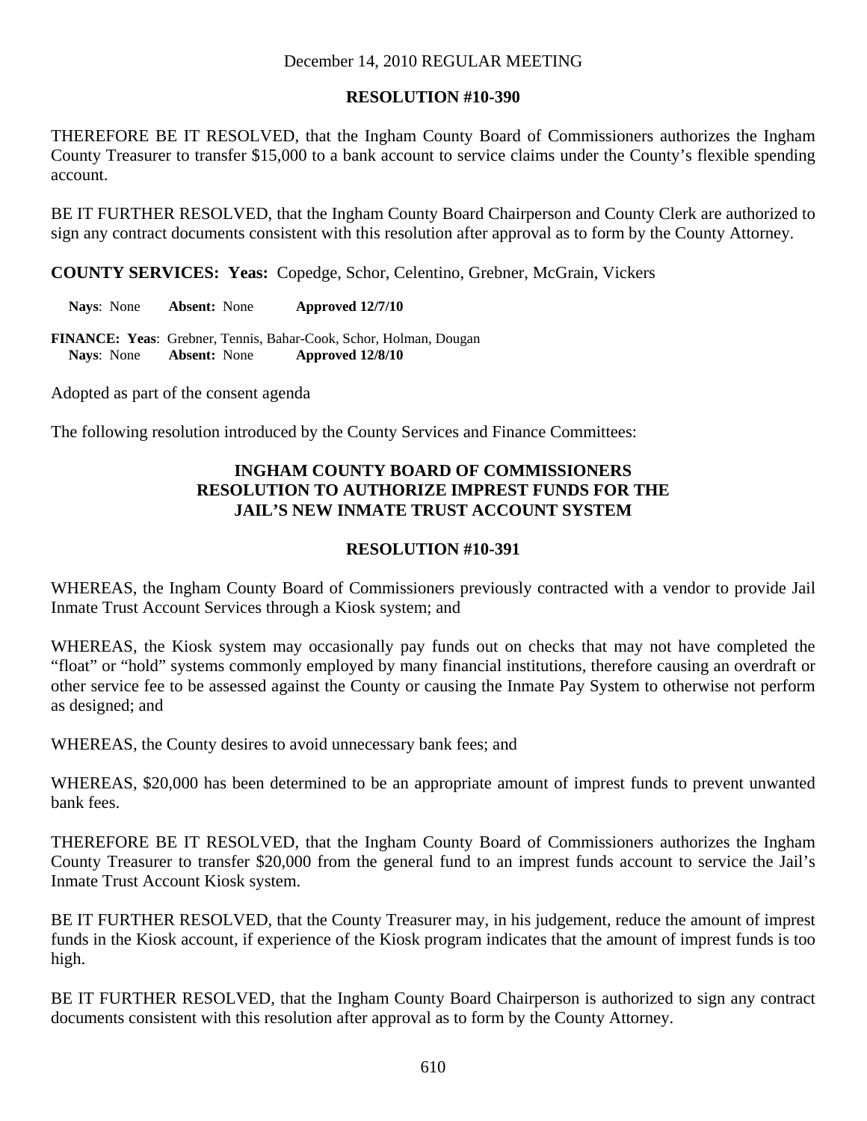## **RESOLUTION #10-390**

THEREFORE BE IT RESOLVED, that the Ingham County Board of Commissioners authorizes the Ingham County Treasurer to transfer \$15,000 to a bank account to service claims under the County's flexible spending account.

BE IT FURTHER RESOLVED, that the Ingham County Board Chairperson and County Clerk are authorized to sign any contract documents consistent with this resolution after approval as to form by the County Attorney.

**COUNTY SERVICES: Yeas:** Copedge, Schor, Celentino, Grebner, McGrain, Vickers

**Nays**: None **Absent:** None **Approved 12/7/10** 

**FINANCE: Yeas**: Grebner, Tennis, Bahar-Cook, Schor, Holman, Dougan  **Nays**: None **Absent:** None **Approved 12/8/10** 

Adopted as part of the consent agenda

The following resolution introduced by the County Services and Finance Committees:

# **INGHAM COUNTY BOARD OF COMMISSIONERS RESOLUTION TO AUTHORIZE IMPREST FUNDS FOR THE JAIL'S NEW INMATE TRUST ACCOUNT SYSTEM**

## **RESOLUTION #10-391**

WHEREAS, the Ingham County Board of Commissioners previously contracted with a vendor to provide Jail Inmate Trust Account Services through a Kiosk system; and

WHEREAS, the Kiosk system may occasionally pay funds out on checks that may not have completed the "float" or "hold" systems commonly employed by many financial institutions, therefore causing an overdraft or other service fee to be assessed against the County or causing the Inmate Pay System to otherwise not perform as designed; and

WHEREAS, the County desires to avoid unnecessary bank fees; and

WHEREAS, \$20,000 has been determined to be an appropriate amount of imprest funds to prevent unwanted bank fees.

THEREFORE BE IT RESOLVED, that the Ingham County Board of Commissioners authorizes the Ingham County Treasurer to transfer \$20,000 from the general fund to an imprest funds account to service the Jail's Inmate Trust Account Kiosk system.

BE IT FURTHER RESOLVED, that the County Treasurer may, in his judgement, reduce the amount of imprest funds in the Kiosk account, if experience of the Kiosk program indicates that the amount of imprest funds is too high.

BE IT FURTHER RESOLVED, that the Ingham County Board Chairperson is authorized to sign any contract documents consistent with this resolution after approval as to form by the County Attorney.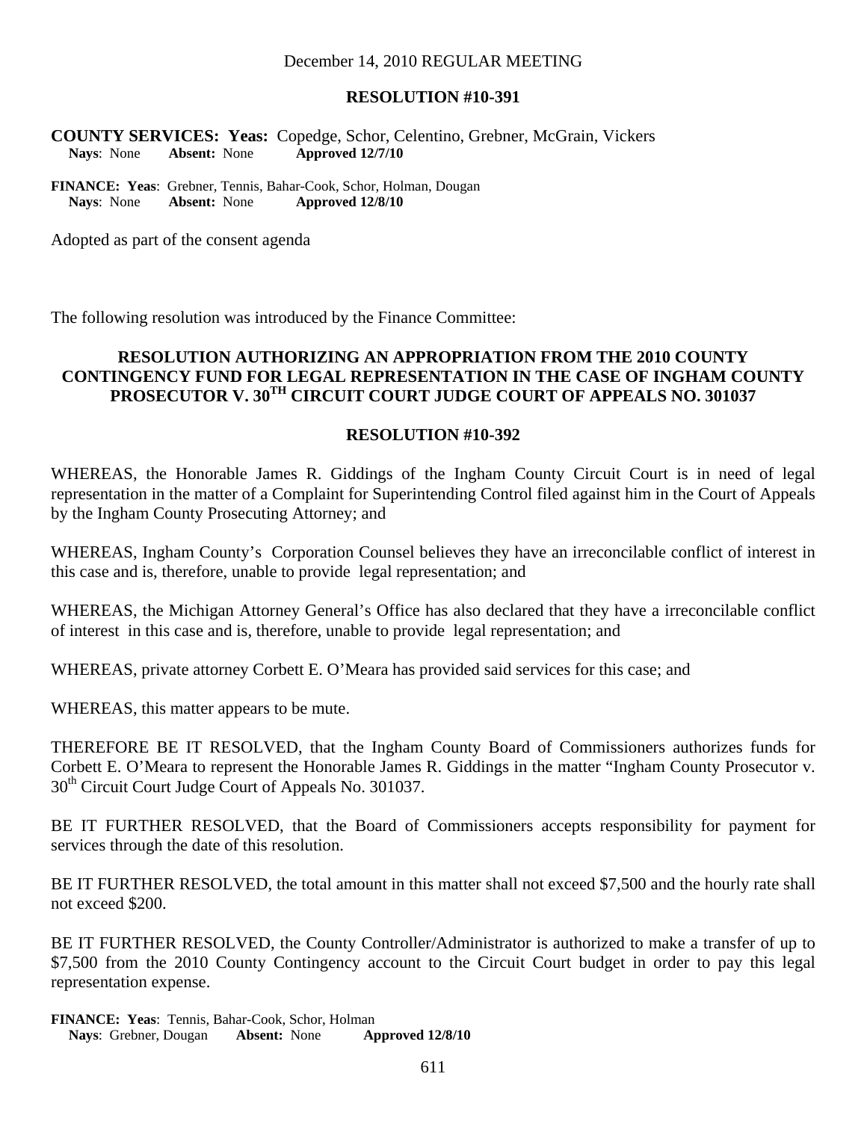#### **RESOLUTION #10-391**

**COUNTY SERVICES: Yeas:** Copedge, Schor, Celentino, Grebner, McGrain, Vickers **Nays**: None **Absent:** None **Approved 12/7/10** 

**FINANCE: Yeas**: Grebner, Tennis, Bahar-Cook, Schor, Holman, Dougan  **Nays**: None **Absent:** None **Approved 12/8/10** 

Adopted as part of the consent agenda

The following resolution was introduced by the Finance Committee:

### **RESOLUTION AUTHORIZING AN APPROPRIATION FROM THE 2010 COUNTY CONTINGENCY FUND FOR LEGAL REPRESENTATION IN THE CASE OF INGHAM COUNTY PROSECUTOR V. 30TH CIRCUIT COURT JUDGE COURT OF APPEALS NO. 301037**

#### **RESOLUTION #10-392**

WHEREAS, the Honorable James R. Giddings of the Ingham County Circuit Court is in need of legal representation in the matter of a Complaint for Superintending Control filed against him in the Court of Appeals by the Ingham County Prosecuting Attorney; and

WHEREAS, Ingham County's Corporation Counsel believes they have an irreconcilable conflict of interest in this case and is, therefore, unable to provide legal representation; and

WHEREAS, the Michigan Attorney General's Office has also declared that they have a irreconcilable conflict of interest in this case and is, therefore, unable to provide legal representation; and

WHEREAS, private attorney Corbett E. O'Meara has provided said services for this case; and

WHEREAS, this matter appears to be mute.

THEREFORE BE IT RESOLVED, that the Ingham County Board of Commissioners authorizes funds for Corbett E. O'Meara to represent the Honorable James R. Giddings in the matter "Ingham County Prosecutor v. 30<sup>th</sup> Circuit Court Judge Court of Appeals No. 301037.

BE IT FURTHER RESOLVED, that the Board of Commissioners accepts responsibility for payment for services through the date of this resolution.

BE IT FURTHER RESOLVED, the total amount in this matter shall not exceed \$7,500 and the hourly rate shall not exceed \$200.

BE IT FURTHER RESOLVED, the County Controller/Administrator is authorized to make a transfer of up to \$7,500 from the 2010 County Contingency account to the Circuit Court budget in order to pay this legal representation expense.

**FINANCE: Yeas**: Tennis, Bahar-Cook, Schor, Holman  **Nays**: Grebner, Dougan **Absent:** None **Approved 12/8/10**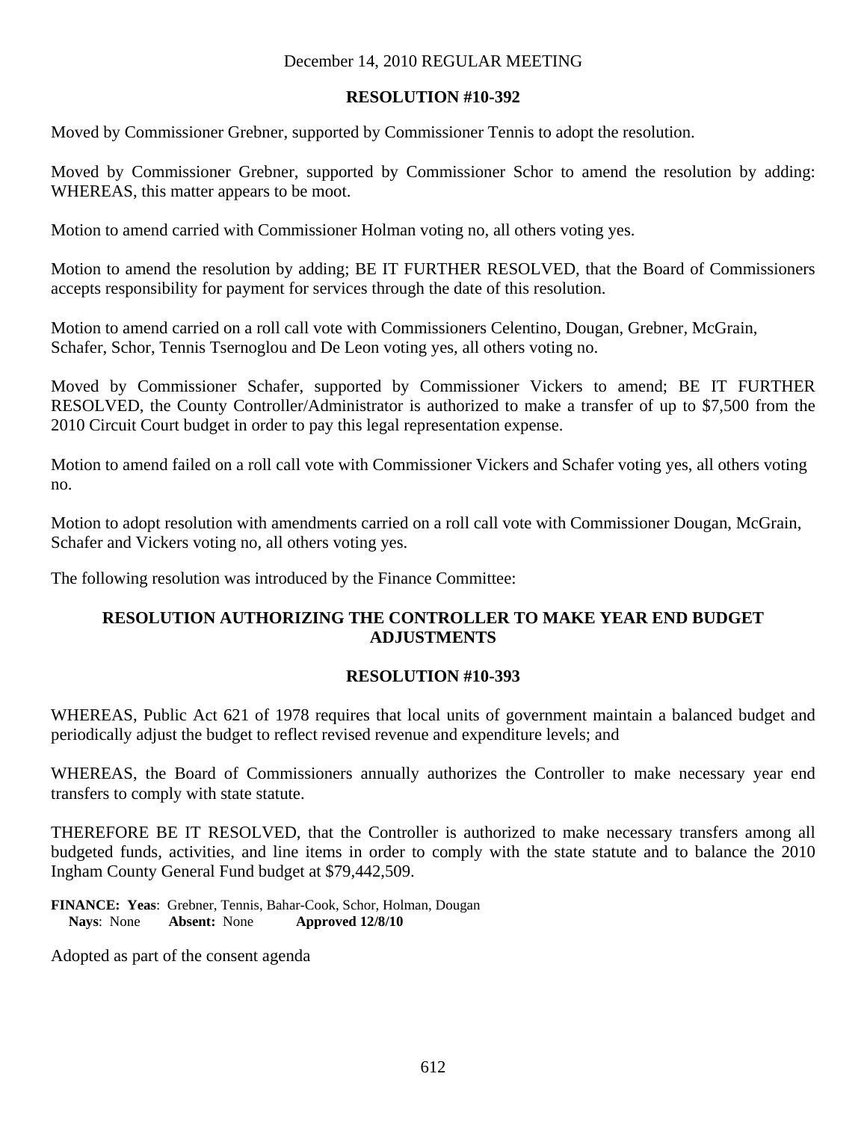## **RESOLUTION #10-392**

Moved by Commissioner Grebner, supported by Commissioner Tennis to adopt the resolution.

Moved by Commissioner Grebner, supported by Commissioner Schor to amend the resolution by adding: WHEREAS, this matter appears to be moot.

Motion to amend carried with Commissioner Holman voting no, all others voting yes.

Motion to amend the resolution by adding; BE IT FURTHER RESOLVED, that the Board of Commissioners accepts responsibility for payment for services through the date of this resolution.

Motion to amend carried on a roll call vote with Commissioners Celentino, Dougan, Grebner, McGrain, Schafer, Schor, Tennis Tsernoglou and De Leon voting yes, all others voting no.

Moved by Commissioner Schafer, supported by Commissioner Vickers to amend; BE IT FURTHER RESOLVED, the County Controller/Administrator is authorized to make a transfer of up to \$7,500 from the 2010 Circuit Court budget in order to pay this legal representation expense.

Motion to amend failed on a roll call vote with Commissioner Vickers and Schafer voting yes, all others voting no.

Motion to adopt resolution with amendments carried on a roll call vote with Commissioner Dougan, McGrain, Schafer and Vickers voting no, all others voting yes.

The following resolution was introduced by the Finance Committee:

# **RESOLUTION AUTHORIZING THE CONTROLLER TO MAKE YEAR END BUDGET ADJUSTMENTS**

### **RESOLUTION #10-393**

WHEREAS, Public Act 621 of 1978 requires that local units of government maintain a balanced budget and periodically adjust the budget to reflect revised revenue and expenditure levels; and

WHEREAS, the Board of Commissioners annually authorizes the Controller to make necessary year end transfers to comply with state statute.

THEREFORE BE IT RESOLVED, that the Controller is authorized to make necessary transfers among all budgeted funds, activities, and line items in order to comply with the state statute and to balance the 2010 Ingham County General Fund budget at \$79,442,509.

**FINANCE: Yeas**: Grebner, Tennis, Bahar-Cook, Schor, Holman, Dougan  **Nays**: None **Absent:** None **Approved 12/8/10** 

Adopted as part of the consent agenda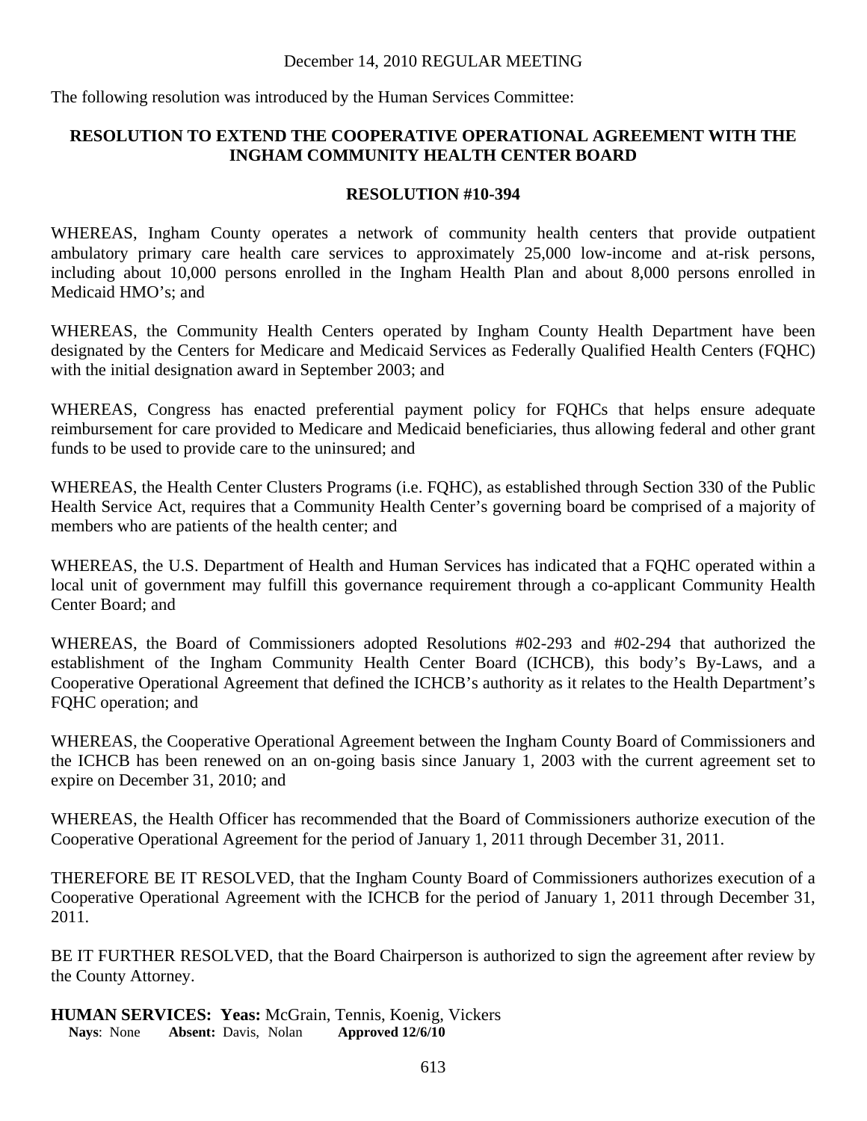The following resolution was introduced by the Human Services Committee:

# **RESOLUTION TO EXTEND THE COOPERATIVE OPERATIONAL AGREEMENT WITH THE INGHAM COMMUNITY HEALTH CENTER BOARD**

## **RESOLUTION #10-394**

WHEREAS, Ingham County operates a network of community health centers that provide outpatient ambulatory primary care health care services to approximately 25,000 low-income and at-risk persons, including about 10,000 persons enrolled in the Ingham Health Plan and about 8,000 persons enrolled in Medicaid HMO's; and

WHEREAS, the Community Health Centers operated by Ingham County Health Department have been designated by the Centers for Medicare and Medicaid Services as Federally Qualified Health Centers (FQHC) with the initial designation award in September 2003; and

WHEREAS, Congress has enacted preferential payment policy for FQHCs that helps ensure adequate reimbursement for care provided to Medicare and Medicaid beneficiaries, thus allowing federal and other grant funds to be used to provide care to the uninsured; and

WHEREAS, the Health Center Clusters Programs (i.e. FQHC), as established through Section 330 of the Public Health Service Act, requires that a Community Health Center's governing board be comprised of a majority of members who are patients of the health center; and

WHEREAS, the U.S. Department of Health and Human Services has indicated that a FQHC operated within a local unit of government may fulfill this governance requirement through a co-applicant Community Health Center Board; and

WHEREAS, the Board of Commissioners adopted Resolutions #02-293 and #02-294 that authorized the establishment of the Ingham Community Health Center Board (ICHCB), this body's By-Laws, and a Cooperative Operational Agreement that defined the ICHCB's authority as it relates to the Health Department's FQHC operation; and

WHEREAS, the Cooperative Operational Agreement between the Ingham County Board of Commissioners and the ICHCB has been renewed on an on-going basis since January 1, 2003 with the current agreement set to expire on December 31, 2010; and

WHEREAS, the Health Officer has recommended that the Board of Commissioners authorize execution of the Cooperative Operational Agreement for the period of January 1, 2011 through December 31, 2011.

THEREFORE BE IT RESOLVED, that the Ingham County Board of Commissioners authorizes execution of a Cooperative Operational Agreement with the ICHCB for the period of January 1, 2011 through December 31, 2011.

BE IT FURTHER RESOLVED, that the Board Chairperson is authorized to sign the agreement after review by the County Attorney.

**HUMAN SERVICES: Yeas:** McGrain, Tennis, Koenig, Vickers<br>Nays: None Absent: Davis, Nolan Approved 12/6/10 **Nays:** None **Absent:** Davis, Nolan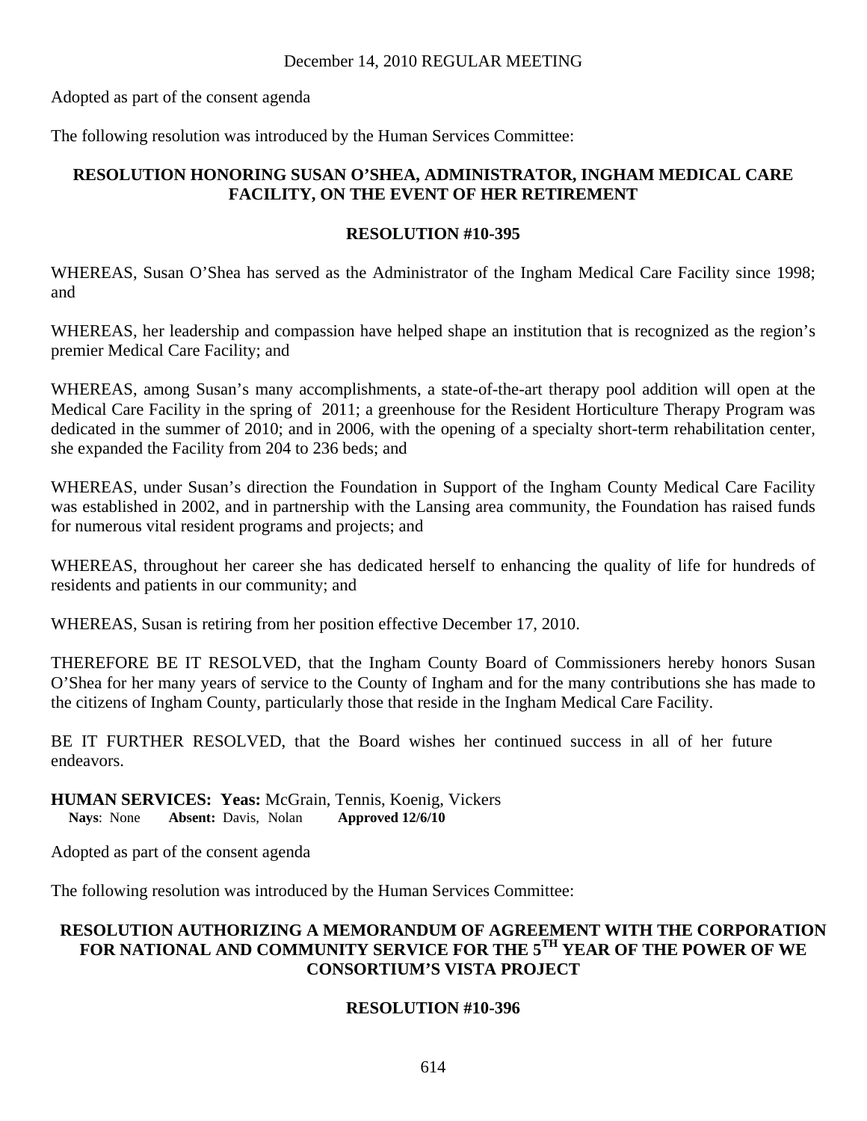Adopted as part of the consent agenda

The following resolution was introduced by the Human Services Committee:

# **RESOLUTION HONORING SUSAN O'SHEA, ADMINISTRATOR, INGHAM MEDICAL CARE FACILITY, ON THE EVENT OF HER RETIREMENT**

# **RESOLUTION #10-395**

WHEREAS, Susan O'Shea has served as the Administrator of the Ingham Medical Care Facility since 1998; and

WHEREAS, her leadership and compassion have helped shape an institution that is recognized as the region's premier Medical Care Facility; and

WHEREAS, among Susan's many accomplishments, a state-of-the-art therapy pool addition will open at the Medical Care Facility in the spring of 2011; a greenhouse for the Resident Horticulture Therapy Program was dedicated in the summer of 2010; and in 2006, with the opening of a specialty short-term rehabilitation center, she expanded the Facility from 204 to 236 beds; and

WHEREAS, under Susan's direction the Foundation in Support of the Ingham County Medical Care Facility was established in 2002, and in partnership with the Lansing area community, the Foundation has raised funds for numerous vital resident programs and projects; and

WHEREAS, throughout her career she has dedicated herself to enhancing the quality of life for hundreds of residents and patients in our community; and

WHEREAS, Susan is retiring from her position effective December 17, 2010.

THEREFORE BE IT RESOLVED, that the Ingham County Board of Commissioners hereby honors Susan O'Shea for her many years of service to the County of Ingham and for the many contributions she has made to the citizens of Ingham County, particularly those that reside in the Ingham Medical Care Facility.

BE IT FURTHER RESOLVED, that the Board wishes her continued success in all of her future endeavors.

**HUMAN SERVICES: Yeas:** McGrain, Tennis, Koenig, Vickers **Nays**: None **Absent:** Davis, Nolan **Approved 12/6/10** 

Adopted as part of the consent agenda

The following resolution was introduced by the Human Services Committee:

# **RESOLUTION AUTHORIZING A MEMORANDUM OF AGREEMENT WITH THE CORPORATION FOR NATIONAL AND COMMUNITY SERVICE FOR THE 5TH YEAR OF THE POWER OF WE CONSORTIUM'S VISTA PROJECT**

# **RESOLUTION #10-396**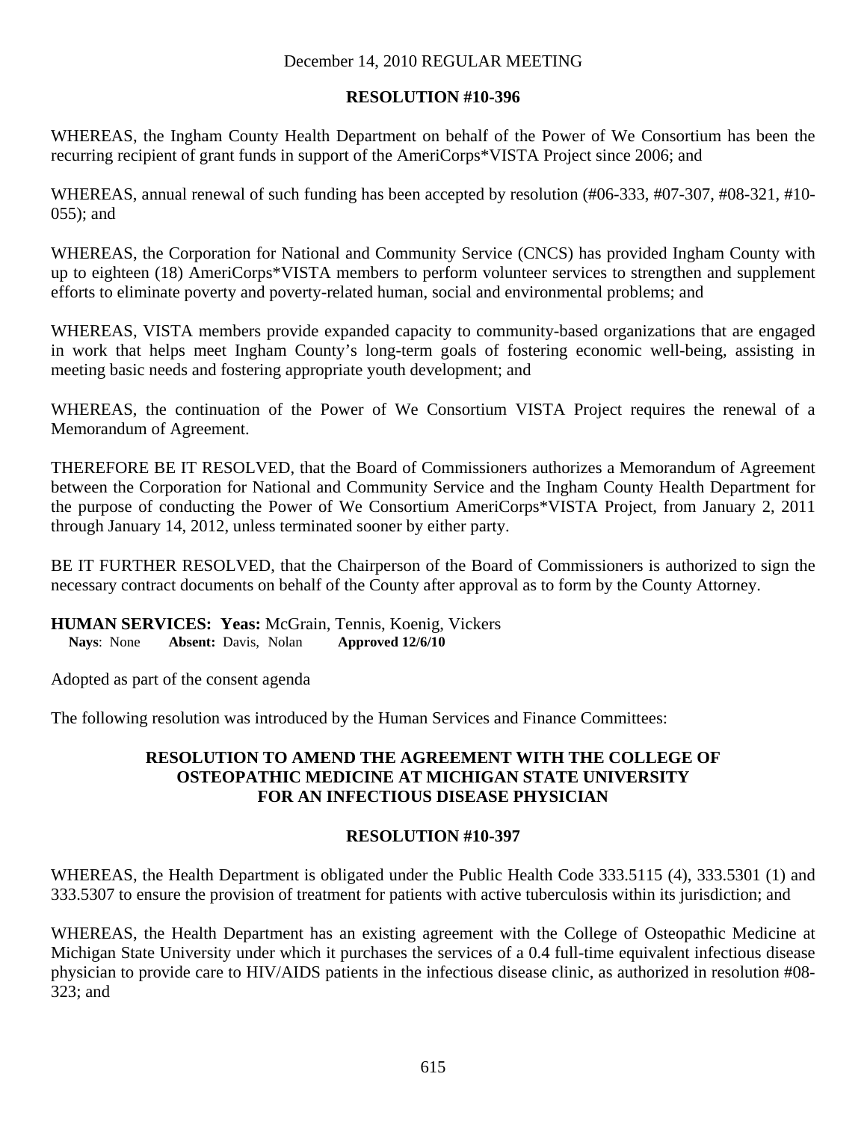## **RESOLUTION #10-396**

WHEREAS, the Ingham County Health Department on behalf of the Power of We Consortium has been the recurring recipient of grant funds in support of the AmeriCorps\*VISTA Project since 2006; and

WHEREAS, annual renewal of such funding has been accepted by resolution (#06-333, #07-307, #08-321, #10- 055); and

WHEREAS, the Corporation for National and Community Service (CNCS) has provided Ingham County with up to eighteen (18) AmeriCorps\*VISTA members to perform volunteer services to strengthen and supplement efforts to eliminate poverty and poverty-related human, social and environmental problems; and

WHEREAS, VISTA members provide expanded capacity to community-based organizations that are engaged in work that helps meet Ingham County's long-term goals of fostering economic well-being, assisting in meeting basic needs and fostering appropriate youth development; and

WHEREAS, the continuation of the Power of We Consortium VISTA Project requires the renewal of a Memorandum of Agreement.

THEREFORE BE IT RESOLVED, that the Board of Commissioners authorizes a Memorandum of Agreement between the Corporation for National and Community Service and the Ingham County Health Department for the purpose of conducting the Power of We Consortium AmeriCorps\*VISTA Project, from January 2, 2011 through January 14, 2012, unless terminated sooner by either party.

BE IT FURTHER RESOLVED, that the Chairperson of the Board of Commissioners is authorized to sign the necessary contract documents on behalf of the County after approval as to form by the County Attorney.

**HUMAN SERVICES: Yeas:** McGrain, Tennis, Koenig, Vickers<br>Navs: None Absent: Davis. Nolan Approved 12/6/10 **Nays:** None **Absent:** Davis, Nolan

Adopted as part of the consent agenda

The following resolution was introduced by the Human Services and Finance Committees:

### **RESOLUTION TO AMEND THE AGREEMENT WITH THE COLLEGE OF OSTEOPATHIC MEDICINE AT MICHIGAN STATE UNIVERSITY FOR AN INFECTIOUS DISEASE PHYSICIAN**

# **RESOLUTION #10-397**

WHEREAS, the Health Department is obligated under the Public Health Code 333.5115 (4), 333.5301 (1) and 333.5307 to ensure the provision of treatment for patients with active tuberculosis within its jurisdiction; and

WHEREAS, the Health Department has an existing agreement with the College of Osteopathic Medicine at Michigan State University under which it purchases the services of a 0.4 full-time equivalent infectious disease physician to provide care to HIV/AIDS patients in the infectious disease clinic, as authorized in resolution #08- 323; and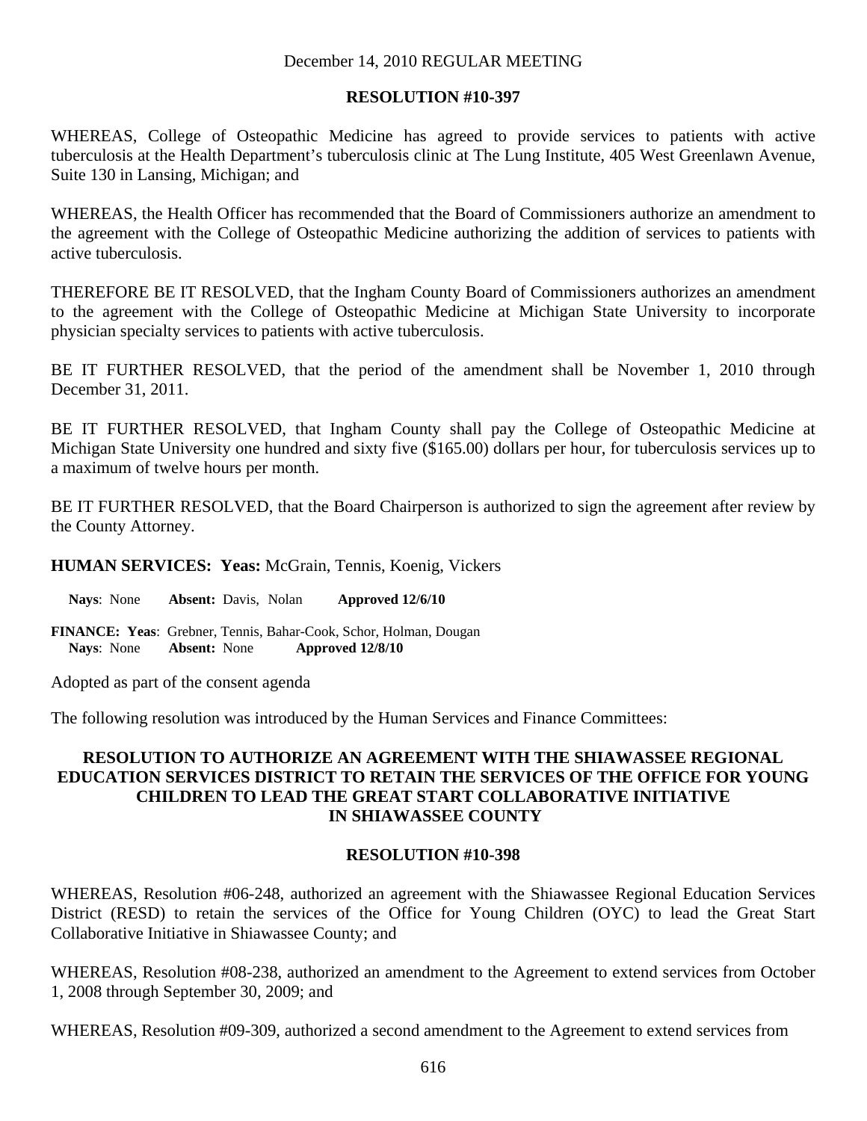### **RESOLUTION #10-397**

WHEREAS, College of Osteopathic Medicine has agreed to provide services to patients with active tuberculosis at the Health Department's tuberculosis clinic at The Lung Institute, 405 West Greenlawn Avenue, Suite 130 in Lansing, Michigan; and

WHEREAS, the Health Officer has recommended that the Board of Commissioners authorize an amendment to the agreement with the College of Osteopathic Medicine authorizing the addition of services to patients with active tuberculosis.

THEREFORE BE IT RESOLVED, that the Ingham County Board of Commissioners authorizes an amendment to the agreement with the College of Osteopathic Medicine at Michigan State University to incorporate physician specialty services to patients with active tuberculosis.

BE IT FURTHER RESOLVED, that the period of the amendment shall be November 1, 2010 through December 31, 2011.

BE IT FURTHER RESOLVED, that Ingham County shall pay the College of Osteopathic Medicine at Michigan State University one hundred and sixty five (\$165.00) dollars per hour, for tuberculosis services up to a maximum of twelve hours per month.

BE IT FURTHER RESOLVED, that the Board Chairperson is authorized to sign the agreement after review by the County Attorney.

**HUMAN SERVICES: Yeas:** McGrain, Tennis, Koenig, Vickers

**Nays**: None **Absent:** Davis, Nolan **Approved 12/6/10** 

**FINANCE: Yeas**: Grebner, Tennis, Bahar-Cook, Schor, Holman, Dougan  **Nays**: None **Absent:** None **Approved 12/8/10** 

Adopted as part of the consent agenda

The following resolution was introduced by the Human Services and Finance Committees:

### **RESOLUTION TO AUTHORIZE AN AGREEMENT WITH THE SHIAWASSEE REGIONAL EDUCATION SERVICES DISTRICT TO RETAIN THE SERVICES OF THE OFFICE FOR YOUNG CHILDREN TO LEAD THE GREAT START COLLABORATIVE INITIATIVE IN SHIAWASSEE COUNTY**

### **RESOLUTION #10-398**

WHEREAS, Resolution #06-248, authorized an agreement with the Shiawassee Regional Education Services District (RESD) to retain the services of the Office for Young Children (OYC) to lead the Great Start Collaborative Initiative in Shiawassee County; and

WHEREAS, Resolution #08-238, authorized an amendment to the Agreement to extend services from October 1, 2008 through September 30, 2009; and

WHEREAS, Resolution #09-309, authorized a second amendment to the Agreement to extend services from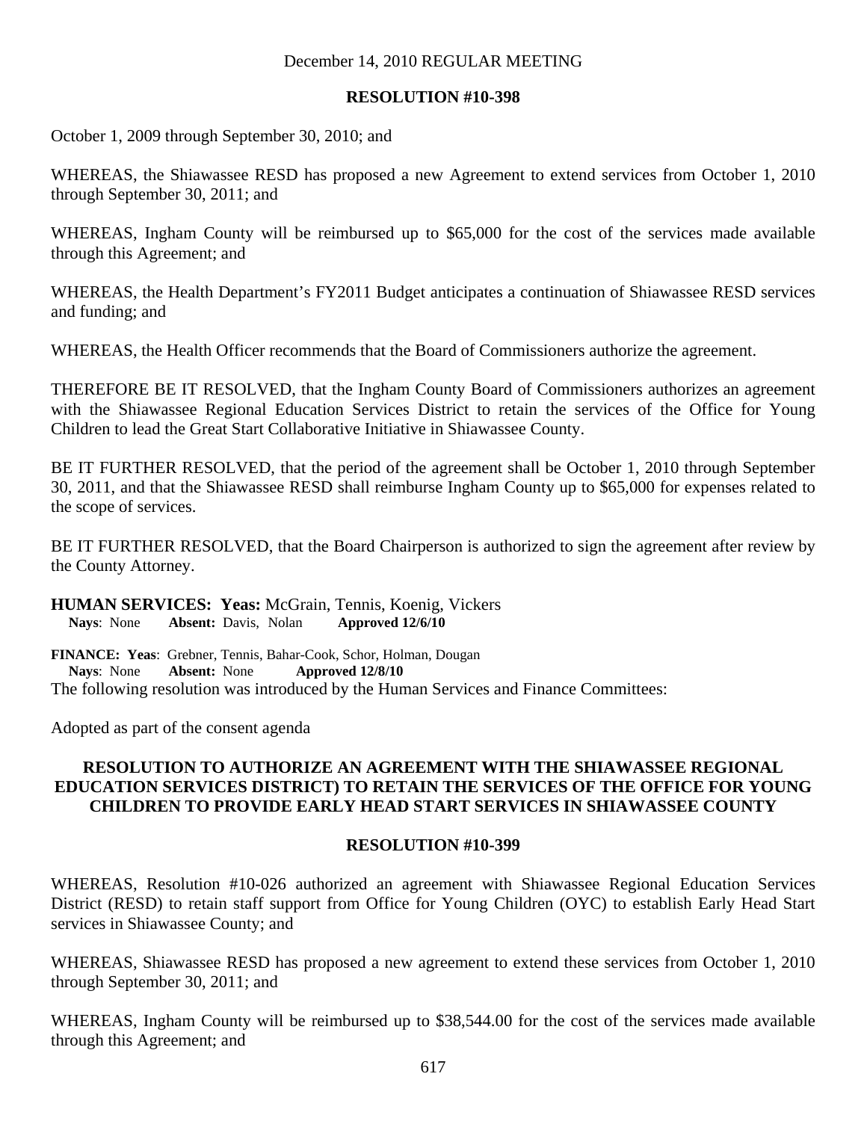### **RESOLUTION #10-398**

October 1, 2009 through September 30, 2010; and

WHEREAS, the Shiawassee RESD has proposed a new Agreement to extend services from October 1, 2010 through September 30, 2011; and

WHEREAS, Ingham County will be reimbursed up to \$65,000 for the cost of the services made available through this Agreement; and

WHEREAS, the Health Department's FY2011 Budget anticipates a continuation of Shiawassee RESD services and funding; and

WHEREAS, the Health Officer recommends that the Board of Commissioners authorize the agreement.

THEREFORE BE IT RESOLVED, that the Ingham County Board of Commissioners authorizes an agreement with the Shiawassee Regional Education Services District to retain the services of the Office for Young Children to lead the Great Start Collaborative Initiative in Shiawassee County.

BE IT FURTHER RESOLVED, that the period of the agreement shall be October 1, 2010 through September 30, 2011, and that the Shiawassee RESD shall reimburse Ingham County up to \$65,000 for expenses related to the scope of services.

BE IT FURTHER RESOLVED, that the Board Chairperson is authorized to sign the agreement after review by the County Attorney.

**HUMAN SERVICES: Yeas:** McGrain, Tennis, Koenig, Vickers **Nays**: None **Absent:** Davis, Nolan **Approved 12/6/10** 

**FINANCE: Yeas**: Grebner, Tennis, Bahar-Cook, Schor, Holman, Dougan  **Nays**: None **Absent:** None **Approved 12/8/10**  The following resolution was introduced by the Human Services and Finance Committees:

Adopted as part of the consent agenda

### **RESOLUTION TO AUTHORIZE AN AGREEMENT WITH THE SHIAWASSEE REGIONAL EDUCATION SERVICES DISTRICT) TO RETAIN THE SERVICES OF THE OFFICE FOR YOUNG CHILDREN TO PROVIDE EARLY HEAD START SERVICES IN SHIAWASSEE COUNTY**

#### **RESOLUTION #10-399**

WHEREAS, Resolution #10-026 authorized an agreement with Shiawassee Regional Education Services District (RESD) to retain staff support from Office for Young Children (OYC) to establish Early Head Start services in Shiawassee County; and

WHEREAS, Shiawassee RESD has proposed a new agreement to extend these services from October 1, 2010 through September 30, 2011; and

WHEREAS, Ingham County will be reimbursed up to \$38,544.00 for the cost of the services made available through this Agreement; and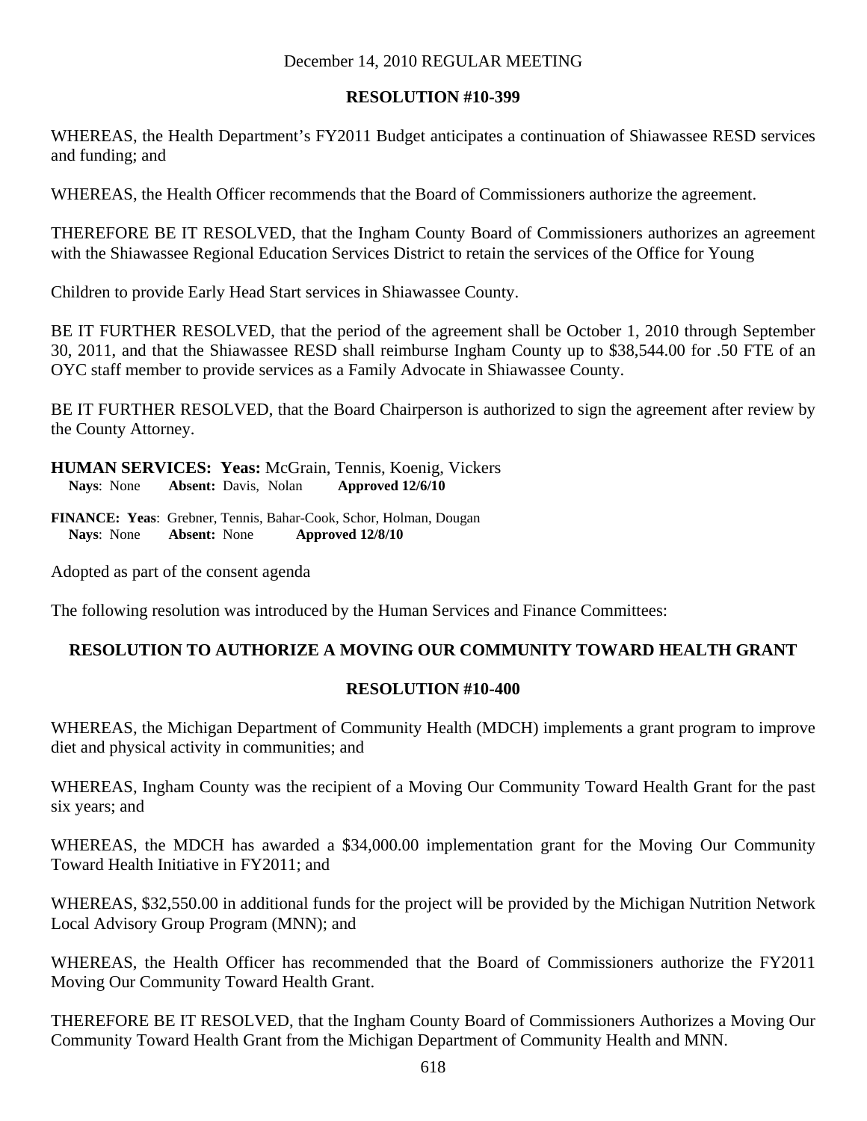# **RESOLUTION #10-399**

WHEREAS, the Health Department's FY2011 Budget anticipates a continuation of Shiawassee RESD services and funding; and

WHEREAS, the Health Officer recommends that the Board of Commissioners authorize the agreement.

THEREFORE BE IT RESOLVED, that the Ingham County Board of Commissioners authorizes an agreement with the Shiawassee Regional Education Services District to retain the services of the Office for Young

Children to provide Early Head Start services in Shiawassee County.

BE IT FURTHER RESOLVED, that the period of the agreement shall be October 1, 2010 through September 30, 2011, and that the Shiawassee RESD shall reimburse Ingham County up to \$38,544.00 for .50 FTE of an OYC staff member to provide services as a Family Advocate in Shiawassee County.

BE IT FURTHER RESOLVED, that the Board Chairperson is authorized to sign the agreement after review by the County Attorney.

**HUMAN SERVICES: Yeas:** McGrain, Tennis, Koenig, Vickers **Nays**: None **Absent:** Davis, Nolan **Approved 12/6/10** 

**FINANCE: Yeas**: Grebner, Tennis, Bahar-Cook, Schor, Holman, Dougan  **Nays**: None **Absent:** None **Approved 12/8/10** 

Adopted as part of the consent agenda

The following resolution was introduced by the Human Services and Finance Committees:

# **RESOLUTION TO AUTHORIZE A MOVING OUR COMMUNITY TOWARD HEALTH GRANT**

### **RESOLUTION #10-400**

WHEREAS, the Michigan Department of Community Health (MDCH) implements a grant program to improve diet and physical activity in communities; and

WHEREAS, Ingham County was the recipient of a Moving Our Community Toward Health Grant for the past six years; and

WHEREAS, the MDCH has awarded a \$34,000.00 implementation grant for the Moving Our Community Toward Health Initiative in FY2011; and

WHEREAS, \$32,550.00 in additional funds for the project will be provided by the Michigan Nutrition Network Local Advisory Group Program (MNN); and

WHEREAS, the Health Officer has recommended that the Board of Commissioners authorize the FY2011 Moving Our Community Toward Health Grant.

THEREFORE BE IT RESOLVED, that the Ingham County Board of Commissioners Authorizes a Moving Our Community Toward Health Grant from the Michigan Department of Community Health and MNN.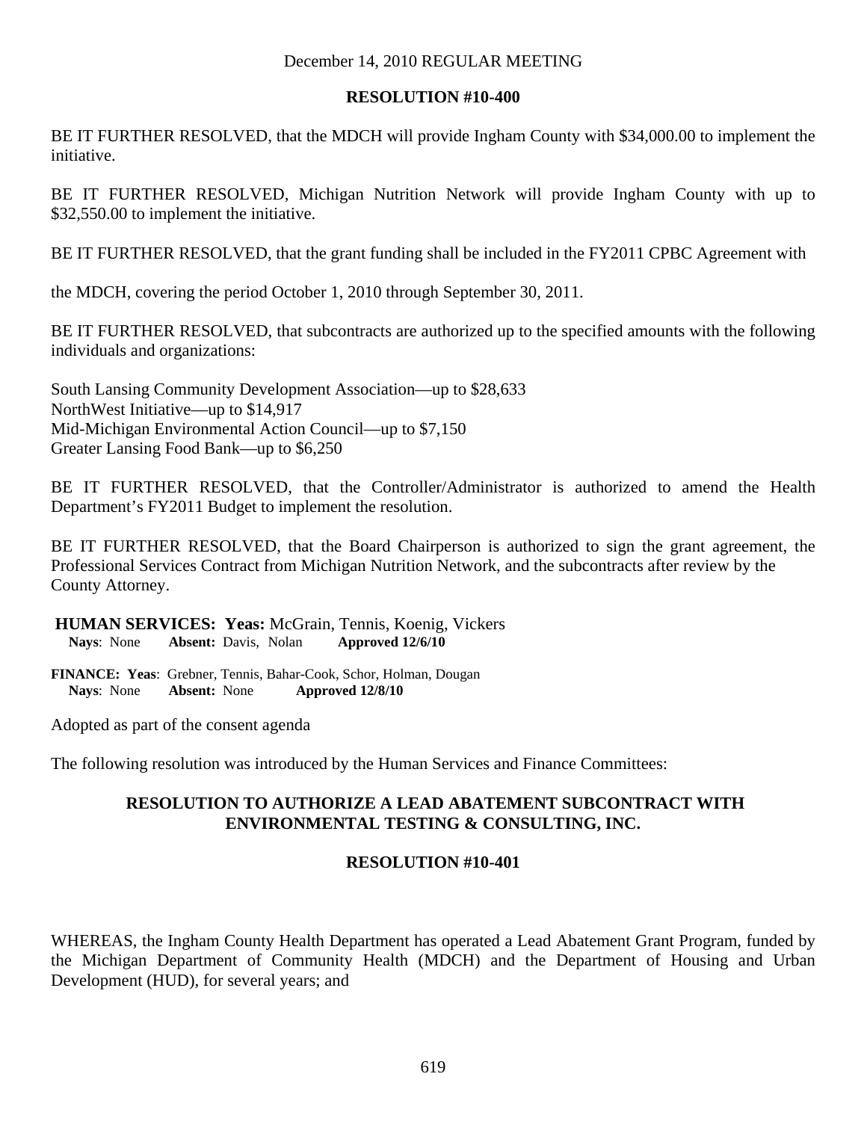## **RESOLUTION #10-400**

BE IT FURTHER RESOLVED, that the MDCH will provide Ingham County with \$34,000.00 to implement the initiative.

BE IT FURTHER RESOLVED, Michigan Nutrition Network will provide Ingham County with up to \$32,550.00 to implement the initiative.

BE IT FURTHER RESOLVED, that the grant funding shall be included in the FY2011 CPBC Agreement with

the MDCH, covering the period October 1, 2010 through September 30, 2011.

BE IT FURTHER RESOLVED, that subcontracts are authorized up to the specified amounts with the following individuals and organizations:

South Lansing Community Development Association—up to \$28,633 NorthWest Initiative—up to \$14,917 Mid-Michigan Environmental Action Council—up to \$7,150 Greater Lansing Food Bank—up to \$6,250

BE IT FURTHER RESOLVED, that the Controller/Administrator is authorized to amend the Health Department's FY2011 Budget to implement the resolution.

BE IT FURTHER RESOLVED, that the Board Chairperson is authorized to sign the grant agreement, the Professional Services Contract from Michigan Nutrition Network, and the subcontracts after review by the County Attorney.

**HUMAN SERVICES: Yeas:** McGrain, Tennis, Koenig, Vickers<br>Nays: None Absent: Davis, Nolan Approved 12/6/10 **Nays:** None **Absent:** Davis, Nolan

**FINANCE: Yeas**: Grebner, Tennis, Bahar-Cook, Schor, Holman, Dougan  **Nays**: None **Absent:** None **Approved 12/8/10** 

Adopted as part of the consent agenda

The following resolution was introduced by the Human Services and Finance Committees:

# **RESOLUTION TO AUTHORIZE A LEAD ABATEMENT SUBCONTRACT WITH ENVIRONMENTAL TESTING & CONSULTING, INC.**

# **RESOLUTION #10-401**

WHEREAS, the Ingham County Health Department has operated a Lead Abatement Grant Program, funded by the Michigan Department of Community Health (MDCH) and the Department of Housing and Urban Development (HUD), for several years; and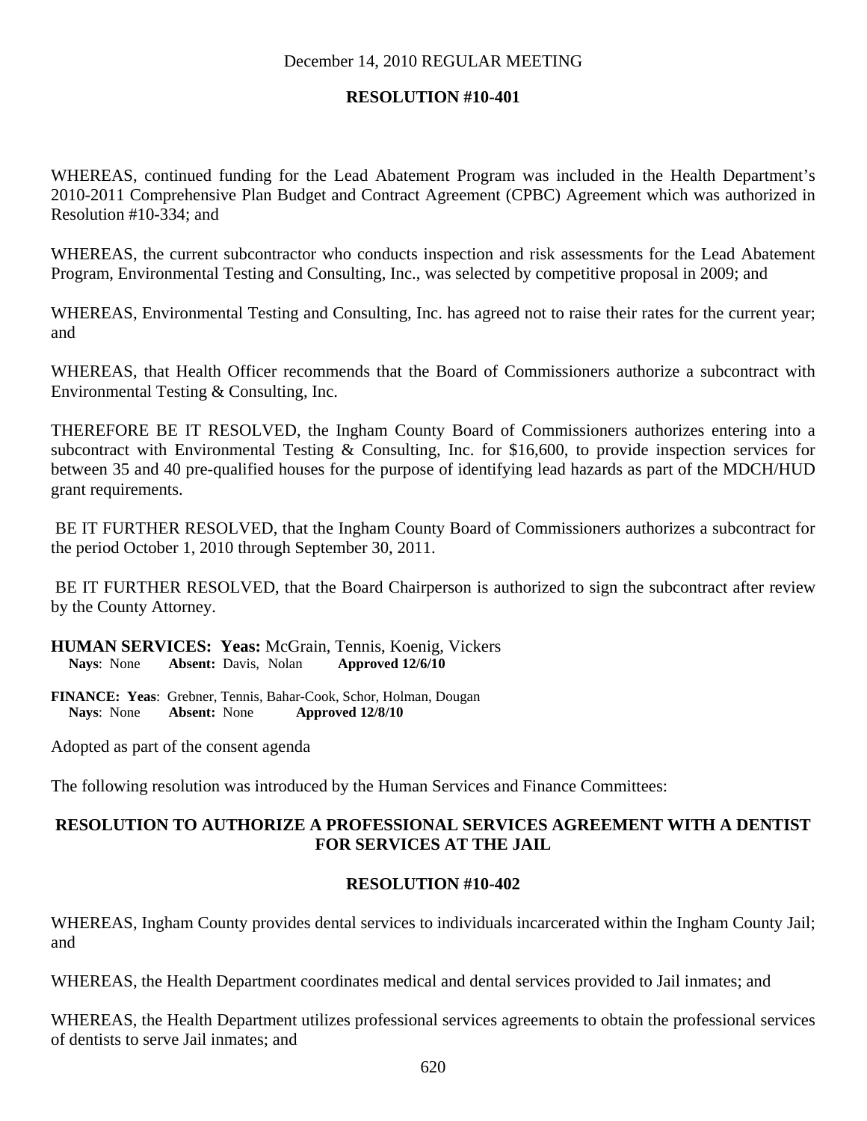# **RESOLUTION #10-401**

WHEREAS, continued funding for the Lead Abatement Program was included in the Health Department's 2010-2011 Comprehensive Plan Budget and Contract Agreement (CPBC) Agreement which was authorized in Resolution #10-334; and

WHEREAS, the current subcontractor who conducts inspection and risk assessments for the Lead Abatement Program, Environmental Testing and Consulting, Inc., was selected by competitive proposal in 2009; and

WHEREAS, Environmental Testing and Consulting, Inc. has agreed not to raise their rates for the current year; and

WHEREAS, that Health Officer recommends that the Board of Commissioners authorize a subcontract with Environmental Testing & Consulting, Inc.

THEREFORE BE IT RESOLVED, the Ingham County Board of Commissioners authorizes entering into a subcontract with Environmental Testing & Consulting, Inc. for \$16,600, to provide inspection services for between 35 and 40 pre-qualified houses for the purpose of identifying lead hazards as part of the MDCH/HUD grant requirements.

 BE IT FURTHER RESOLVED, that the Ingham County Board of Commissioners authorizes a subcontract for the period October 1, 2010 through September 30, 2011.

 BE IT FURTHER RESOLVED, that the Board Chairperson is authorized to sign the subcontract after review by the County Attorney.

**HUMAN SERVICES: Yeas:** McGrain, Tennis, Koenig, Vickers<br>Navs: None Absent: Davis. Nolan Approved 12/6/10 **Nays:** None **Absent:** Davis, Nolan

**FINANCE: Yeas**: Grebner, Tennis, Bahar-Cook, Schor, Holman, Dougan  **Nays**: None **Absent:** None **Approved 12/8/10** 

Adopted as part of the consent agenda

The following resolution was introduced by the Human Services and Finance Committees:

# **RESOLUTION TO AUTHORIZE A PROFESSIONAL SERVICES AGREEMENT WITH A DENTIST FOR SERVICES AT THE JAIL**

### **RESOLUTION #10-402**

WHEREAS, Ingham County provides dental services to individuals incarcerated within the Ingham County Jail; and

WHEREAS, the Health Department coordinates medical and dental services provided to Jail inmates; and

WHEREAS, the Health Department utilizes professional services agreements to obtain the professional services of dentists to serve Jail inmates; and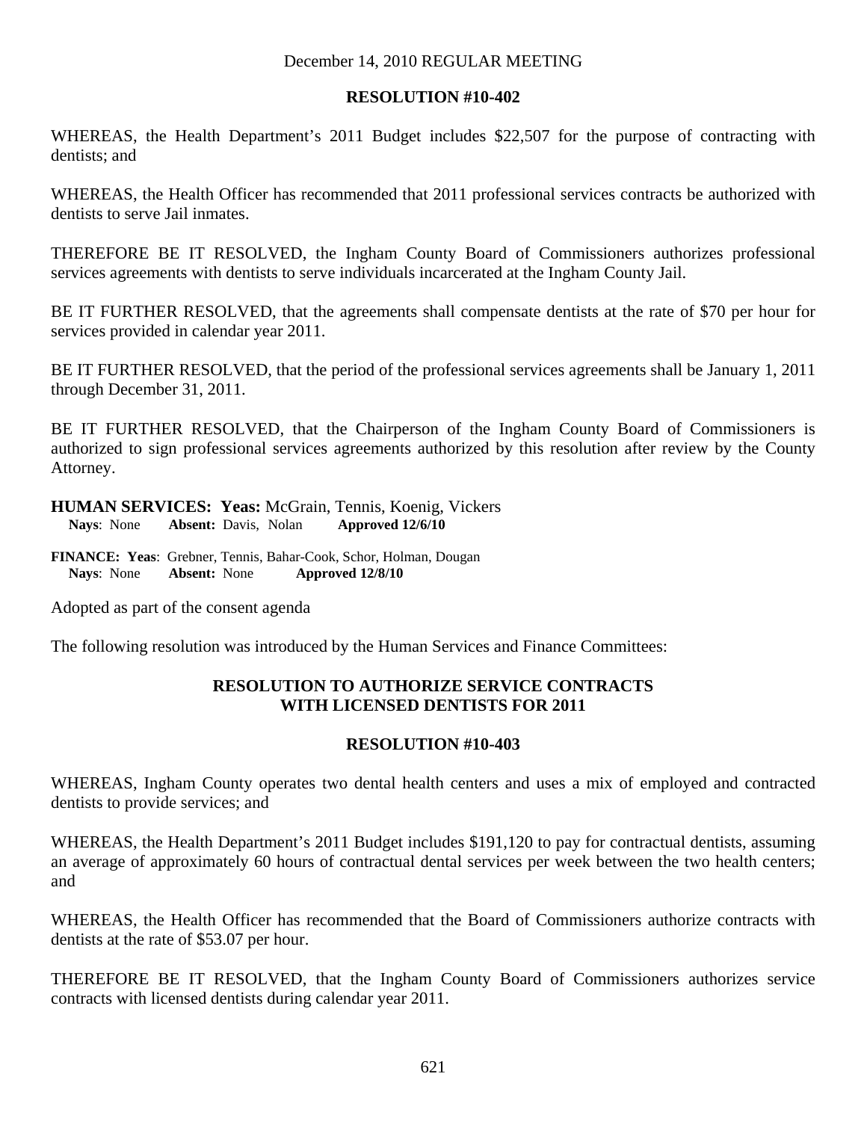## **RESOLUTION #10-402**

WHEREAS, the Health Department's 2011 Budget includes \$22,507 for the purpose of contracting with dentists; and

WHEREAS, the Health Officer has recommended that 2011 professional services contracts be authorized with dentists to serve Jail inmates.

THEREFORE BE IT RESOLVED, the Ingham County Board of Commissioners authorizes professional services agreements with dentists to serve individuals incarcerated at the Ingham County Jail.

BE IT FURTHER RESOLVED, that the agreements shall compensate dentists at the rate of \$70 per hour for services provided in calendar year 2011.

BE IT FURTHER RESOLVED, that the period of the professional services agreements shall be January 1, 2011 through December 31, 2011.

BE IT FURTHER RESOLVED, that the Chairperson of the Ingham County Board of Commissioners is authorized to sign professional services agreements authorized by this resolution after review by the County Attorney.

**HUMAN SERVICES: Yeas:** McGrain, Tennis, Koenig, Vickers **Nays**: None **Absent:** Davis, Nolan **Approved 12/6/10** 

**FINANCE: Yeas**: Grebner, Tennis, Bahar-Cook, Schor, Holman, Dougan  **Nays**: None **Absent:** None **Approved 12/8/10** 

Adopted as part of the consent agenda

The following resolution was introduced by the Human Services and Finance Committees:

## **RESOLUTION TO AUTHORIZE SERVICE CONTRACTS WITH LICENSED DENTISTS FOR 2011**

### **RESOLUTION #10-403**

WHEREAS, Ingham County operates two dental health centers and uses a mix of employed and contracted dentists to provide services; and

WHEREAS, the Health Department's 2011 Budget includes \$191,120 to pay for contractual dentists, assuming an average of approximately 60 hours of contractual dental services per week between the two health centers; and

WHEREAS, the Health Officer has recommended that the Board of Commissioners authorize contracts with dentists at the rate of \$53.07 per hour.

THEREFORE BE IT RESOLVED, that the Ingham County Board of Commissioners authorizes service contracts with licensed dentists during calendar year 2011.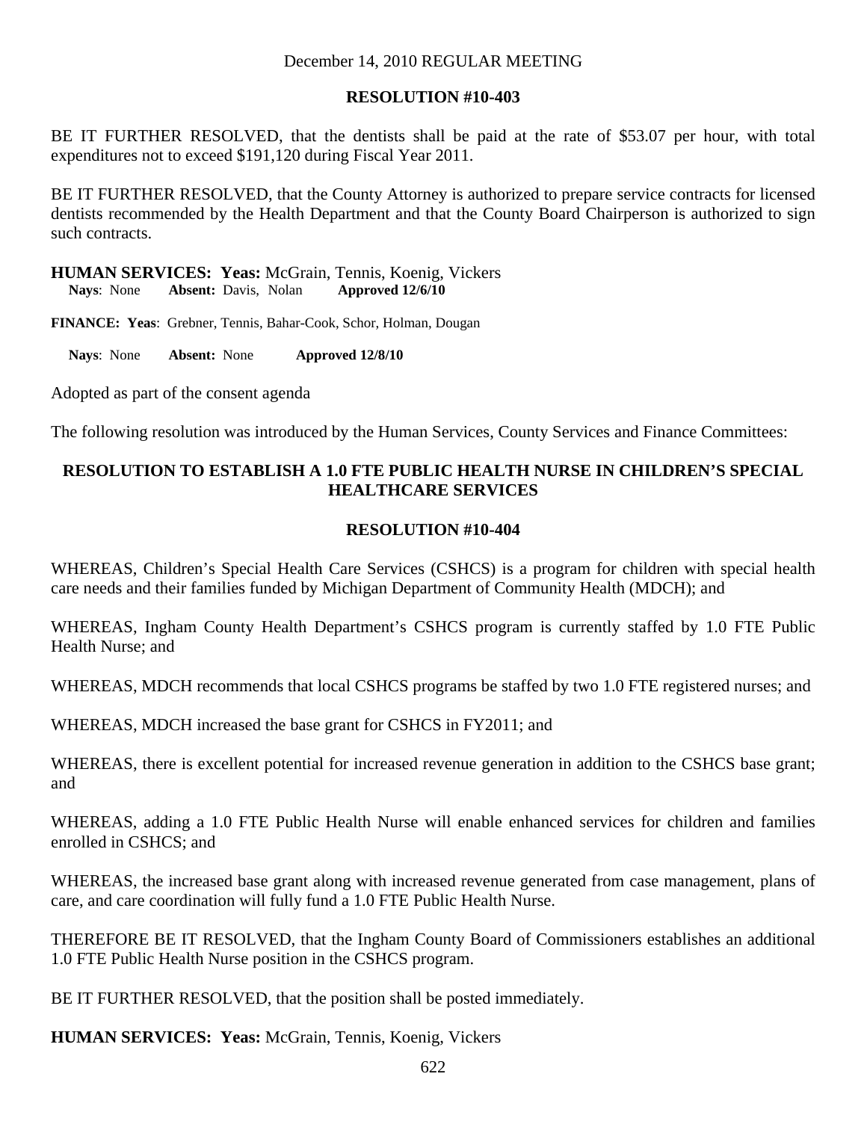### **RESOLUTION #10-403**

BE IT FURTHER RESOLVED, that the dentists shall be paid at the rate of \$53.07 per hour, with total expenditures not to exceed \$191,120 during Fiscal Year 2011.

BE IT FURTHER RESOLVED, that the County Attorney is authorized to prepare service contracts for licensed dentists recommended by the Health Department and that the County Board Chairperson is authorized to sign such contracts.

**HUMAN SERVICES: Yeas:** McGrain, Tennis, Koenig, Vickers<br>Navs: None Absent: Davis. Nolan Approved 12/6/10 **Nays:** None **Absent:** Davis, Nolan

**FINANCE: Yeas**: Grebner, Tennis, Bahar-Cook, Schor, Holman, Dougan

 **Nays**: None **Absent:** None **Approved 12/8/10** 

Adopted as part of the consent agenda

The following resolution was introduced by the Human Services, County Services and Finance Committees:

# **RESOLUTION TO ESTABLISH A 1.0 FTE PUBLIC HEALTH NURSE IN CHILDREN'S SPECIAL HEALTHCARE SERVICES**

### **RESOLUTION #10-404**

WHEREAS, Children's Special Health Care Services (CSHCS) is a program for children with special health care needs and their families funded by Michigan Department of Community Health (MDCH); and

WHEREAS, Ingham County Health Department's CSHCS program is currently staffed by 1.0 FTE Public Health Nurse; and

WHEREAS, MDCH recommends that local CSHCS programs be staffed by two 1.0 FTE registered nurses; and

WHEREAS, MDCH increased the base grant for CSHCS in FY2011; and

WHEREAS, there is excellent potential for increased revenue generation in addition to the CSHCS base grant; and

WHEREAS, adding a 1.0 FTE Public Health Nurse will enable enhanced services for children and families enrolled in CSHCS; and

WHEREAS, the increased base grant along with increased revenue generated from case management, plans of care, and care coordination will fully fund a 1.0 FTE Public Health Nurse.

THEREFORE BE IT RESOLVED, that the Ingham County Board of Commissioners establishes an additional 1.0 FTE Public Health Nurse position in the CSHCS program.

BE IT FURTHER RESOLVED, that the position shall be posted immediately.

**HUMAN SERVICES: Yeas:** McGrain, Tennis, Koenig, Vickers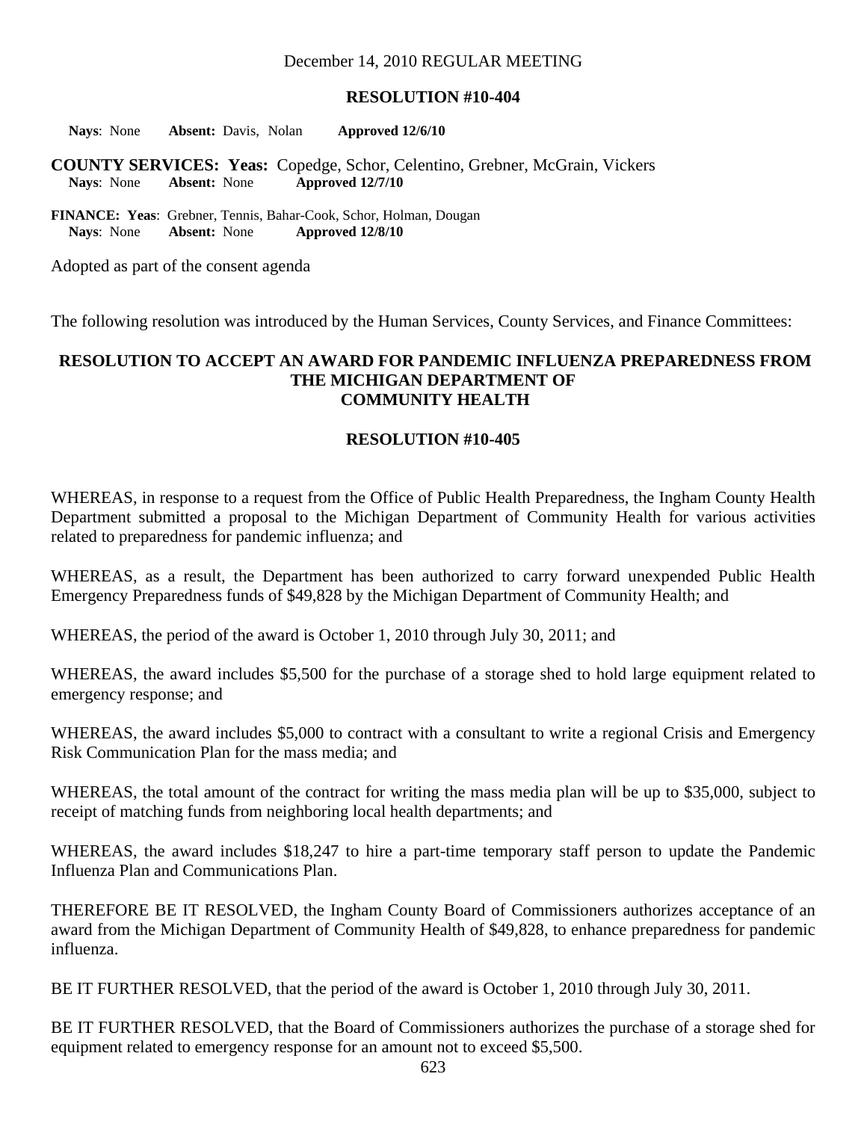#### **RESOLUTION #10-404**

**Nays**: None **Absent:** Davis, Nolan **Approved 12/6/10** 

**COUNTY SERVICES: Yeas:** Copedge, Schor, Celentino, Grebner, McGrain, Vickers **Nays**: None **Absent:** None **Approved 12/7/10** 

**FINANCE: Yeas**: Grebner, Tennis, Bahar-Cook, Schor, Holman, Dougan  **Nays**: None **Absent:** None **Approved 12/8/10** 

Adopted as part of the consent agenda

The following resolution was introduced by the Human Services, County Services, and Finance Committees:

#### **RESOLUTION TO ACCEPT AN AWARD FOR PANDEMIC INFLUENZA PREPAREDNESS FROM THE MICHIGAN DEPARTMENT OF COMMUNITY HEALTH**

#### **RESOLUTION #10-405**

WHEREAS, in response to a request from the Office of Public Health Preparedness, the Ingham County Health Department submitted a proposal to the Michigan Department of Community Health for various activities related to preparedness for pandemic influenza; and

WHEREAS, as a result, the Department has been authorized to carry forward unexpended Public Health Emergency Preparedness funds of \$49,828 by the Michigan Department of Community Health; and

WHEREAS, the period of the award is October 1, 2010 through July 30, 2011; and

WHEREAS, the award includes \$5,500 for the purchase of a storage shed to hold large equipment related to emergency response; and

WHEREAS, the award includes \$5,000 to contract with a consultant to write a regional Crisis and Emergency Risk Communication Plan for the mass media; and

WHEREAS, the total amount of the contract for writing the mass media plan will be up to \$35,000, subject to receipt of matching funds from neighboring local health departments; and

WHEREAS, the award includes \$18,247 to hire a part-time temporary staff person to update the Pandemic Influenza Plan and Communications Plan.

THEREFORE BE IT RESOLVED, the Ingham County Board of Commissioners authorizes acceptance of an award from the Michigan Department of Community Health of \$49,828, to enhance preparedness for pandemic influenza.

BE IT FURTHER RESOLVED, that the period of the award is October 1, 2010 through July 30, 2011.

BE IT FURTHER RESOLVED, that the Board of Commissioners authorizes the purchase of a storage shed for equipment related to emergency response for an amount not to exceed \$5,500.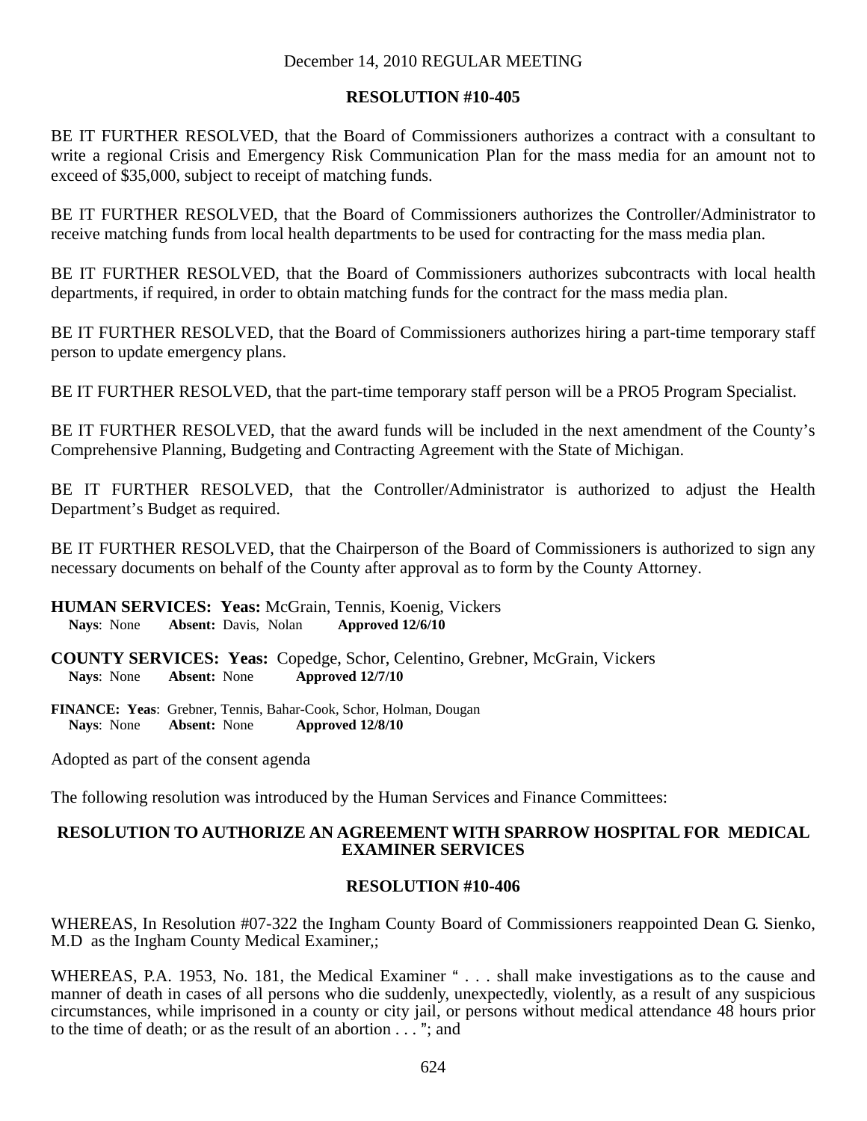### **RESOLUTION #10-405**

BE IT FURTHER RESOLVED, that the Board of Commissioners authorizes a contract with a consultant to write a regional Crisis and Emergency Risk Communication Plan for the mass media for an amount not to exceed of \$35,000, subject to receipt of matching funds.

BE IT FURTHER RESOLVED, that the Board of Commissioners authorizes the Controller/Administrator to receive matching funds from local health departments to be used for contracting for the mass media plan.

BE IT FURTHER RESOLVED, that the Board of Commissioners authorizes subcontracts with local health departments, if required, in order to obtain matching funds for the contract for the mass media plan.

BE IT FURTHER RESOLVED, that the Board of Commissioners authorizes hiring a part-time temporary staff person to update emergency plans.

BE IT FURTHER RESOLVED, that the part-time temporary staff person will be a PRO5 Program Specialist.

BE IT FURTHER RESOLVED, that the award funds will be included in the next amendment of the County's Comprehensive Planning, Budgeting and Contracting Agreement with the State of Michigan.

BE IT FURTHER RESOLVED, that the Controller/Administrator is authorized to adjust the Health Department's Budget as required.

BE IT FURTHER RESOLVED, that the Chairperson of the Board of Commissioners is authorized to sign any necessary documents on behalf of the County after approval as to form by the County Attorney.

**HUMAN SERVICES: Yeas:** McGrain, Tennis, Koenig, Vickers **Nays**: None **Absent:** Davis, Nolan **Approved 12/6/10** 

**COUNTY SERVICES: Yeas:** Copedge, Schor, Celentino, Grebner, McGrain, Vickers **Nays**: None **Absent:** None **Approved 12/7/10** 

**FINANCE: Yeas**: Grebner, Tennis, Bahar-Cook, Schor, Holman, Dougan  **Nays**: None **Absent:** None **Approved 12/8/10** 

Adopted as part of the consent agenda

The following resolution was introduced by the Human Services and Finance Committees:

### **RESOLUTION TO AUTHORIZE AN AGREEMENT WITH SPARROW HOSPITAL FOR MEDICAL EXAMINER SERVICES**

### **RESOLUTION #10-406**

WHEREAS, In Resolution #07-322 the Ingham County Board of Commissioners reappointed Dean G. Sienko, M.D as the Ingham County Medical Examiner,;

WHEREAS, P.A. 1953, No. 181, the Medical Examiner " . . . shall make investigations as to the cause and manner of death in cases of all persons who die suddenly, unexpectedly, violently, as a result of any suspicious circumstances, while imprisoned in a county or city jail, or persons without medical attendance 48 hours prior to the time of death; or as the result of an abortion  $\dots$  "; and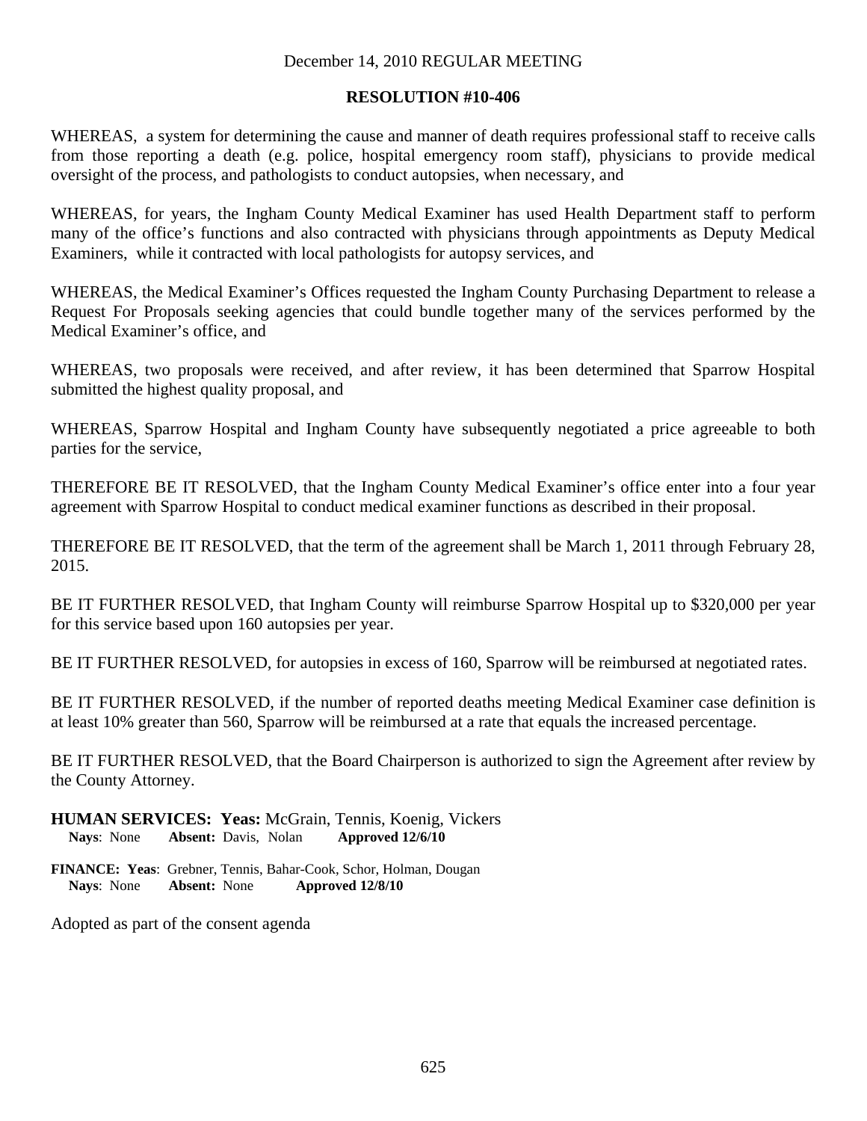### **RESOLUTION #10-406**

WHEREAS, a system for determining the cause and manner of death requires professional staff to receive calls from those reporting a death (e.g. police, hospital emergency room staff), physicians to provide medical oversight of the process, and pathologists to conduct autopsies, when necessary, and

WHEREAS, for years, the Ingham County Medical Examiner has used Health Department staff to perform many of the office's functions and also contracted with physicians through appointments as Deputy Medical Examiners, while it contracted with local pathologists for autopsy services, and

WHEREAS, the Medical Examiner's Offices requested the Ingham County Purchasing Department to release a Request For Proposals seeking agencies that could bundle together many of the services performed by the Medical Examiner's office, and

WHEREAS, two proposals were received, and after review, it has been determined that Sparrow Hospital submitted the highest quality proposal, and

WHEREAS, Sparrow Hospital and Ingham County have subsequently negotiated a price agreeable to both parties for the service,

THEREFORE BE IT RESOLVED, that the Ingham County Medical Examiner's office enter into a four year agreement with Sparrow Hospital to conduct medical examiner functions as described in their proposal.

THEREFORE BE IT RESOLVED, that the term of the agreement shall be March 1, 2011 through February 28, 2015.

BE IT FURTHER RESOLVED, that Ingham County will reimburse Sparrow Hospital up to \$320,000 per year for this service based upon 160 autopsies per year.

BE IT FURTHER RESOLVED, for autopsies in excess of 160, Sparrow will be reimbursed at negotiated rates.

BE IT FURTHER RESOLVED, if the number of reported deaths meeting Medical Examiner case definition is at least 10% greater than 560, Sparrow will be reimbursed at a rate that equals the increased percentage.

BE IT FURTHER RESOLVED, that the Board Chairperson is authorized to sign the Agreement after review by the County Attorney.

**HUMAN SERVICES: Yeas:** McGrain, Tennis, Koenig, Vickers **Nays**: None **Absent:** Davis, Nolan **Approved 12/6/10** 

**FINANCE: Yeas**: Grebner, Tennis, Bahar-Cook, Schor, Holman, Dougan  **Nays**: None **Absent:** None **Approved 12/8/10** 

Adopted as part of the consent agenda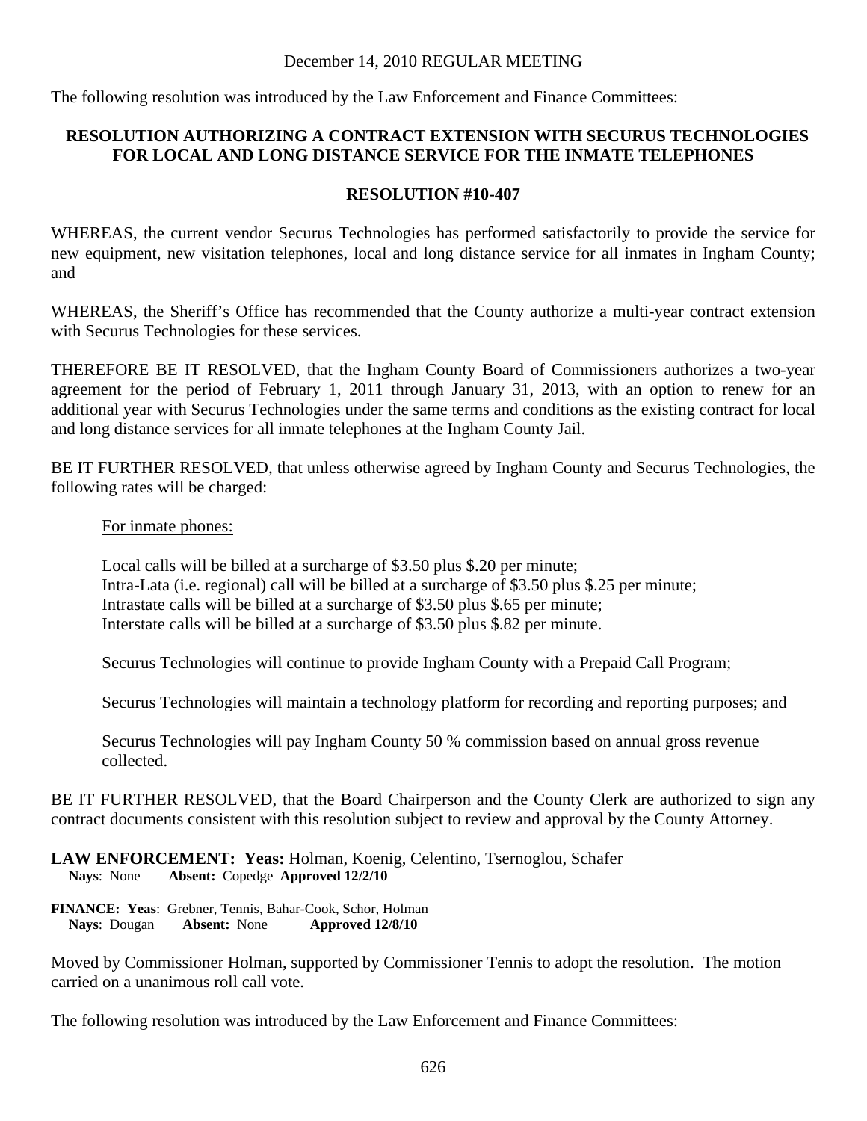The following resolution was introduced by the Law Enforcement and Finance Committees:

# **RESOLUTION AUTHORIZING A CONTRACT EXTENSION WITH SECURUS TECHNOLOGIES FOR LOCAL AND LONG DISTANCE SERVICE FOR THE INMATE TELEPHONES**

## **RESOLUTION #10-407**

WHEREAS, the current vendor Securus Technologies has performed satisfactorily to provide the service for new equipment, new visitation telephones, local and long distance service for all inmates in Ingham County; and

WHEREAS, the Sheriff's Office has recommended that the County authorize a multi-year contract extension with Securus Technologies for these services.

THEREFORE BE IT RESOLVED, that the Ingham County Board of Commissioners authorizes a two-year agreement for the period of February 1, 2011 through January 31, 2013, with an option to renew for an additional year with Securus Technologies under the same terms and conditions as the existing contract for local and long distance services for all inmate telephones at the Ingham County Jail.

BE IT FURTHER RESOLVED, that unless otherwise agreed by Ingham County and Securus Technologies, the following rates will be charged:

### For inmate phones:

Local calls will be billed at a surcharge of \$3.50 plus \$.20 per minute; Intra-Lata (i.e. regional) call will be billed at a surcharge of \$3.50 plus \$.25 per minute; Intrastate calls will be billed at a surcharge of \$3.50 plus \$.65 per minute; Interstate calls will be billed at a surcharge of \$3.50 plus \$.82 per minute.

Securus Technologies will continue to provide Ingham County with a Prepaid Call Program;

Securus Technologies will maintain a technology platform for recording and reporting purposes; and

Securus Technologies will pay Ingham County 50 % commission based on annual gross revenue collected.

BE IT FURTHER RESOLVED, that the Board Chairperson and the County Clerk are authorized to sign any contract documents consistent with this resolution subject to review and approval by the County Attorney.

### **LAW ENFORCEMENT: Yeas:** Holman, Koenig, Celentino, Tsernoglou, Schafer **Nays**: None **Absent:** Copedge **Approved 12/2/10**

**FINANCE: Yeas**: Grebner, Tennis, Bahar-Cook, Schor, Holman  **Nays**: Dougan **Absent:** None **Approved 12/8/10** 

Moved by Commissioner Holman, supported by Commissioner Tennis to adopt the resolution. The motion carried on a unanimous roll call vote.

The following resolution was introduced by the Law Enforcement and Finance Committees: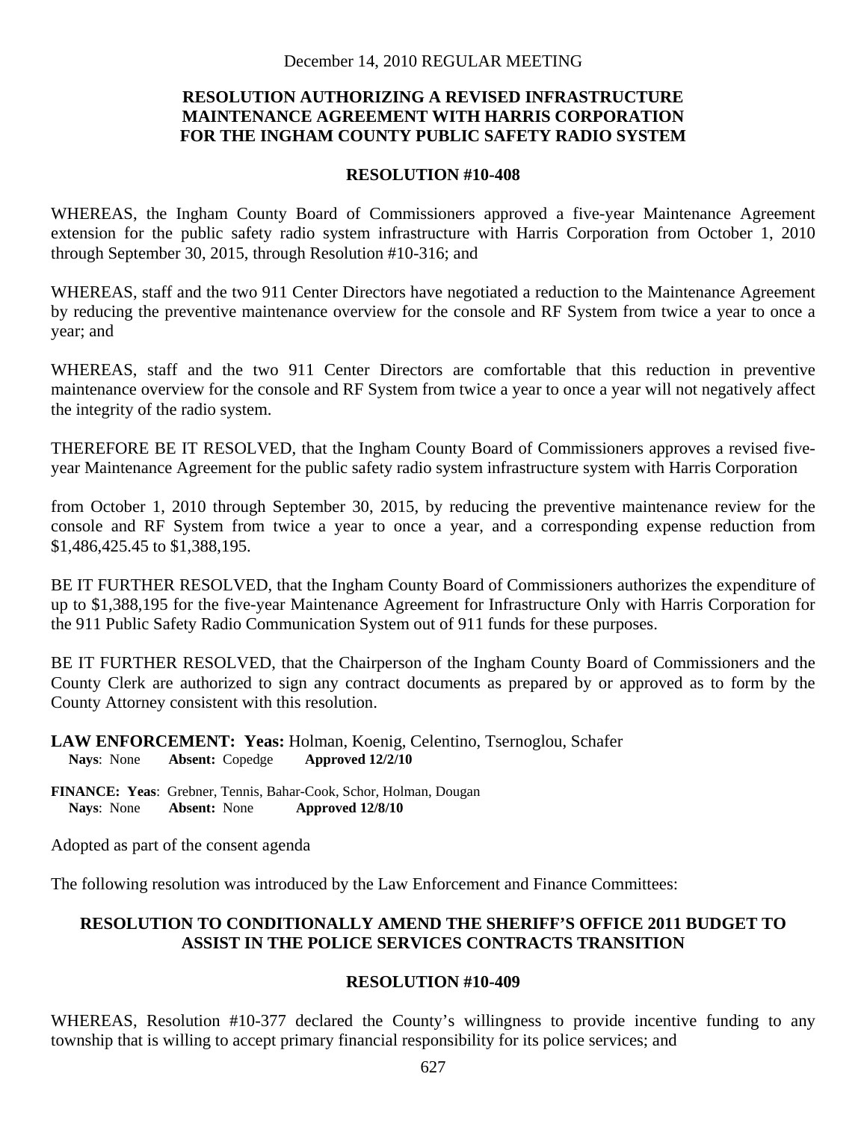# **RESOLUTION AUTHORIZING A REVISED INFRASTRUCTURE MAINTENANCE AGREEMENT WITH HARRIS CORPORATION FOR THE INGHAM COUNTY PUBLIC SAFETY RADIO SYSTEM**

#### **RESOLUTION #10-408**

WHEREAS, the Ingham County Board of Commissioners approved a five-year Maintenance Agreement extension for the public safety radio system infrastructure with Harris Corporation from October 1, 2010 through September 30, 2015, through Resolution #10-316; and

WHEREAS, staff and the two 911 Center Directors have negotiated a reduction to the Maintenance Agreement by reducing the preventive maintenance overview for the console and RF System from twice a year to once a year; and

WHEREAS, staff and the two 911 Center Directors are comfortable that this reduction in preventive maintenance overview for the console and RF System from twice a year to once a year will not negatively affect the integrity of the radio system.

THEREFORE BE IT RESOLVED, that the Ingham County Board of Commissioners approves a revised fiveyear Maintenance Agreement for the public safety radio system infrastructure system with Harris Corporation

from October 1, 2010 through September 30, 2015, by reducing the preventive maintenance review for the console and RF System from twice a year to once a year, and a corresponding expense reduction from \$1,486,425.45 to \$1,388,195.

BE IT FURTHER RESOLVED, that the Ingham County Board of Commissioners authorizes the expenditure of up to \$1,388,195 for the five-year Maintenance Agreement for Infrastructure Only with Harris Corporation for the 911 Public Safety Radio Communication System out of 911 funds for these purposes.

BE IT FURTHER RESOLVED, that the Chairperson of the Ingham County Board of Commissioners and the County Clerk are authorized to sign any contract documents as prepared by or approved as to form by the County Attorney consistent with this resolution.

**LAW ENFORCEMENT: Yeas:** Holman, Koenig, Celentino, Tsernoglou, Schafer **Nays**: None **Absent:** Copedge **Approved 12/2/10** 

**FINANCE: Yeas**: Grebner, Tennis, Bahar-Cook, Schor, Holman, Dougan  **Nays**: None **Absent:** None **Approved 12/8/10** 

Adopted as part of the consent agenda

The following resolution was introduced by the Law Enforcement and Finance Committees:

## **RESOLUTION TO CONDITIONALLY AMEND THE SHERIFF'S OFFICE 2011 BUDGET TO ASSIST IN THE POLICE SERVICES CONTRACTS TRANSITION**

### **RESOLUTION #10-409**

WHEREAS, Resolution #10-377 declared the County's willingness to provide incentive funding to any township that is willing to accept primary financial responsibility for its police services; and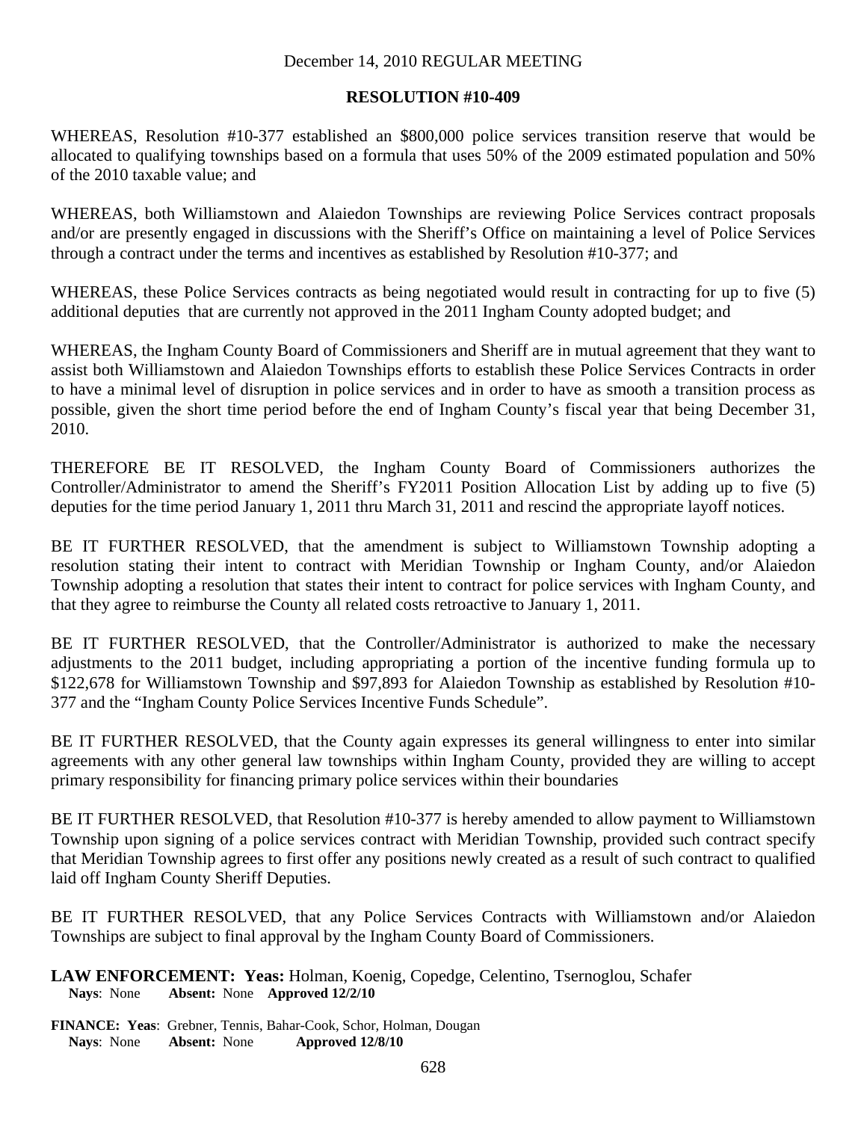### **RESOLUTION #10-409**

WHEREAS, Resolution #10-377 established an \$800,000 police services transition reserve that would be allocated to qualifying townships based on a formula that uses 50% of the 2009 estimated population and 50% of the 2010 taxable value; and

WHEREAS, both Williamstown and Alaiedon Townships are reviewing Police Services contract proposals and/or are presently engaged in discussions with the Sheriff's Office on maintaining a level of Police Services through a contract under the terms and incentives as established by Resolution #10-377; and

WHEREAS, these Police Services contracts as being negotiated would result in contracting for up to five (5) additional deputies that are currently not approved in the 2011 Ingham County adopted budget; and

WHEREAS, the Ingham County Board of Commissioners and Sheriff are in mutual agreement that they want to assist both Williamstown and Alaiedon Townships efforts to establish these Police Services Contracts in order to have a minimal level of disruption in police services and in order to have as smooth a transition process as possible, given the short time period before the end of Ingham County's fiscal year that being December 31, 2010.

THEREFORE BE IT RESOLVED, the Ingham County Board of Commissioners authorizes the Controller/Administrator to amend the Sheriff's FY2011 Position Allocation List by adding up to five (5) deputies for the time period January 1, 2011 thru March 31, 2011 and rescind the appropriate layoff notices.

BE IT FURTHER RESOLVED, that the amendment is subject to Williamstown Township adopting a resolution stating their intent to contract with Meridian Township or Ingham County, and/or Alaiedon Township adopting a resolution that states their intent to contract for police services with Ingham County, and that they agree to reimburse the County all related costs retroactive to January 1, 2011.

BE IT FURTHER RESOLVED, that the Controller/Administrator is authorized to make the necessary adjustments to the 2011 budget, including appropriating a portion of the incentive funding formula up to \$122,678 for Williamstown Township and \$97,893 for Alaiedon Township as established by Resolution #10- 377 and the "Ingham County Police Services Incentive Funds Schedule".

BE IT FURTHER RESOLVED, that the County again expresses its general willingness to enter into similar agreements with any other general law townships within Ingham County, provided they are willing to accept primary responsibility for financing primary police services within their boundaries

BE IT FURTHER RESOLVED, that Resolution #10-377 is hereby amended to allow payment to Williamstown Township upon signing of a police services contract with Meridian Township, provided such contract specify that Meridian Township agrees to first offer any positions newly created as a result of such contract to qualified laid off Ingham County Sheriff Deputies.

BE IT FURTHER RESOLVED, that any Police Services Contracts with Williamstown and/or Alaiedon Townships are subject to final approval by the Ingham County Board of Commissioners.

**LAW ENFORCEMENT: Yeas:** Holman, Koenig, Copedge, Celentino, Tsernoglou, Schafer **Nays**: None **Absent:** None **Approved 12/2/10** 

**FINANCE: Yeas**: Grebner, Tennis, Bahar-Cook, Schor, Holman, Dougan  **Nays**: None **Absent:** None **Approved 12/8/10**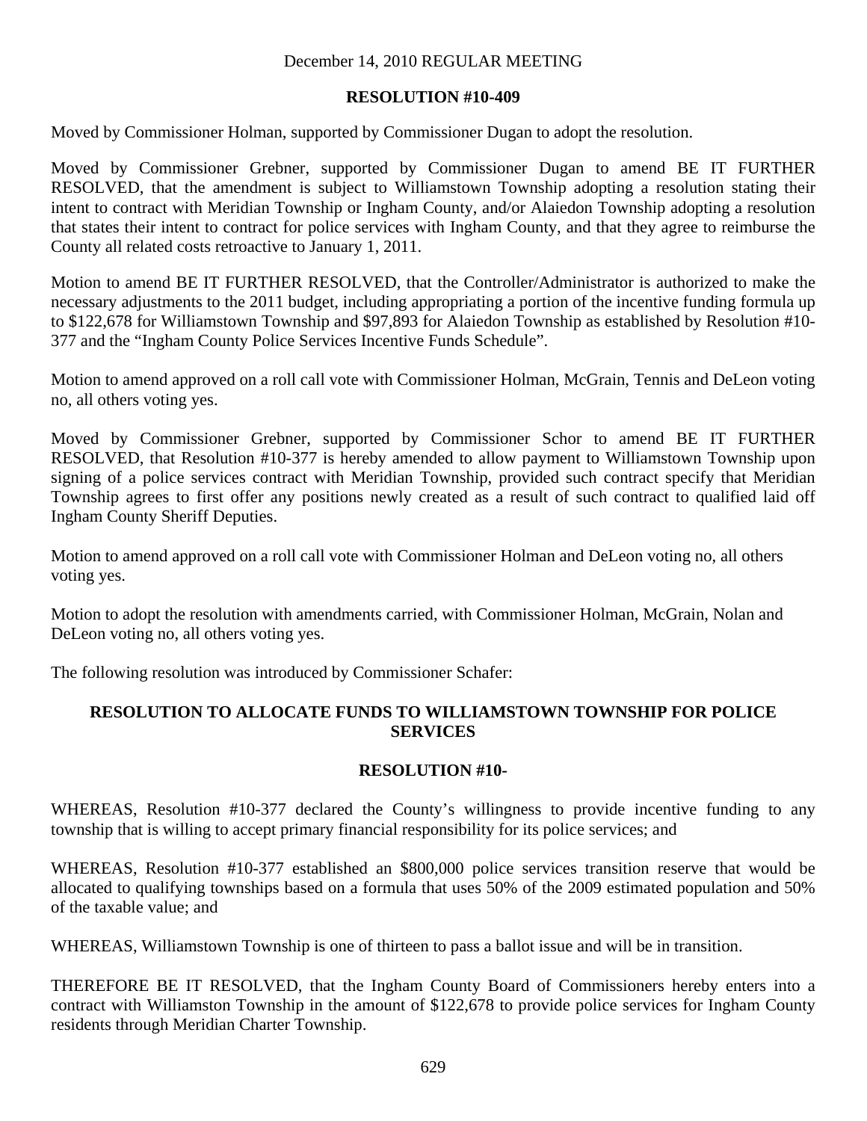# **RESOLUTION #10-409**

Moved by Commissioner Holman, supported by Commissioner Dugan to adopt the resolution.

Moved by Commissioner Grebner, supported by Commissioner Dugan to amend BE IT FURTHER RESOLVED, that the amendment is subject to Williamstown Township adopting a resolution stating their intent to contract with Meridian Township or Ingham County, and/or Alaiedon Township adopting a resolution that states their intent to contract for police services with Ingham County, and that they agree to reimburse the County all related costs retroactive to January 1, 2011.

Motion to amend BE IT FURTHER RESOLVED, that the Controller/Administrator is authorized to make the necessary adjustments to the 2011 budget, including appropriating a portion of the incentive funding formula up to \$122,678 for Williamstown Township and \$97,893 for Alaiedon Township as established by Resolution #10- 377 and the "Ingham County Police Services Incentive Funds Schedule".

Motion to amend approved on a roll call vote with Commissioner Holman, McGrain, Tennis and DeLeon voting no, all others voting yes.

Moved by Commissioner Grebner, supported by Commissioner Schor to amend BE IT FURTHER RESOLVED, that Resolution #10-377 is hereby amended to allow payment to Williamstown Township upon signing of a police services contract with Meridian Township, provided such contract specify that Meridian Township agrees to first offer any positions newly created as a result of such contract to qualified laid off Ingham County Sheriff Deputies.

Motion to amend approved on a roll call vote with Commissioner Holman and DeLeon voting no, all others voting yes.

Motion to adopt the resolution with amendments carried, with Commissioner Holman, McGrain, Nolan and DeLeon voting no, all others voting yes.

The following resolution was introduced by Commissioner Schafer:

# **RESOLUTION TO ALLOCATE FUNDS TO WILLIAMSTOWN TOWNSHIP FOR POLICE SERVICES**

# **RESOLUTION #10-**

WHEREAS, Resolution #10-377 declared the County's willingness to provide incentive funding to any township that is willing to accept primary financial responsibility for its police services; and

WHEREAS, Resolution #10-377 established an \$800,000 police services transition reserve that would be allocated to qualifying townships based on a formula that uses 50% of the 2009 estimated population and 50% of the taxable value; and

WHEREAS, Williamstown Township is one of thirteen to pass a ballot issue and will be in transition.

THEREFORE BE IT RESOLVED, that the Ingham County Board of Commissioners hereby enters into a contract with Williamston Township in the amount of \$122,678 to provide police services for Ingham County residents through Meridian Charter Township.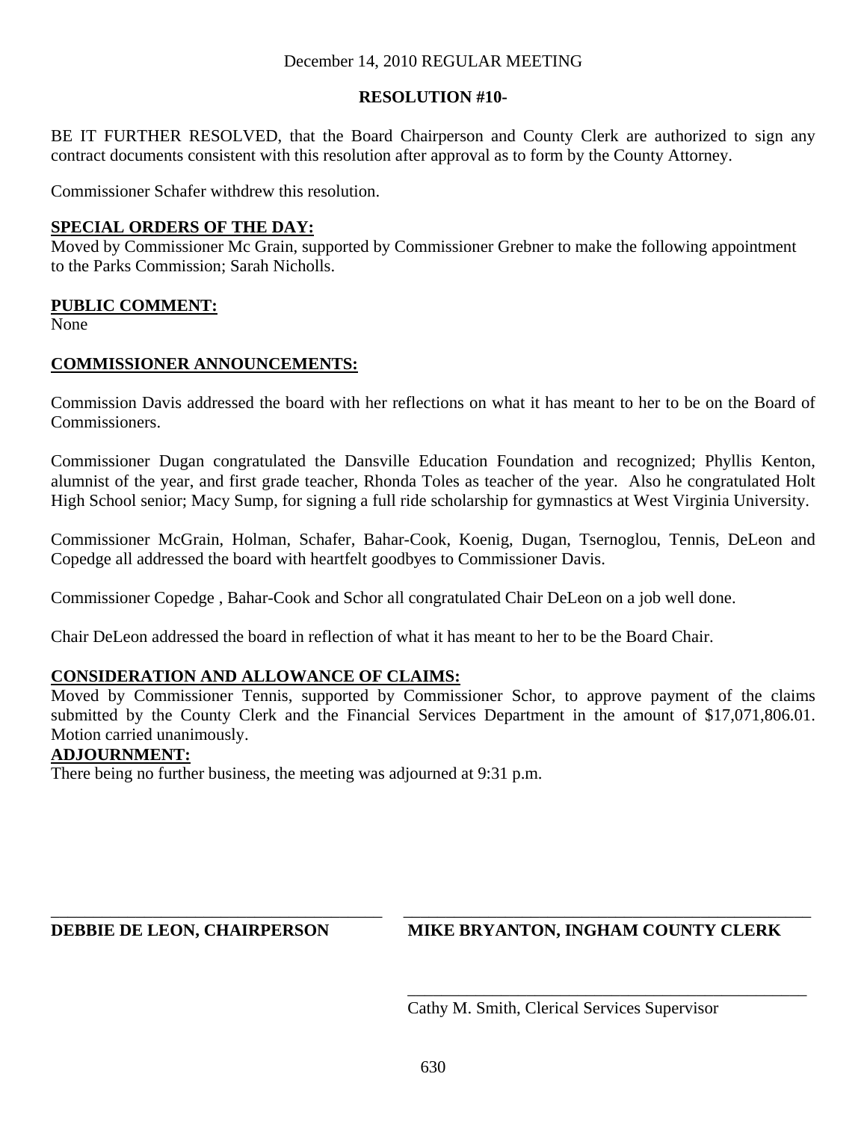# December 14, 2010 REGULAR MEETING

# **RESOLUTION #10-**

BE IT FURTHER RESOLVED, that the Board Chairperson and County Clerk are authorized to sign any contract documents consistent with this resolution after approval as to form by the County Attorney.

Commissioner Schafer withdrew this resolution.

# **SPECIAL ORDERS OF THE DAY:**

Moved by Commissioner Mc Grain, supported by Commissioner Grebner to make the following appointment to the Parks Commission; Sarah Nicholls.

# **PUBLIC COMMENT:**

None

# **COMMISSIONER ANNOUNCEMENTS:**

Commission Davis addressed the board with her reflections on what it has meant to her to be on the Board of Commissioners.

Commissioner Dugan congratulated the Dansville Education Foundation and recognized; Phyllis Kenton, alumnist of the year, and first grade teacher, Rhonda Toles as teacher of the year. Also he congratulated Holt High School senior; Macy Sump, for signing a full ride scholarship for gymnastics at West Virginia University.

Commissioner McGrain, Holman, Schafer, Bahar-Cook, Koenig, Dugan, Tsernoglou, Tennis, DeLeon and Copedge all addressed the board with heartfelt goodbyes to Commissioner Davis.

Commissioner Copedge , Bahar-Cook and Schor all congratulated Chair DeLeon on a job well done.

Chair DeLeon addressed the board in reflection of what it has meant to her to be the Board Chair.

# **CONSIDERATION AND ALLOWANCE OF CLAIMS:**

Moved by Commissioner Tennis, supported by Commissioner Schor, to approve payment of the claims submitted by the County Clerk and the Financial Services Department in the amount of \$17,071,806.01. Motion carried unanimously.

#### **ADJOURNMENT:**

There being no further business, the meeting was adjourned at 9:31 p.m.

# **DEBBIE DE LEON, CHAIRPERSON MIKE BRYANTON, INGHAM COUNTY CLERK**

Cathy M. Smith, Clerical Services Supervisor

\_\_\_\_\_\_\_\_\_\_\_\_\_\_\_\_\_\_\_\_\_\_\_\_\_\_\_\_\_\_\_\_\_\_\_\_\_\_\_ \_\_\_\_\_\_\_\_\_\_\_\_\_\_\_\_\_\_\_\_\_\_\_\_\_\_\_\_\_\_\_\_\_\_\_\_\_\_\_\_\_\_\_\_\_\_\_\_

\_\_\_\_\_\_\_\_\_\_\_\_\_\_\_\_\_\_\_\_\_\_\_\_\_\_\_\_\_\_\_\_\_\_\_\_\_\_\_\_\_\_\_\_\_\_\_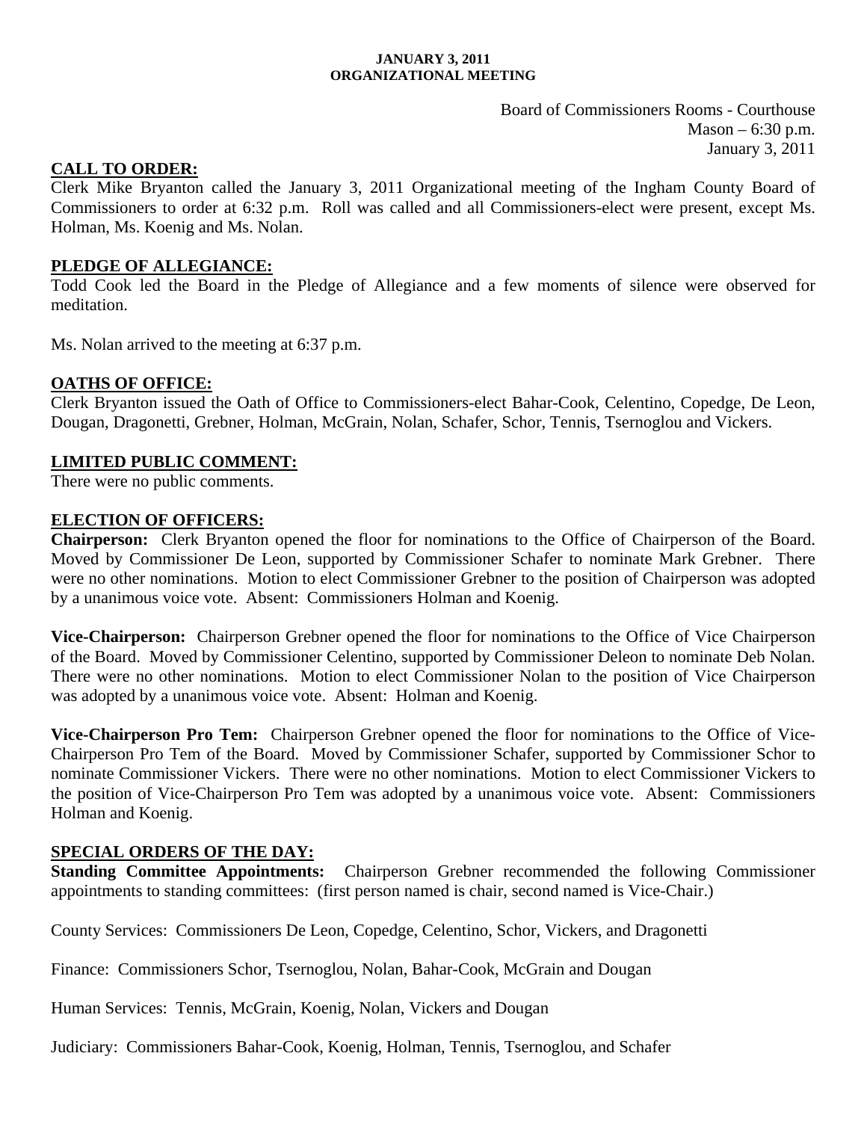#### **JANUARY 3, 2011 ORGANIZATIONAL MEETING**

Board of Commissioners Rooms - Courthouse  $Mason - 6:30 p.m.$ January 3, 2011

## **CALL TO ORDER:**

Clerk Mike Bryanton called the January 3, 2011 Organizational meeting of the Ingham County Board of Commissioners to order at 6:32 p.m. Roll was called and all Commissioners-elect were present, except Ms. Holman, Ms. Koenig and Ms. Nolan.

## **PLEDGE OF ALLEGIANCE:**

Todd Cook led the Board in the Pledge of Allegiance and a few moments of silence were observed for meditation.

Ms. Nolan arrived to the meeting at 6:37 p.m.

## **OATHS OF OFFICE:**

Clerk Bryanton issued the Oath of Office to Commissioners-elect Bahar-Cook, Celentino, Copedge, De Leon, Dougan, Dragonetti, Grebner, Holman, McGrain, Nolan, Schafer, Schor, Tennis, Tsernoglou and Vickers.

#### **LIMITED PUBLIC COMMENT:**

There were no public comments.

#### **ELECTION OF OFFICERS:**

**Chairperson:** Clerk Bryanton opened the floor for nominations to the Office of Chairperson of the Board. Moved by Commissioner De Leon, supported by Commissioner Schafer to nominate Mark Grebner. There were no other nominations. Motion to elect Commissioner Grebner to the position of Chairperson was adopted by a unanimous voice vote. Absent: Commissioners Holman and Koenig.

**Vice-Chairperson:** Chairperson Grebner opened the floor for nominations to the Office of Vice Chairperson of the Board. Moved by Commissioner Celentino, supported by Commissioner Deleon to nominate Deb Nolan. There were no other nominations. Motion to elect Commissioner Nolan to the position of Vice Chairperson was adopted by a unanimous voice vote. Absent: Holman and Koenig.

**Vice-Chairperson Pro Tem:** Chairperson Grebner opened the floor for nominations to the Office of Vice-Chairperson Pro Tem of the Board. Moved by Commissioner Schafer, supported by Commissioner Schor to nominate Commissioner Vickers. There were no other nominations. Motion to elect Commissioner Vickers to the position of Vice-Chairperson Pro Tem was adopted by a unanimous voice vote. Absent: Commissioners Holman and Koenig.

#### **SPECIAL ORDERS OF THE DAY:**

**Standing Committee Appointments:** Chairperson Grebner recommended the following Commissioner appointments to standing committees: (first person named is chair, second named is Vice-Chair.)

County Services: Commissioners De Leon, Copedge, Celentino, Schor, Vickers, and Dragonetti

Finance: Commissioners Schor, Tsernoglou, Nolan, Bahar-Cook, McGrain and Dougan

Human Services: Tennis, McGrain, Koenig, Nolan, Vickers and Dougan

Judiciary: Commissioners Bahar-Cook, Koenig, Holman, Tennis, Tsernoglou, and Schafer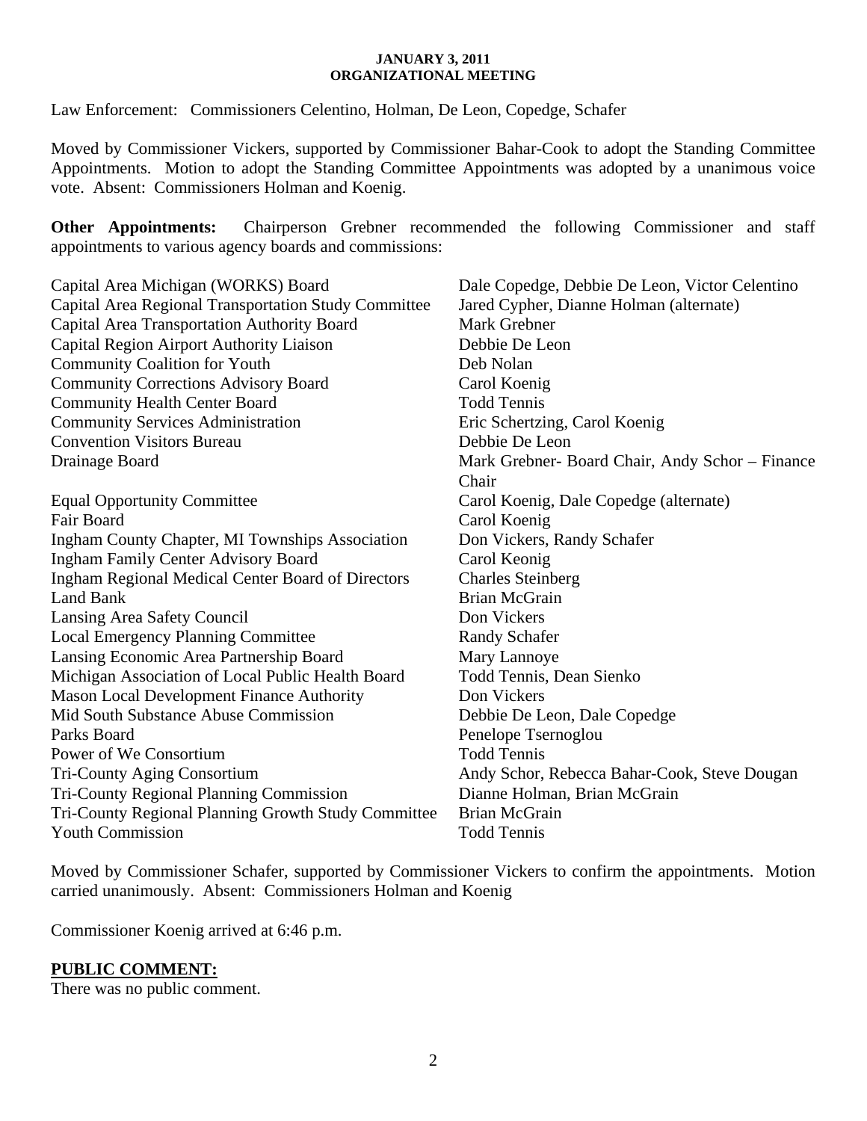#### **JANUARY 3, 2011 ORGANIZATIONAL MEETING**

Law Enforcement: Commissioners Celentino, Holman, De Leon, Copedge, Schafer

Moved by Commissioner Vickers, supported by Commissioner Bahar-Cook to adopt the Standing Committee Appointments. Motion to adopt the Standing Committee Appointments was adopted by a unanimous voice vote. Absent: Commissioners Holman and Koenig.

**Other Appointments:** Chairperson Grebner recommended the following Commissioner and staff appointments to various agency boards and commissions:

| Capital Area Michigan (WORKS) Board                    | Dale Copedge, Debbie De Leon, Victor Celentino  |
|--------------------------------------------------------|-------------------------------------------------|
| Capital Area Regional Transportation Study Committee   | Jared Cypher, Dianne Holman (alternate)         |
| Capital Area Transportation Authority Board            | <b>Mark Grebner</b>                             |
| Capital Region Airport Authority Liaison               | Debbie De Leon                                  |
| <b>Community Coalition for Youth</b>                   | Deb Nolan                                       |
| <b>Community Corrections Advisory Board</b>            | Carol Koenig                                    |
| <b>Community Health Center Board</b>                   | <b>Todd Tennis</b>                              |
| <b>Community Services Administration</b>               | Eric Schertzing, Carol Koenig                   |
| <b>Convention Visitors Bureau</b>                      | Debbie De Leon                                  |
| Drainage Board                                         | Mark Grebner- Board Chair, Andy Schor – Finance |
|                                                        | Chair                                           |
| <b>Equal Opportunity Committee</b>                     | Carol Koenig, Dale Copedge (alternate)          |
| Fair Board                                             | Carol Koenig                                    |
| <b>Ingham County Chapter, MI Townships Association</b> | Don Vickers, Randy Schafer                      |
| <b>Ingham Family Center Advisory Board</b>             | Carol Keonig                                    |
| Ingham Regional Medical Center Board of Directors      | <b>Charles Steinberg</b>                        |
| <b>Land Bank</b>                                       | Brian McGrain                                   |
| Lansing Area Safety Council                            | Don Vickers                                     |
| <b>Local Emergency Planning Committee</b>              | <b>Randy Schafer</b>                            |
| Lansing Economic Area Partnership Board                | Mary Lannoye                                    |
| Michigan Association of Local Public Health Board      | Todd Tennis, Dean Sienko                        |
| <b>Mason Local Development Finance Authority</b>       | Don Vickers                                     |
| Mid South Substance Abuse Commission                   | Debbie De Leon, Dale Copedge                    |
| Parks Board                                            | Penelope Tsernoglou                             |
| Power of We Consortium                                 | <b>Todd Tennis</b>                              |
| Tri-County Aging Consortium                            | Andy Schor, Rebecca Bahar-Cook, Steve Dougan    |
| <b>Tri-County Regional Planning Commission</b>         | Dianne Holman, Brian McGrain                    |
| Tri-County Regional Planning Growth Study Committee    | <b>Brian McGrain</b>                            |
| <b>Youth Commission</b>                                | <b>Todd Tennis</b>                              |
|                                                        |                                                 |

Moved by Commissioner Schafer, supported by Commissioner Vickers to confirm the appointments. Motion carried unanimously. Absent: Commissioners Holman and Koenig

Commissioner Koenig arrived at 6:46 p.m.

# **PUBLIC COMMENT:**

There was no public comment.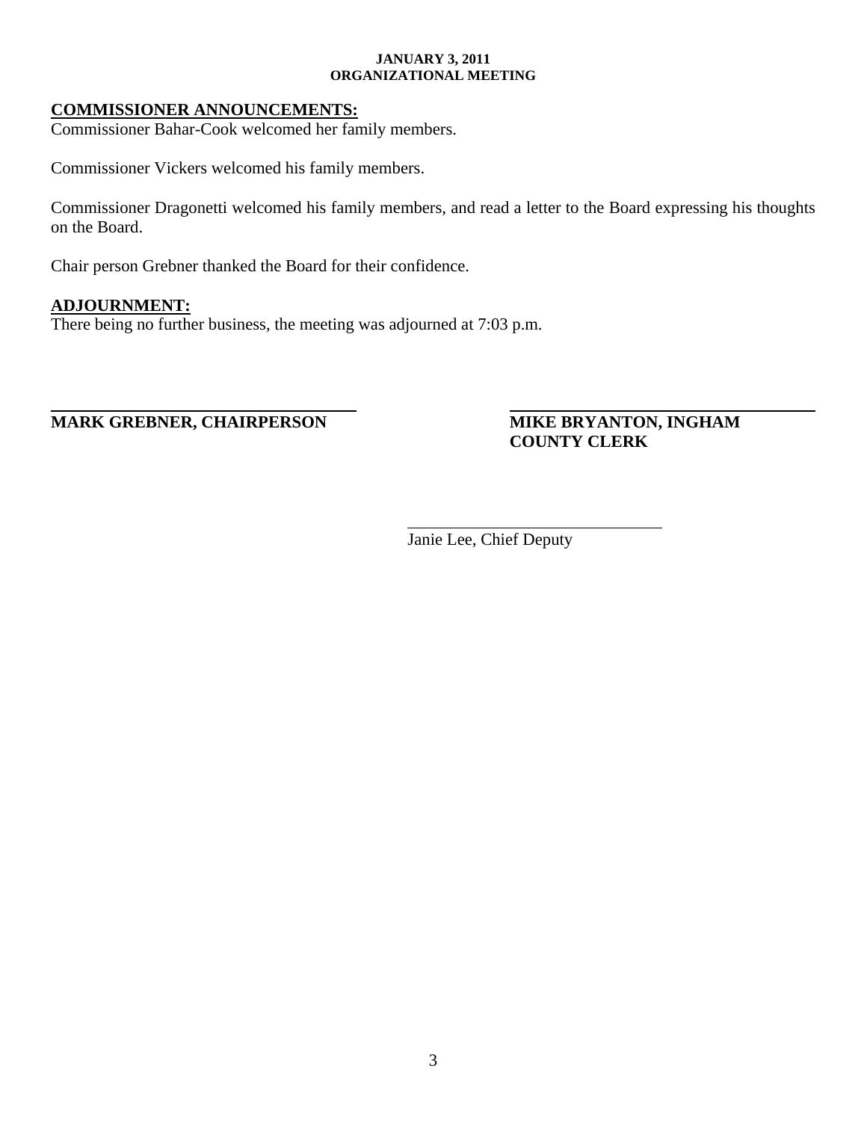#### **JANUARY 3, 2011 ORGANIZATIONAL MEETING**

## **COMMISSIONER ANNOUNCEMENTS:**

Commissioner Bahar-Cook welcomed her family members.

Commissioner Vickers welcomed his family members.

Commissioner Dragonetti welcomed his family members, and read a letter to the Board expressing his thoughts on the Board.

Chair person Grebner thanked the Board for their confidence.

## **ADJOURNMENT:**

There being no further business, the meeting was adjourned at 7:03 p.m.

**MARK GREBNER, CHAIRPERSON MIKE BRYANTON, INGHAM** 

**COUNTY CLERK** 

Janie Lee, Chief Deputy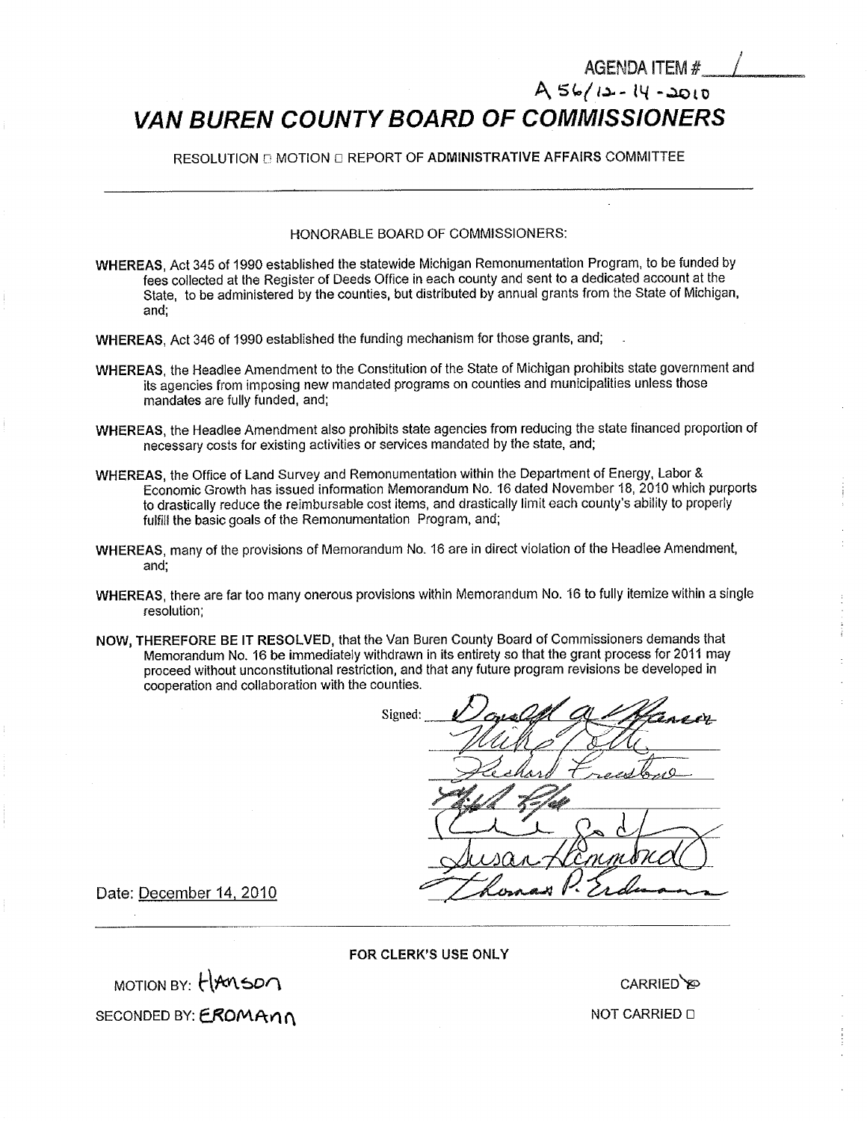# **VAN BUREN COUNTY BOARD OF COMMISSIONERS**

RESOLUTION **E** MOTION **E REPORT OF ADMINISTRATIVE AFFAIRS COMMITTEE** 

#### HONORABLE BOARD OF COMMISSIONERS:

- WHEREAS, Act 345 of 1990 established the statewide Michigan Remonumentation Program, to be funded by fees collected at the Register of Deeds Office in each county and sent to a dedicated account at the State, to be administered by the counties, but distributed by annual grants from the State of Michigan, and;
- WHEREAS, Act 346 of 1990 established the funding mechanism for those grants, and;
- WHEREAS, the Headlee Amendment to the Constitution of the State of Michigan prohibits state government and its agencies from imposing new mandated programs on counties and municipalities unless those mandates are fully funded, and;
- WHEREAS, the Headlee Amendment also prohibits state agencies from reducing the state financed proportion of necessary costs for existing activities or services mandated by the state, and;
- WHEREAS, the Office of Land Survey and Remonumentation within the Department of Energy, Labor & Economic Growth has issued information Memorandum No. 16 dated November 18, 2010 which purports to drastically reduce the reimbursable cost items, and drastically limit each county's ability to properly fulfill the basic goals of the Remonumentation Program, and;
- WHEREAS, many of the provisions of Memorandum No. 16 are in direct violation of the Headlee Amendment, and;
- WHEREAS, there are far too many onerous provisions within Memorandum No. 16 to fully itemize within a single resolution;
- NOW, THEREFORE BE IT RESOLVED, that the Van Buren County Board of Commissioners demands that Memorandum No. 16 be immediately withdrawn in its entirety so that the grant process for 2011 may proceed without unconstitutional restriction, and that any future program revisions be developed in cooperation and collaboration with the counties.

Signed: t£—

Date: December 14, 2010

FOR CLERK'S USE ONLY

 $M$ OTION BY:  $H$ Anson SECONDED BY: EROMANN

CARRIED**\**@

AGENDA ITEM #

 $A56 / 12 - 14 - 2010$ 

NOT CARRIED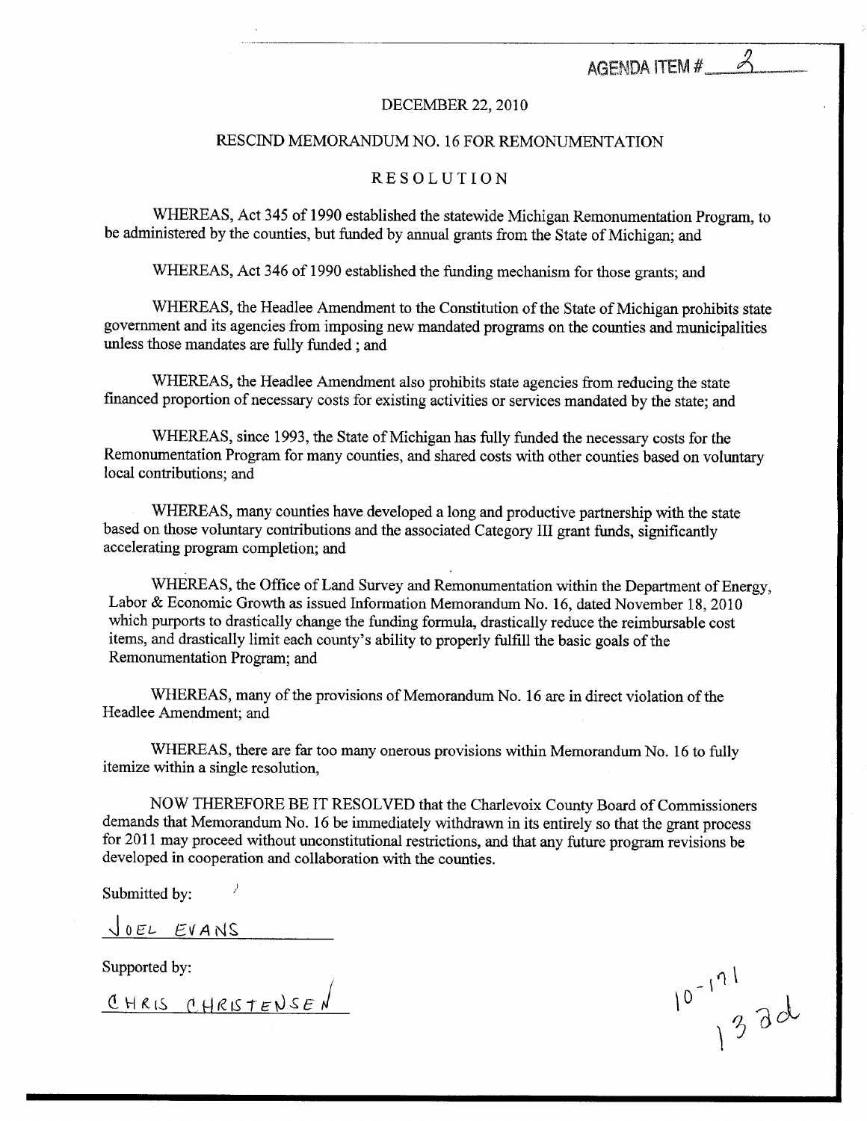AGENDA ITEM #

#### DECEMBER.22,2010

#### RESCIND MEMORANDUM NO. <sup>16</sup> FOR REMONUMENTATION

#### RESOLUTION

WHEREAS, Act 345 of 1990 established the statewide Michigan Remonumentation Program, to be administered by the counties, but funded by annual grants from the State of Michigan; and

WHEREAS, Act 346 of 1990 established the funding mechanism for those grants; and

WHEREAS, the Headlee Amendment to the Constitution of the State of Michigan prohibits state government and its agencies from imposing new mandated programs on the counties and municipalities unless those mandates are fully funded; and

WHEREAS, the Headlee Amendment also prohibits state agencies from reducing the state financed proportion of necessary costs for existing activities or services mandated by the state; and

WHEREAS, since 1993, the State of Michigan has fully funded the necessary costs for the Remonumentation Program for many counties, and shared costs with other counties based on voluntary local contributions; and

WHEREAS, many counties have developed a long and productive partnership with the state based on those voluntary contributions and the associated Category III grant funds, significantly accelerating program completion; and

WHEREAS, the Office of Land Survey and Remonumentation within the Department of Energy, Labor & Economic Growth as issued Information Memorandum No. 16, dated November 18, 2010 which purports to drastically change the funding formula, drastically reduce the reimbursable cost items, and drastically limit each county's ability to properly fulfill the basic goals of the Remonumentation Program; and

WHEREAS, many of the provisions of Memorandum No. <sup>16</sup> are in direct violation of the Headlee Amendment; and

WHEREAS, there are far too many onerous provisions within Memorandum No. <sup>16</sup> to fully itemize within a single resolution,

NOW THEREFORE BE IT RESOLVED that the Charlevoix County Board of Commissioners demands that Memorandum No. 16 be immediately withdrawn in its entirely so that the grant process for 2011 may proceed without unconstitutional restrictions, and that any future program revisions be developed in cooperation and collaboration with the counties.

Submitted by:

JOEL EVANS

Supported by:

CHRIS CHRISTENSEN

 $10^{-171}$ <br>33d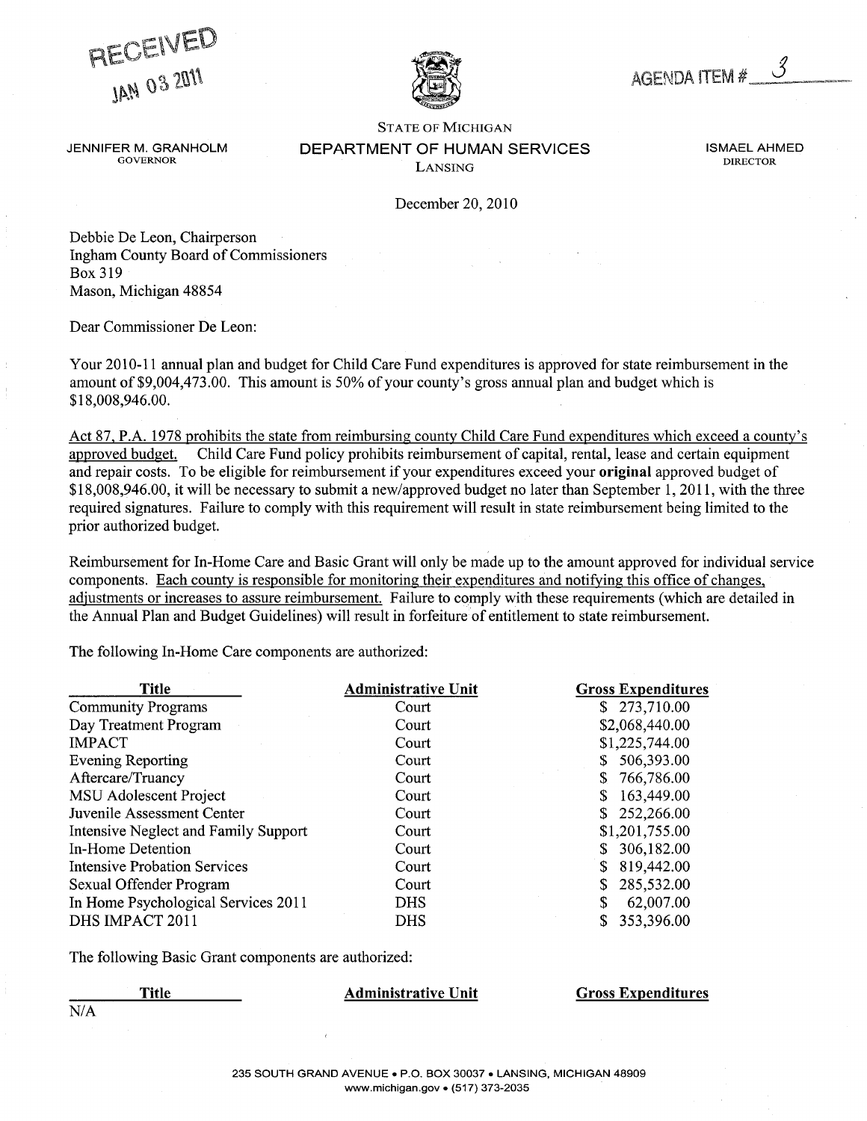PIECEIVED



AGENDA ITEM #.

STATE OF MICHIGAN JENNIFER M. GRANHOLM DEPARTMENT OF HUMAN SERVICES **in the symbol of the service** ismael ahmed GOVERNOR DIRECTOR **LANSING DIRECTOR** 

December 20, 2010

Debbie De Leon, Chairperson Ingham County Board of Commissioners Box 319 Mason, Michigan 48854

Dear Commissioner De Leon:

Your 2010-11 annual plan and budget for Child Care Fund expenditures is approved for state reimbursement in the amount of \$9,004,473.00. This amount is 50% of your county's gross annual plan and budget which is \$18,008,946.00.

Act 87, P.A. 1978 prohibits the state from reimbursing county Child Care Fund expenditures which exceed a county's approved budget. Child Care Fund policy prohibits reimbursement of capital, rental, lease and certain equipment and repair costs. To be eligible for reimbursement if your expenditures exceed your original approved budget of \$18,008,946.00, it will be necessary to submit a new/approved budget no later than September 1, 2011, with the three required signatures. Failure to comply with this requirement will result in state reimbursement being limited to the prior authorized budget.

Reimbursement for In-Home Care and Basic Grant will only be made up to the amount approved for individual service components. Each countv is responsible for monitoring their expenditures and notifying this office of changes, adjustments or increases to assure reimbursement. Failure to comply with these requirements (which are detailed in the Annual Plan and Budget Guidelines) will result in forfeiture of entitlement to state reimbursement.

The following In-Home Care components are authorized:

| Title                                | <b>Administrative Unit</b> | <b>Gross Expenditures</b> |
|--------------------------------------|----------------------------|---------------------------|
| <b>Community Programs</b>            | Court                      | 273,710.00<br>S.          |
| Day Treatment Program                | Court                      | \$2,068,440.00            |
| <b>IMPACT</b>                        | Court                      | \$1,225,744.00            |
| <b>Evening Reporting</b>             | Court                      | 506,393.00                |
| Aftercare/Truancy                    | Court                      | 766,786.00                |
| <b>MSU Adolescent Project</b>        | Court                      | 163,449.00                |
| Juvenile Assessment Center           | Court                      | 252,266.00                |
| Intensive Neglect and Family Support | Court                      | \$1,201,755.00            |
| In-Home Detention                    | Court                      | 306,182.00                |
| <b>Intensive Probation Services</b>  | Court                      | 819,442.00                |
| Sexual Offender Program              | Court                      | 285,532.00                |
| In Home Psychological Services 2011  | <b>DHS</b>                 | 62,007.00                 |
| DHS IMPACT 2011                      | DHS                        | 353,396.00                |

The following Basic Grant components are authorized:

| Title | <b>Administrative Unit</b> | <b>Gross Expenditures</b> |
|-------|----------------------------|---------------------------|
| N/A   |                            |                           |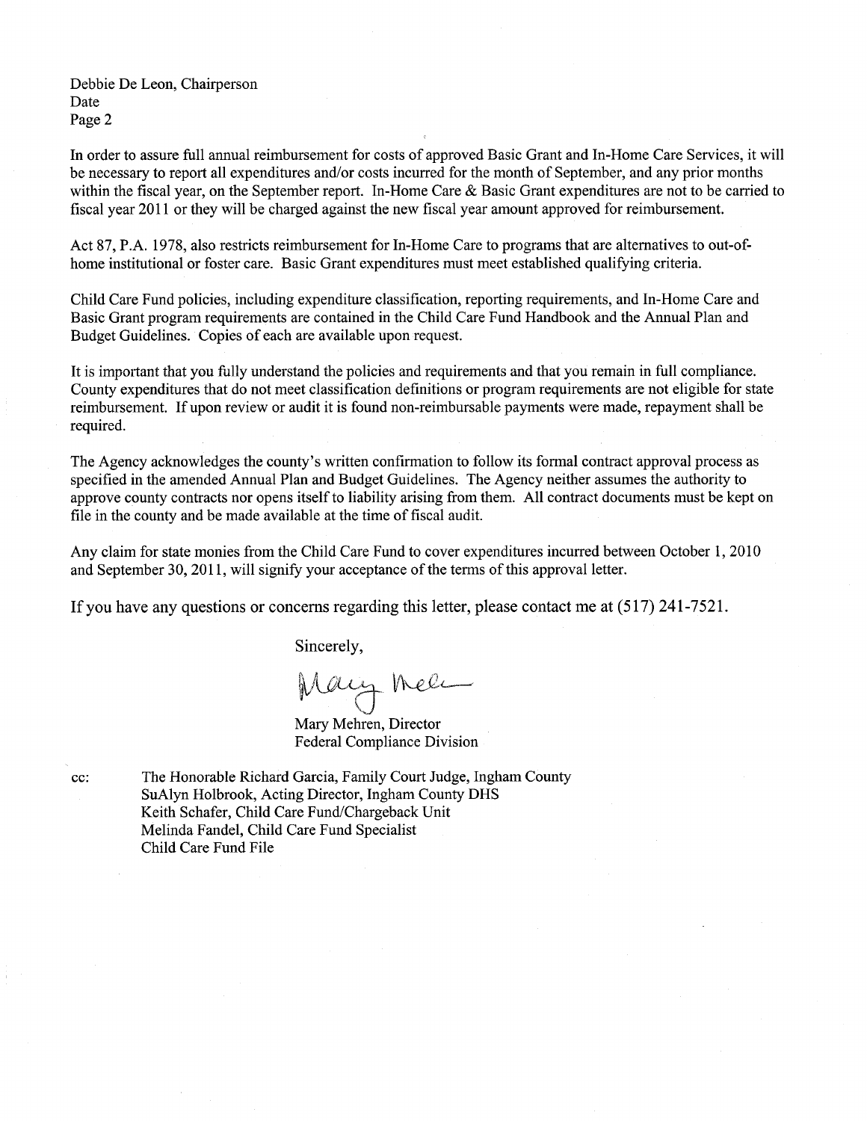Debbie De Leon, Chairperson Date Page 2

In order to assure full annual reimbursement for costs of approved Basic Grant and In-Home Care Services, it will be necessary to report all expenditures and/or costs incurred for the month of September, and any prior months within the fiscal year, on the September report. In-Home Care  $\&$  Basic Grant expenditures are not to be carried to fiscal year 2011 or they will be charged against the new fiscal year amount approved for reimbursement.

Act 87, P.A. 1978, also restricts reimbursement for In-Home Care to programs that are alternatives to out-ofhome institutional or foster care. Basic Grant expenditures must meet established qualifying criteria.

Child Care Fund policies, including expenditure classification, reporting requirements, and In-Home Care and Basic Grant program requirements are contained in the Child Care Fund Handbook and the Annual Plan and Budget Guidelines. Copies of each are available upon request.

It is important that you fully understand the policies and requirements and that you remain in full compliance. County expenditures that do not meet classification definitions or program requirements are not eligible for state reimbursement. If upon review or audit it is found non-reimbursable payments were made, repayment shall be required.

The Agency acknowledges the county's written confirmation to follow its formal contract approval process as specified in the amended Annual Plan and Budget Guidelines. The Agency neither assumes the authority to approve county contracts nor opens itself to liability arising from them. All contract documents must be kept on file in the county and be made available at the time of fiscal audit.

Any claim for state monies from the Child Care Fund to cover expenditures incurred between October 1, 2010 and September 30, 2011, will signify your acceptance of the terms of this approval letter.

If you have any questions or concerns regarding this letter, please contact me at (517) 241-7521.

Sincerely,

Mary Mell

Mary Mehren, Director Federal Compliance Division

cc: The Honorable Richard Garcia, Family Court Judge, Ingham County SuAlyn Holbrook, Acting Director, Ingham County DHS Keith Schafer, Child Care Fund/Chargeback Unit Melinda Fandel, Child Care Fund Specialist Child Care Fund File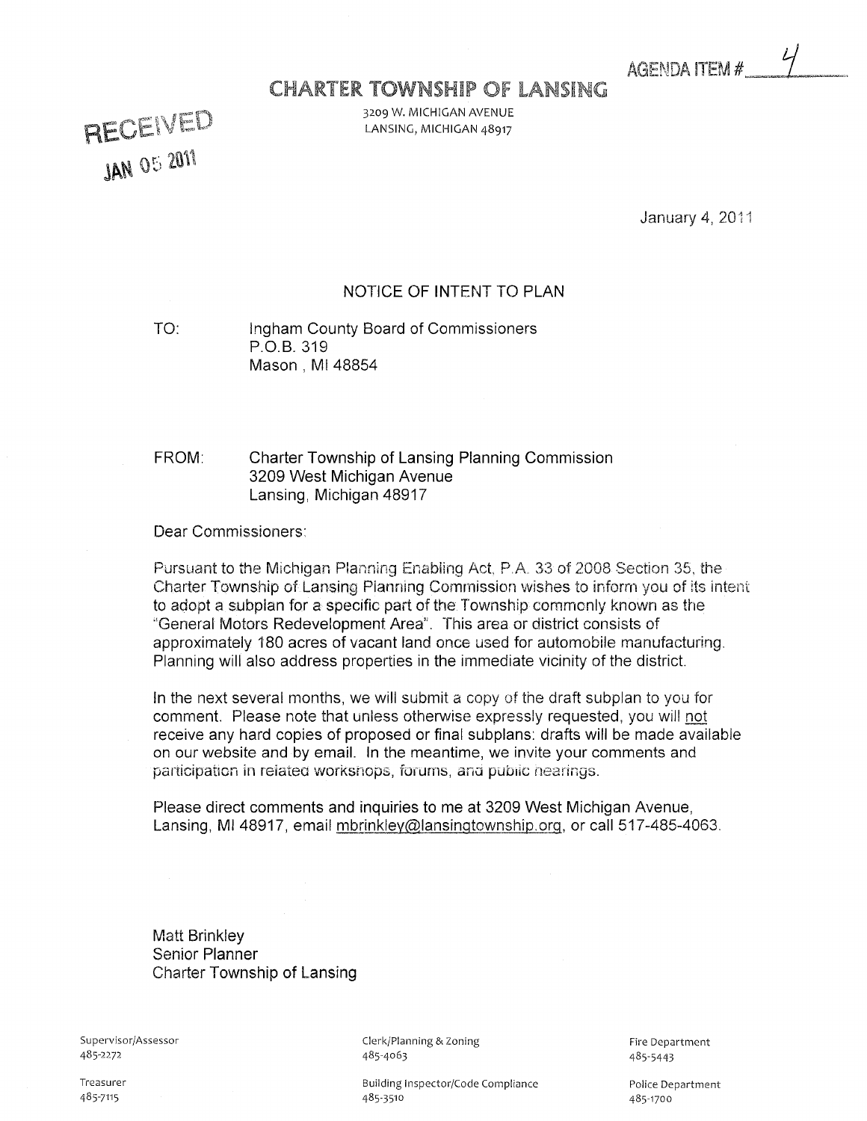AGENDA ITEM #

# **CHARTER TOWNSHIP OF LANSING**

3209 W. MICHIGAN AVENUE LANSING, MICHIGAN 48917

RECEIVED **JAN 05 2011** 

January 4, 2011

## NOTICE OF INTENT TO PLAN

TO: Ingham County Board of Commissioners P.O.B. 319 Mason, MI 48854

#### FROM: Charter Township of Lansing Planning Commission 3209 West Michigan Avenue Lansing, Michigan 48917

Dear Commissioners:

Pursuant to the Michigan Planning Enabling Act, P.A. 33 of 2008 Section 35, the Charter Township of Lansing Planning Commission wishes to inform you of its intent to adopt a subplan for a specific part of the Township commonly known as the "General Motors Redevelopment Area". This area or district consists of approximateiy 180 acres of vacant land once used for automobile manufacturing. Planning will also address properties in the immediate vicinity of the district.

In the next several months, we will submit a copy of the draft subplan to you for comment. Please note that unless otherwise expressly requested, you will n\_ot receive any hard copies of proposed or final subplans: drafts will be made available on our website and by email. In the meantime, we invite your comments and participation in related workshops, forums, and public hearings.

Please direct comments and inquiries to me at 3209 West Michigan Avenue, Lansing, Ml 48917, email mbrinkley@lansinqtownship.org, or call 517-485-4063.

Matt Brinkley Senior Planner Charter Township of Lansing

Supervisor/Assessor 485-2272

Clerk/Planning & Zoning 485-4063

Building Inspector/Code Compliance 485-3510

Fire Department 485-5443

Police Department 485-1700

Treasurer 485-7115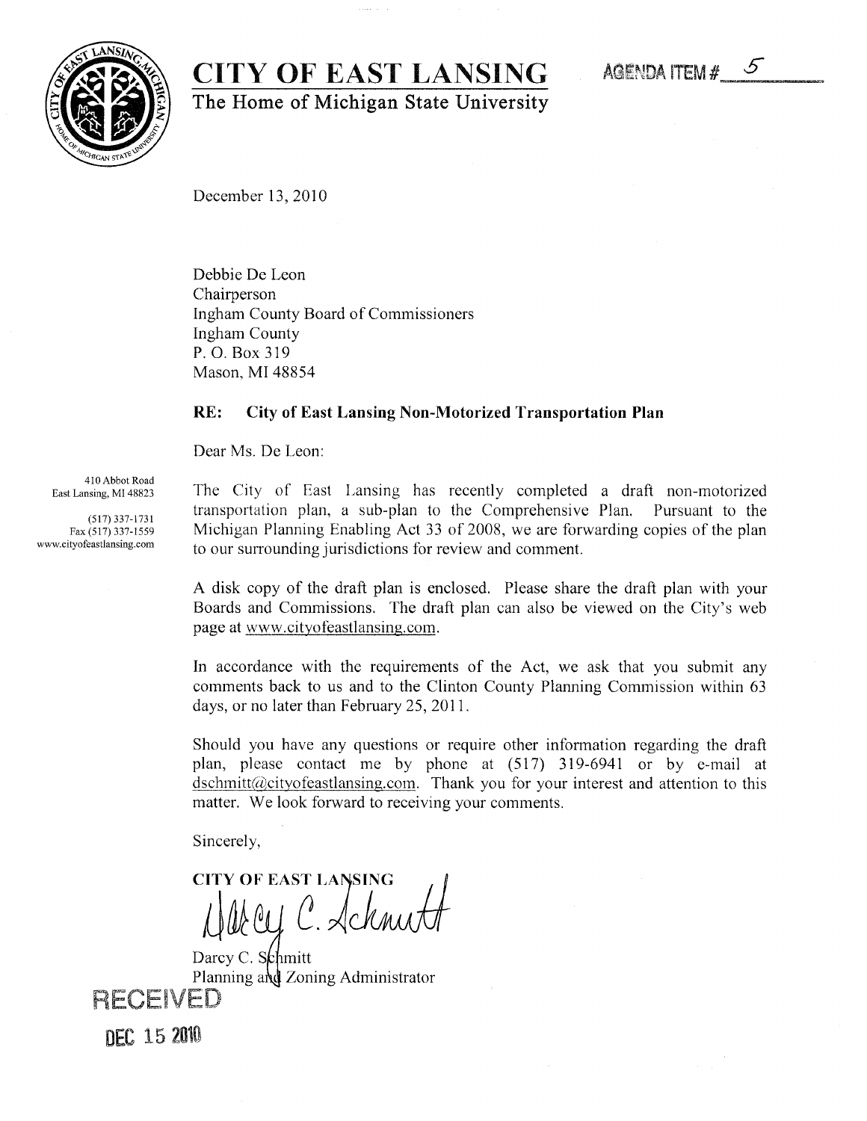# CITY OF EAST LANSING

The Home of Michigan State University

December 13,2010

Debbie De Leon Chairperson Ingham County Board of Commissioners Ingham County P.O. Box 319 Mason, MI 48854

#### RE: City of East Lansing Non-Motorized Transportation Plan

Dear Ms. De Leon:

410 Abbot Road East Lansing, MI 48823

(517)337-1731 Fax (517) 337-1559 www.cityofeastlansing.com The City of East Lansing has recently completed a draft non-motorized transportation plan, a sub-plan to the Comprehensive Plan. Pursuant to the Michigan Planning Enabling Act 33 of 2008, we are forwarding copies of the plan to our surrounding jurisdictions for review and comment.

disk copy of the draft plan is enclosed. Please share the draft plan with your Boards and Commissions. The draft plan can also be viewed on the City's web page at www.cityofeastlansing.com.

In accordance with the requirements of the Act, we ask that you submit any comments back to us and to the Clinton County Planning Commission within 63 days, or no later than February 25, 2011.

Should you have any questions or require other information regarding the draft plan, please contact me by phone at (517) 319-6941 or by e-mail at dschmitt@cityofeastlansing.com. Thank you for your interest and attention to this matter. We look forward to receiving your comments.

Sincerely,

CITY OF EAST LANSING Ley C. Schmitt

Darcy C. Schmitt Planning and Zoning Administrator RECEIVED

**DEC 15 2010** 

AGENDA ITEM  $#$  5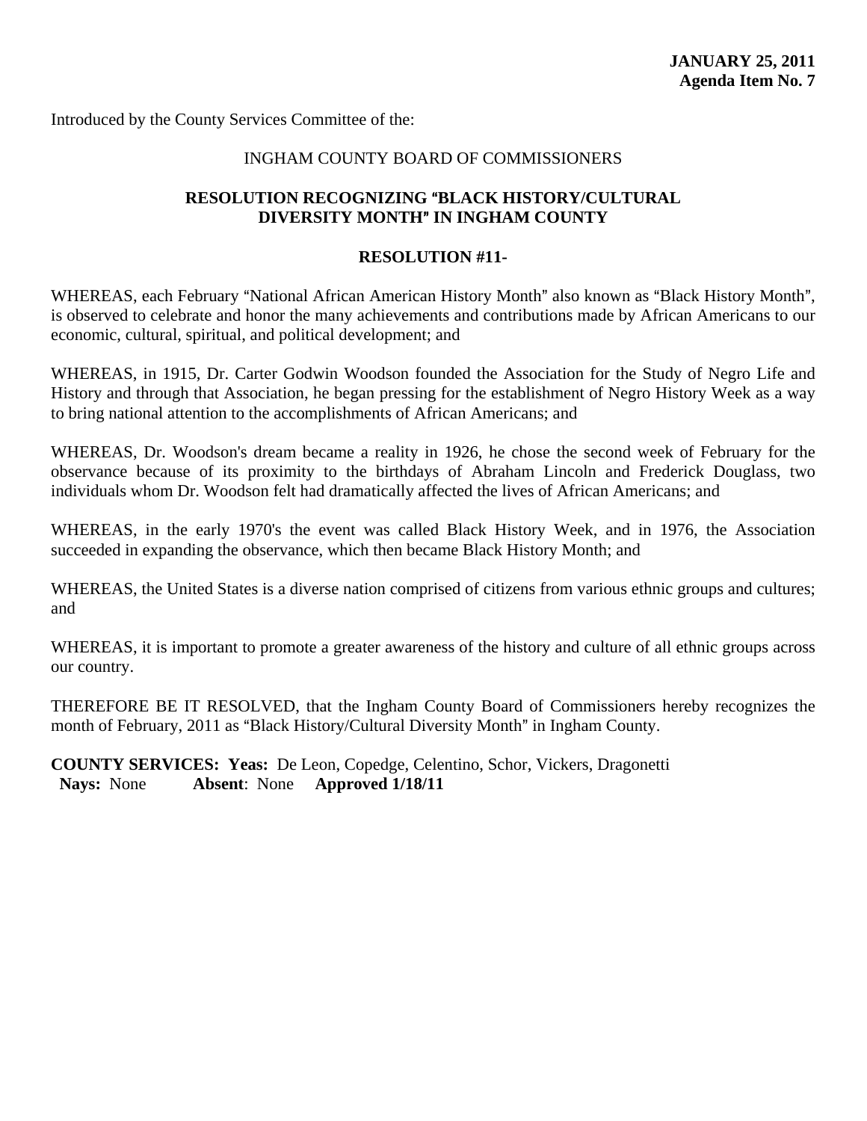#### INGHAM COUNTY BOARD OF COMMISSIONERS

## **RESOLUTION RECOGNIZING "BLACK HISTORY/CULTURAL DIVERSITY MONTH" IN INGHAM COUNTY**

#### **RESOLUTION #11-**

WHEREAS, each February "National African American History Month" also known as "Black History Month", is observed to celebrate and honor the many achievements and contributions made by African Americans to our economic, cultural, spiritual, and political development; and

WHEREAS, in 1915, Dr. Carter Godwin Woodson founded the Association for the Study of Negro Life and History and through that Association, he began pressing for the establishment of Negro History Week as a way to bring national attention to the accomplishments of African Americans; and

WHEREAS, Dr. Woodson's dream became a reality in 1926, he chose the second week of February for the observance because of its proximity to the birthdays of Abraham Lincoln and Frederick Douglass, two individuals whom Dr. Woodson felt had dramatically affected the lives of African Americans; and

WHEREAS, in the early 1970's the event was called Black History Week, and in 1976, the Association succeeded in expanding the observance, which then became Black History Month; and

WHEREAS, the United States is a diverse nation comprised of citizens from various ethnic groups and cultures; and

WHEREAS, it is important to promote a greater awareness of the history and culture of all ethnic groups across our country.

THEREFORE BE IT RESOLVED, that the Ingham County Board of Commissioners hereby recognizes the month of February, 2011 as "Black History/Cultural Diversity Month" in Ingham County.

**COUNTY SERVICES: Yeas:** De Leon, Copedge, Celentino, Schor, Vickers, Dragonetti  **Nays:** None **Absent**: None **Approved 1/18/11**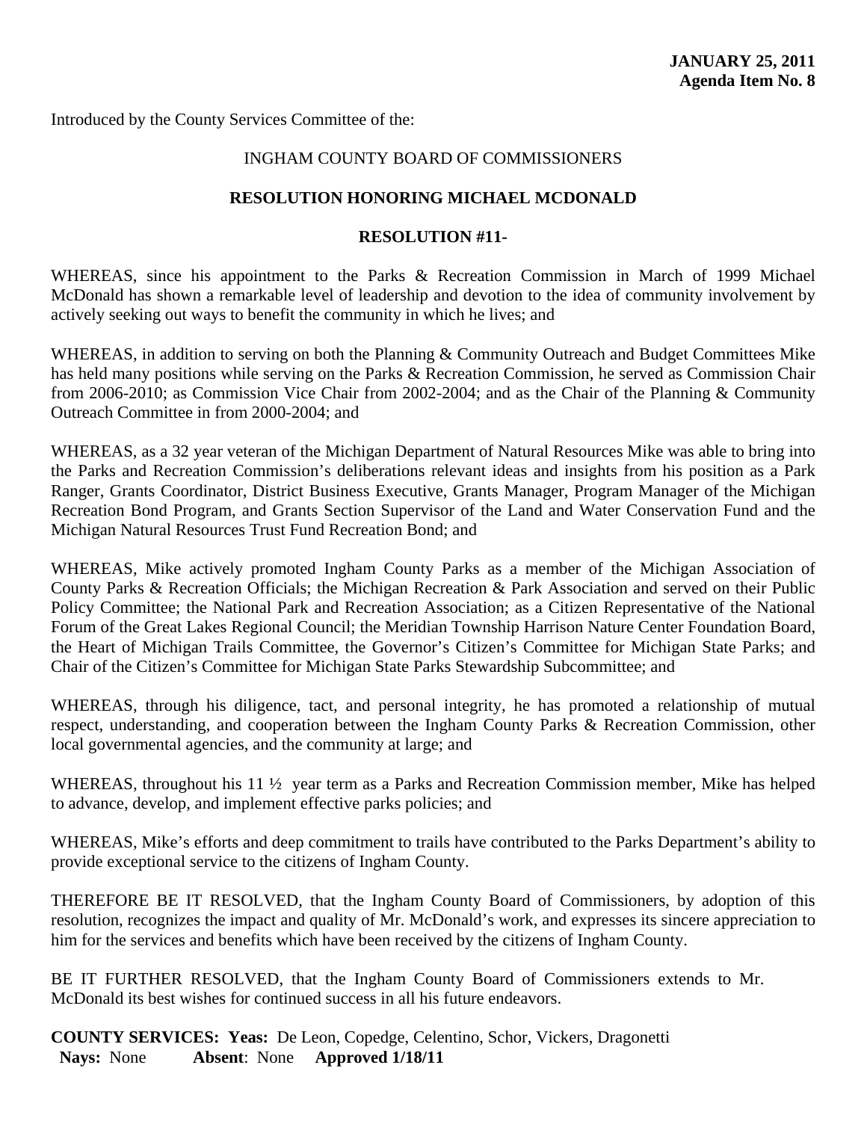## INGHAM COUNTY BOARD OF COMMISSIONERS

#### **RESOLUTION HONORING MICHAEL MCDONALD**

#### **RESOLUTION #11-**

WHEREAS, since his appointment to the Parks & Recreation Commission in March of 1999 Michael McDonald has shown a remarkable level of leadership and devotion to the idea of community involvement by actively seeking out ways to benefit the community in which he lives; and

WHEREAS, in addition to serving on both the Planning & Community Outreach and Budget Committees Mike has held many positions while serving on the Parks & Recreation Commission, he served as Commission Chair from 2006-2010; as Commission Vice Chair from 2002-2004; and as the Chair of the Planning & Community Outreach Committee in from 2000-2004; and

WHEREAS, as a 32 year veteran of the Michigan Department of Natural Resources Mike was able to bring into the Parks and Recreation Commission's deliberations relevant ideas and insights from his position as a Park Ranger, Grants Coordinator, District Business Executive, Grants Manager, Program Manager of the Michigan Recreation Bond Program, and Grants Section Supervisor of the Land and Water Conservation Fund and the Michigan Natural Resources Trust Fund Recreation Bond; and

WHEREAS, Mike actively promoted Ingham County Parks as a member of the Michigan Association of County Parks & Recreation Officials; the Michigan Recreation & Park Association and served on their Public Policy Committee; the National Park and Recreation Association; as a Citizen Representative of the National Forum of the Great Lakes Regional Council; the Meridian Township Harrison Nature Center Foundation Board, the Heart of Michigan Trails Committee, the Governor's Citizen's Committee for Michigan State Parks; and Chair of the Citizen's Committee for Michigan State Parks Stewardship Subcommittee; and

WHEREAS, through his diligence, tact, and personal integrity, he has promoted a relationship of mutual respect, understanding, and cooperation between the Ingham County Parks & Recreation Commission, other local governmental agencies, and the community at large; and

WHEREAS, throughout his 11  $\frac{1}{2}$  year term as a Parks and Recreation Commission member, Mike has helped to advance, develop, and implement effective parks policies; and

WHEREAS, Mike's efforts and deep commitment to trails have contributed to the Parks Department's ability to provide exceptional service to the citizens of Ingham County.

THEREFORE BE IT RESOLVED, that the Ingham County Board of Commissioners, by adoption of this resolution, recognizes the impact and quality of Mr. McDonald's work, and expresses its sincere appreciation to him for the services and benefits which have been received by the citizens of Ingham County.

BE IT FURTHER RESOLVED, that the Ingham County Board of Commissioners extends to Mr. McDonald its best wishes for continued success in all his future endeavors.

**COUNTY SERVICES: Yeas:** De Leon, Copedge, Celentino, Schor, Vickers, Dragonetti  **Nays:** None **Absent**: None **Approved 1/18/11**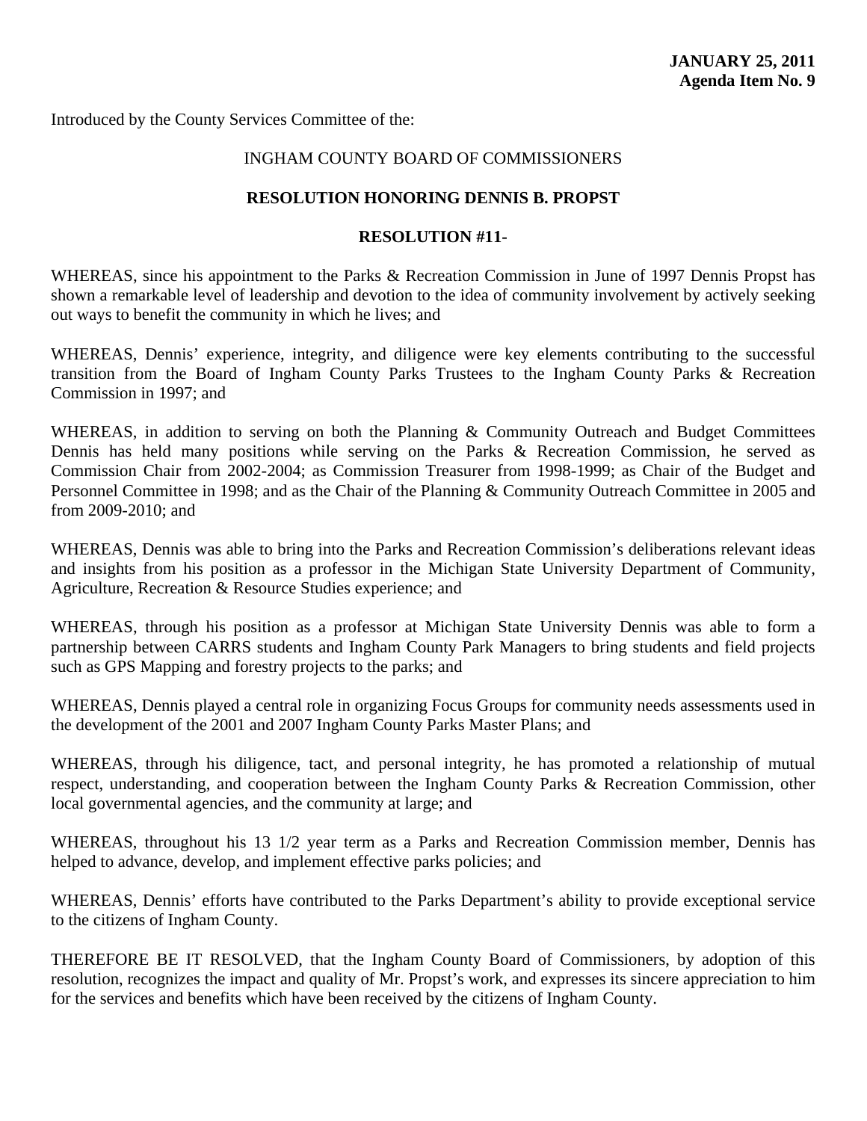## INGHAM COUNTY BOARD OF COMMISSIONERS

#### **RESOLUTION HONORING DENNIS B. PROPST**

#### **RESOLUTION #11-**

WHEREAS, since his appointment to the Parks & Recreation Commission in June of 1997 Dennis Propst has shown a remarkable level of leadership and devotion to the idea of community involvement by actively seeking out ways to benefit the community in which he lives; and

WHEREAS, Dennis' experience, integrity, and diligence were key elements contributing to the successful transition from the Board of Ingham County Parks Trustees to the Ingham County Parks & Recreation Commission in 1997; and

WHEREAS, in addition to serving on both the Planning & Community Outreach and Budget Committees Dennis has held many positions while serving on the Parks & Recreation Commission, he served as Commission Chair from 2002-2004; as Commission Treasurer from 1998-1999; as Chair of the Budget and Personnel Committee in 1998; and as the Chair of the Planning & Community Outreach Committee in 2005 and from 2009-2010; and

WHEREAS, Dennis was able to bring into the Parks and Recreation Commission's deliberations relevant ideas and insights from his position as a professor in the Michigan State University Department of Community, Agriculture, Recreation & Resource Studies experience; and

WHEREAS, through his position as a professor at Michigan State University Dennis was able to form a partnership between CARRS students and Ingham County Park Managers to bring students and field projects such as GPS Mapping and forestry projects to the parks; and

WHEREAS, Dennis played a central role in organizing Focus Groups for community needs assessments used in the development of the 2001 and 2007 Ingham County Parks Master Plans; and

WHEREAS, through his diligence, tact, and personal integrity, he has promoted a relationship of mutual respect, understanding, and cooperation between the Ingham County Parks & Recreation Commission, other local governmental agencies, and the community at large; and

WHEREAS, throughout his 13 1/2 year term as a Parks and Recreation Commission member, Dennis has helped to advance, develop, and implement effective parks policies; and

WHEREAS, Dennis' efforts have contributed to the Parks Department's ability to provide exceptional service to the citizens of Ingham County.

THEREFORE BE IT RESOLVED, that the Ingham County Board of Commissioners, by adoption of this resolution, recognizes the impact and quality of Mr. Propst's work, and expresses its sincere appreciation to him for the services and benefits which have been received by the citizens of Ingham County.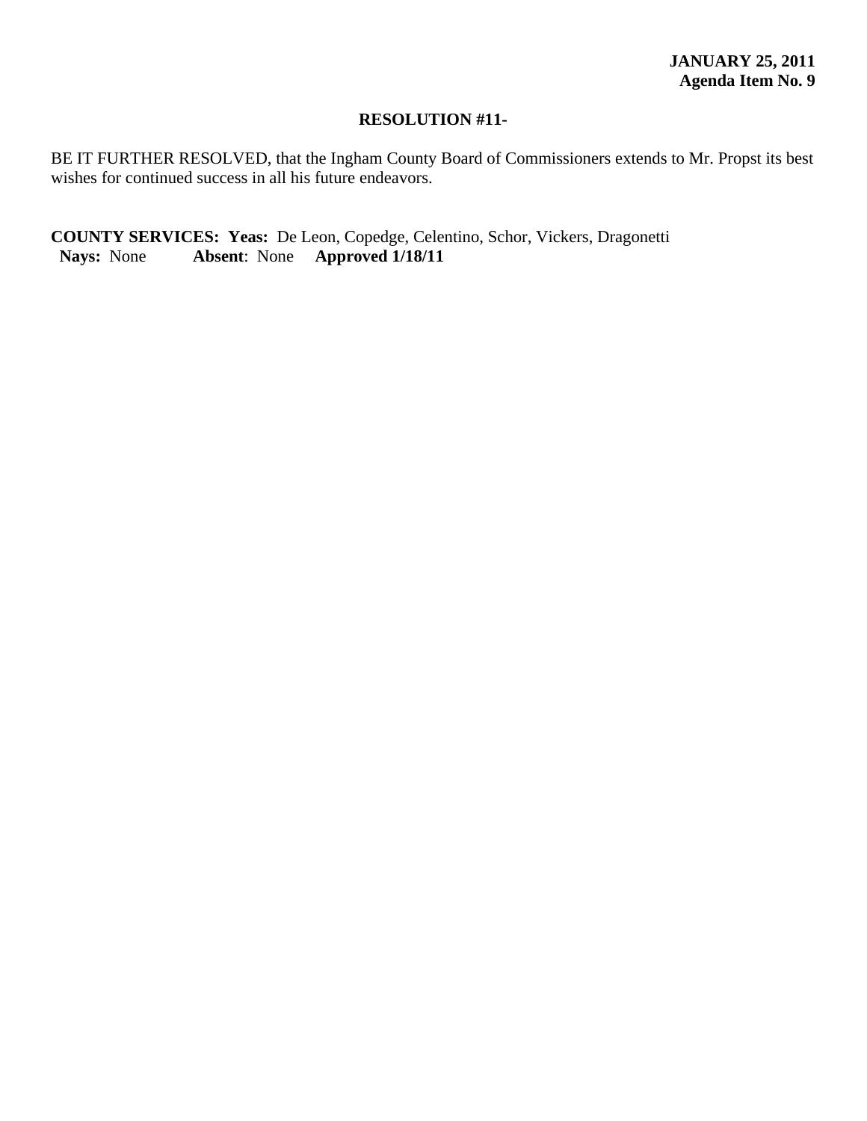### **RESOLUTION #11-**

BE IT FURTHER RESOLVED, that the Ingham County Board of Commissioners extends to Mr. Propst its best wishes for continued success in all his future endeavors.

**COUNTY SERVICES: Yeas:** De Leon, Copedge, Celentino, Schor, Vickers, Dragonetti  **Nays:** None **Absent**: None **Approved 1/18/11**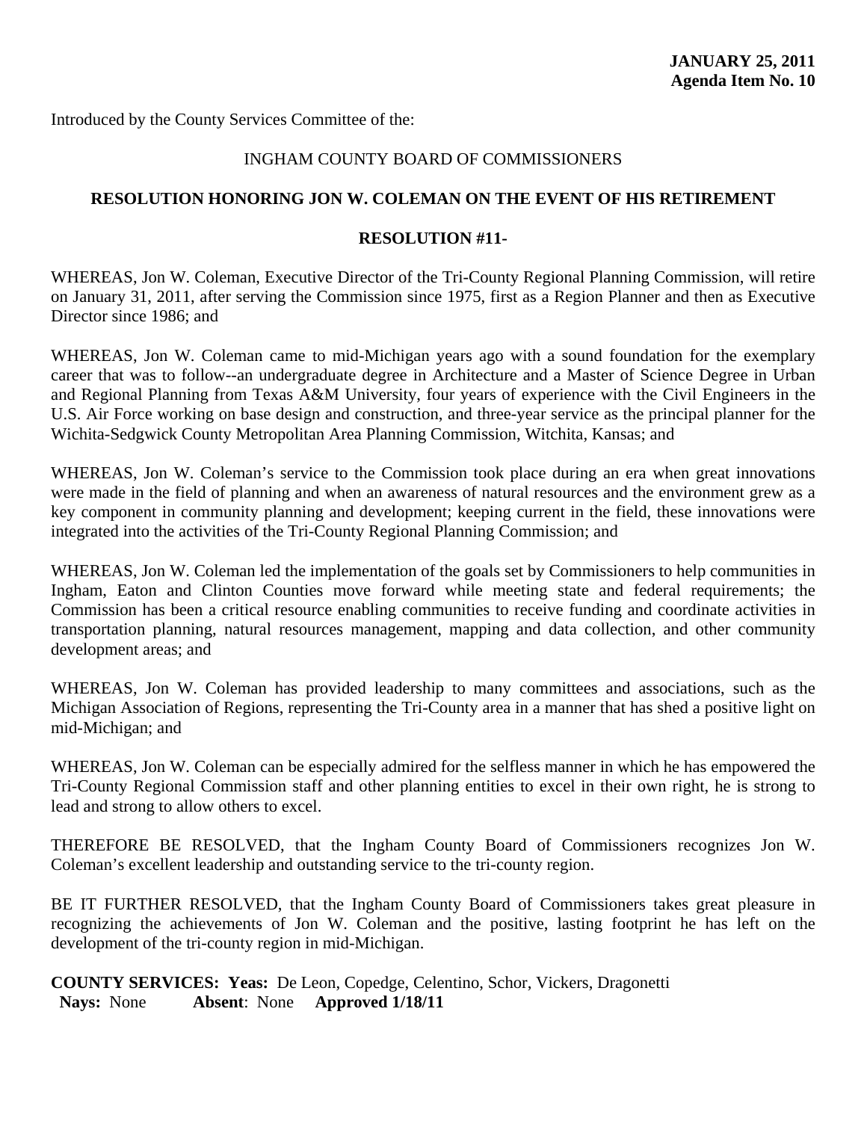### INGHAM COUNTY BOARD OF COMMISSIONERS

#### **RESOLUTION HONORING JON W. COLEMAN ON THE EVENT OF HIS RETIREMENT**

#### **RESOLUTION #11-**

WHEREAS, Jon W. Coleman, Executive Director of the Tri-County Regional Planning Commission, will retire on January 31, 2011, after serving the Commission since 1975, first as a Region Planner and then as Executive Director since 1986; and

WHEREAS, Jon W. Coleman came to mid-Michigan years ago with a sound foundation for the exemplary career that was to follow--an undergraduate degree in Architecture and a Master of Science Degree in Urban and Regional Planning from Texas A&M University, four years of experience with the Civil Engineers in the U.S. Air Force working on base design and construction, and three-year service as the principal planner for the Wichita-Sedgwick County Metropolitan Area Planning Commission, Witchita, Kansas; and

WHEREAS, Jon W. Coleman's service to the Commission took place during an era when great innovations were made in the field of planning and when an awareness of natural resources and the environment grew as a key component in community planning and development; keeping current in the field, these innovations were integrated into the activities of the Tri-County Regional Planning Commission; and

WHEREAS, Jon W. Coleman led the implementation of the goals set by Commissioners to help communities in Ingham, Eaton and Clinton Counties move forward while meeting state and federal requirements; the Commission has been a critical resource enabling communities to receive funding and coordinate activities in transportation planning, natural resources management, mapping and data collection, and other community development areas; and

WHEREAS, Jon W. Coleman has provided leadership to many committees and associations, such as the Michigan Association of Regions, representing the Tri-County area in a manner that has shed a positive light on mid-Michigan; and

WHEREAS, Jon W. Coleman can be especially admired for the selfless manner in which he has empowered the Tri-County Regional Commission staff and other planning entities to excel in their own right, he is strong to lead and strong to allow others to excel.

THEREFORE BE RESOLVED, that the Ingham County Board of Commissioners recognizes Jon W. Coleman's excellent leadership and outstanding service to the tri-county region.

BE IT FURTHER RESOLVED, that the Ingham County Board of Commissioners takes great pleasure in recognizing the achievements of Jon W. Coleman and the positive, lasting footprint he has left on the development of the tri-county region in mid-Michigan.

**COUNTY SERVICES: Yeas:** De Leon, Copedge, Celentino, Schor, Vickers, Dragonetti  **Nays:** None **Absent**: None **Approved 1/18/11**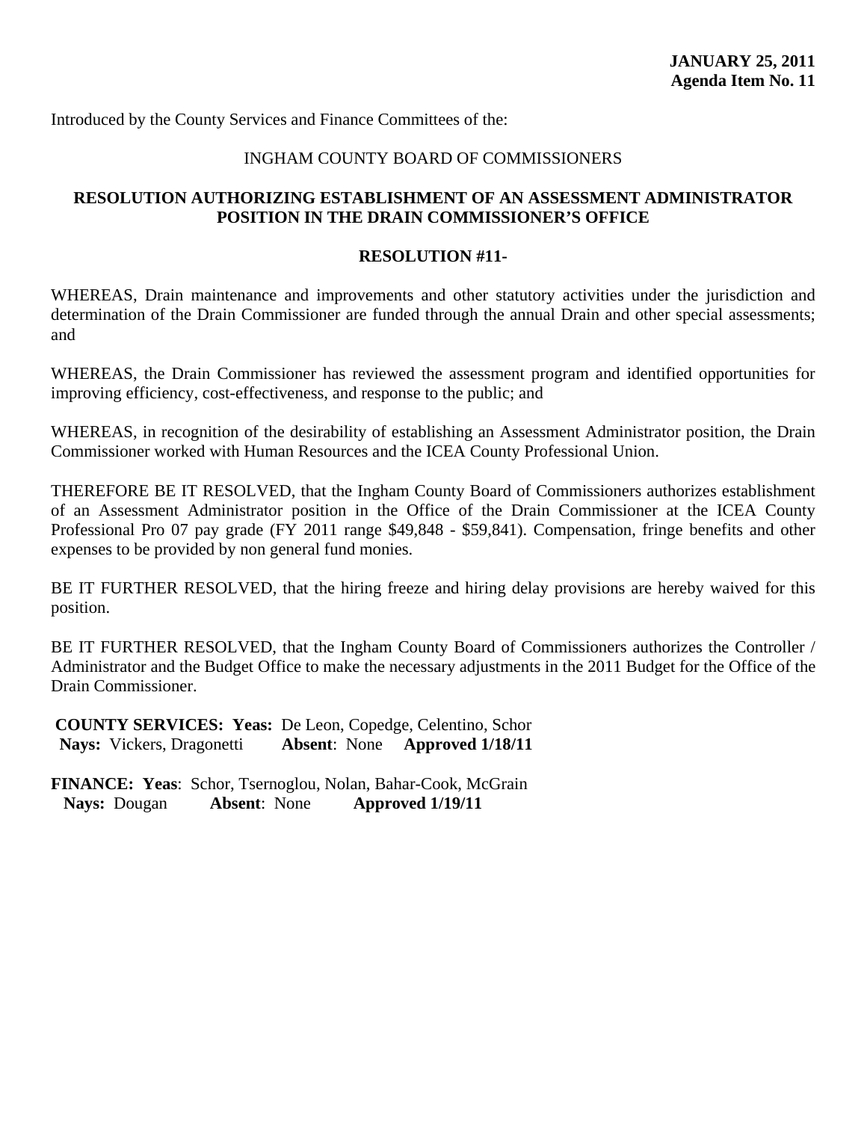#### INGHAM COUNTY BOARD OF COMMISSIONERS

## **RESOLUTION AUTHORIZING ESTABLISHMENT OF AN ASSESSMENT ADMINISTRATOR POSITION IN THE DRAIN COMMISSIONER'S OFFICE**

#### **RESOLUTION #11-**

WHEREAS, Drain maintenance and improvements and other statutory activities under the jurisdiction and determination of the Drain Commissioner are funded through the annual Drain and other special assessments; and

WHEREAS, the Drain Commissioner has reviewed the assessment program and identified opportunities for improving efficiency, cost-effectiveness, and response to the public; and

WHEREAS, in recognition of the desirability of establishing an Assessment Administrator position, the Drain Commissioner worked with Human Resources and the ICEA County Professional Union.

THEREFORE BE IT RESOLVED, that the Ingham County Board of Commissioners authorizes establishment of an Assessment Administrator position in the Office of the Drain Commissioner at the ICEA County Professional Pro 07 pay grade (FY 2011 range \$49,848 - \$59,841). Compensation, fringe benefits and other expenses to be provided by non general fund monies.

BE IT FURTHER RESOLVED, that the hiring freeze and hiring delay provisions are hereby waived for this position.

BE IT FURTHER RESOLVED, that the Ingham County Board of Commissioners authorizes the Controller / Administrator and the Budget Office to make the necessary adjustments in the 2011 Budget for the Office of the Drain Commissioner.

**COUNTY SERVICES: Yeas:** De Leon, Copedge, Celentino, Schor  **Nays:** Vickers, Dragonetti **Absent**: None **Approved 1/18/11**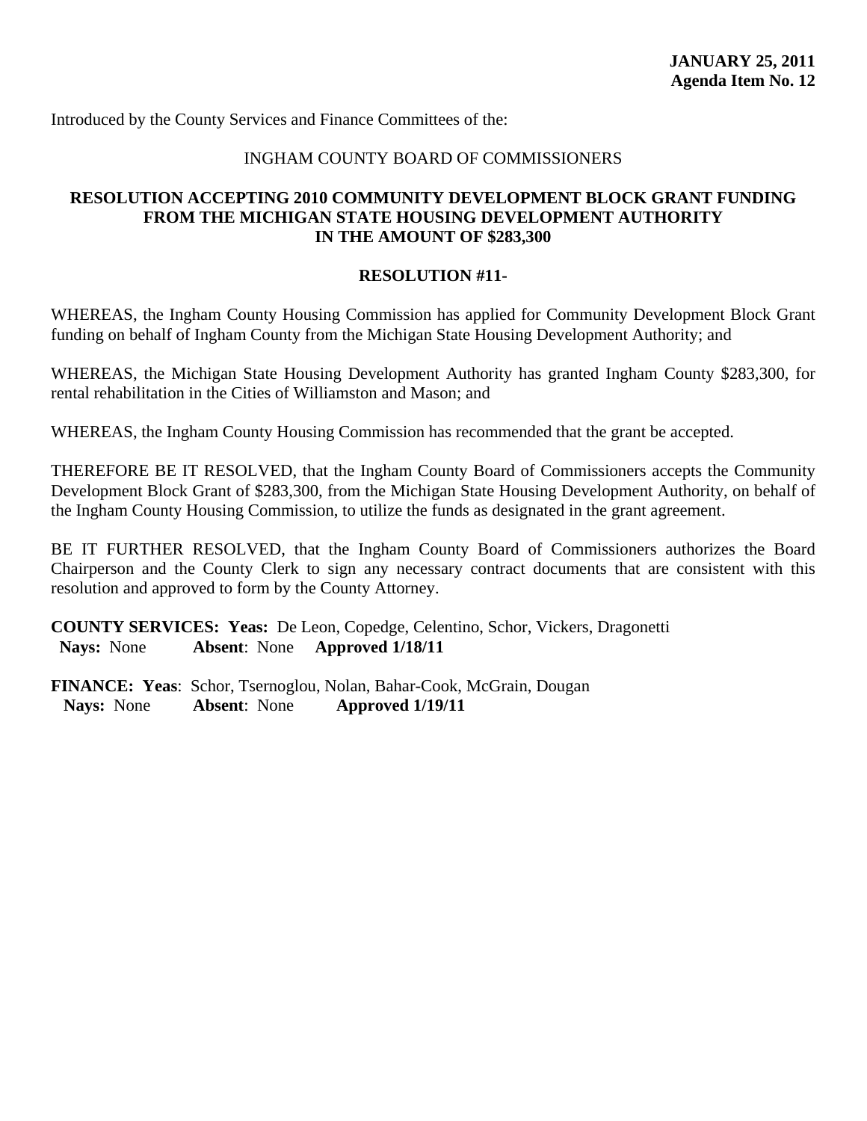## INGHAM COUNTY BOARD OF COMMISSIONERS

## **RESOLUTION ACCEPTING 2010 COMMUNITY DEVELOPMENT BLOCK GRANT FUNDING FROM THE MICHIGAN STATE HOUSING DEVELOPMENT AUTHORITY IN THE AMOUNT OF \$283,300**

#### **RESOLUTION #11-**

WHEREAS, the Ingham County Housing Commission has applied for Community Development Block Grant funding on behalf of Ingham County from the Michigan State Housing Development Authority; and

WHEREAS, the Michigan State Housing Development Authority has granted Ingham County \$283,300, for rental rehabilitation in the Cities of Williamston and Mason; and

WHEREAS, the Ingham County Housing Commission has recommended that the grant be accepted.

THEREFORE BE IT RESOLVED, that the Ingham County Board of Commissioners accepts the Community Development Block Grant of \$283,300, from the Michigan State Housing Development Authority, on behalf of the Ingham County Housing Commission, to utilize the funds as designated in the grant agreement.

BE IT FURTHER RESOLVED, that the Ingham County Board of Commissioners authorizes the Board Chairperson and the County Clerk to sign any necessary contract documents that are consistent with this resolution and approved to form by the County Attorney.

**COUNTY SERVICES: Yeas:** De Leon, Copedge, Celentino, Schor, Vickers, Dragonetti  **Nays:** None **Absent**: None **Approved 1/18/11**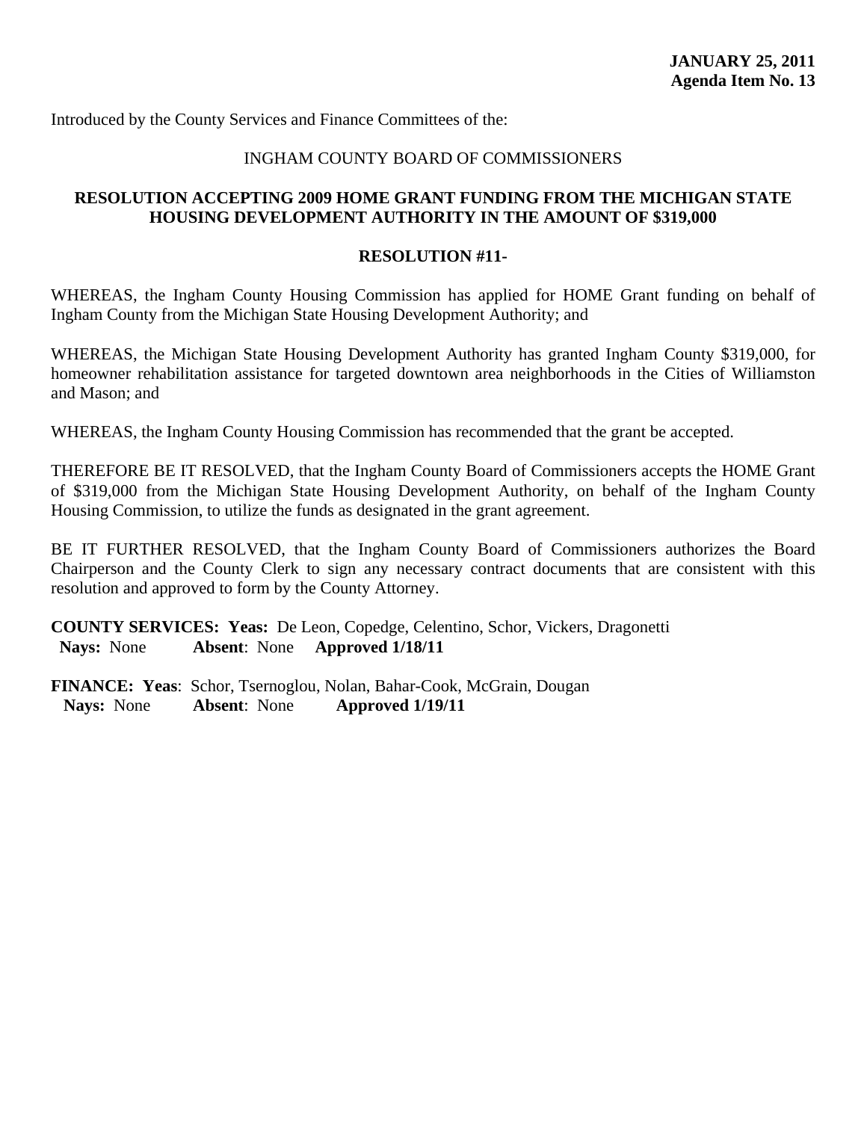#### INGHAM COUNTY BOARD OF COMMISSIONERS

## **RESOLUTION ACCEPTING 2009 HOME GRANT FUNDING FROM THE MICHIGAN STATE HOUSING DEVELOPMENT AUTHORITY IN THE AMOUNT OF \$319,000**

#### **RESOLUTION #11-**

WHEREAS, the Ingham County Housing Commission has applied for HOME Grant funding on behalf of Ingham County from the Michigan State Housing Development Authority; and

WHEREAS, the Michigan State Housing Development Authority has granted Ingham County \$319,000, for homeowner rehabilitation assistance for targeted downtown area neighborhoods in the Cities of Williamston and Mason; and

WHEREAS, the Ingham County Housing Commission has recommended that the grant be accepted.

THEREFORE BE IT RESOLVED, that the Ingham County Board of Commissioners accepts the HOME Grant of \$319,000 from the Michigan State Housing Development Authority, on behalf of the Ingham County Housing Commission, to utilize the funds as designated in the grant agreement.

BE IT FURTHER RESOLVED, that the Ingham County Board of Commissioners authorizes the Board Chairperson and the County Clerk to sign any necessary contract documents that are consistent with this resolution and approved to form by the County Attorney.

**COUNTY SERVICES: Yeas:** De Leon, Copedge, Celentino, Schor, Vickers, Dragonetti  **Nays:** None **Absent**: None **Approved 1/18/11**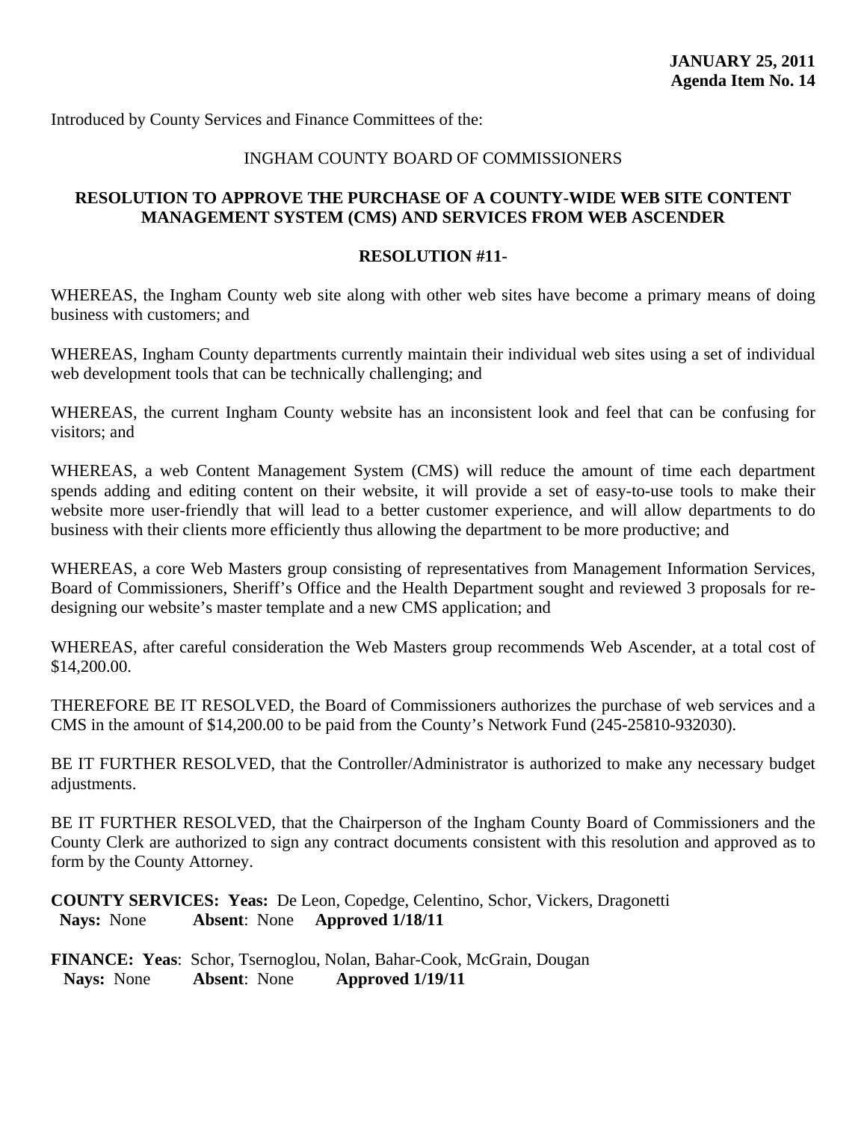### INGHAM COUNTY BOARD OF COMMISSIONERS

## **RESOLUTION TO APPROVE THE PURCHASE OF A COUNTY-WIDE WEB SITE CONTENT MANAGEMENT SYSTEM (CMS) AND SERVICES FROM WEB ASCENDER**

#### **RESOLUTION #11-**

WHEREAS, the Ingham County web site along with other web sites have become a primary means of doing business with customers; and

WHEREAS, Ingham County departments currently maintain their individual web sites using a set of individual web development tools that can be technically challenging; and

WHEREAS, the current Ingham County website has an inconsistent look and feel that can be confusing for visitors; and

WHEREAS, a web Content Management System (CMS) will reduce the amount of time each department spends adding and editing content on their website, it will provide a set of easy-to-use tools to make their website more user-friendly that will lead to a better customer experience, and will allow departments to do business with their clients more efficiently thus allowing the department to be more productive; and

WHEREAS, a core Web Masters group consisting of representatives from Management Information Services, Board of Commissioners, Sheriff's Office and the Health Department sought and reviewed 3 proposals for redesigning our website's master template and a new CMS application; and

WHEREAS, after careful consideration the Web Masters group recommends Web Ascender, at a total cost of \$14,200.00.

THEREFORE BE IT RESOLVED, the Board of Commissioners authorizes the purchase of web services and a CMS in the amount of \$14,200.00 to be paid from the County's Network Fund (245-25810-932030).

BE IT FURTHER RESOLVED, that the Controller/Administrator is authorized to make any necessary budget adjustments.

BE IT FURTHER RESOLVED, that the Chairperson of the Ingham County Board of Commissioners and the County Clerk are authorized to sign any contract documents consistent with this resolution and approved as to form by the County Attorney.

**COUNTY SERVICES: Yeas:** De Leon, Copedge, Celentino, Schor, Vickers, Dragonetti  **Nays:** None **Absent**: None **Approved 1/18/11**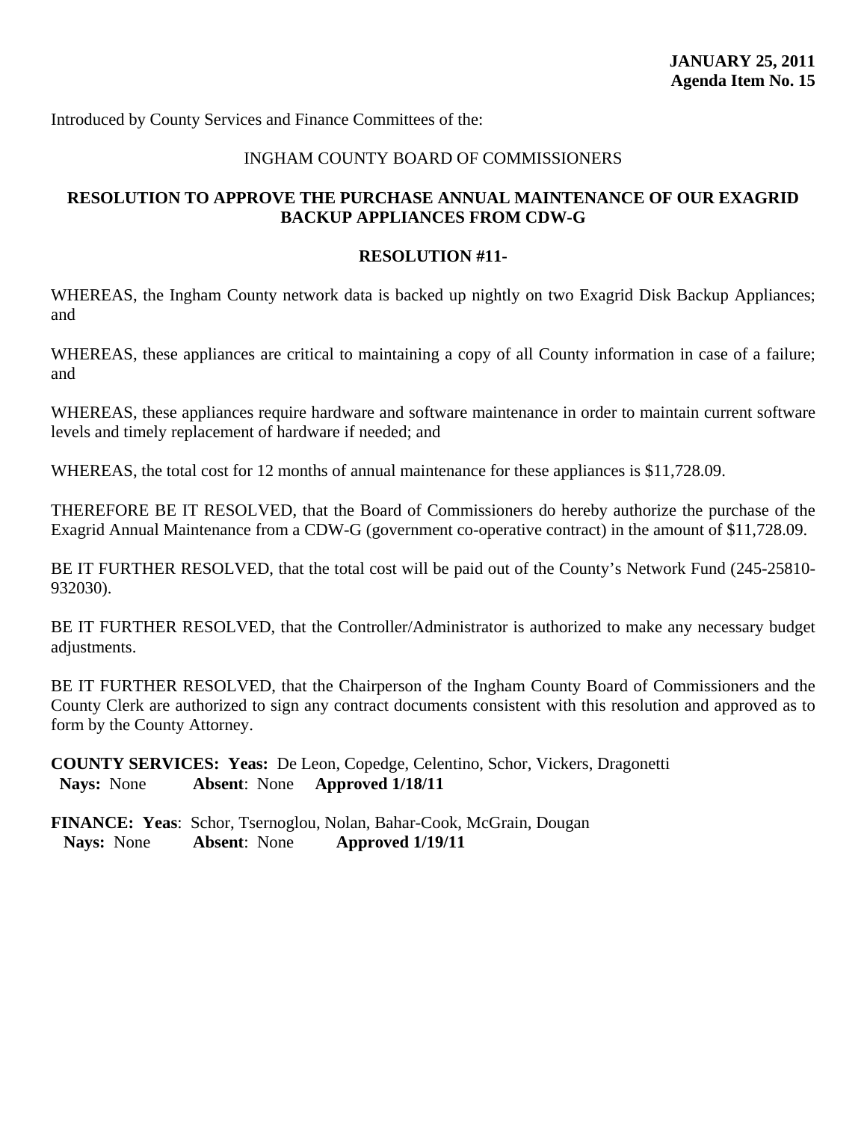### INGHAM COUNTY BOARD OF COMMISSIONERS

## **RESOLUTION TO APPROVE THE PURCHASE ANNUAL MAINTENANCE OF OUR EXAGRID BACKUP APPLIANCES FROM CDW-G**

#### **RESOLUTION #11-**

WHEREAS, the Ingham County network data is backed up nightly on two Exagrid Disk Backup Appliances; and

WHEREAS, these appliances are critical to maintaining a copy of all County information in case of a failure; and

WHEREAS, these appliances require hardware and software maintenance in order to maintain current software levels and timely replacement of hardware if needed; and

WHEREAS, the total cost for 12 months of annual maintenance for these appliances is \$11,728.09.

THEREFORE BE IT RESOLVED, that the Board of Commissioners do hereby authorize the purchase of the Exagrid Annual Maintenance from a CDW-G (government co-operative contract) in the amount of \$11,728.09.

BE IT FURTHER RESOLVED, that the total cost will be paid out of the County's Network Fund (245-25810- 932030).

BE IT FURTHER RESOLVED, that the Controller/Administrator is authorized to make any necessary budget adjustments.

BE IT FURTHER RESOLVED, that the Chairperson of the Ingham County Board of Commissioners and the County Clerk are authorized to sign any contract documents consistent with this resolution and approved as to form by the County Attorney.

**COUNTY SERVICES: Yeas:** De Leon, Copedge, Celentino, Schor, Vickers, Dragonetti  **Nays:** None **Absent**: None **Approved 1/18/11**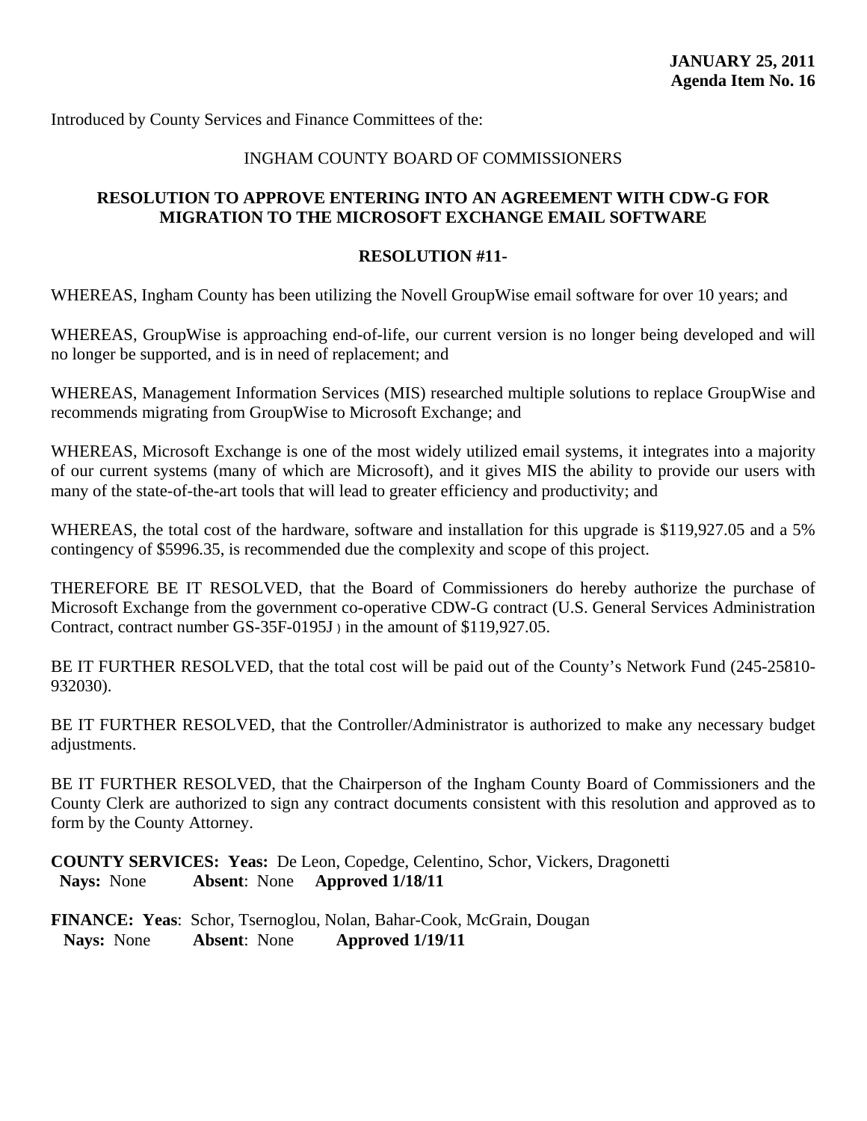## INGHAM COUNTY BOARD OF COMMISSIONERS

## **RESOLUTION TO APPROVE ENTERING INTO AN AGREEMENT WITH CDW-G FOR MIGRATION TO THE MICROSOFT EXCHANGE EMAIL SOFTWARE**

#### **RESOLUTION #11-**

WHEREAS, Ingham County has been utilizing the Novell GroupWise email software for over 10 years; and

WHEREAS, GroupWise is approaching end-of-life, our current version is no longer being developed and will no longer be supported, and is in need of replacement; and

WHEREAS, Management Information Services (MIS) researched multiple solutions to replace GroupWise and recommends migrating from GroupWise to Microsoft Exchange; and

WHEREAS, Microsoft Exchange is one of the most widely utilized email systems, it integrates into a majority of our current systems (many of which are Microsoft), and it gives MIS the ability to provide our users with many of the state-of-the-art tools that will lead to greater efficiency and productivity; and

WHEREAS, the total cost of the hardware, software and installation for this upgrade is \$119,927.05 and a 5% contingency of \$5996.35, is recommended due the complexity and scope of this project.

THEREFORE BE IT RESOLVED, that the Board of Commissioners do hereby authorize the purchase of Microsoft Exchange from the government co-operative CDW-G contract (U.S. General Services Administration Contract, contract number GS-35F-0195J ) in the amount of \$119,927.05.

BE IT FURTHER RESOLVED, that the total cost will be paid out of the County's Network Fund (245-25810- 932030).

BE IT FURTHER RESOLVED, that the Controller/Administrator is authorized to make any necessary budget adjustments.

BE IT FURTHER RESOLVED, that the Chairperson of the Ingham County Board of Commissioners and the County Clerk are authorized to sign any contract documents consistent with this resolution and approved as to form by the County Attorney.

**COUNTY SERVICES: Yeas:** De Leon, Copedge, Celentino, Schor, Vickers, Dragonetti  **Nays:** None **Absent**: None **Approved 1/18/11**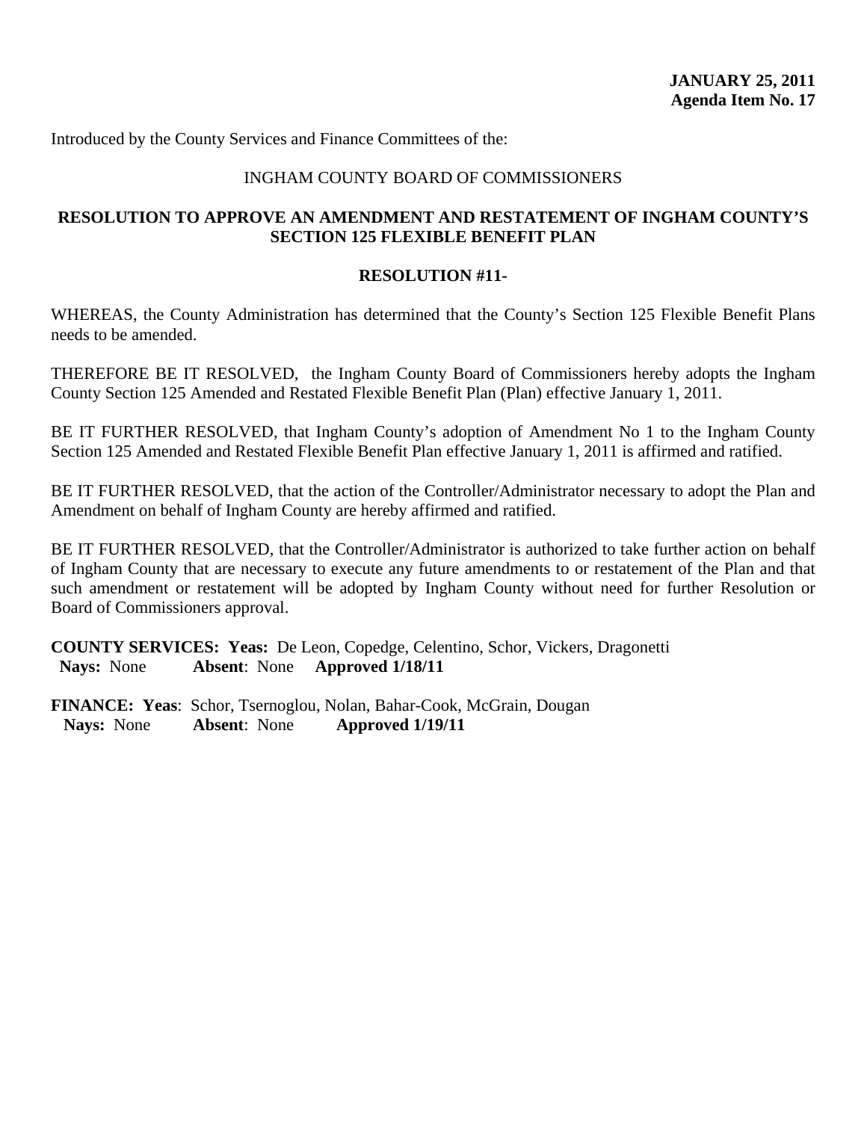#### INGHAM COUNTY BOARD OF COMMISSIONERS

#### **RESOLUTION TO APPROVE AN AMENDMENT AND RESTATEMENT OF INGHAM COUNTY'S SECTION 125 FLEXIBLE BENEFIT PLAN**

#### **RESOLUTION #11-**

WHEREAS, the County Administration has determined that the County's Section 125 Flexible Benefit Plans needs to be amended.

THEREFORE BE IT RESOLVED, the Ingham County Board of Commissioners hereby adopts the Ingham County Section 125 Amended and Restated Flexible Benefit Plan (Plan) effective January 1, 2011.

BE IT FURTHER RESOLVED, that Ingham County's adoption of Amendment No 1 to the Ingham County Section 125 Amended and Restated Flexible Benefit Plan effective January 1, 2011 is affirmed and ratified.

BE IT FURTHER RESOLVED, that the action of the Controller/Administrator necessary to adopt the Plan and Amendment on behalf of Ingham County are hereby affirmed and ratified.

BE IT FURTHER RESOLVED, that the Controller/Administrator is authorized to take further action on behalf of Ingham County that are necessary to execute any future amendments to or restatement of the Plan and that such amendment or restatement will be adopted by Ingham County without need for further Resolution or Board of Commissioners approval.

**COUNTY SERVICES: Yeas:** De Leon, Copedge, Celentino, Schor, Vickers, Dragonetti  **Nays:** None **Absent**: None **Approved 1/18/11**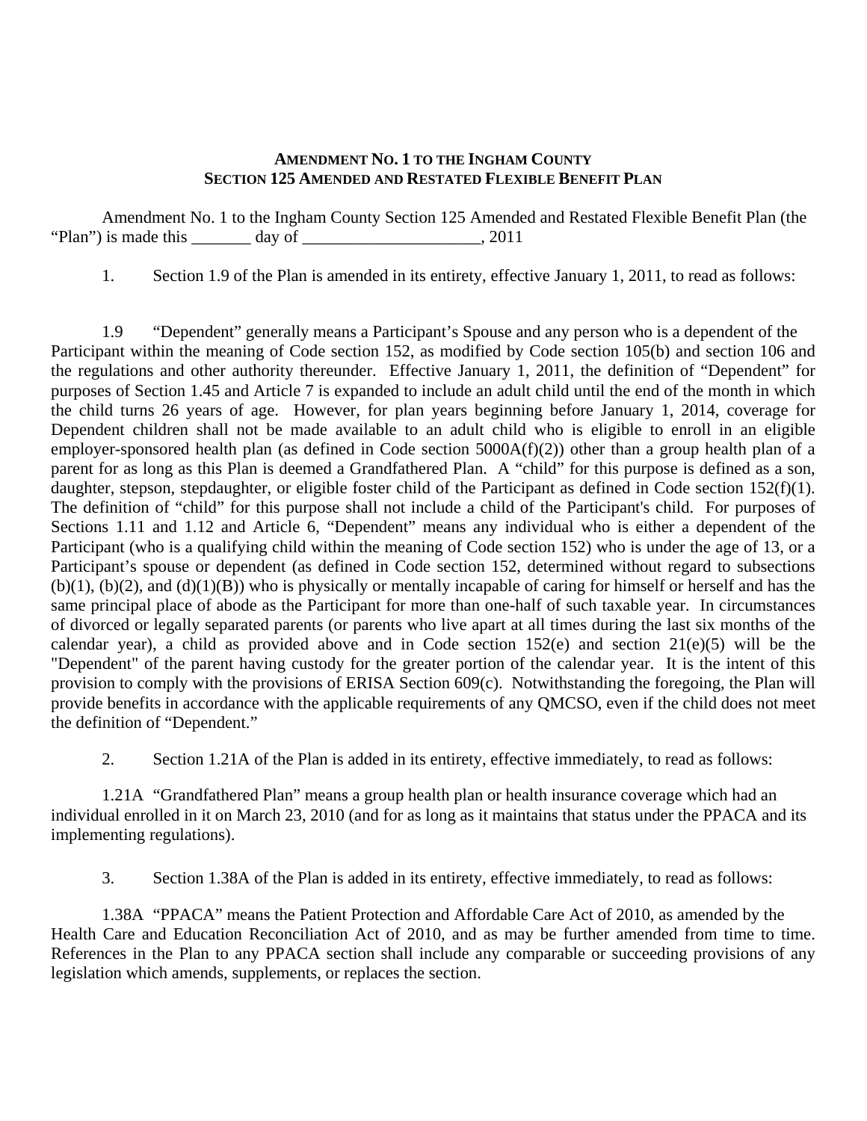#### **AMENDMENT NO. 1 TO THE INGHAM COUNTY SECTION 125 AMENDED AND RESTATED FLEXIBLE BENEFIT PLAN**

 Amendment No. 1 to the Ingham County Section 125 Amended and Restated Flexible Benefit Plan (the "Plan") is made this  $\frac{1}{2}$  day of  $\frac{1}{2}$ . 2011

1. Section 1.9 of the Plan is amended in its entirety, effective January 1, 2011, to read as follows:

1.9 "Dependent" generally means a Participant's Spouse and any person who is a dependent of the Participant within the meaning of Code section 152, as modified by Code section 105(b) and section 106 and the regulations and other authority thereunder. Effective January 1, 2011, the definition of "Dependent" for purposes of Section 1.45 and Article 7 is expanded to include an adult child until the end of the month in which the child turns 26 years of age. However, for plan years beginning before January 1, 2014, coverage for Dependent children shall not be made available to an adult child who is eligible to enroll in an eligible employer-sponsored health plan (as defined in Code section  $5000A(f)(2)$ ) other than a group health plan of a parent for as long as this Plan is deemed a Grandfathered Plan. A "child" for this purpose is defined as a son, daughter, stepson, stepdaughter, or eligible foster child of the Participant as defined in Code section 152(f)(1). The definition of "child" for this purpose shall not include a child of the Participant's child. For purposes of Sections 1.11 and 1.12 and Article 6, "Dependent" means any individual who is either a dependent of the Participant (who is a qualifying child within the meaning of Code section 152) who is under the age of 13, or a Participant's spouse or dependent (as defined in Code section 152, determined without regard to subsections  $(b)(1)$ ,  $(b)(2)$ , and  $(d)(1)(B)$ ) who is physically or mentally incapable of caring for himself or herself and has the same principal place of abode as the Participant for more than one-half of such taxable year. In circumstances of divorced or legally separated parents (or parents who live apart at all times during the last six months of the calendar year), a child as provided above and in Code section  $152(e)$  and section  $21(e)(5)$  will be the "Dependent" of the parent having custody for the greater portion of the calendar year. It is the intent of this provision to comply with the provisions of ERISA Section 609(c). Notwithstanding the foregoing, the Plan will provide benefits in accordance with the applicable requirements of any QMCSO, even if the child does not meet the definition of "Dependent."

2. Section 1.21A of the Plan is added in its entirety, effective immediately, to read as follows:

1.21A "Grandfathered Plan" means a group health plan or health insurance coverage which had an individual enrolled in it on March 23, 2010 (and for as long as it maintains that status under the PPACA and its implementing regulations).

3. Section 1.38A of the Plan is added in its entirety, effective immediately, to read as follows:

1.38A "PPACA" means the Patient Protection and Affordable Care Act of 2010, as amended by the Health Care and Education Reconciliation Act of 2010, and as may be further amended from time to time. References in the Plan to any PPACA section shall include any comparable or succeeding provisions of any legislation which amends, supplements, or replaces the section.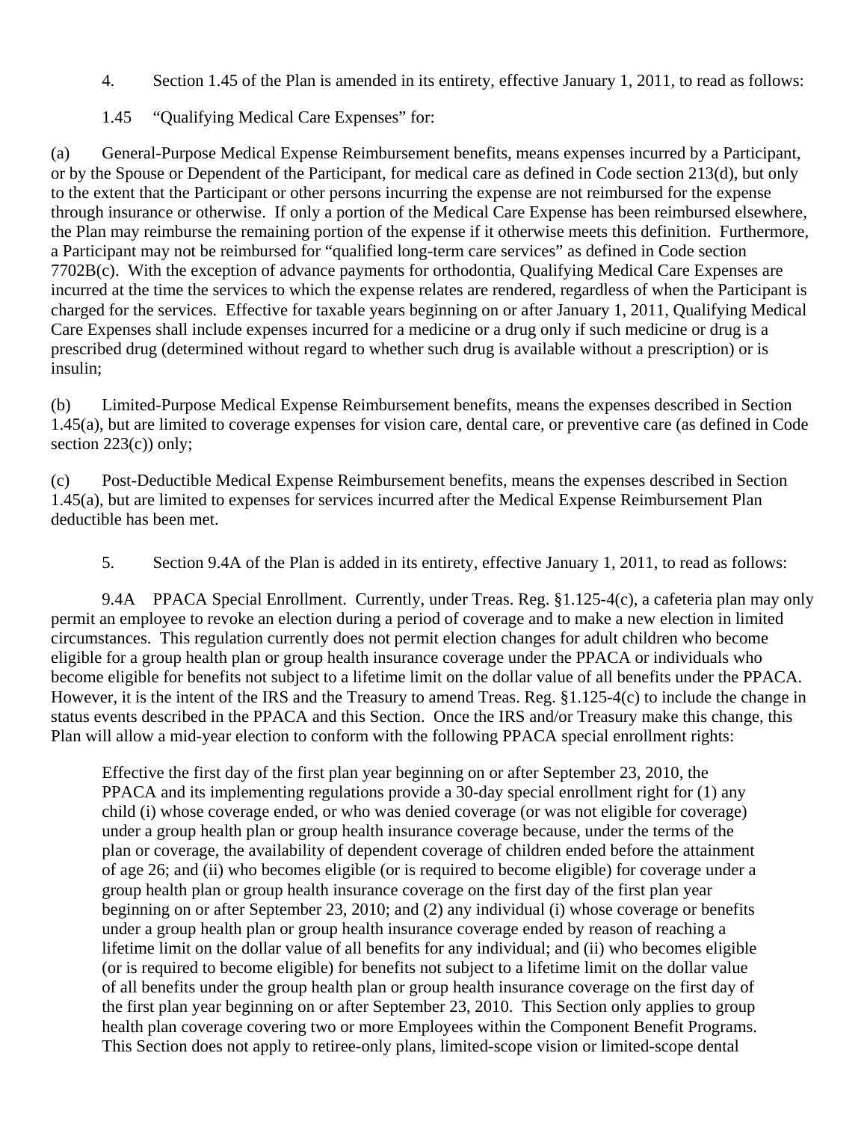- 4. Section 1.45 of the Plan is amended in its entirety, effective January 1, 2011, to read as follows:
- 1.45 "Qualifying Medical Care Expenses" for:

(a) General-Purpose Medical Expense Reimbursement benefits, means expenses incurred by a Participant, or by the Spouse or Dependent of the Participant, for medical care as defined in Code section 213(d), but only to the extent that the Participant or other persons incurring the expense are not reimbursed for the expense through insurance or otherwise. If only a portion of the Medical Care Expense has been reimbursed elsewhere, the Plan may reimburse the remaining portion of the expense if it otherwise meets this definition. Furthermore, a Participant may not be reimbursed for "qualified long-term care services" as defined in Code section 7702B(c). With the exception of advance payments for orthodontia, Qualifying Medical Care Expenses are incurred at the time the services to which the expense relates are rendered, regardless of when the Participant is charged for the services. Effective for taxable years beginning on or after January 1, 2011, Qualifying Medical Care Expenses shall include expenses incurred for a medicine or a drug only if such medicine or drug is a prescribed drug (determined without regard to whether such drug is available without a prescription) or is insulin;

(b) Limited-Purpose Medical Expense Reimbursement benefits, means the expenses described in Section 1.45(a), but are limited to coverage expenses for vision care, dental care, or preventive care (as defined in Code section  $223(c)$ ) only;

(c) Post-Deductible Medical Expense Reimbursement benefits, means the expenses described in Section 1.45(a), but are limited to expenses for services incurred after the Medical Expense Reimbursement Plan deductible has been met.

5. Section 9.4A of the Plan is added in its entirety, effective January 1, 2011, to read as follows:

9.4A PPACA Special Enrollment. Currently, under Treas. Reg. §1.125-4(c), a cafeteria plan may only permit an employee to revoke an election during a period of coverage and to make a new election in limited circumstances. This regulation currently does not permit election changes for adult children who become eligible for a group health plan or group health insurance coverage under the PPACA or individuals who become eligible for benefits not subject to a lifetime limit on the dollar value of all benefits under the PPACA. However, it is the intent of the IRS and the Treasury to amend Treas. Reg. §1.125-4(c) to include the change in status events described in the PPACA and this Section. Once the IRS and/or Treasury make this change, this Plan will allow a mid-year election to conform with the following PPACA special enrollment rights:

Effective the first day of the first plan year beginning on or after September 23, 2010, the PPACA and its implementing regulations provide a 30-day special enrollment right for (1) any child (i) whose coverage ended, or who was denied coverage (or was not eligible for coverage) under a group health plan or group health insurance coverage because, under the terms of the plan or coverage, the availability of dependent coverage of children ended before the attainment of age 26; and (ii) who becomes eligible (or is required to become eligible) for coverage under a group health plan or group health insurance coverage on the first day of the first plan year beginning on or after September 23, 2010; and (2) any individual (i) whose coverage or benefits under a group health plan or group health insurance coverage ended by reason of reaching a lifetime limit on the dollar value of all benefits for any individual; and (ii) who becomes eligible (or is required to become eligible) for benefits not subject to a lifetime limit on the dollar value of all benefits under the group health plan or group health insurance coverage on the first day of the first plan year beginning on or after September 23, 2010. This Section only applies to group health plan coverage covering two or more Employees within the Component Benefit Programs. This Section does not apply to retiree-only plans, limited-scope vision or limited-scope dental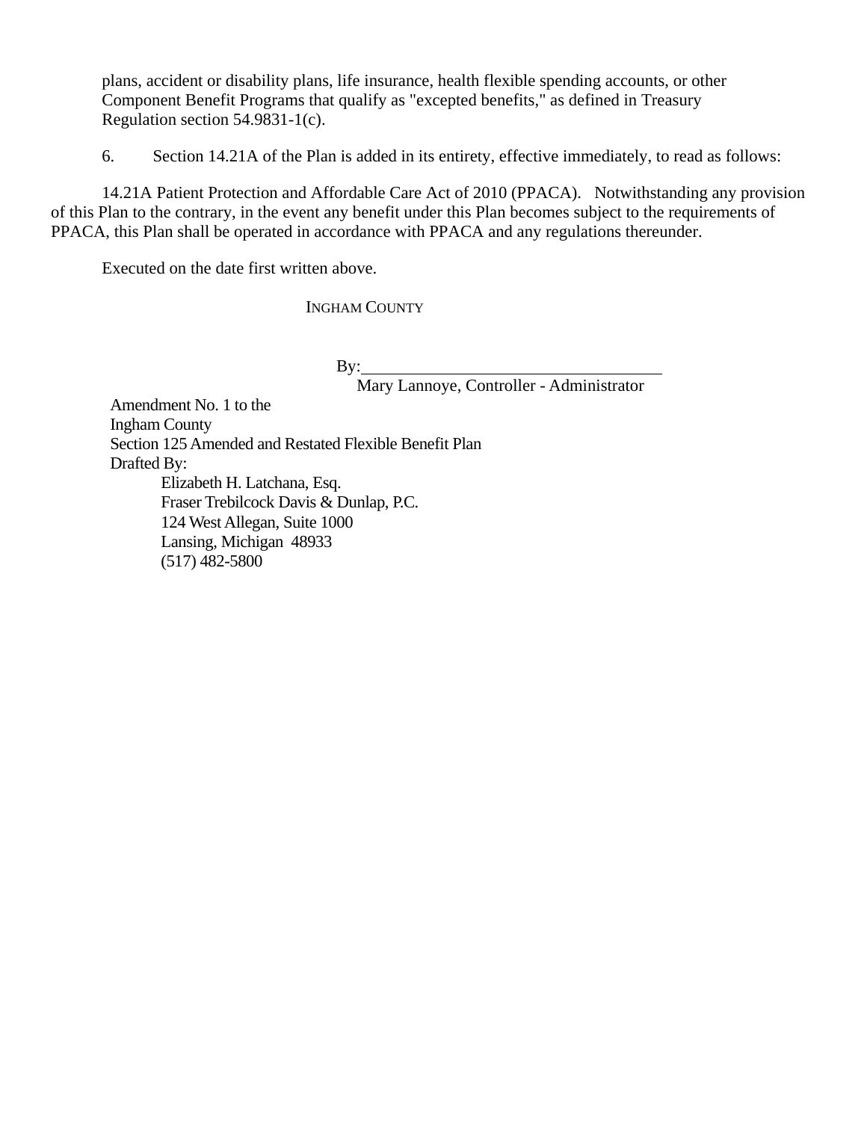plans, accident or disability plans, life insurance, health flexible spending accounts, or other Component Benefit Programs that qualify as "excepted benefits," as defined in Treasury Regulation section 54.9831-1(c).

6. Section 14.21A of the Plan is added in its entirety, effective immediately, to read as follows:

14.21A Patient Protection and Affordable Care Act of 2010 (PPACA).Notwithstanding any provision of this Plan to the contrary, in the event any benefit under this Plan becomes subject to the requirements of PPACA, this Plan shall be operated in accordance with PPACA and any regulations thereunder.

Executed on the date first written above.

INGHAM COUNTY

 $By:$ 

Mary Lannoye, Controller - Administrator

Amendment No. 1 to the Ingham County Section 125 Amended and Restated Flexible Benefit Plan Drafted By: Elizabeth H. Latchana, Esq. Fraser Trebilcock Davis & Dunlap, P.C. 124 West Allegan, Suite 1000 Lansing, Michigan 48933 (517) 482-5800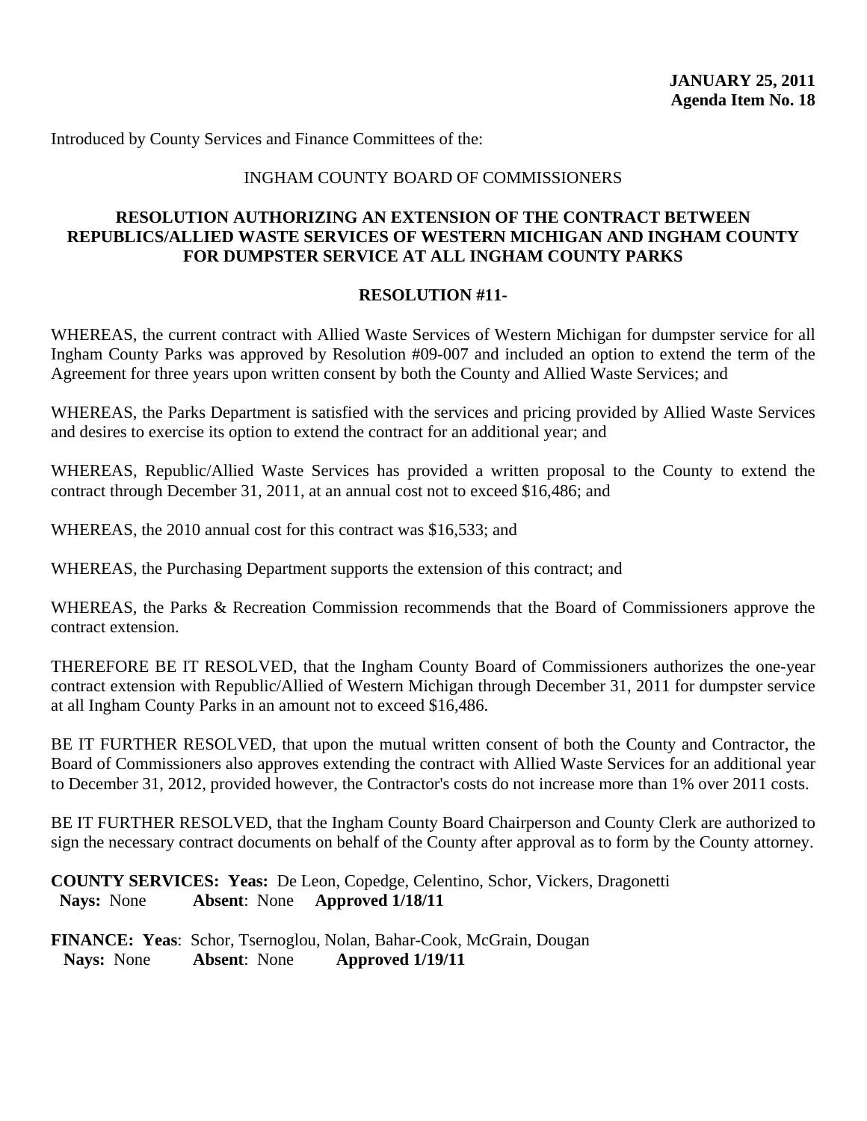#### INGHAM COUNTY BOARD OF COMMISSIONERS

## **RESOLUTION AUTHORIZING AN EXTENSION OF THE CONTRACT BETWEEN REPUBLICS/ALLIED WASTE SERVICES OF WESTERN MICHIGAN AND INGHAM COUNTY FOR DUMPSTER SERVICE AT ALL INGHAM COUNTY PARKS**

#### **RESOLUTION #11-**

WHEREAS, the current contract with Allied Waste Services of Western Michigan for dumpster service for all Ingham County Parks was approved by Resolution #09-007 and included an option to extend the term of the Agreement for three years upon written consent by both the County and Allied Waste Services; and

WHEREAS, the Parks Department is satisfied with the services and pricing provided by Allied Waste Services and desires to exercise its option to extend the contract for an additional year; and

WHEREAS, Republic/Allied Waste Services has provided a written proposal to the County to extend the contract through December 31, 2011, at an annual cost not to exceed \$16,486; and

WHEREAS, the 2010 annual cost for this contract was \$16,533; and

WHEREAS, the Purchasing Department supports the extension of this contract; and

WHEREAS, the Parks & Recreation Commission recommends that the Board of Commissioners approve the contract extension.

THEREFORE BE IT RESOLVED, that the Ingham County Board of Commissioners authorizes the one-year contract extension with Republic/Allied of Western Michigan through December 31, 2011 for dumpster service at all Ingham County Parks in an amount not to exceed \$16,486.

BE IT FURTHER RESOLVED, that upon the mutual written consent of both the County and Contractor, the Board of Commissioners also approves extending the contract with Allied Waste Services for an additional year to December 31, 2012, provided however, the Contractor's costs do not increase more than 1% over 2011 costs.

BE IT FURTHER RESOLVED, that the Ingham County Board Chairperson and County Clerk are authorized to sign the necessary contract documents on behalf of the County after approval as to form by the County attorney.

**COUNTY SERVICES: Yeas:** De Leon, Copedge, Celentino, Schor, Vickers, Dragonetti  **Nays:** None **Absent**: None **Approved 1/18/11**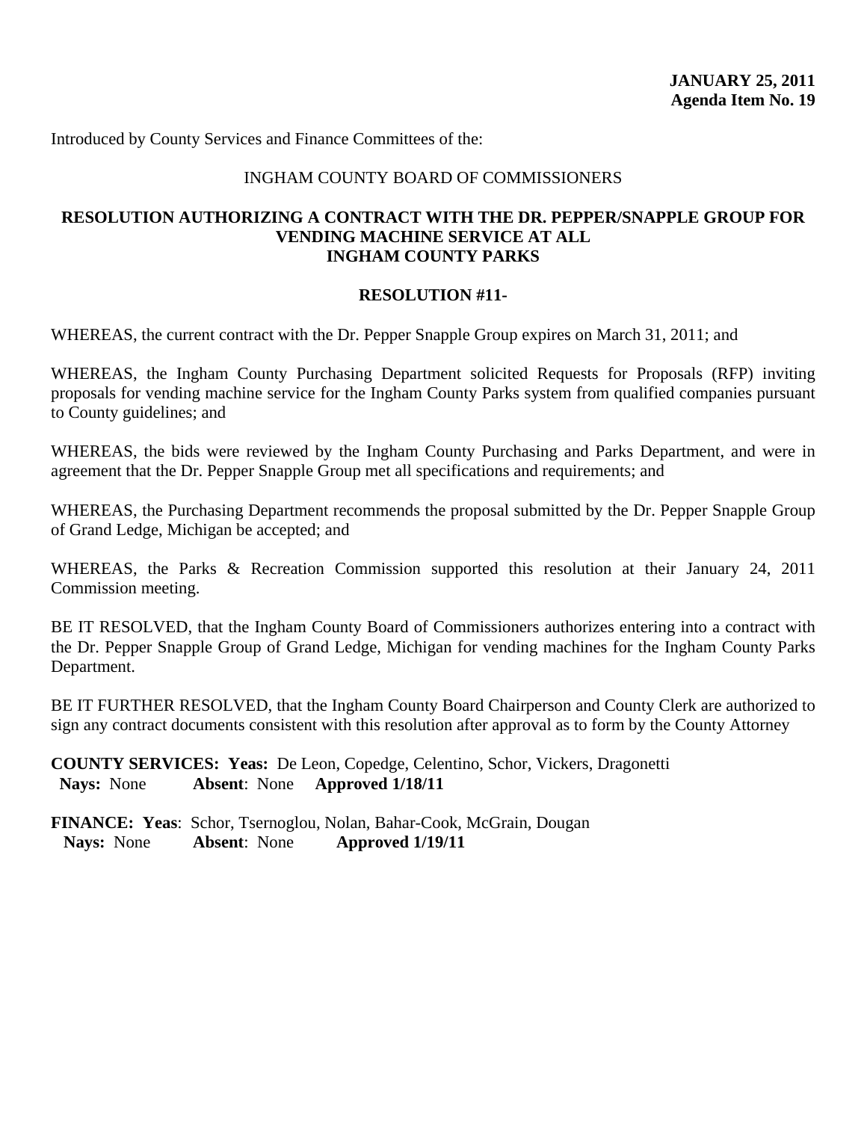#### INGHAM COUNTY BOARD OF COMMISSIONERS

#### **RESOLUTION AUTHORIZING A CONTRACT WITH THE DR. PEPPER/SNAPPLE GROUP FOR VENDING MACHINE SERVICE AT ALL INGHAM COUNTY PARKS**

#### **RESOLUTION #11-**

WHEREAS, the current contract with the Dr. Pepper Snapple Group expires on March 31, 2011; and

WHEREAS, the Ingham County Purchasing Department solicited Requests for Proposals (RFP) inviting proposals for vending machine service for the Ingham County Parks system from qualified companies pursuant to County guidelines; and

WHEREAS, the bids were reviewed by the Ingham County Purchasing and Parks Department, and were in agreement that the Dr. Pepper Snapple Group met all specifications and requirements; and

WHEREAS, the Purchasing Department recommends the proposal submitted by the Dr. Pepper Snapple Group of Grand Ledge, Michigan be accepted; and

WHEREAS, the Parks & Recreation Commission supported this resolution at their January 24, 2011 Commission meeting.

BE IT RESOLVED, that the Ingham County Board of Commissioners authorizes entering into a contract with the Dr. Pepper Snapple Group of Grand Ledge, Michigan for vending machines for the Ingham County Parks Department.

BE IT FURTHER RESOLVED, that the Ingham County Board Chairperson and County Clerk are authorized to sign any contract documents consistent with this resolution after approval as to form by the County Attorney

**COUNTY SERVICES: Yeas:** De Leon, Copedge, Celentino, Schor, Vickers, Dragonetti  **Nays:** None **Absent**: None **Approved 1/18/11**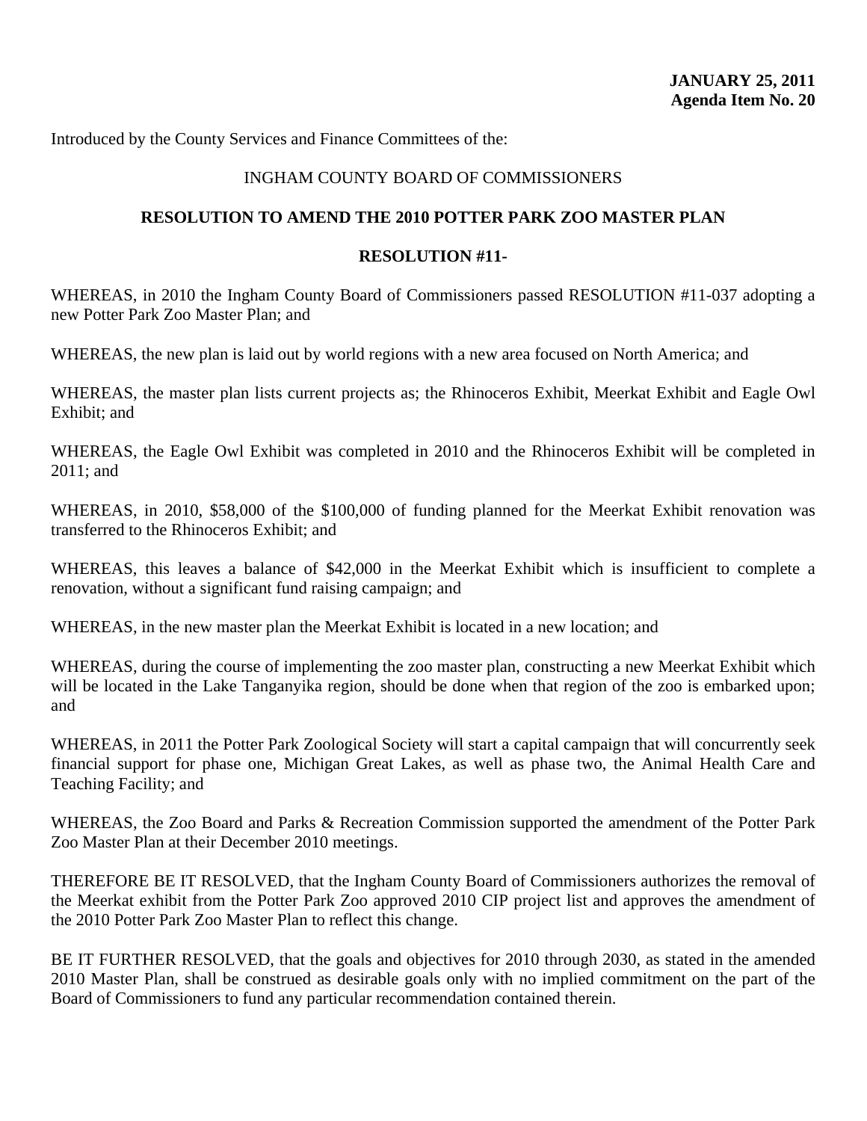#### INGHAM COUNTY BOARD OF COMMISSIONERS

#### **RESOLUTION TO AMEND THE 2010 POTTER PARK ZOO MASTER PLAN**

#### **RESOLUTION #11-**

WHEREAS, in 2010 the Ingham County Board of Commissioners passed RESOLUTION #11-037 adopting a new Potter Park Zoo Master Plan; and

WHEREAS, the new plan is laid out by world regions with a new area focused on North America; and

WHEREAS, the master plan lists current projects as; the Rhinoceros Exhibit, Meerkat Exhibit and Eagle Owl Exhibit; and

WHEREAS, the Eagle Owl Exhibit was completed in 2010 and the Rhinoceros Exhibit will be completed in 2011; and

WHEREAS, in 2010, \$58,000 of the \$100,000 of funding planned for the Meerkat Exhibit renovation was transferred to the Rhinoceros Exhibit; and

WHEREAS, this leaves a balance of \$42,000 in the Meerkat Exhibit which is insufficient to complete a renovation, without a significant fund raising campaign; and

WHEREAS, in the new master plan the Meerkat Exhibit is located in a new location; and

WHEREAS, during the course of implementing the zoo master plan, constructing a new Meerkat Exhibit which will be located in the Lake Tanganyika region, should be done when that region of the zoo is embarked upon; and

WHEREAS, in 2011 the Potter Park Zoological Society will start a capital campaign that will concurrently seek financial support for phase one, Michigan Great Lakes, as well as phase two, the Animal Health Care and Teaching Facility; and

WHEREAS, the Zoo Board and Parks & Recreation Commission supported the amendment of the Potter Park Zoo Master Plan at their December 2010 meetings.

THEREFORE BE IT RESOLVED, that the Ingham County Board of Commissioners authorizes the removal of the Meerkat exhibit from the Potter Park Zoo approved 2010 CIP project list and approves the amendment of the 2010 Potter Park Zoo Master Plan to reflect this change.

BE IT FURTHER RESOLVED, that the goals and objectives for 2010 through 2030, as stated in the amended 2010 Master Plan, shall be construed as desirable goals only with no implied commitment on the part of the Board of Commissioners to fund any particular recommendation contained therein.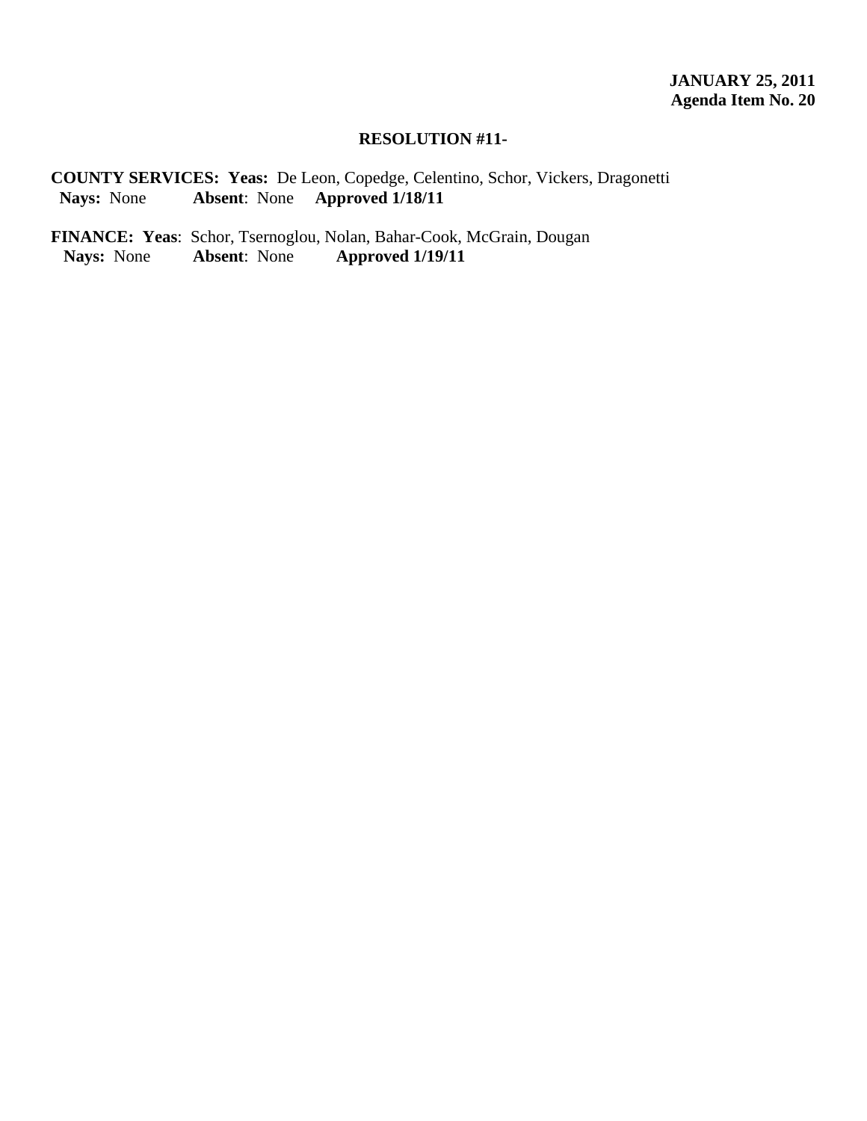#### **RESOLUTION #11-**

**COUNTY SERVICES: Yeas:** De Leon, Copedge, Celentino, Schor, Vickers, Dragonetti  **Nays:** None **Absent**: None **Approved 1/18/11** 

**FINANCE: Yeas**: Schor, Tsernoglou, Nolan, Bahar-Cook, McGrain, Dougan Nays: None Absent: None Approved 1/19/11  **Nays:** None **Absent**: None **Approved 1/19/11**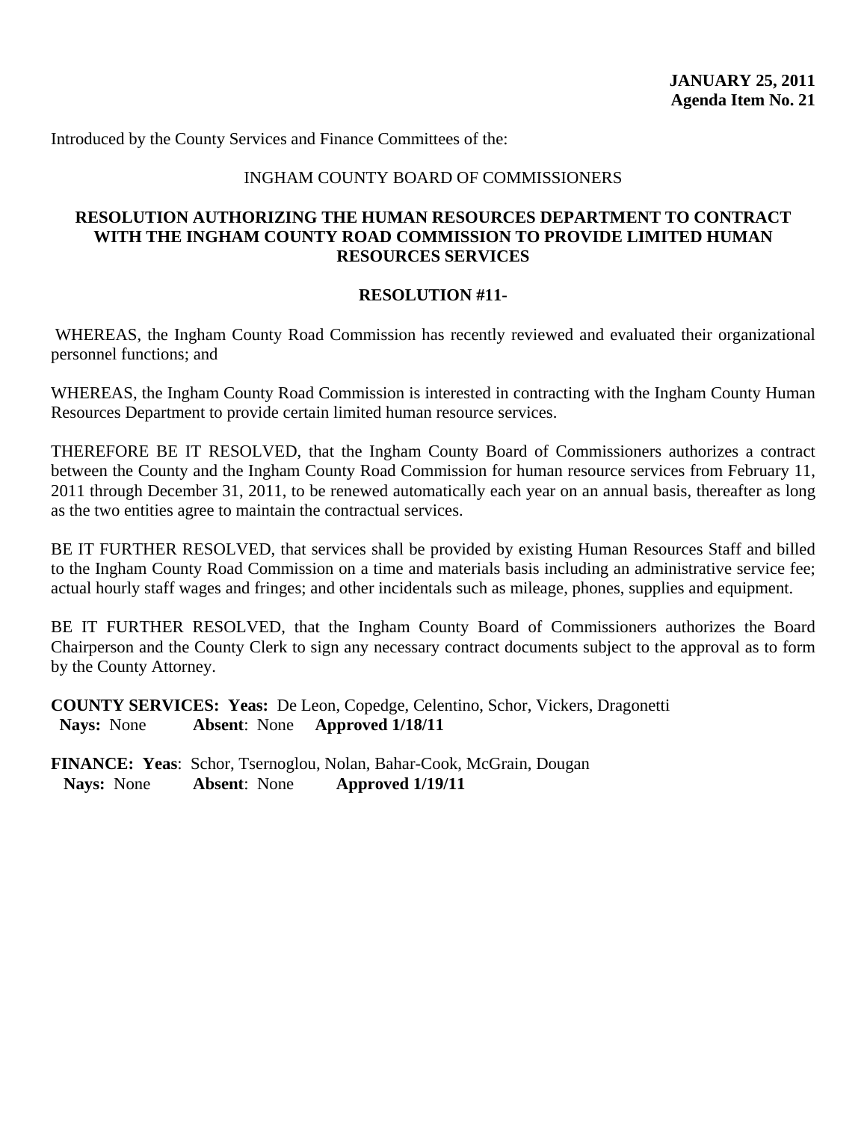#### INGHAM COUNTY BOARD OF COMMISSIONERS

#### **RESOLUTION AUTHORIZING THE HUMAN RESOURCES DEPARTMENT TO CONTRACT WITH THE INGHAM COUNTY ROAD COMMISSION TO PROVIDE LIMITED HUMAN RESOURCES SERVICES**

#### **RESOLUTION #11-**

WHEREAS, the Ingham County Road Commission has recently reviewed and evaluated their organizational personnel functions; and

WHEREAS, the Ingham County Road Commission is interested in contracting with the Ingham County Human Resources Department to provide certain limited human resource services.

THEREFORE BE IT RESOLVED, that the Ingham County Board of Commissioners authorizes a contract between the County and the Ingham County Road Commission for human resource services from February 11, 2011 through December 31, 2011, to be renewed automatically each year on an annual basis, thereafter as long as the two entities agree to maintain the contractual services.

BE IT FURTHER RESOLVED, that services shall be provided by existing Human Resources Staff and billed to the Ingham County Road Commission on a time and materials basis including an administrative service fee; actual hourly staff wages and fringes; and other incidentals such as mileage, phones, supplies and equipment.

BE IT FURTHER RESOLVED, that the Ingham County Board of Commissioners authorizes the Board Chairperson and the County Clerk to sign any necessary contract documents subject to the approval as to form by the County Attorney.

**COUNTY SERVICES: Yeas:** De Leon, Copedge, Celentino, Schor, Vickers, Dragonetti  **Nays:** None **Absent**: None **Approved 1/18/11**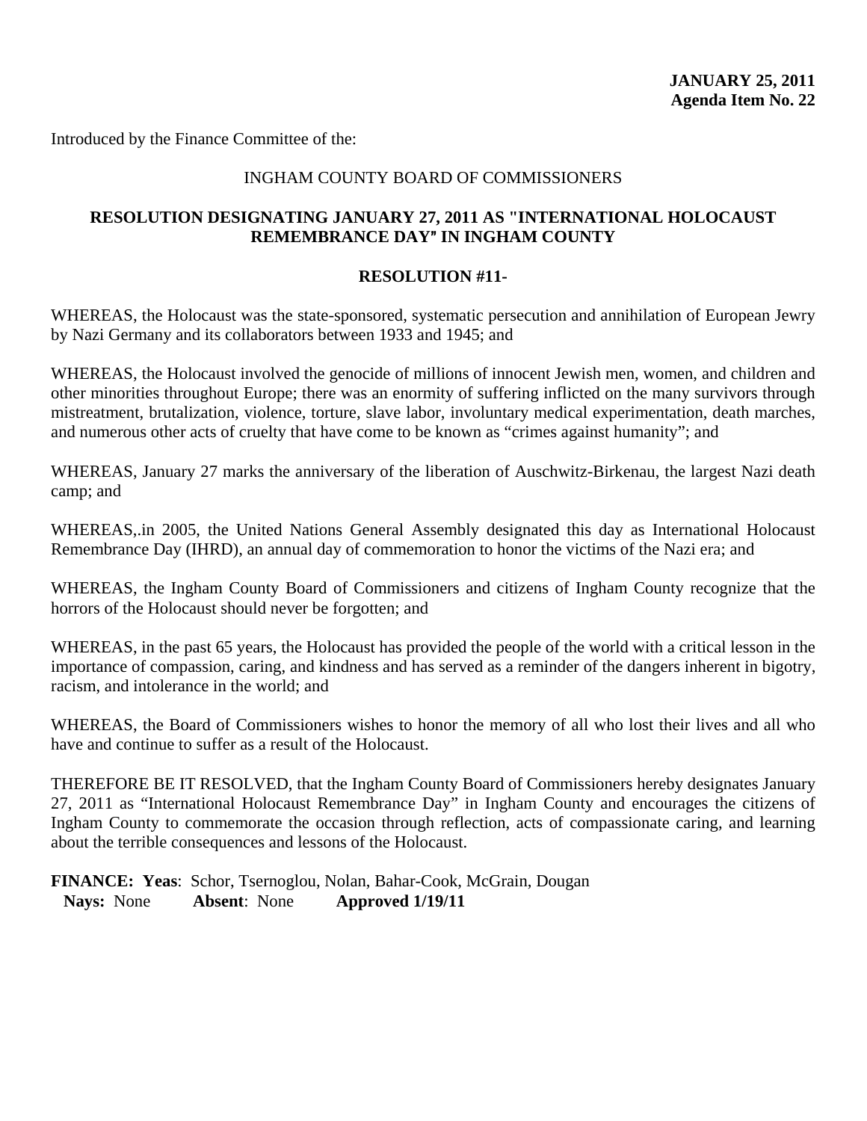Introduced by the Finance Committee of the:

## INGHAM COUNTY BOARD OF COMMISSIONERS

## **RESOLUTION DESIGNATING JANUARY 27, 2011 AS "INTERNATIONAL HOLOCAUST REMEMBRANCE DAY" IN INGHAM COUNTY**

## **RESOLUTION #11-**

WHEREAS, the Holocaust was the state-sponsored, systematic persecution and annihilation of European Jewry by Nazi Germany and its collaborators between 1933 and 1945; and

WHEREAS, the Holocaust involved the genocide of millions of innocent Jewish men, women, and children and other minorities throughout Europe; there was an enormity of suffering inflicted on the many survivors through mistreatment, brutalization, violence, torture, slave labor, involuntary medical experimentation, death marches, and numerous other acts of cruelty that have come to be known as "crimes against humanity"; and

WHEREAS, January 27 marks the anniversary of the liberation of Auschwitz-Birkenau, the largest Nazi death camp; and

WHEREAS,.in 2005, the United Nations General Assembly designated this day as International Holocaust Remembrance Day (IHRD), an annual day of commemoration to honor the victims of the Nazi era; and

WHEREAS, the Ingham County Board of Commissioners and citizens of Ingham County recognize that the horrors of the Holocaust should never be forgotten; and

WHEREAS, in the past 65 years, the Holocaust has provided the people of the world with a critical lesson in the importance of compassion, caring, and kindness and has served as a reminder of the dangers inherent in bigotry, racism, and intolerance in the world; and

WHEREAS, the Board of Commissioners wishes to honor the memory of all who lost their lives and all who have and continue to suffer as a result of the Holocaust.

THEREFORE BE IT RESOLVED, that the Ingham County Board of Commissioners hereby designates January 27, 2011 as "International Holocaust Remembrance Day" in Ingham County and encourages the citizens of Ingham County to commemorate the occasion through reflection, acts of compassionate caring, and learning about the terrible consequences and lessons of the Holocaust.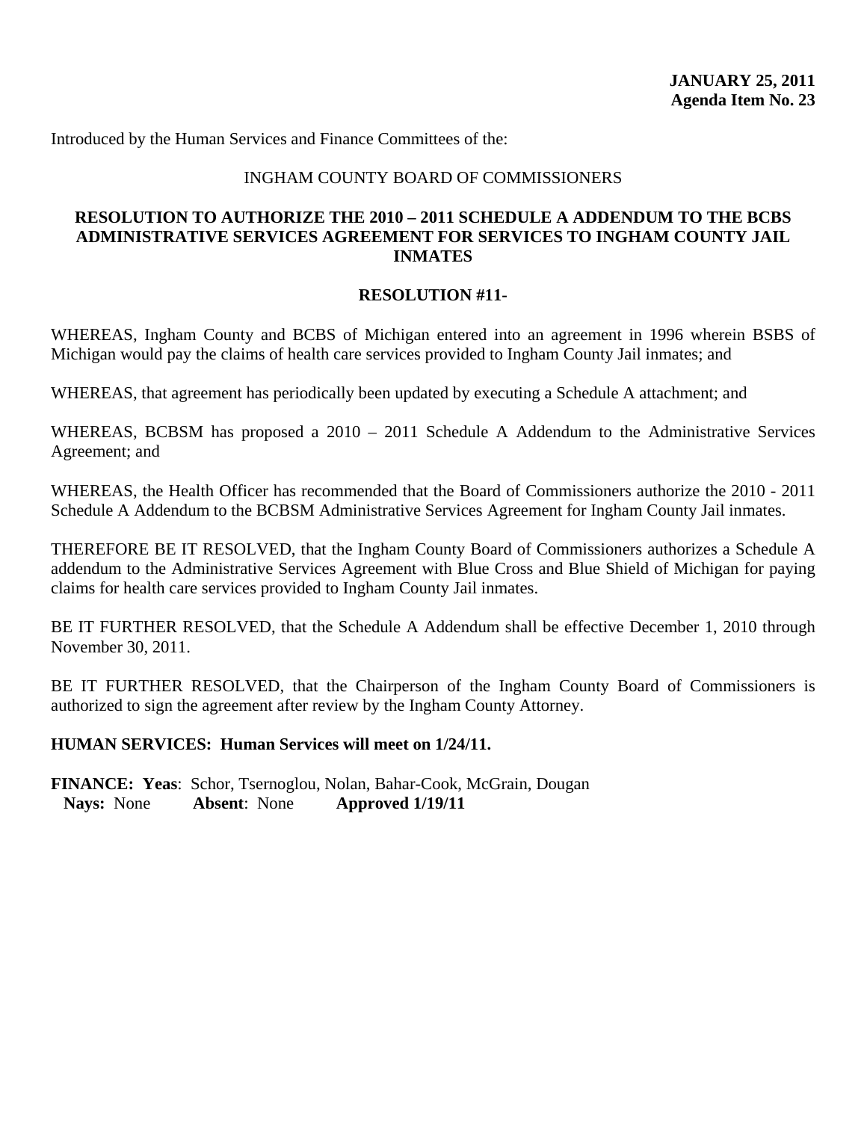#### INGHAM COUNTY BOARD OF COMMISSIONERS

## **RESOLUTION TO AUTHORIZE THE 2010 – 2011 SCHEDULE A ADDENDUM TO THE BCBS ADMINISTRATIVE SERVICES AGREEMENT FOR SERVICES TO INGHAM COUNTY JAIL INMATES**

#### **RESOLUTION #11-**

WHEREAS, Ingham County and BCBS of Michigan entered into an agreement in 1996 wherein BSBS of Michigan would pay the claims of health care services provided to Ingham County Jail inmates; and

WHEREAS, that agreement has periodically been updated by executing a Schedule A attachment; and

WHEREAS, BCBSM has proposed a 2010 – 2011 Schedule A Addendum to the Administrative Services Agreement; and

WHEREAS, the Health Officer has recommended that the Board of Commissioners authorize the 2010 - 2011 Schedule A Addendum to the BCBSM Administrative Services Agreement for Ingham County Jail inmates.

THEREFORE BE IT RESOLVED, that the Ingham County Board of Commissioners authorizes a Schedule A addendum to the Administrative Services Agreement with Blue Cross and Blue Shield of Michigan for paying claims for health care services provided to Ingham County Jail inmates.

BE IT FURTHER RESOLVED, that the Schedule A Addendum shall be effective December 1, 2010 through November 30, 2011.

BE IT FURTHER RESOLVED, that the Chairperson of the Ingham County Board of Commissioners is authorized to sign the agreement after review by the Ingham County Attorney.

#### **HUMAN SERVICES: Human Services will meet on 1/24/11.**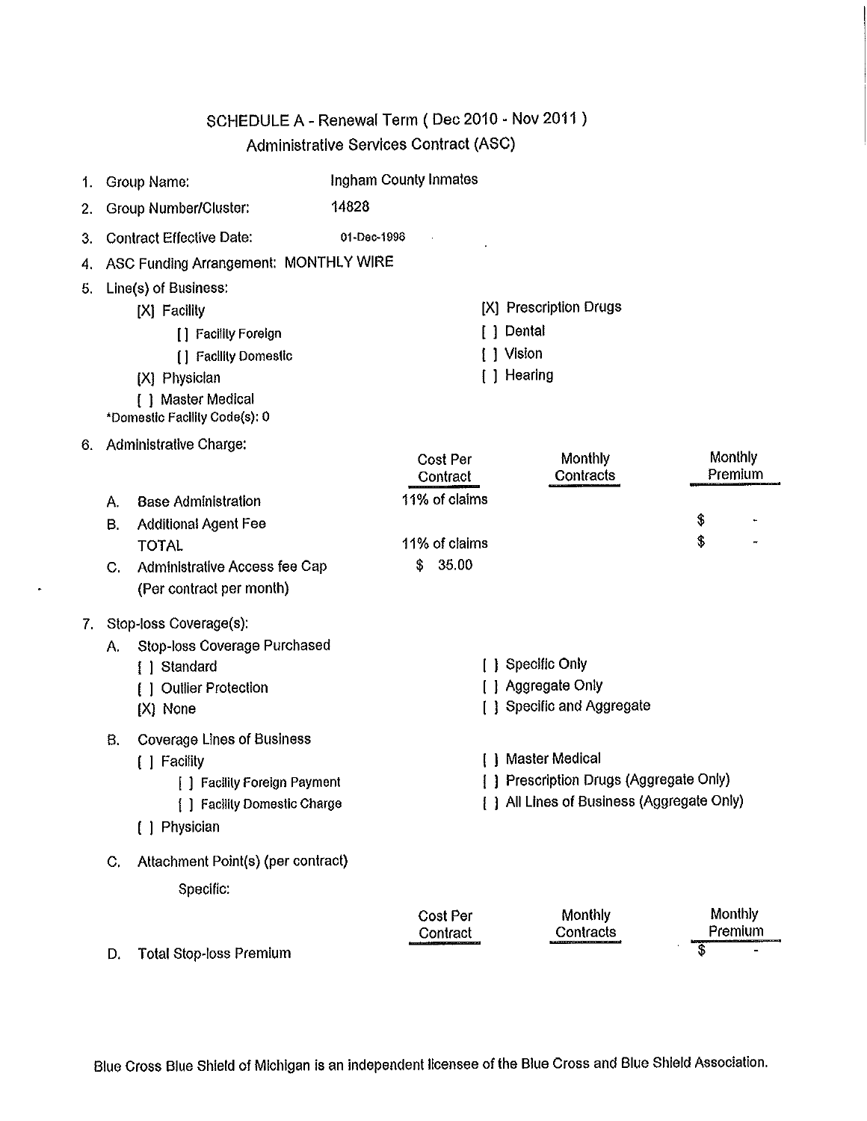# SCHEDULE A - Renewal Term (Dec 2010 - Nov 2011) Administrative Services Contract (ASC)

| 1. |    | Group Name:                                                 |             | Ingham County Inmates |                                                                                       |                           |
|----|----|-------------------------------------------------------------|-------------|-----------------------|---------------------------------------------------------------------------------------|---------------------------|
| 2. |    | <b>Group Number/Cluster:</b>                                | 14828       |                       |                                                                                       |                           |
| 3. |    | <b>Contract Effective Date:</b>                             | 01-Dec-1996 |                       |                                                                                       |                           |
| 4. |    | ASC Funding Arrangement: MONTHLY WIRE                       |             |                       |                                                                                       |                           |
| 5. |    | Line(s) of Business:                                        |             |                       |                                                                                       |                           |
|    |    | [X] Facility                                                |             |                       | [X] Prescription Drugs                                                                |                           |
|    |    | [] Facility Foreign                                         |             |                       | [ ] Dental                                                                            |                           |
|    |    | [] Facility Domestic                                        |             |                       | [ ] Vision                                                                            |                           |
|    |    | [X] Physician                                               |             |                       | [ ] Hearing                                                                           |                           |
|    |    | [ ] Master Medical<br>*Domestic Facility Code(s): 0         |             |                       |                                                                                       |                           |
| 6. |    | Administrative Charge:                                      |             |                       |                                                                                       |                           |
|    |    |                                                             |             | Cost Per<br>Contract  | Monthly<br>Contracts                                                                  | <b>Monthly</b><br>Premium |
|    | А. | <b>Base Administration</b>                                  |             | 11% of claims         |                                                                                       |                           |
|    | В. | <b>Additional Agent Fee</b>                                 |             |                       |                                                                                       | \$                        |
|    |    | <b>TOTAL</b>                                                |             | 11% of claims         |                                                                                       | \$                        |
|    | C. | Administrative Access fee Cap                               |             | 35.00<br>S.           |                                                                                       |                           |
|    |    | (Per contract per month)                                    |             |                       |                                                                                       |                           |
| 7. |    | Stop-loss Coverage(s):                                      |             |                       |                                                                                       |                           |
|    | А. | Stop-loss Coverage Purchased                                |             |                       |                                                                                       |                           |
|    |    | [ ] Standard                                                |             |                       | [ ] Specific Only                                                                     |                           |
|    |    | [ ] Outlier Protection                                      |             |                       | [ ] Aggregate Only                                                                    |                           |
|    |    | [X] None                                                    |             |                       | [ ] Specific and Aggregate                                                            |                           |
|    | В. | <b>Coverage Lines of Business</b>                           |             |                       |                                                                                       |                           |
|    |    | [ ] Facility                                                |             |                       | [ ] Master Medical                                                                    |                           |
|    |    | [ ] Facility Foreign Payment<br>[] Facility Domestic Charge |             |                       | [ ] Prescription Drugs (Aggregate Only)<br>[ ] All Lines of Business (Aggregate Only) |                           |
|    |    | [ ] Physician                                               |             |                       |                                                                                       |                           |
|    |    |                                                             |             |                       |                                                                                       |                           |
|    | C. | Attachment Point(s) (per contract)                          |             |                       |                                                                                       |                           |
|    |    | Specific:                                                   |             |                       |                                                                                       |                           |
|    |    |                                                             |             | Cost Per              | Monthly                                                                               | Monthly                   |
|    |    |                                                             |             | Contract              | Contracts                                                                             | \$<br>Premium             |
|    | D. | <b>Total Stop-loss Premium</b>                              |             |                       |                                                                                       |                           |

 $\bullet$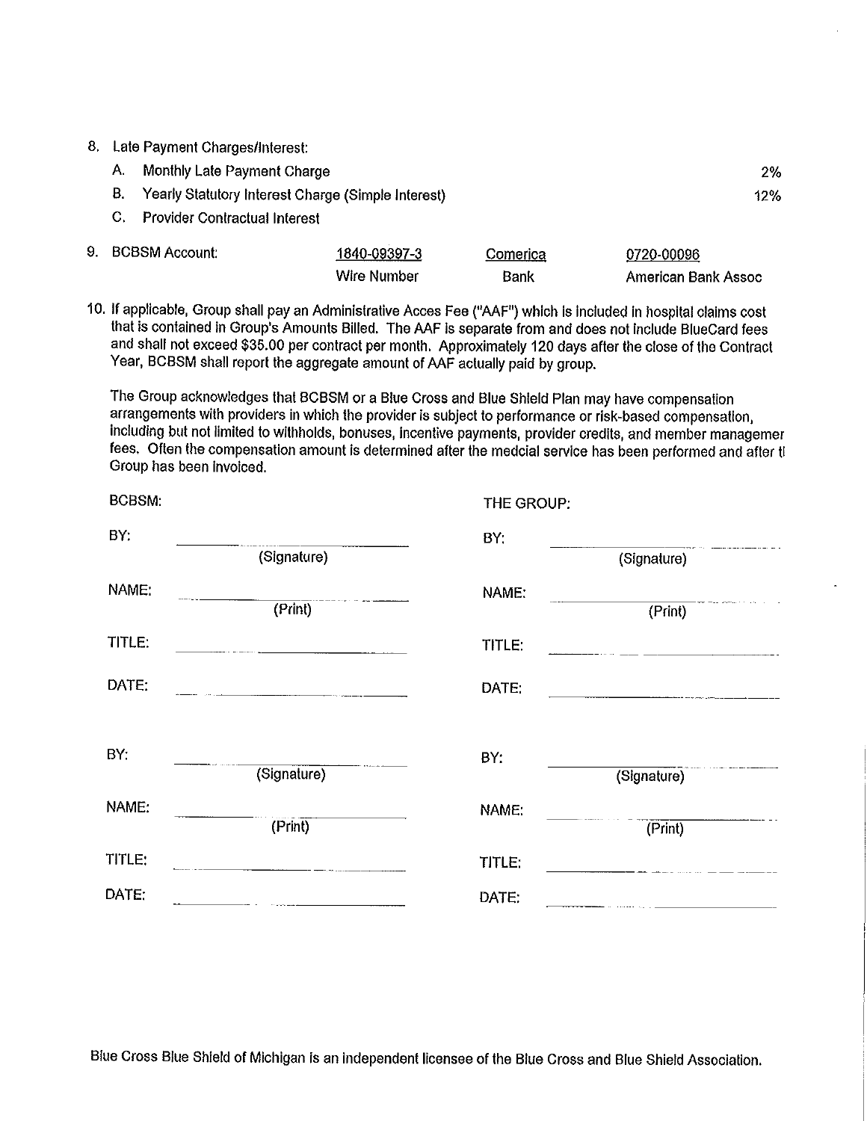8. Late Payment Charges/Interest:

9.

| A.                    | Monthly Late Payment Charge                           |              |          |            |     |
|-----------------------|-------------------------------------------------------|--------------|----------|------------|-----|
|                       | B. Yearly Statutory Interest Charge (Simple Interest) |              |          |            | 12% |
|                       | C. Provider Contractual Interest                      |              |          |            |     |
| <b>BCBSM Account:</b> |                                                       | 1840-09397-3 | Comerica | 0720-00096 |     |

**Bank** 

American Bank Assoc

10. If applicable, Group shall pay an Administrative Acces Fee ("AAF") which is included in hospital claims cost that is contained in Group's Amounts Billed. The AAF is separate from and does not include BlueCard fees and shall not exceed \$35.00 per contract per month. Approximately 120 days after the close of the Contract Year, BCBSM shall report the aggregate amount of AAF actually paid by group.

**Wire Number** 

The Group acknowledges that BCBSM or a Blue Cross and Blue Shield Plan may have compensation arrangements with providers in which the provider is subject to performance or risk-based compensation, including but not limited to withholds, bonuses, incentive payments, provider credits, and member managemer fees. Often the compensation amount is determined after the medcial service has been performed and after ti Group has been invoiced.

| <b>BCBSM:</b> |             | THE GROUP: |                                                    |
|---------------|-------------|------------|----------------------------------------------------|
| BY:           | (Signature) | BY:        | (Signature)                                        |
| NAME:         | (Print)     | NAME:      | (Frint)                                            |
| TITLE:        |             | TITLE:     |                                                    |
| DATE:         |             | DATE:      | <u> 1980 - Jan Barat, martin amerikan basal da</u> |
| BY:           | (Signature) | BY:        | (Signature)                                        |
| NAME:         | (Print)     | NAME:      | (Frint)                                            |
| TITLE:        |             | TITLE:     |                                                    |
| DATE:         |             | DATE:      |                                                    |

Blue Cross Blue Shield of Michigan is an independent licensee of the Blue Cross and Blue Shield Association.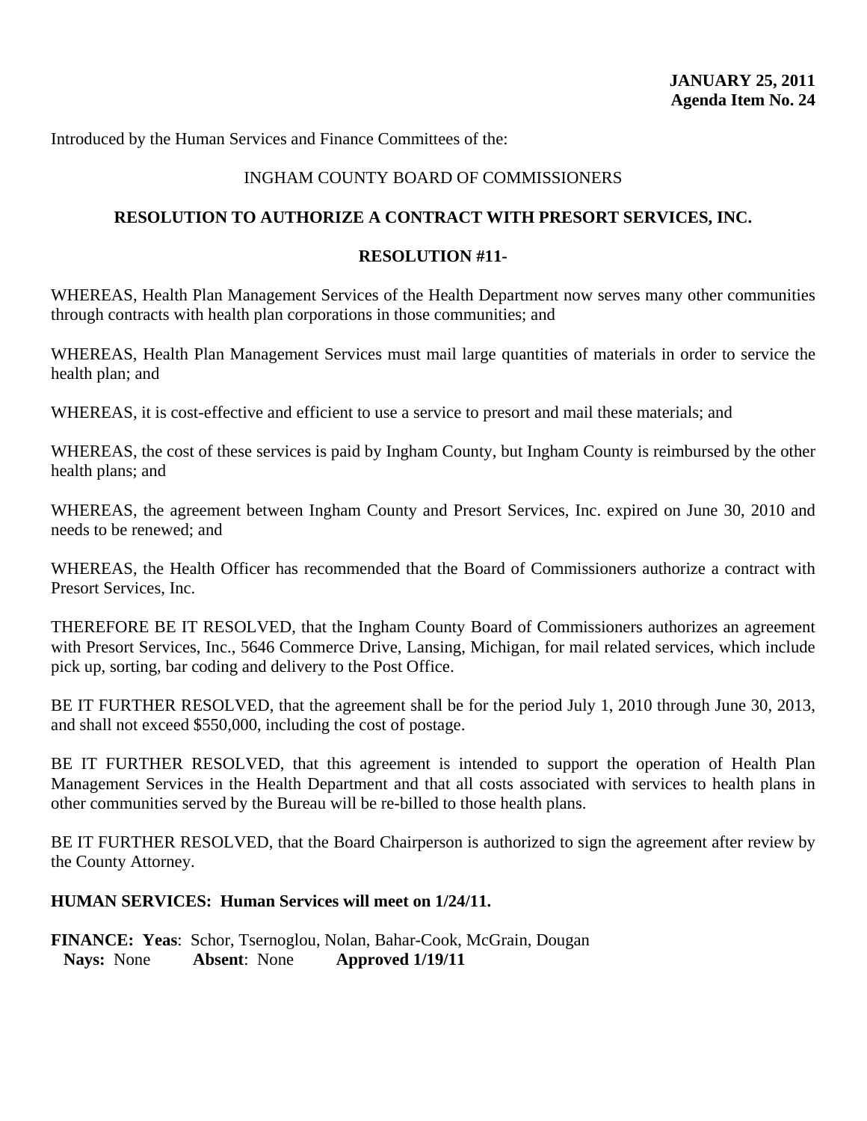## INGHAM COUNTY BOARD OF COMMISSIONERS

## **RESOLUTION TO AUTHORIZE A CONTRACT WITH PRESORT SERVICES, INC.**

#### **RESOLUTION #11-**

WHEREAS, Health Plan Management Services of the Health Department now serves many other communities through contracts with health plan corporations in those communities; and

WHEREAS, Health Plan Management Services must mail large quantities of materials in order to service the health plan; and

WHEREAS, it is cost-effective and efficient to use a service to presort and mail these materials; and

WHEREAS, the cost of these services is paid by Ingham County, but Ingham County is reimbursed by the other health plans; and

WHEREAS, the agreement between Ingham County and Presort Services, Inc. expired on June 30, 2010 and needs to be renewed; and

WHEREAS, the Health Officer has recommended that the Board of Commissioners authorize a contract with Presort Services, Inc.

THEREFORE BE IT RESOLVED, that the Ingham County Board of Commissioners authorizes an agreement with Presort Services, Inc., 5646 Commerce Drive, Lansing, Michigan, for mail related services, which include pick up, sorting, bar coding and delivery to the Post Office.

BE IT FURTHER RESOLVED, that the agreement shall be for the period July 1, 2010 through June 30, 2013, and shall not exceed \$550,000, including the cost of postage.

BE IT FURTHER RESOLVED, that this agreement is intended to support the operation of Health Plan Management Services in the Health Department and that all costs associated with services to health plans in other communities served by the Bureau will be re-billed to those health plans.

BE IT FURTHER RESOLVED, that the Board Chairperson is authorized to sign the agreement after review by the County Attorney.

#### **HUMAN SERVICES: Human Services will meet on 1/24/11.**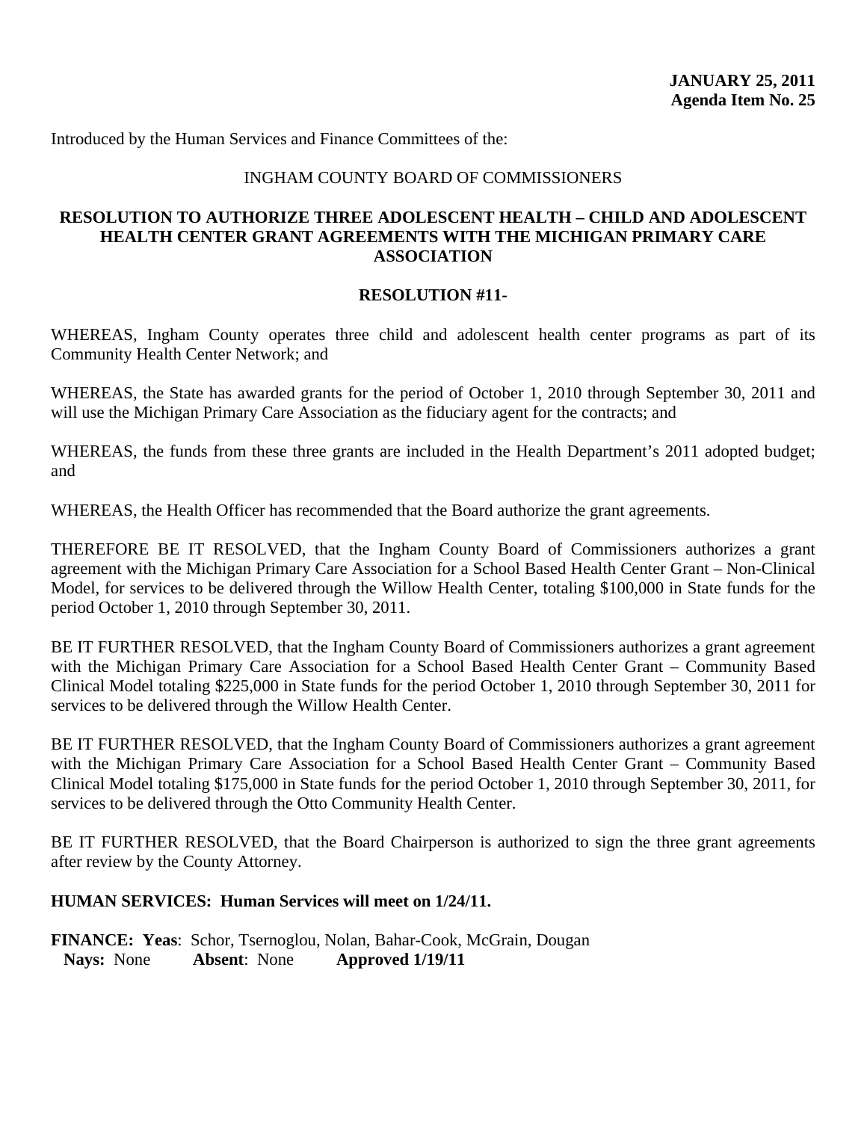#### INGHAM COUNTY BOARD OF COMMISSIONERS

#### **RESOLUTION TO AUTHORIZE THREE ADOLESCENT HEALTH – CHILD AND ADOLESCENT HEALTH CENTER GRANT AGREEMENTS WITH THE MICHIGAN PRIMARY CARE ASSOCIATION**

#### **RESOLUTION #11-**

WHEREAS, Ingham County operates three child and adolescent health center programs as part of its Community Health Center Network; and

WHEREAS, the State has awarded grants for the period of October 1, 2010 through September 30, 2011 and will use the Michigan Primary Care Association as the fiduciary agent for the contracts; and

WHEREAS, the funds from these three grants are included in the Health Department's 2011 adopted budget; and

WHEREAS, the Health Officer has recommended that the Board authorize the grant agreements.

THEREFORE BE IT RESOLVED, that the Ingham County Board of Commissioners authorizes a grant agreement with the Michigan Primary Care Association for a School Based Health Center Grant – Non-Clinical Model, for services to be delivered through the Willow Health Center, totaling \$100,000 in State funds for the period October 1, 2010 through September 30, 2011.

BE IT FURTHER RESOLVED, that the Ingham County Board of Commissioners authorizes a grant agreement with the Michigan Primary Care Association for a School Based Health Center Grant – Community Based Clinical Model totaling \$225,000 in State funds for the period October 1, 2010 through September 30, 2011 for services to be delivered through the Willow Health Center.

BE IT FURTHER RESOLVED, that the Ingham County Board of Commissioners authorizes a grant agreement with the Michigan Primary Care Association for a School Based Health Center Grant – Community Based Clinical Model totaling \$175,000 in State funds for the period October 1, 2010 through September 30, 2011, for services to be delivered through the Otto Community Health Center.

BE IT FURTHER RESOLVED, that the Board Chairperson is authorized to sign the three grant agreements after review by the County Attorney.

#### **HUMAN SERVICES: Human Services will meet on 1/24/11.**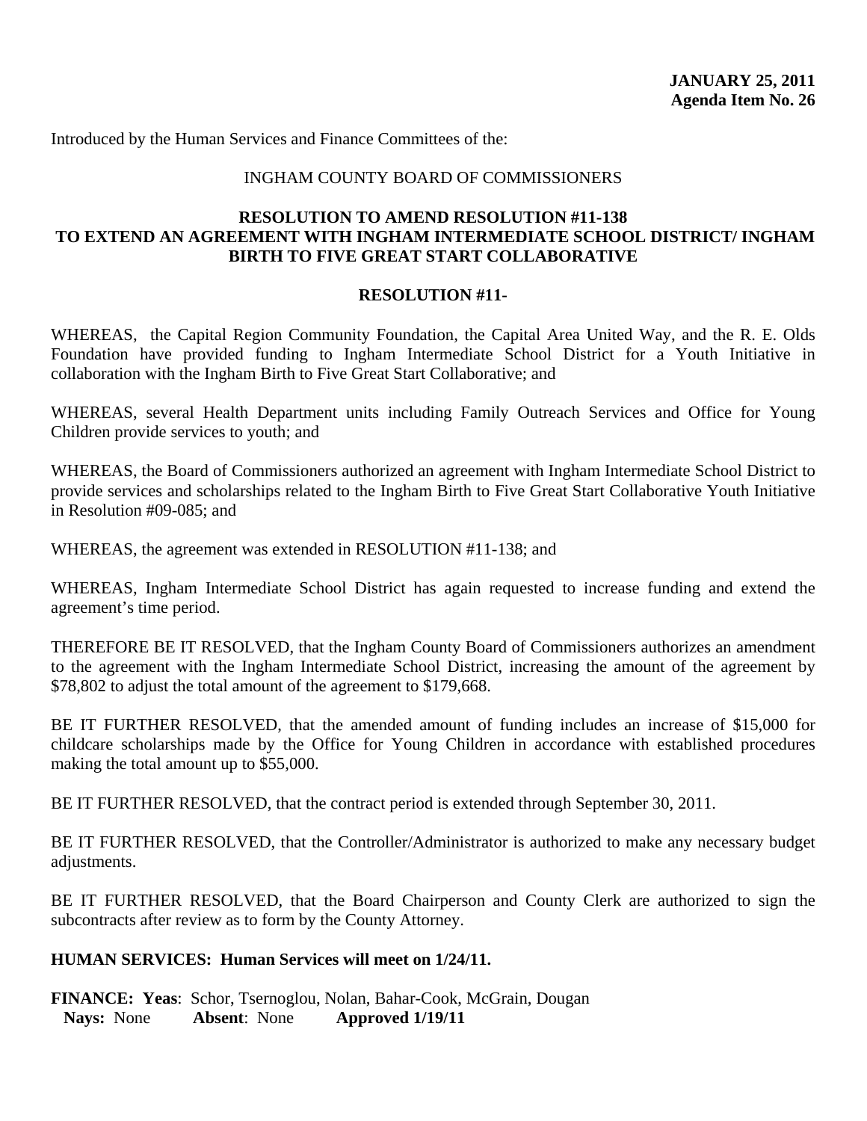#### INGHAM COUNTY BOARD OF COMMISSIONERS

# **RESOLUTION TO AMEND RESOLUTION #11-138 TO EXTEND AN AGREEMENT WITH INGHAM INTERMEDIATE SCHOOL DISTRICT/ INGHAM BIRTH TO FIVE GREAT START COLLABORATIVE**

#### **RESOLUTION #11-**

WHEREAS, the Capital Region Community Foundation, the Capital Area United Way, and the R. E. Olds Foundation have provided funding to Ingham Intermediate School District for a Youth Initiative in collaboration with the Ingham Birth to Five Great Start Collaborative; and

WHEREAS, several Health Department units including Family Outreach Services and Office for Young Children provide services to youth; and

WHEREAS, the Board of Commissioners authorized an agreement with Ingham Intermediate School District to provide services and scholarships related to the Ingham Birth to Five Great Start Collaborative Youth Initiative in Resolution #09-085; and

WHEREAS, the agreement was extended in RESOLUTION #11-138; and

WHEREAS, Ingham Intermediate School District has again requested to increase funding and extend the agreement's time period.

THEREFORE BE IT RESOLVED, that the Ingham County Board of Commissioners authorizes an amendment to the agreement with the Ingham Intermediate School District, increasing the amount of the agreement by \$78,802 to adjust the total amount of the agreement to \$179,668.

BE IT FURTHER RESOLVED, that the amended amount of funding includes an increase of \$15,000 for childcare scholarships made by the Office for Young Children in accordance with established procedures making the total amount up to \$55,000.

BE IT FURTHER RESOLVED, that the contract period is extended through September 30, 2011.

BE IT FURTHER RESOLVED, that the Controller/Administrator is authorized to make any necessary budget adjustments.

BE IT FURTHER RESOLVED, that the Board Chairperson and County Clerk are authorized to sign the subcontracts after review as to form by the County Attorney.

#### **HUMAN SERVICES: Human Services will meet on 1/24/11.**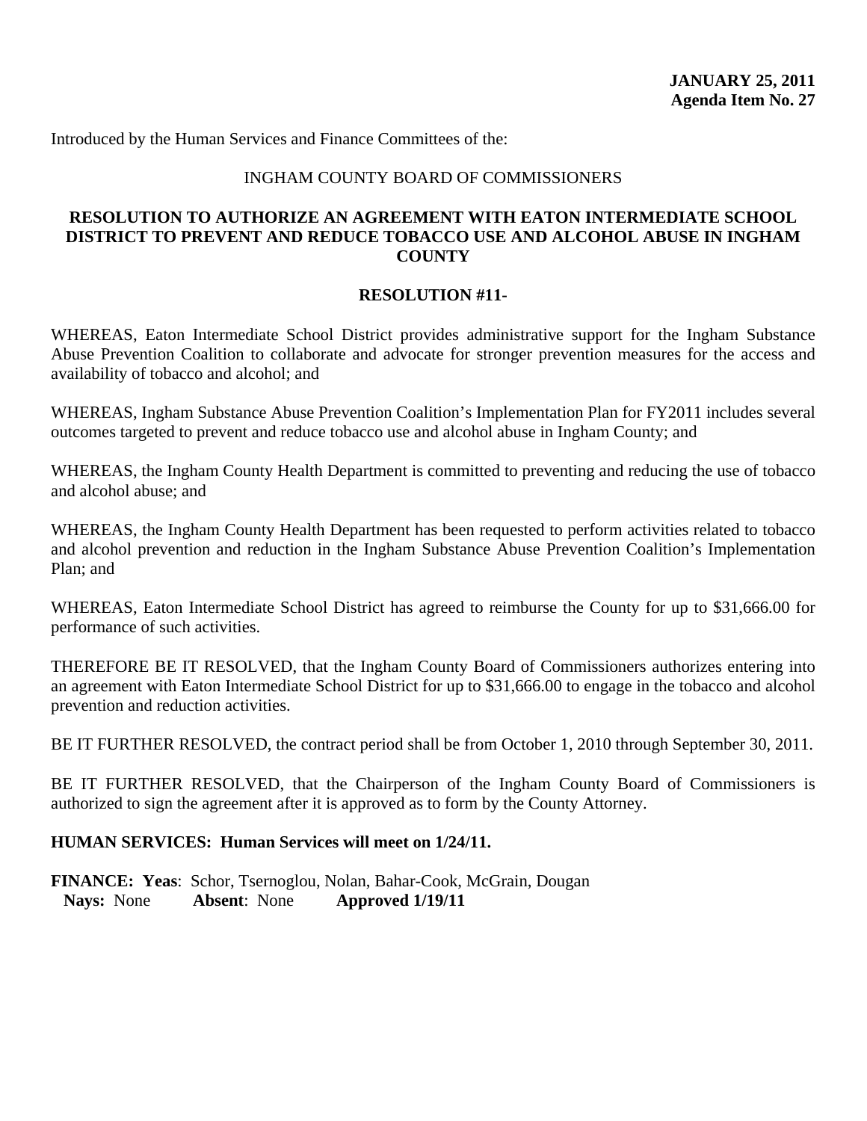#### INGHAM COUNTY BOARD OF COMMISSIONERS

# **RESOLUTION TO AUTHORIZE AN AGREEMENT WITH EATON INTERMEDIATE SCHOOL DISTRICT TO PREVENT AND REDUCE TOBACCO USE AND ALCOHOL ABUSE IN INGHAM COUNTY**

#### **RESOLUTION #11-**

WHEREAS, Eaton Intermediate School District provides administrative support for the Ingham Substance Abuse Prevention Coalition to collaborate and advocate for stronger prevention measures for the access and availability of tobacco and alcohol; and

WHEREAS, Ingham Substance Abuse Prevention Coalition's Implementation Plan for FY2011 includes several outcomes targeted to prevent and reduce tobacco use and alcohol abuse in Ingham County; and

WHEREAS, the Ingham County Health Department is committed to preventing and reducing the use of tobacco and alcohol abuse; and

WHEREAS, the Ingham County Health Department has been requested to perform activities related to tobacco and alcohol prevention and reduction in the Ingham Substance Abuse Prevention Coalition's Implementation Plan; and

WHEREAS, Eaton Intermediate School District has agreed to reimburse the County for up to \$31,666.00 for performance of such activities.

THEREFORE BE IT RESOLVED, that the Ingham County Board of Commissioners authorizes entering into an agreement with Eaton Intermediate School District for up to \$31,666.00 to engage in the tobacco and alcohol prevention and reduction activities.

BE IT FURTHER RESOLVED, the contract period shall be from October 1, 2010 through September 30, 2011.

BE IT FURTHER RESOLVED, that the Chairperson of the Ingham County Board of Commissioners is authorized to sign the agreement after it is approved as to form by the County Attorney.

#### **HUMAN SERVICES: Human Services will meet on 1/24/11.**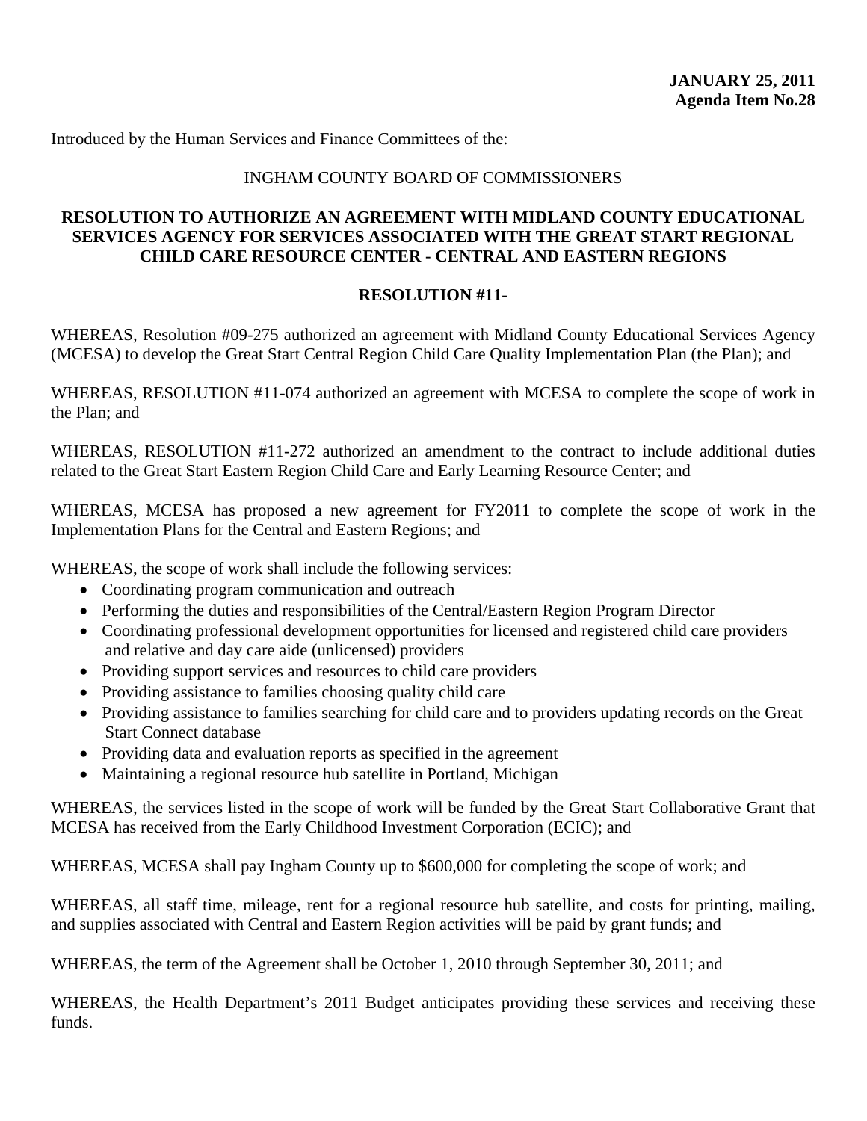# INGHAM COUNTY BOARD OF COMMISSIONERS

# **RESOLUTION TO AUTHORIZE AN AGREEMENT WITH MIDLAND COUNTY EDUCATIONAL SERVICES AGENCY FOR SERVICES ASSOCIATED WITH THE GREAT START REGIONAL CHILD CARE RESOURCE CENTER - CENTRAL AND EASTERN REGIONS**

# **RESOLUTION #11-**

WHEREAS, Resolution #09-275 authorized an agreement with Midland County Educational Services Agency (MCESA) to develop the Great Start Central Region Child Care Quality Implementation Plan (the Plan); and

WHEREAS, RESOLUTION #11-074 authorized an agreement with MCESA to complete the scope of work in the Plan; and

WHEREAS, RESOLUTION #11-272 authorized an amendment to the contract to include additional duties related to the Great Start Eastern Region Child Care and Early Learning Resource Center; and

WHEREAS, MCESA has proposed a new agreement for FY2011 to complete the scope of work in the Implementation Plans for the Central and Eastern Regions; and

WHEREAS, the scope of work shall include the following services:

- Coordinating program communication and outreach
- Performing the duties and responsibilities of the Central/Eastern Region Program Director
- Coordinating professional development opportunities for licensed and registered child care providers and relative and day care aide (unlicensed) providers
- Providing support services and resources to child care providers
- Providing assistance to families choosing quality child care
- Providing assistance to families searching for child care and to providers updating records on the Great Start Connect database
- Providing data and evaluation reports as specified in the agreement
- Maintaining a regional resource hub satellite in Portland, Michigan

WHEREAS, the services listed in the scope of work will be funded by the Great Start Collaborative Grant that MCESA has received from the Early Childhood Investment Corporation (ECIC); and

WHEREAS, MCESA shall pay Ingham County up to \$600,000 for completing the scope of work; and

WHEREAS, all staff time, mileage, rent for a regional resource hub satellite, and costs for printing, mailing, and supplies associated with Central and Eastern Region activities will be paid by grant funds; and

WHEREAS, the term of the Agreement shall be October 1, 2010 through September 30, 2011; and

WHEREAS, the Health Department's 2011 Budget anticipates providing these services and receiving these funds.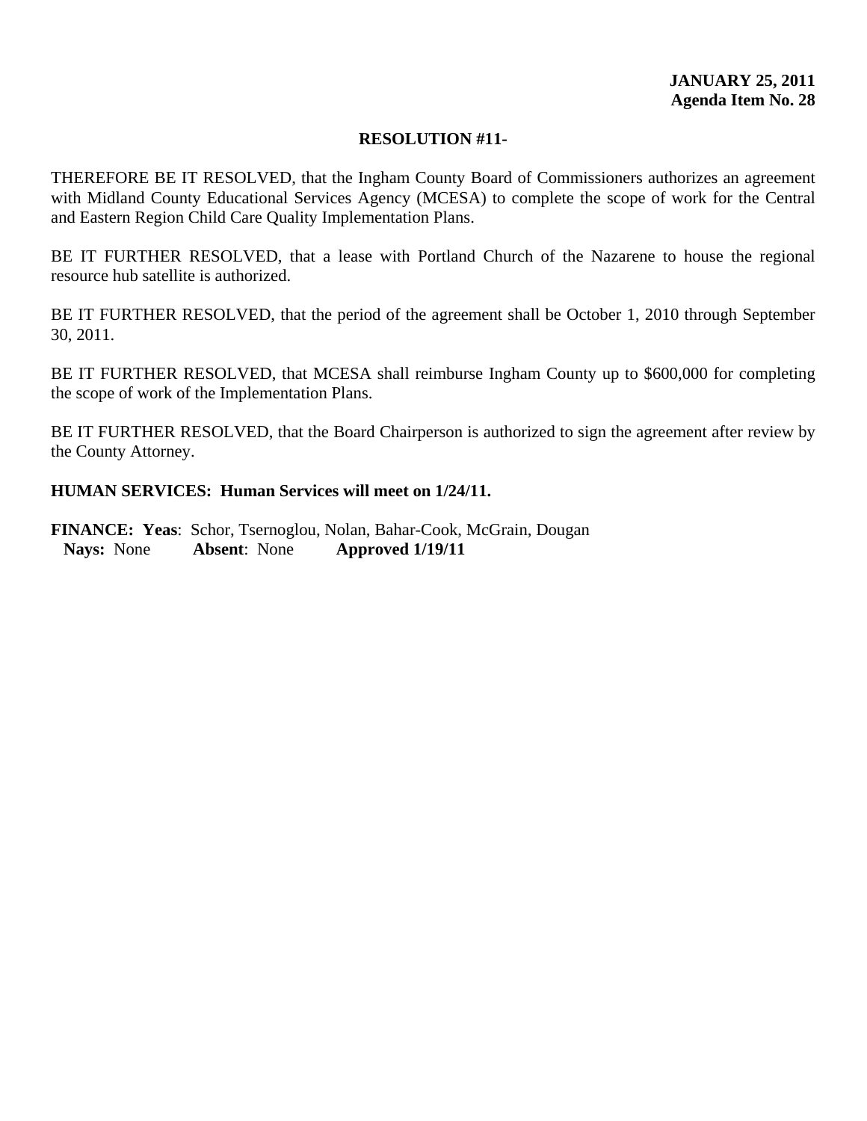THEREFORE BE IT RESOLVED, that the Ingham County Board of Commissioners authorizes an agreement with Midland County Educational Services Agency (MCESA) to complete the scope of work for the Central and Eastern Region Child Care Quality Implementation Plans.

BE IT FURTHER RESOLVED, that a lease with Portland Church of the Nazarene to house the regional resource hub satellite is authorized.

BE IT FURTHER RESOLVED, that the period of the agreement shall be October 1, 2010 through September 30, 2011.

BE IT FURTHER RESOLVED, that MCESA shall reimburse Ingham County up to \$600,000 for completing the scope of work of the Implementation Plans.

BE IT FURTHER RESOLVED, that the Board Chairperson is authorized to sign the agreement after review by the County Attorney.

# **HUMAN SERVICES: Human Services will meet on 1/24/11.**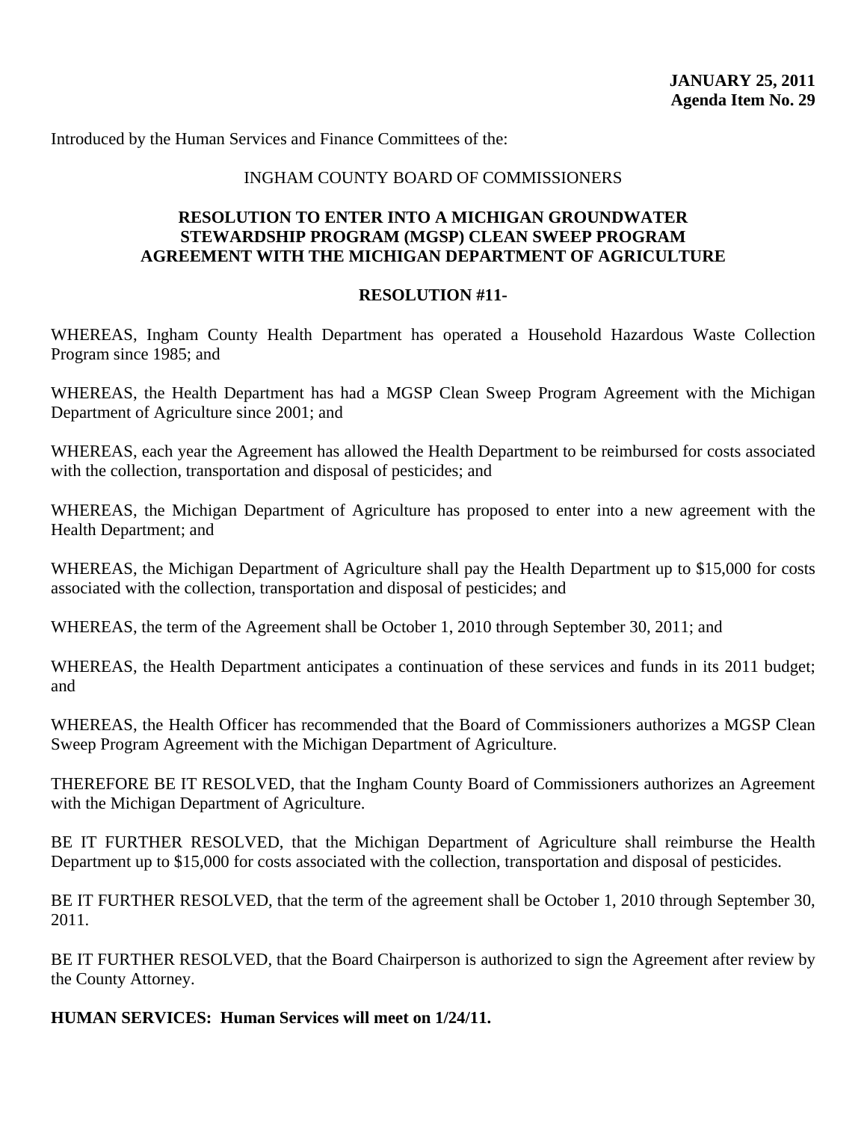#### INGHAM COUNTY BOARD OF COMMISSIONERS

# **RESOLUTION TO ENTER INTO A MICHIGAN GROUNDWATER STEWARDSHIP PROGRAM (MGSP) CLEAN SWEEP PROGRAM AGREEMENT WITH THE MICHIGAN DEPARTMENT OF AGRICULTURE**

### **RESOLUTION #11-**

WHEREAS, Ingham County Health Department has operated a Household Hazardous Waste Collection Program since 1985; and

WHEREAS, the Health Department has had a MGSP Clean Sweep Program Agreement with the Michigan Department of Agriculture since 2001; and

WHEREAS, each year the Agreement has allowed the Health Department to be reimbursed for costs associated with the collection, transportation and disposal of pesticides; and

WHEREAS, the Michigan Department of Agriculture has proposed to enter into a new agreement with the Health Department; and

WHEREAS, the Michigan Department of Agriculture shall pay the Health Department up to \$15,000 for costs associated with the collection, transportation and disposal of pesticides; and

WHEREAS, the term of the Agreement shall be October 1, 2010 through September 30, 2011; and

WHEREAS, the Health Department anticipates a continuation of these services and funds in its 2011 budget; and

WHEREAS, the Health Officer has recommended that the Board of Commissioners authorizes a MGSP Clean Sweep Program Agreement with the Michigan Department of Agriculture.

THEREFORE BE IT RESOLVED, that the Ingham County Board of Commissioners authorizes an Agreement with the Michigan Department of Agriculture.

BE IT FURTHER RESOLVED, that the Michigan Department of Agriculture shall reimburse the Health Department up to \$15,000 for costs associated with the collection, transportation and disposal of pesticides.

BE IT FURTHER RESOLVED, that the term of the agreement shall be October 1, 2010 through September 30, 2011.

BE IT FURTHER RESOLVED, that the Board Chairperson is authorized to sign the Agreement after review by the County Attorney.

**HUMAN SERVICES: Human Services will meet on 1/24/11.**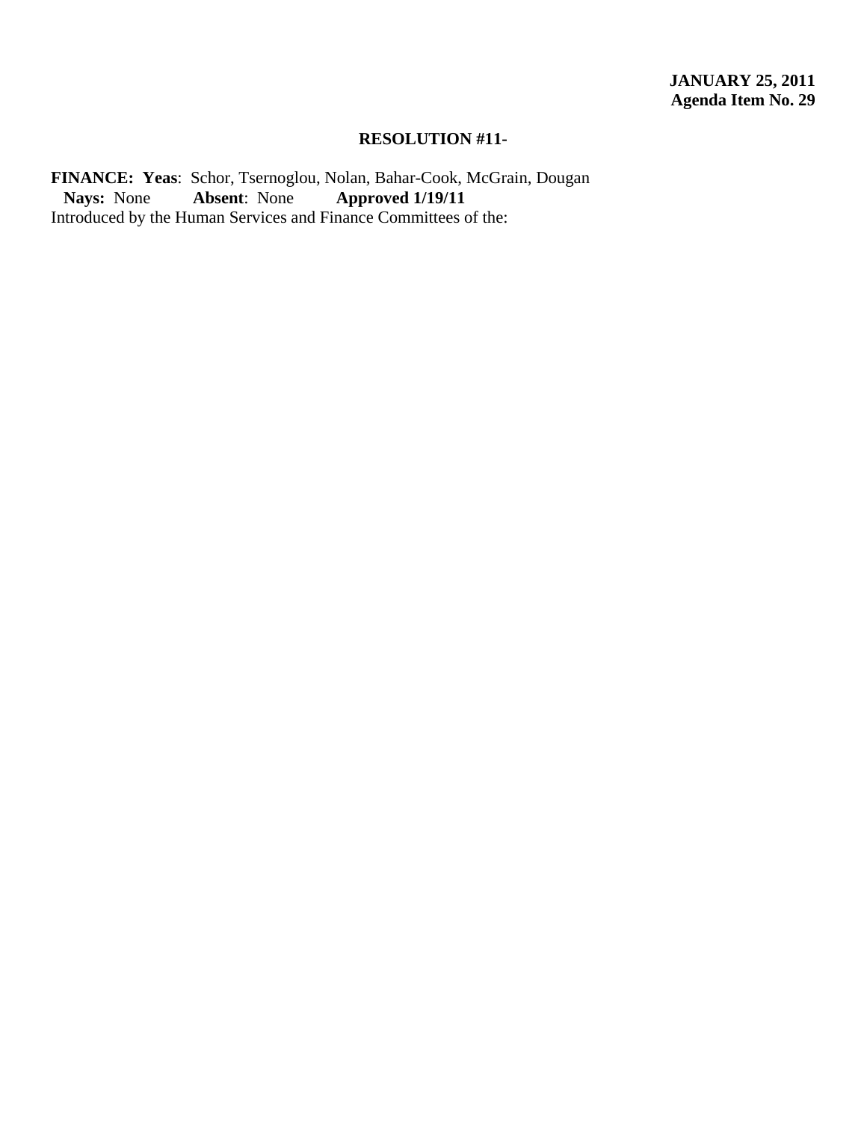FINANCE: Yeas: Schor, Tsernoglou, Nolan, Bahar-Cook, McGrain, Dougan Nays: None Absent: None Approved 1/19/11  **Nays:** None **Absent**: None **Approved 1/19/11**  Introduced by the Human Services and Finance Committees of the: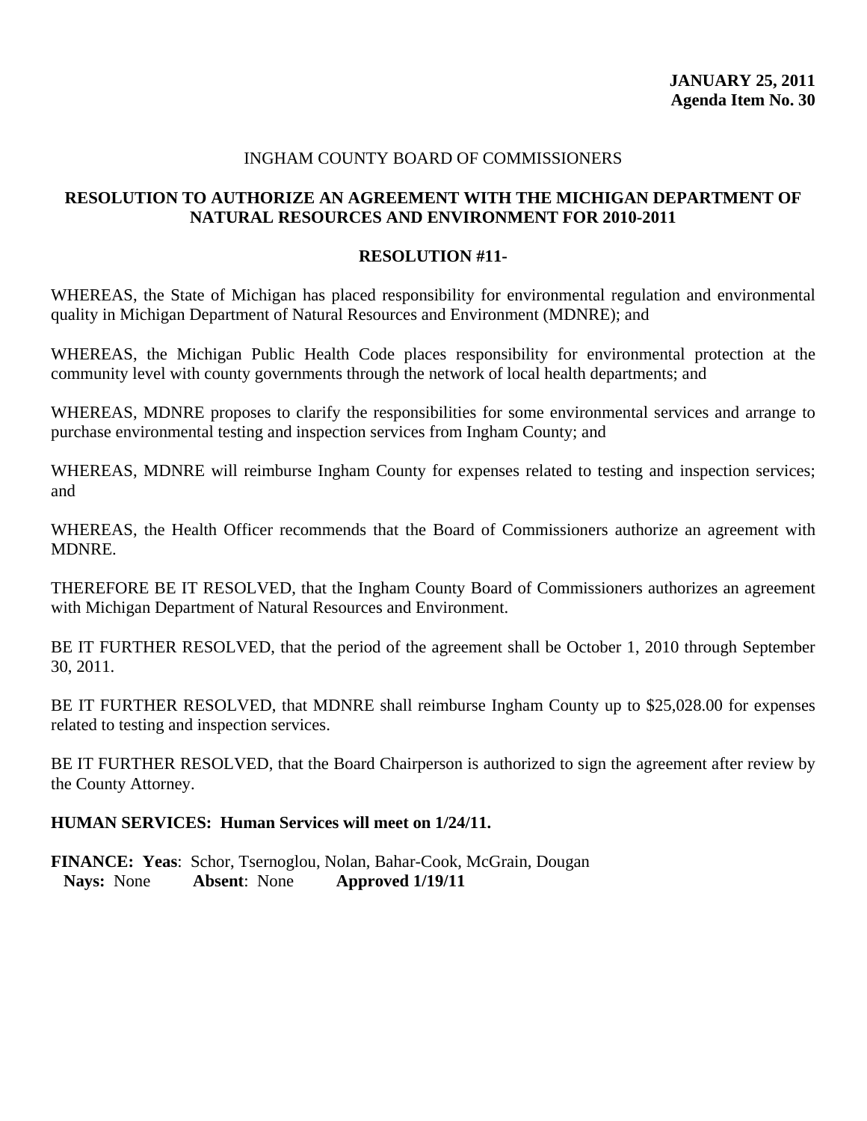### INGHAM COUNTY BOARD OF COMMISSIONERS

# **RESOLUTION TO AUTHORIZE AN AGREEMENT WITH THE MICHIGAN DEPARTMENT OF NATURAL RESOURCES AND ENVIRONMENT FOR 2010-2011**

### **RESOLUTION #11-**

WHEREAS, the State of Michigan has placed responsibility for environmental regulation and environmental quality in Michigan Department of Natural Resources and Environment (MDNRE); and

WHEREAS, the Michigan Public Health Code places responsibility for environmental protection at the community level with county governments through the network of local health departments; and

WHEREAS, MDNRE proposes to clarify the responsibilities for some environmental services and arrange to purchase environmental testing and inspection services from Ingham County; and

WHEREAS, MDNRE will reimburse Ingham County for expenses related to testing and inspection services; and

WHEREAS, the Health Officer recommends that the Board of Commissioners authorize an agreement with MDNRE.

THEREFORE BE IT RESOLVED, that the Ingham County Board of Commissioners authorizes an agreement with Michigan Department of Natural Resources and Environment.

BE IT FURTHER RESOLVED, that the period of the agreement shall be October 1, 2010 through September 30, 2011.

BE IT FURTHER RESOLVED, that MDNRE shall reimburse Ingham County up to \$25,028.00 for expenses related to testing and inspection services.

BE IT FURTHER RESOLVED, that the Board Chairperson is authorized to sign the agreement after review by the County Attorney.

#### **HUMAN SERVICES: Human Services will meet on 1/24/11.**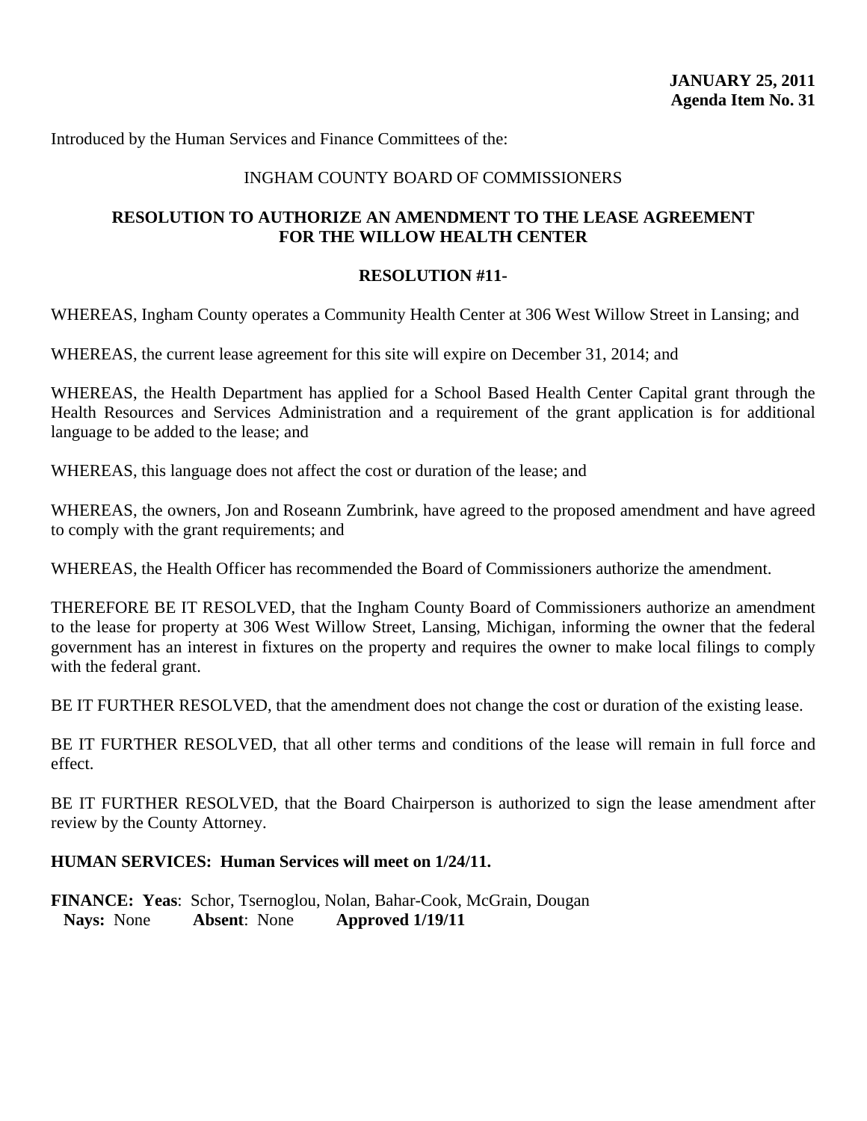# INGHAM COUNTY BOARD OF COMMISSIONERS

# **RESOLUTION TO AUTHORIZE AN AMENDMENT TO THE LEASE AGREEMENT FOR THE WILLOW HEALTH CENTER**

# **RESOLUTION #11-**

WHEREAS, Ingham County operates a Community Health Center at 306 West Willow Street in Lansing; and

WHEREAS, the current lease agreement for this site will expire on December 31, 2014; and

WHEREAS, the Health Department has applied for a School Based Health Center Capital grant through the Health Resources and Services Administration and a requirement of the grant application is for additional language to be added to the lease; and

WHEREAS, this language does not affect the cost or duration of the lease; and

WHEREAS, the owners, Jon and Roseann Zumbrink, have agreed to the proposed amendment and have agreed to comply with the grant requirements; and

WHEREAS, the Health Officer has recommended the Board of Commissioners authorize the amendment.

THEREFORE BE IT RESOLVED, that the Ingham County Board of Commissioners authorize an amendment to the lease for property at 306 West Willow Street, Lansing, Michigan, informing the owner that the federal government has an interest in fixtures on the property and requires the owner to make local filings to comply with the federal grant.

BE IT FURTHER RESOLVED, that the amendment does not change the cost or duration of the existing lease.

BE IT FURTHER RESOLVED, that all other terms and conditions of the lease will remain in full force and effect.

BE IT FURTHER RESOLVED, that the Board Chairperson is authorized to sign the lease amendment after review by the County Attorney.

# **HUMAN SERVICES: Human Services will meet on 1/24/11.**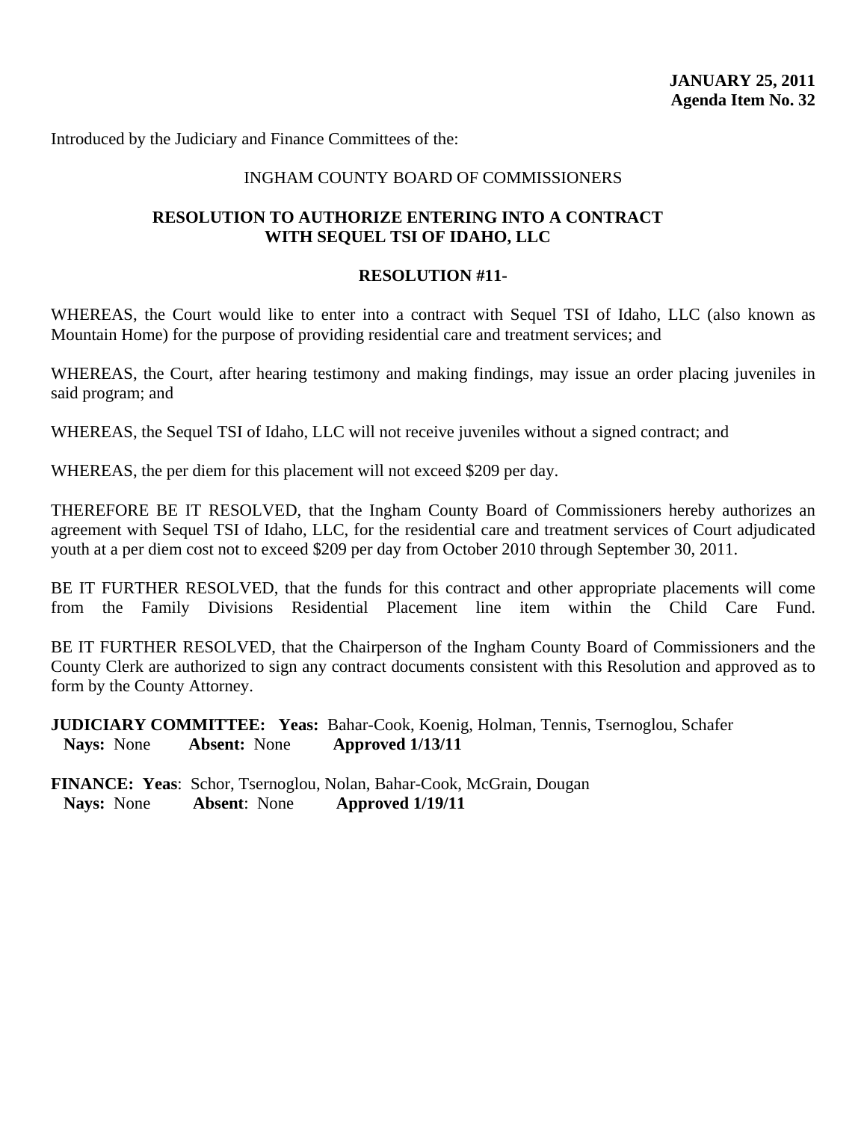Introduced by the Judiciary and Finance Committees of the:

### INGHAM COUNTY BOARD OF COMMISSIONERS

# **RESOLUTION TO AUTHORIZE ENTERING INTO A CONTRACT WITH SEQUEL TSI OF IDAHO, LLC**

### **RESOLUTION #11-**

WHEREAS, the Court would like to enter into a contract with Sequel TSI of Idaho, LLC (also known as Mountain Home) for the purpose of providing residential care and treatment services; and

WHEREAS, the Court, after hearing testimony and making findings, may issue an order placing juveniles in said program; and

WHEREAS, the Sequel TSI of Idaho, LLC will not receive juveniles without a signed contract; and

WHEREAS, the per diem for this placement will not exceed \$209 per day.

THEREFORE BE IT RESOLVED, that the Ingham County Board of Commissioners hereby authorizes an agreement with Sequel TSI of Idaho, LLC, for the residential care and treatment services of Court adjudicated youth at a per diem cost not to exceed \$209 per day from October 2010 through September 30, 2011.

BE IT FURTHER RESOLVED, that the funds for this contract and other appropriate placements will come from the Family Divisions Residential Placement line item within the Child Care Fund.

BE IT FURTHER RESOLVED, that the Chairperson of the Ingham County Board of Commissioners and the County Clerk are authorized to sign any contract documents consistent with this Resolution and approved as to form by the County Attorney.

**JUDICIARY COMMITTEE:** Yeas: Bahar-Cook, Koenig, Holman, Tennis, Tsernoglou, Schafer  **Nays:** None **Absent:** None **Approved 1/13/11**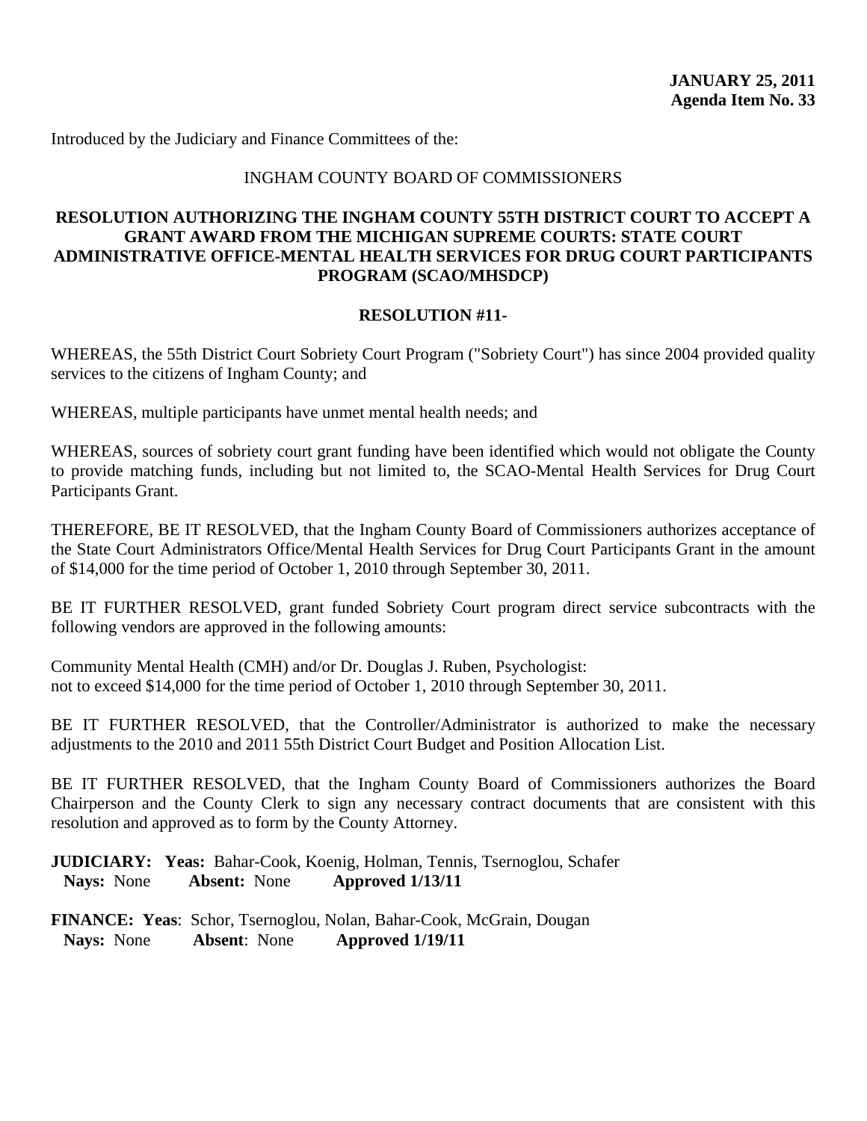Introduced by the Judiciary and Finance Committees of the:

### INGHAM COUNTY BOARD OF COMMISSIONERS

# **RESOLUTION AUTHORIZING THE INGHAM COUNTY 55TH DISTRICT COURT TO ACCEPT A GRANT AWARD FROM THE MICHIGAN SUPREME COURTS: STATE COURT ADMINISTRATIVE OFFICE-MENTAL HEALTH SERVICES FOR DRUG COURT PARTICIPANTS PROGRAM (SCAO/MHSDCP)**

### **RESOLUTION #11-**

WHEREAS, the 55th District Court Sobriety Court Program ("Sobriety Court") has since 2004 provided quality services to the citizens of Ingham County; and

WHEREAS, multiple participants have unmet mental health needs; and

WHEREAS, sources of sobriety court grant funding have been identified which would not obligate the County to provide matching funds, including but not limited to, the SCAO-Mental Health Services for Drug Court Participants Grant.

THEREFORE, BE IT RESOLVED, that the Ingham County Board of Commissioners authorizes acceptance of the State Court Administrators Office/Mental Health Services for Drug Court Participants Grant in the amount of \$14,000 for the time period of October 1, 2010 through September 30, 2011.

BE IT FURTHER RESOLVED, grant funded Sobriety Court program direct service subcontracts with the following vendors are approved in the following amounts:

Community Mental Health (CMH) and/or Dr. Douglas J. Ruben, Psychologist: not to exceed \$14,000 for the time period of October 1, 2010 through September 30, 2011.

BE IT FURTHER RESOLVED, that the Controller/Administrator is authorized to make the necessary adjustments to the 2010 and 2011 55th District Court Budget and Position Allocation List.

BE IT FURTHER RESOLVED, that the Ingham County Board of Commissioners authorizes the Board Chairperson and the County Clerk to sign any necessary contract documents that are consistent with this resolution and approved as to form by the County Attorney.

**JUDICIARY: Yeas:** Bahar-Cook, Koenig, Holman, Tennis, Tsernoglou, Schafer  **Nays:** None **Absent:** None **Approved 1/13/11**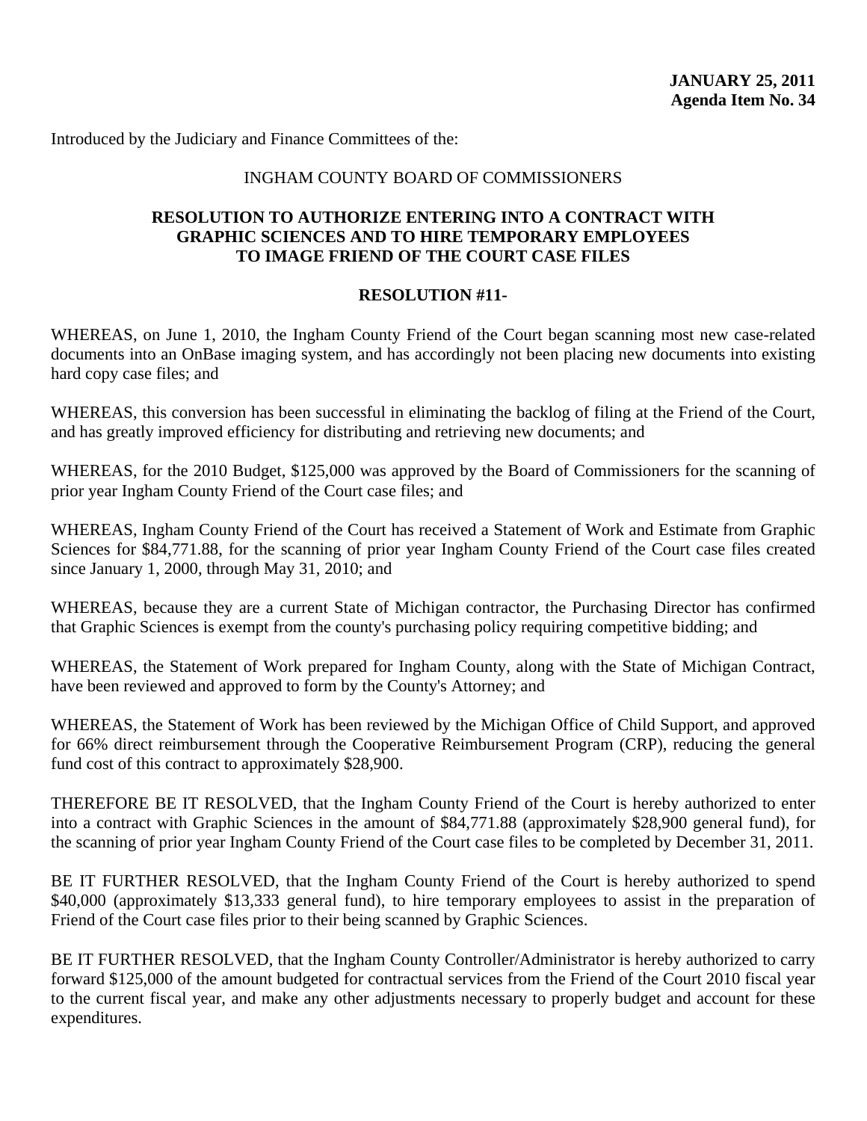Introduced by the Judiciary and Finance Committees of the:

### INGHAM COUNTY BOARD OF COMMISSIONERS

# **RESOLUTION TO AUTHORIZE ENTERING INTO A CONTRACT WITH GRAPHIC SCIENCES AND TO HIRE TEMPORARY EMPLOYEES TO IMAGE FRIEND OF THE COURT CASE FILES**

# **RESOLUTION #11-**

WHEREAS, on June 1, 2010, the Ingham County Friend of the Court began scanning most new case-related documents into an OnBase imaging system, and has accordingly not been placing new documents into existing hard copy case files; and

WHEREAS, this conversion has been successful in eliminating the backlog of filing at the Friend of the Court, and has greatly improved efficiency for distributing and retrieving new documents; and

WHEREAS, for the 2010 Budget, \$125,000 was approved by the Board of Commissioners for the scanning of prior year Ingham County Friend of the Court case files; and

WHEREAS, Ingham County Friend of the Court has received a Statement of Work and Estimate from Graphic Sciences for \$84,771.88, for the scanning of prior year Ingham County Friend of the Court case files created since January 1, 2000, through May 31, 2010; and

WHEREAS, because they are a current State of Michigan contractor, the Purchasing Director has confirmed that Graphic Sciences is exempt from the county's purchasing policy requiring competitive bidding; and

WHEREAS, the Statement of Work prepared for Ingham County, along with the State of Michigan Contract, have been reviewed and approved to form by the County's Attorney; and

WHEREAS, the Statement of Work has been reviewed by the Michigan Office of Child Support, and approved for 66% direct reimbursement through the Cooperative Reimbursement Program (CRP), reducing the general fund cost of this contract to approximately \$28,900.

THEREFORE BE IT RESOLVED, that the Ingham County Friend of the Court is hereby authorized to enter into a contract with Graphic Sciences in the amount of \$84,771.88 (approximately \$28,900 general fund), for the scanning of prior year Ingham County Friend of the Court case files to be completed by December 31, 2011.

BE IT FURTHER RESOLVED, that the Ingham County Friend of the Court is hereby authorized to spend \$40,000 (approximately \$13,333 general fund), to hire temporary employees to assist in the preparation of Friend of the Court case files prior to their being scanned by Graphic Sciences.

BE IT FURTHER RESOLVED, that the Ingham County Controller/Administrator is hereby authorized to carry forward \$125,000 of the amount budgeted for contractual services from the Friend of the Court 2010 fiscal year to the current fiscal year, and make any other adjustments necessary to properly budget and account for these expenditures.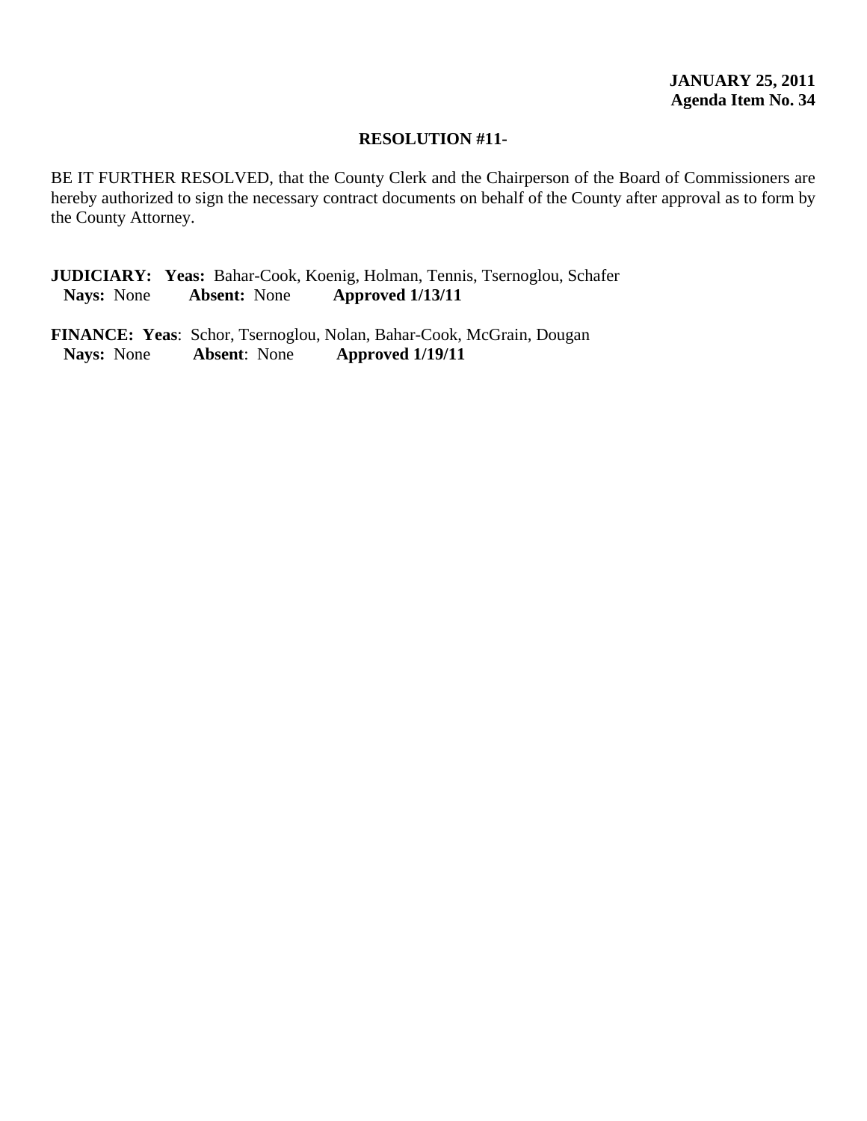BE IT FURTHER RESOLVED, that the County Clerk and the Chairperson of the Board of Commissioners are hereby authorized to sign the necessary contract documents on behalf of the County after approval as to form by the County Attorney.

**JUDICIARY: Yeas:** Bahar-Cook, Koenig, Holman, Tennis, Tsernoglou, Schafer  **Nays:** None **Absent:** None **Approved 1/13/11**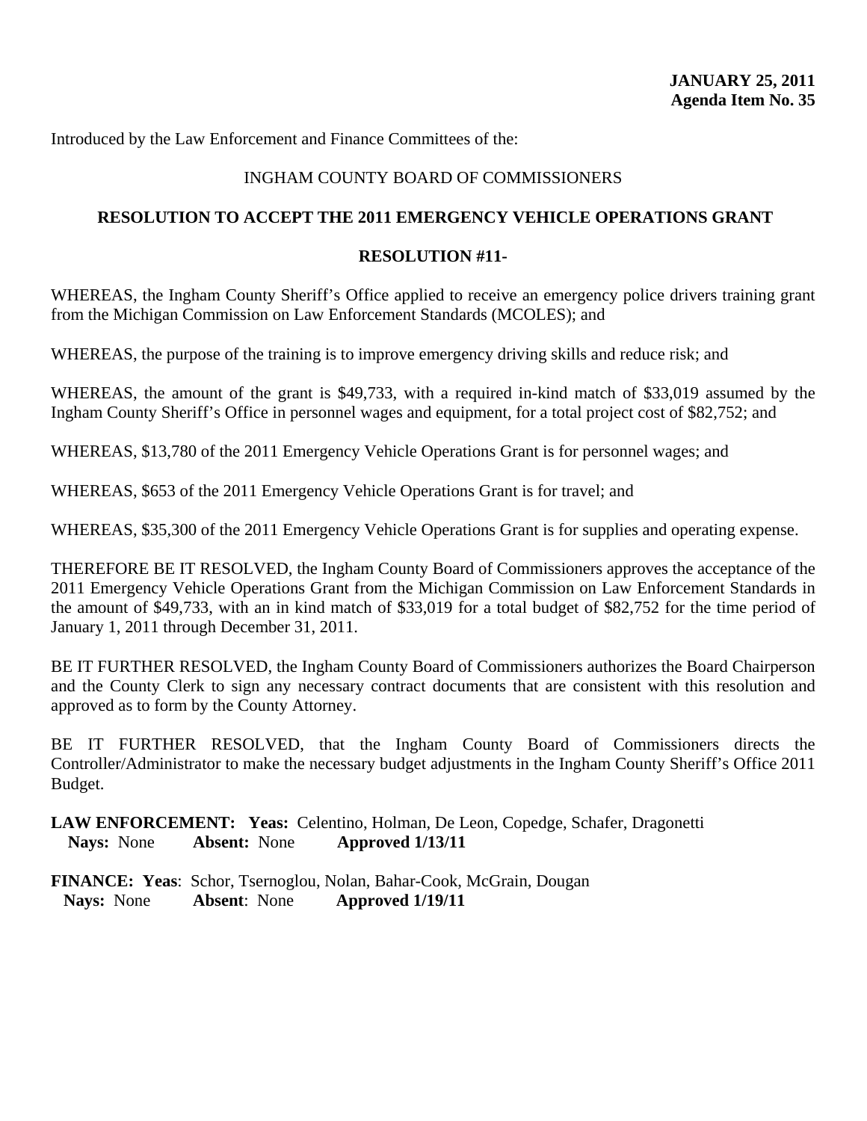Introduced by the Law Enforcement and Finance Committees of the:

# INGHAM COUNTY BOARD OF COMMISSIONERS

# **RESOLUTION TO ACCEPT THE 2011 EMERGENCY VEHICLE OPERATIONS GRANT**

# **RESOLUTION #11-**

WHEREAS, the Ingham County Sheriff's Office applied to receive an emergency police drivers training grant from the Michigan Commission on Law Enforcement Standards (MCOLES); and

WHEREAS, the purpose of the training is to improve emergency driving skills and reduce risk; and

WHEREAS, the amount of the grant is \$49,733, with a required in-kind match of \$33,019 assumed by the Ingham County Sheriff's Office in personnel wages and equipment, for a total project cost of \$82,752; and

WHEREAS, \$13,780 of the 2011 Emergency Vehicle Operations Grant is for personnel wages; and

WHEREAS, \$653 of the 2011 Emergency Vehicle Operations Grant is for travel; and

WHEREAS, \$35,300 of the 2011 Emergency Vehicle Operations Grant is for supplies and operating expense.

THEREFORE BE IT RESOLVED, the Ingham County Board of Commissioners approves the acceptance of the 2011 Emergency Vehicle Operations Grant from the Michigan Commission on Law Enforcement Standards in the amount of \$49,733, with an in kind match of \$33,019 for a total budget of \$82,752 for the time period of January 1, 2011 through December 31, 2011.

BE IT FURTHER RESOLVED, the Ingham County Board of Commissioners authorizes the Board Chairperson and the County Clerk to sign any necessary contract documents that are consistent with this resolution and approved as to form by the County Attorney.

BE IT FURTHER RESOLVED, that the Ingham County Board of Commissioners directs the Controller/Administrator to make the necessary budget adjustments in the Ingham County Sheriff's Office 2011 Budget.

**LAW ENFORCEMENT: Yeas:** Celentino, Holman, De Leon, Copedge, Schafer, Dragonetti **Nays:** None **Absent:** None **Approved 1/13/11**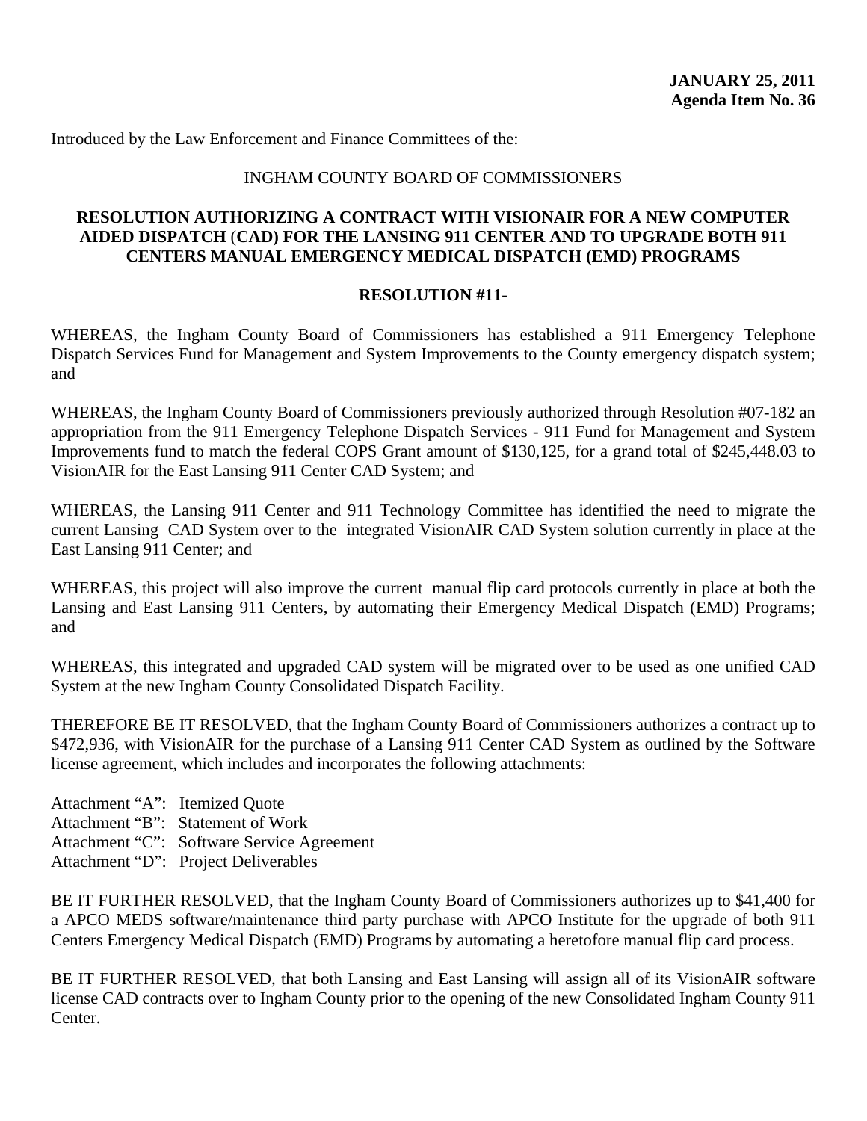Introduced by the Law Enforcement and Finance Committees of the:

### INGHAM COUNTY BOARD OF COMMISSIONERS

# **RESOLUTION AUTHORIZING A CONTRACT WITH VISIONAIR FOR A NEW COMPUTER AIDED DISPATCH** (**CAD) FOR THE LANSING 911 CENTER AND TO UPGRADE BOTH 911 CENTERS MANUAL EMERGENCY MEDICAL DISPATCH (EMD) PROGRAMS**

### **RESOLUTION #11-**

WHEREAS, the Ingham County Board of Commissioners has established a 911 Emergency Telephone Dispatch Services Fund for Management and System Improvements to the County emergency dispatch system; and

WHEREAS, the Ingham County Board of Commissioners previously authorized through Resolution #07-182 an appropriation from the 911 Emergency Telephone Dispatch Services - 911 Fund for Management and System Improvements fund to match the federal COPS Grant amount of \$130,125, for a grand total of \$245,448.03 to VisionAIR for the East Lansing 911 Center CAD System; and

WHEREAS, the Lansing 911 Center and 911 Technology Committee has identified the need to migrate the current Lansing CAD System over to the integrated VisionAIR CAD System solution currently in place at the East Lansing 911 Center; and

WHEREAS, this project will also improve the current manual flip card protocols currently in place at both the Lansing and East Lansing 911 Centers, by automating their Emergency Medical Dispatch (EMD) Programs; and

WHEREAS, this integrated and upgraded CAD system will be migrated over to be used as one unified CAD System at the new Ingham County Consolidated Dispatch Facility.

THEREFORE BE IT RESOLVED, that the Ingham County Board of Commissioners authorizes a contract up to \$472,936, with VisionAIR for the purchase of a Lansing 911 Center CAD System as outlined by the Software license agreement, which includes and incorporates the following attachments:

Attachment "A": Itemized Quote Attachment "B": Statement of Work Attachment "C": Software Service Agreement Attachment "D": Project Deliverables

BE IT FURTHER RESOLVED, that the Ingham County Board of Commissioners authorizes up to \$41,400 for a APCO MEDS software/maintenance third party purchase with APCO Institute for the upgrade of both 911 Centers Emergency Medical Dispatch (EMD) Programs by automating a heretofore manual flip card process.

BE IT FURTHER RESOLVED, that both Lansing and East Lansing will assign all of its VisionAIR software license CAD contracts over to Ingham County prior to the opening of the new Consolidated Ingham County 911 Center.